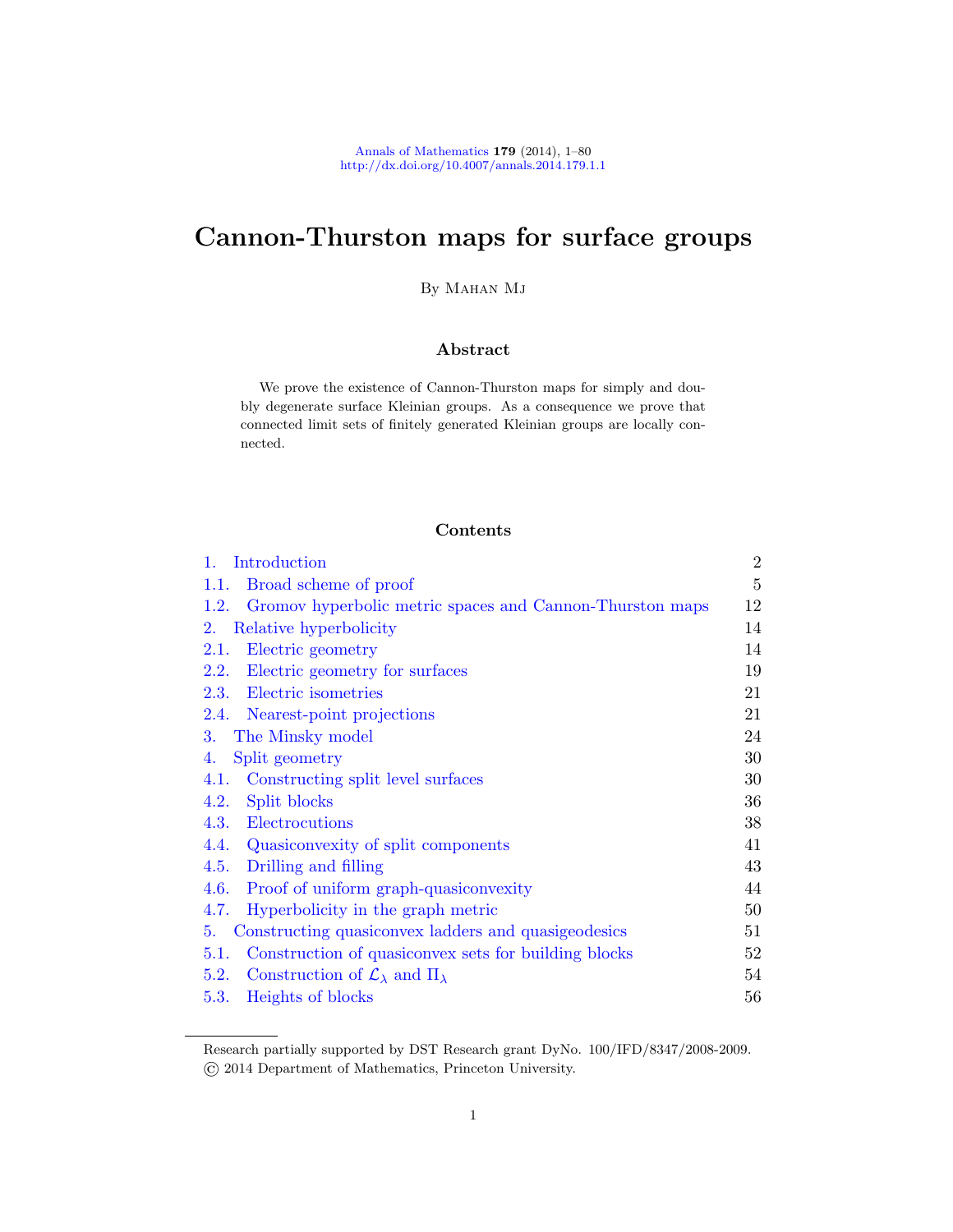# Cannon-Thurston maps for surface groups

By MAHAN MJ

## Abstract

We prove the existence of Cannon-Thurston maps for simply and doubly degenerate surface Kleinian groups. As a consequence we prove that connected limit sets of finitely generated Kleinian groups are locally con[n](#page-4-0)ected.

## Contents

| 1.<br>Introduction                                                  | $\overline{2}$ |
|---------------------------------------------------------------------|----------------|
| Broad scheme of proof<br>1.1.                                       | $\overline{5}$ |
| 1.2.<br>Gromov hyperbolic metric spaces and Cannon-Thurston maps    | 12             |
| Relative hyperbolicity<br>2.                                        | 14             |
| Electric geometry<br>2.1.                                           | 14             |
| Electric geometry for surfaces<br>2.2.                              | 19             |
| 2.3. Electric isometries                                            | 21             |
| 2.4. Nearest-point projections                                      | 21             |
| The Minsky model<br>3.                                              | 24             |
| Split geometry<br>4.                                                | 30             |
| Constructing split level surfaces<br>4.1.                           | 30             |
| Split blocks<br>4.2.                                                | 36             |
| Electrocutions<br>4.3.                                              | 38             |
| 4.4. Quasiconvexity of split components                             | 41             |
| 4.5. Drilling and filling                                           | 43             |
| Proof of uniform graph-quasiconvexity<br>4.6.                       | 44             |
| Hyperbolicity in the graph metric<br>4.7.                           | 50             |
| Constructing quasiconvex ladders and quasigeodesics<br>5.           | 51             |
| Construction of quasiconvex sets for building blocks<br>5.1.        | 52             |
| Construction of $\mathcal{L}_{\lambda}$ and $\Pi_{\lambda}$<br>5.2. | 54             |
| 5.3.<br>Heights of blocks                                           | 56             |

Research partially supported by DST Research grant DyNo. 100/IFD/8347/2008-2009. © 2014 Department of Mathematics, Princeton University.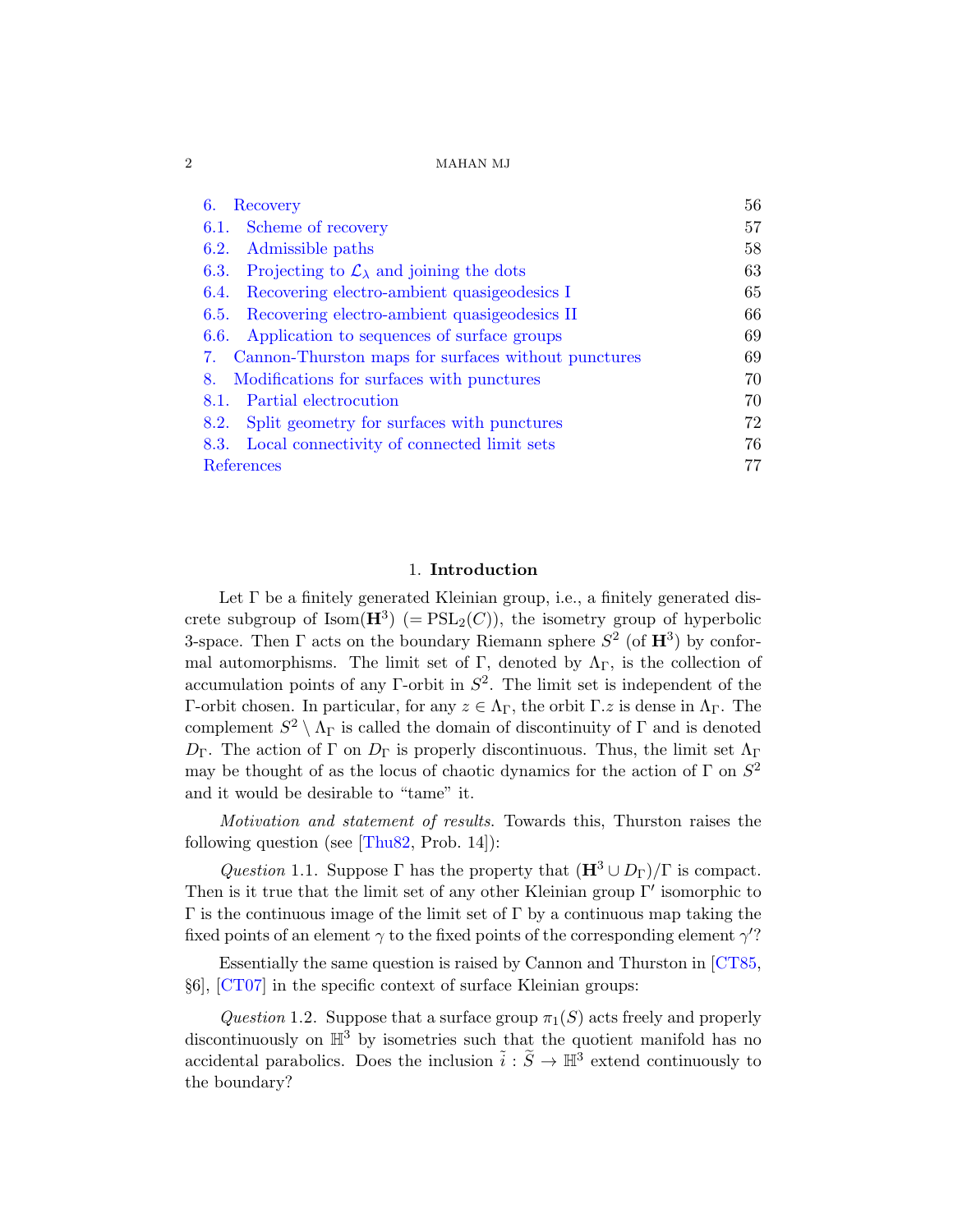| Recovery<br>6.                                                     | 56 |
|--------------------------------------------------------------------|----|
| 6.1. Scheme of recovery                                            | 57 |
| Admissible paths<br>6.2.                                           | 58 |
| Projecting to $\mathcal{L}_{\lambda}$ and joining the dots<br>6.3. | 63 |
| Recovering electro-ambient quasigeodesics I<br>6.4.                | 65 |
| Recovering electro-ambient quasigeodesics II<br>6.5.               | 66 |
| Application to sequences of surface groups<br>6.6.                 | 69 |
| Cannon-Thurston maps for surfaces without punctures<br>7.          | 69 |
| Modifications for surfaces with punctures<br>8.                    | 70 |
| Partial electrocution<br>8.1.                                      | 70 |
| Split geometry for surfaces with punctures<br>8.2.                 | 72 |
| Local connectivity of connected limit sets<br>8.3.                 | 76 |
| References                                                         |    |

## 1. Introduction

Let Γ be a finitely generated Kleinian group, i.e., a finitely generated discrete subgroup of  $\text{Isom}(\mathbf{H}^3)$  (=  $\text{PSL}_2(C)$ ), the isometry group of hyperbolic 3-space. Then  $\Gamma$  acts on the boundary Riemann sphere  $S^2$  (of  $\mathbf{H}^3$ ) by conformal automorphisms. The limit set of Γ, denoted by  $\Lambda_{\Gamma}$ , is the collection of accumulation points of any  $\Gamma$ -orbit in  $S^2$ . The limit set is independent of the [Γ-orbit](#page-79-0) chosen. In particular, for any  $z \in \Lambda_{\Gamma}$ , the orbit Γ.z is dense in  $\Lambda_{\Gamma}$ . The complement  $S^2 \setminus \Lambda_{\Gamma}$  is called the domain of discontinuity of  $\Gamma$  and is denoted  $D_{\Gamma}$ . The action of Γ on  $D_{\Gamma}$  is properly discontinuous. Thus, the limit set  $\Lambda_{\Gamma}$ may be thought of as the locus of chaotic dynamics for the action of  $\Gamma$  on  $S^2$ and it would be desirable to "tame" it.

<span id="page-1-1"></span>Motivation and statement of results. Towa[rds th](#page-77-0)is, Thurston raises the following question (see  $[Thus 22, Prob. 14]$ ):

<span id="page-1-0"></span>Question 1.1. Suppose Γ has the property that  $(\mathbf{H}^3 \cup D_{\Gamma})/\Gamma$  is compact. Then is it true that the limit set of any other Kleinian group  $\Gamma'$  isomorphic to  $Γ$  is the continuous image of the limit set of  $Γ$  by a continuous map taking the fixed points of an element  $\gamma$  to the fixed points of the corresponding element  $\gamma$ ?

Essentially the same question is raised by Cannon and Thurston in [CT85, §6], [CT07] in the specific context of surface Kleinian groups:

Question 1.2. Suppose that a surface group  $\pi_1(S)$  acts freely and properly discontinuously on  $\mathbb{H}^3$  by isometries such that the quotient manifold has no accidental parabolics. Does the inclusion  $\tilde{i}: \tilde{S} \to \mathbb{H}^3$  extend continuously to the boundary?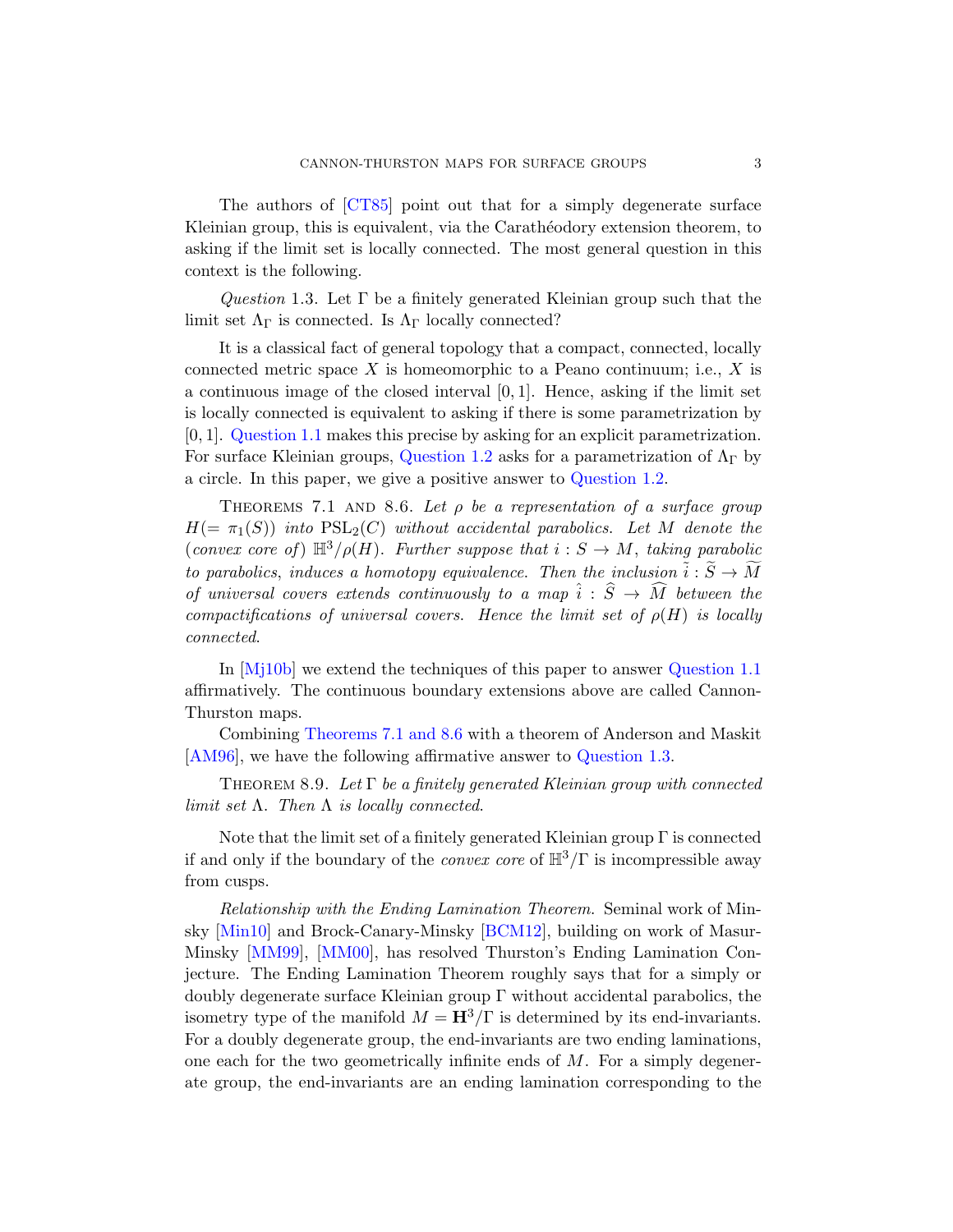<span id="page-2-0"></span>The authors of [CT85] point out that for a simply degenerate surface Kleinian group, this is equivalent, via the Carathéodory extension theorem, to asking if the limit set is locally connected. The most general question in this context is the following.

Question 1.3. Let  $\Gamma$  be a finitely generated Kleinian group such that the limit set  $\Lambda_{\Gamma}$  [is conn](#page-1-0)ected. Is  $\Lambda_{\Gamma}$  locally connected?

It is a classical fact of ge[neral topology](#page-1-0) that a compact, connected, locally connected metric space X is homeomorphic to a Peano continuum; i.e., X is a continuous image of the closed interval  $[0, 1]$ . Hence, asking if the limit set is locally connected is equivalent to asking if there is some parametrization by [0, 1]. Question 1.1 makes this precise by asking for an explicit parametrization. For surface Kleinian groups, Question 1.2 asks for a parametrization of  $\Lambda_{\Gamma}$  by a circle. In this paper, we give a positive answer to Question 1.2.

THEOREMS 7.1 AND 8.6. Let  $\rho$  be a representation of a surface group  $H(=\pi_1(S))$  into  $PSL_2(C)$  without accid[ental paraboli](#page-1-1)cs. Let M denote the (convex core of)  $\mathbb{H}^3/\rho(H)$ . Further suppose that  $i : S \to M$ , taking parabolic to parabolics, induces a homotopy equivalence. Then the inclusion  $\tilde{i}: \tilde{S} \to \tilde{M}$ [of univ](#page-69-2)[ersal co](#page-75-1)vers extends continuously to a map  $\hat{i}: \hat{S} \to \widehat{M}$  between the compactifications of universa[l covers](#page-2-0). Hence the limit set of  $\rho(H)$  is locally connected.

In [Mj10b] we extend the techniques of this paper to answer Question 1.1 affirmatively. The continuous boundary extensions above are called Cannon-Thurston maps.

Combining Theorems 7.1 and 8.6 with a theorem of Anderson and Maskit [AM96], we have the following affirmative answer to Question 1.3.

THEOREM 8.9. Let  $\Gamma$  be a finitely generated Kleinian group with connected [lim](#page-78-0)it set  $\Lambda$ . Then  $\Lambda$  [is loc](#page-76-0)ally connected.

Note that the limit set of a finitely generated Kleinian group  $\Gamma$  is connected if and only if the boundary of the *convex core* of  $\mathbb{H}^3/\Gamma$  is incompressible away from cusps.

Relationship with the Ending Lamination Theorem. Seminal work of Minsky [Min10] and Brock-Canary-Minsky [BCM12], building on work of Masur-Minsky [MM99], [MM00], has resolved Thurston's Ending Lamination Conjecture. The Ending Lamination Theorem roughly says that for a simply or doubly degenerate surface Kleinian group Γ without accidental parabolics, the isometry type of the manifold  $M = H^3/\Gamma$  is determined by its end-invariants. For a doubly degenerate group, the end-invariants are two ending laminations, one each for the two geometrically infinite ends of  $M$ . For a simply degenerate group, the end-invariants are an ending lamination corresponding to the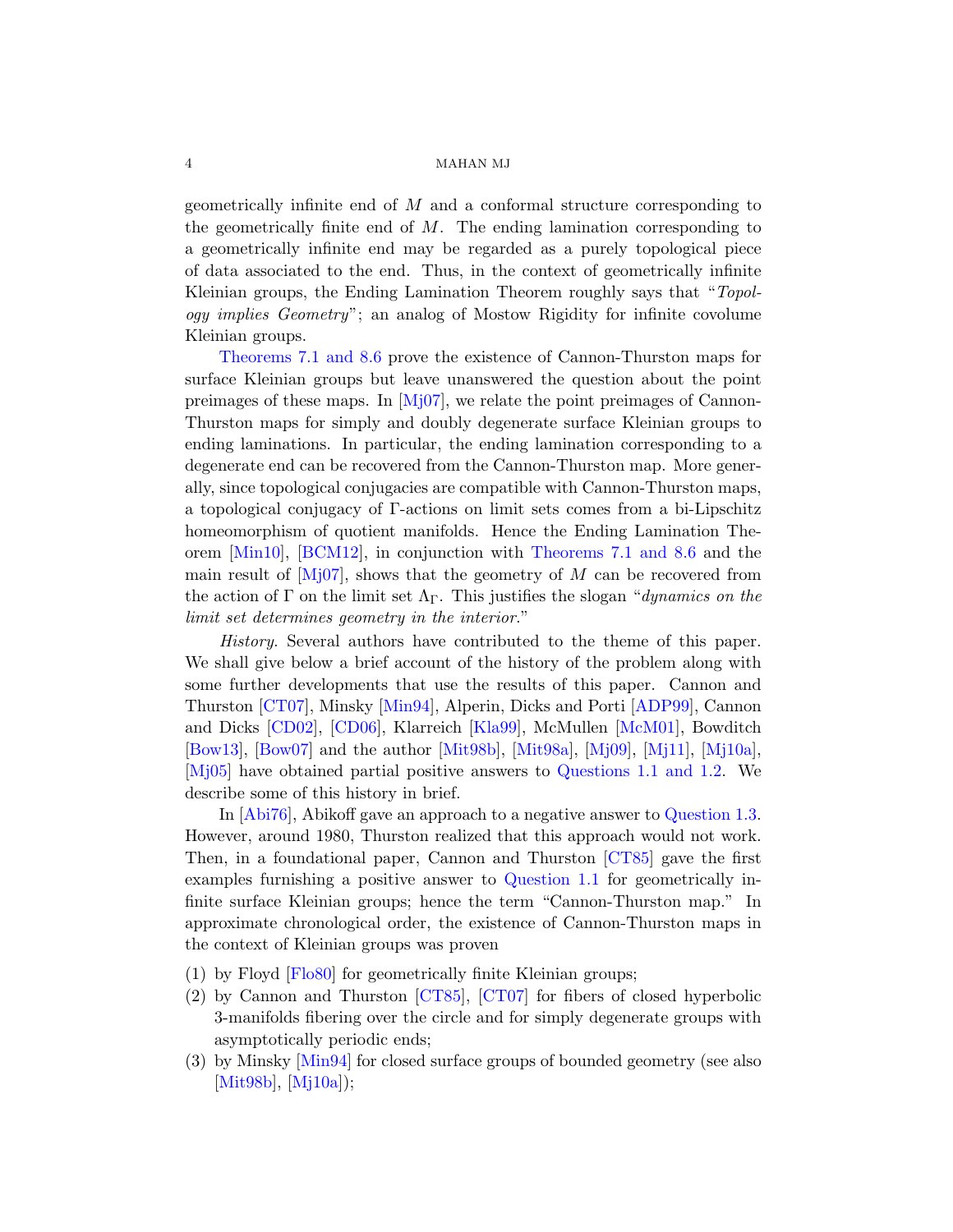geometrically infinite end of M and a conformal structure corresponding to [the](#page-75-1) geometrically finite end of  $M$ . The ending lamination corresponding to a geometrically infinite end may be regarded as a purely topological piece of dat[a asso](#page-79-1)ciated to the end. Thus, in the context of geometrically infinite Kleinian groups, the Ending Lamination Theorem roughly says that "Topology implies Geometry"; an analog of Mostow Rigidity for infinite covolume Kleinian groups.

Theorems 7.1 and 8.6 prove the existence of Cannon-Thurston maps for surface Kleinian groups but leave unanswered the question about the point preimages of these maps. In [Mj07], we relate the point preimages of Cannon-[T](#page-76-0)hurston maps for sim[ply and doubl](#page-69-2)[y degene](#page-75-1)rate surface Kleinian groups to ending laminations. In particular, the ending lamination corresponding to a degenerate end can be recovered from the Cannon-Thurston map. More generally, since topological conjugacies are compatible with Cannon-Thurston maps, a topological conjugacy of Γ-actions on limit sets comes from a bi-Lipschitz homeomorphism of quotient manifolds. Hence the Ending Lamination Theorem [Min10], [BCM12], in conjunction with Theorems 7.1 and 8.6 and the ma[in resul](#page-78-1)t of  $[M]07$ , shows that th[e geome](#page-76-1)try of M can be recovered from [the](#page-77-1) action of  $\Gamma$  [on the](#page-78-2) limit set  $\Lambda_{\Gamma}$ . [This jus](#page-78-3)tifies the slogan "dynamics on the limit set de[termines](#page-78-4) [geometry](#page-78-5) i[n the](#page-79-2) in[terior](#page-79-3)."

History. Several auth[ors have contr](#page-1-1)[ibuted t](#page-1-0)o the theme of this paper. We shall give below a brief account of the history of the problem along with some further developments that use the [results of th](#page-2-0)is paper. Cannon and Thurston [CT07], Minsky [Min94], Alperin, Dicks and Porti [ADP99], Cannon and Dicks [CD02], [CD06], Klarr[eich \[K](#page-77-0)la99], McMullen [McM01], Bowditch [Bow13], [Bow07] a[nd the author](#page-1-1) [Mit98b], [Mit98a], [Mj09], [Mj11], [Mj10a], [Mj05] have obtained partial positive answers to Questions 1.1 and 1.2. We describe some of this history in brief.

In [Abi76], Abikoff gave an approach to a negative answer to Question 1.3. However, around 1980, Thurston realized that this approach would not work. Then, i[n a fou](#page-77-0)n[dationa](#page-77-2)l paper, Cannon and Thurston [CT85] gave the first examples furnishing a positive answer to Question 1.1 for geometrically infinite surface Kleinian groups; hence the term "Cannon-Thurston map." In approximate chronological order, the existence of Cannon-Thurston maps in the context of Kleinian groups was proven

- (1) by Floyd [Flo80] for geometrically finite Kleinian groups;
- (2) by Cannon and Thurston [CT85], [CT07] for fibers of closed hyperbolic 3-manifolds fibering over the circle and for simply degenerate groups with asymptotically periodic ends;
- (3) by Minsky [Min94] for closed surface groups of bounded geometry (see also [Mit98b], [Mj10a]);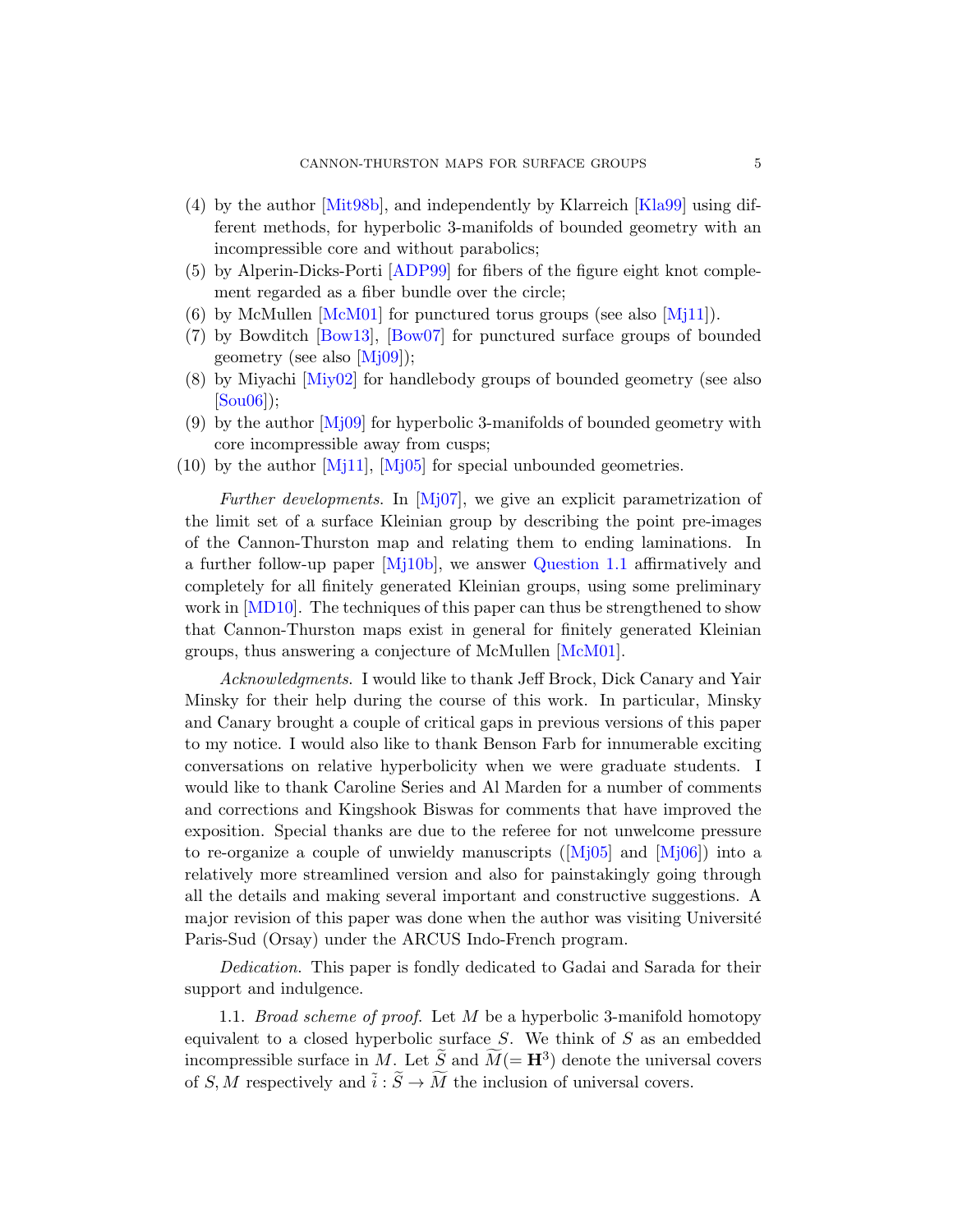- [\(4\)](#page-76-2) [by the a](#page-76-3)uthor [Mit98b], and independently by Klarreich [Kla99] using dif[fer](#page-79-2)ent methods, for hyperbolic 3-manifolds of bounded geometry with an incompressible core and without parabolics;
- (5) by Alperin-Dicks-Porti [ADP99] for fibers of the figure eight knot complement regarded as a fiber bundle over the circle;
- (6) by McMullen  $[McM01]$  for punctured torus groups (see also  $[Mj11]$ ).
- [\(7](#page-79-3)) [by Bo](#page-79-4)wditch [Bow13], [Bow07] for punctured surface groups of bounded geo[metry](#page-79-1) (see also [Mj09]);
- (8) by Miyachi [Miy02] for handlebody groups of bounded geometry (see also [Sou06]);
- (9) [by the](#page-79-5) author  $\text{[M]}09$  for hyperbolic 3-manifolds of bounded geometry with core incompressible away from cusps;
- $(10)$  by the author [Mj11], [Mj05] for special unbounded geometries.

Further developments. In [Mj07], we give an explicit parametrization of the limit set of a surface [Kleinian](#page-78-3) group by describing the point pre-images of the Cannon-Thurston map and relating them to ending laminations. In a further follow-up paper [Mj10b], we answer Question 1.1 affirmatively and completely for all finitely generated Kleinian groups, using some preliminary work in [MD10]. The techniques of this paper can thus be strengthened to show that Cannon-Thurston maps exist in general for finitely generated Kleinian groups, thus answering a conjecture of McMullen [McM01].

Acknowledgments. I would like to thank Jeff Brock, Dick Canary and Yair Minsky for their help during the course of this work. In particular, Minsky and Canary brought a coupl[e of cri](#page-79-4)tical [gaps in](#page-79-6) previous versions of this paper to my notice. I would also like to thank Benson Farb for innumerable exciting conversations on relative hyperbolicity when we were graduate students. I would like to thank Caroline Series and Al Marden for a number of comments and corrections and Kingshook Biswas for comments that have improved the exposition. Special thanks are due to the referee for not unwelcome pressure to re-organize a couple of unwieldy manuscripts ( $[M_0]$ <sup>5</sup>] and  $[M_0]$ <sup>6</sup>) into a relatively more streamlined version and also for painstakingly going through all the details and making several important and constructive suggestions. A major revision of this paper was done when the author was visiting Université Paris-Sud (Orsay) under the ARCUS Indo-French program.

<span id="page-4-0"></span>Dedication. This paper is fondly dedicated to Gadai and Sarada for their support and indulgence.

1.1. Broad scheme of proof. Let M be a hyperbolic 3-manifold homotopy equivalent to a closed hyperbolic surface  $S$ . We think of  $S$  as an embedded incompressible surface in M. Let  $\widetilde{S}$  and  $\widetilde{M}$ (=  $\mathbf{H}^3$ ) denote the universal covers of S, M respectively and  $\tilde{i}: \tilde{S} \to \tilde{M}$  the inclusion of universal covers.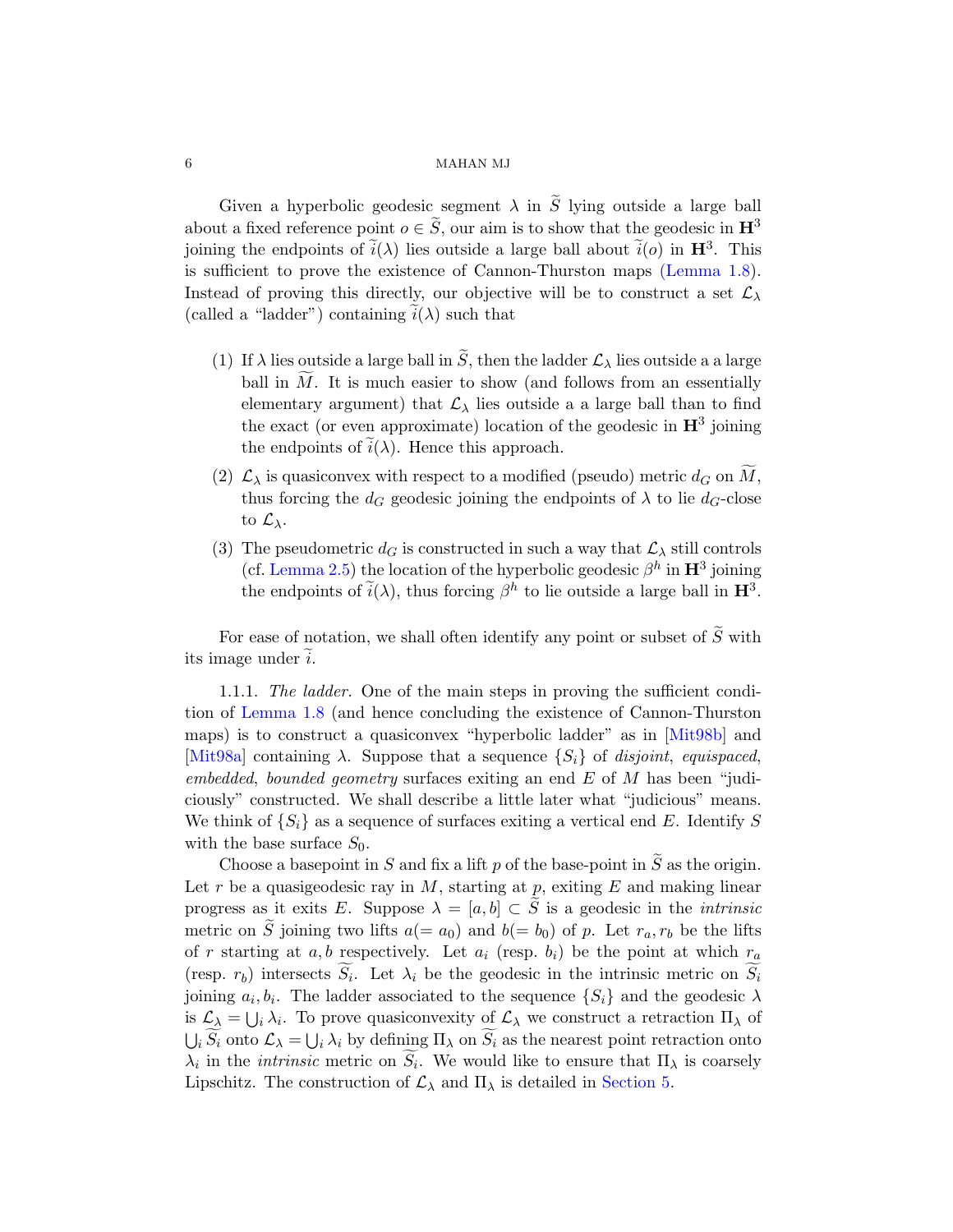Given a hyperbolic geodesic segment  $\lambda$  in  $\tilde{S}$  lying outside a large ball about a fixed reference point  $o \in \tilde{S}$ , our aim is to show that the geodesic in  $\mathbb{H}^3$ joining the endpoints of  $\tilde{i}(\lambda)$  lies outside a large ball about  $\tilde{i}(o)$  in  $\mathbf{H}^{3}$ . This is sufficient to prove the existence of Cannon-Thurston maps (Lemma 1.8). Instead of proving this directly, our objective will be to construct a set  $\mathcal{L}_{\lambda}$ (called a "ladder") containing  $i(\lambda)$  such that

- (1) If  $\lambda$  lies outside a large ball in  $\tilde{S}$ , then the ladder  $\mathcal{L}_{\lambda}$  lies outside a a large ball in  $M$ . It is much easier to show (and follows from an essentially elementary argument) that  $\mathcal{L}_{\lambda}$  lies outside a a large ball than to find the exact (or even approximate) location of the geodesic in  $\mathbf{H}^3$  joining the endpoints of  $i(\lambda)$ . Hence this approach.
- (2)  $\mathcal{L}_{\lambda}$  is quasiconvex with respect to a modified (pseudo) metric  $d_G$  on  $\widetilde{M}_{\lambda}$ , thus forcing the  $d_G$  geodesic joining the endpoints of  $\lambda$  to lie  $d_G$ -close to  $\mathcal{L}_{\lambda}$ .
- (3) The pseudometric  $d_G$  is constructed in such a way that  $\mathcal{L}_\lambda$  still controls (cf. Lemma 2.5) the location of the hyperbolic geodesic  $\beta^h$  in  $\mathbf{H}^3$  joining the endpoints of  $\tilde{i}(\lambda)$ , thus forcing  $\beta^h$  [to li](#page-78-4)e outside a large ball in  $\mathbf{H}^3$ .

For ease of notation, we shall often identify any point or subset of  $\widetilde{S}$  with its image under  $i$ .

1.1.1. The ladder. One of the main steps in proving the sufficient condition of Lemma 1.8 (and hence concluding the existence of Cannon-Thurston maps) is to construct a quasiconvex "hyperbolic ladder" as in [Mit98b] and [Mit98a] containing  $\lambda$ . Suppose that a sequence  $\{S_i\}$  of disjoint, equispaced, embedded, bounded geometry surfaces exiting an end  $E$  of  $M$  has been "judiciously" constructed. We shall describe a little later what "judicious" means. We think of  $\{S_i\}$  as a sequence of surfaces exiting a vertical end E. Identify S with the base surface  $S_0$ .

Choose a basepoint in S and fix a lift p of the base-point in  $\widetilde{S}$  as the origin. Let  $r$  be a quasigeodesic ray in  $M$ , starting at  $p$ , exiting  $E$  and making linear progress as it exits E. Suppose  $\lambda = [a, b] \subset \tilde{S}$  is a geodesic in the *intrinsic* metric on  $\tilde{S}$  joining two lifts  $a(= a_0)$  and  $b(= b_0)$  of p. Let  $r_a, r_b$  be the lifts of r starting at a, b respectively[. Let](#page-50-0)  $a_i$  (resp.  $b_i$ ) be the point at which  $r_a$ (resp.  $r_b$ ) intersects  $S_i$ . Let  $\lambda_i$  be the geodesic in the intrinsic metric on  $S_i$ joining  $a_i, b_i$ . The ladder associated to the sequence  $\{S_i\}$  and the geodesic  $\lambda$ is  $\mathcal{L}_{\lambda} = \bigcup_{i} \lambda_i$ . To prove quasiconvexity of  $\mathcal{L}_{\lambda}$  we construct a retraction  $\Pi_{\lambda}$  of  $\bigcup_i S_i$  onto  $\mathcal{L}_{\lambda} = \bigcup_i \lambda_i$  by defining  $\Pi_{\lambda}$  on  $S_i$  as the nearest point retraction onto  $\lambda_i$  in the *intrinsic* metric on  $S_i$ . We would like to ensure that  $\Pi_{\lambda}$  is coarsely Lipschitz. The construction of  $\mathcal{L}_{\lambda}$  and  $\Pi_{\lambda}$  is detailed in Section 5.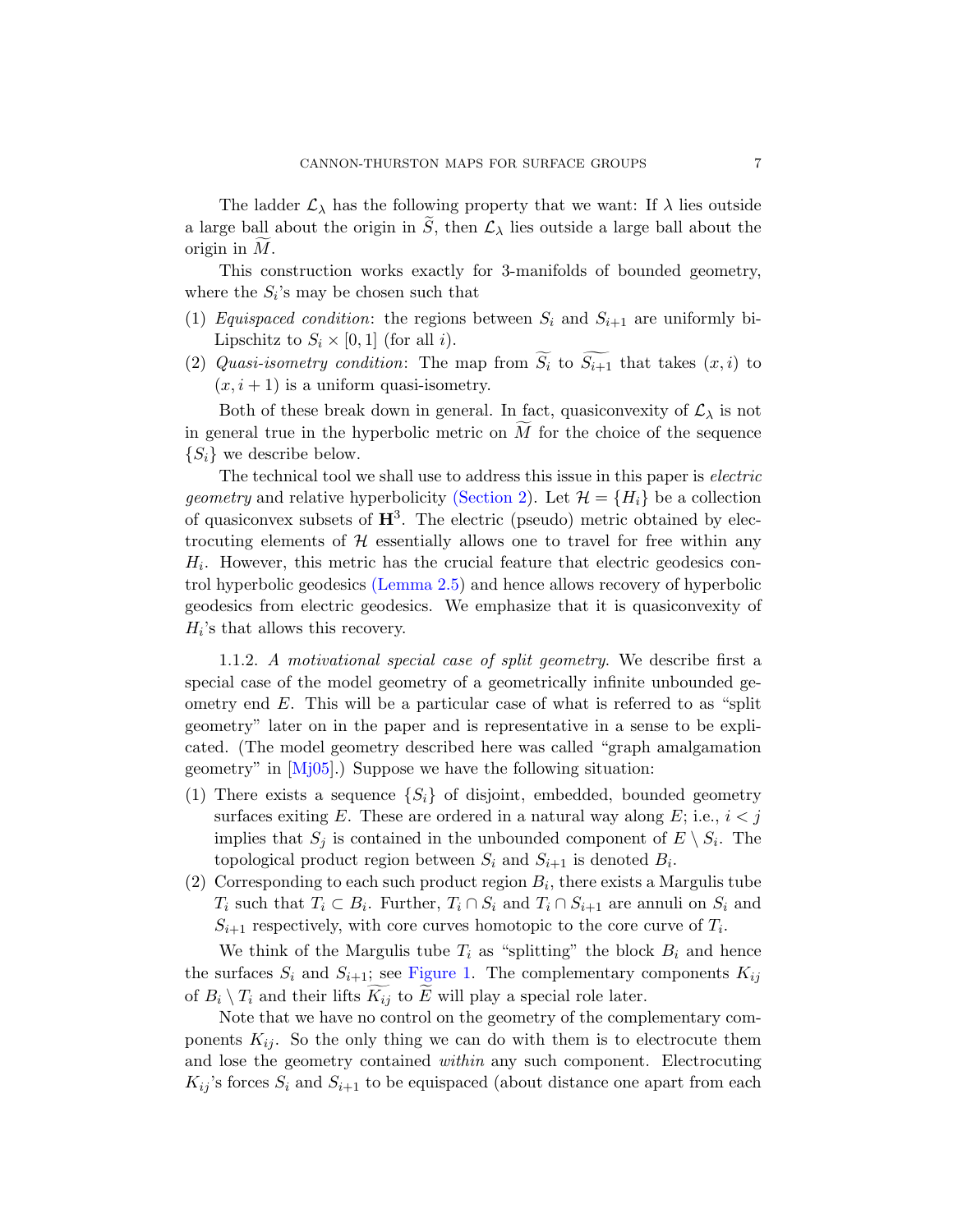The ladder  $\mathcal{L}_{\lambda}$  has the following property that we want: If  $\lambda$  lies outside a large ball about the origin in  $\tilde{S}$ , then  $\mathcal{L}_{\lambda}$  lies outside a large ball about the origin in  $M$ .

This construction works exactly for 3-manifolds of bounded geometry, where the  $S_i$ 's may be chosen such that

- (1) Equispaced condition: the regions between  $S_i$  and  $S_{i+1}$  are uniformly bi-Lipschitz to  $S_i \times [0,1]$  (for all i).
- (2) Quasi-is[ometry con](#page-13-0)dition: The map from  $S_i$  to  $S_{i+1}$  that takes  $(x, i)$  to  $(x, i + 1)$  is a uniform quasi-isometry.

Both of these break down in general. In fact, quasiconvexity of  $\mathcal{L}_{\lambda}$  is not in general true in the hyperbolic metric on  $M$  for the choice of the sequence  $\{S_i\}$  [we descri](#page-15-0)be below.

The technical tool we shall use to address this issue in this paper is *electric geometry* and relative hyperbolicity (Section 2). Let  $\mathcal{H} = \{H_i\}$  be a collection of quasiconvex subsets of  $H^3$ . The electric (pseudo) metric obtained by electrocuting elements of  $H$  essentially allows one to travel for free within any  $H_i$ . However, this metric has the crucial feature that electric geodesics control hyperbolic geodesics (Lemma 2.5) and hence allows recovery of hyperbolic geodesics from electric geodesics. We emphasize that it is quasiconvexity of  $H_i$ 's that allows this recovery.

1.1.2. A motivational special case of split geometry. We describe first a special case of the model geometry of a geometrically infinite unbounded geometry end  $E$ . This will be a particular case of what is referred to as "split" geometry" later on in the paper and is representative in a sense to be explicated. (The model geometry described here was called "graph amalgamation geometry" in [Mj05].) Suppose we have the following situation:

- (1) There exists a sequence  $\{S_i\}$  of disjoint, embedded, bounded geometry surfaces exiting E. These are ordered in a natural way along E; i.e.,  $i < j$ im[plies that](#page-7-0)  $S_j$  is contained in the unbounded component of  $E \setminus S_i$ . The topological product region between  $S_i$  and  $S_{i+1}$  is denoted  $B_i$ .
- (2) Corresponding to each such product region  $B_i$ , there exists a Margulis tube  $T_i$  such that  $T_i \subset B_i$ . Further,  $T_i \cap S_i$  and  $T_i \cap S_{i+1}$  are annuli on  $S_i$  and  $S_{i+1}$  respectively, with core curves homotopic to the core curve of  $T_i$ .

We think of the Margulis tube  $T_i$  as "splitting" the block  $B_i$  and hence the surfaces  $S_i$  and  $S_{i+1}$ ; see Figure 1. The complementary components  $K_{ij}$ of  $B_i \setminus T_i$  and their lifts  $K_{ij}$  to E will play a special role later.

Note that we have no control on the geometry of the complementary components  $K_{ij}$ . So the only thing we can do with them is to electrocute them and lose the geometry contained within any such component. Electrocuting  $K_{ij}$ 's forces  $S_i$  and  $S_{i+1}$  to be equispaced (about distance one apart from each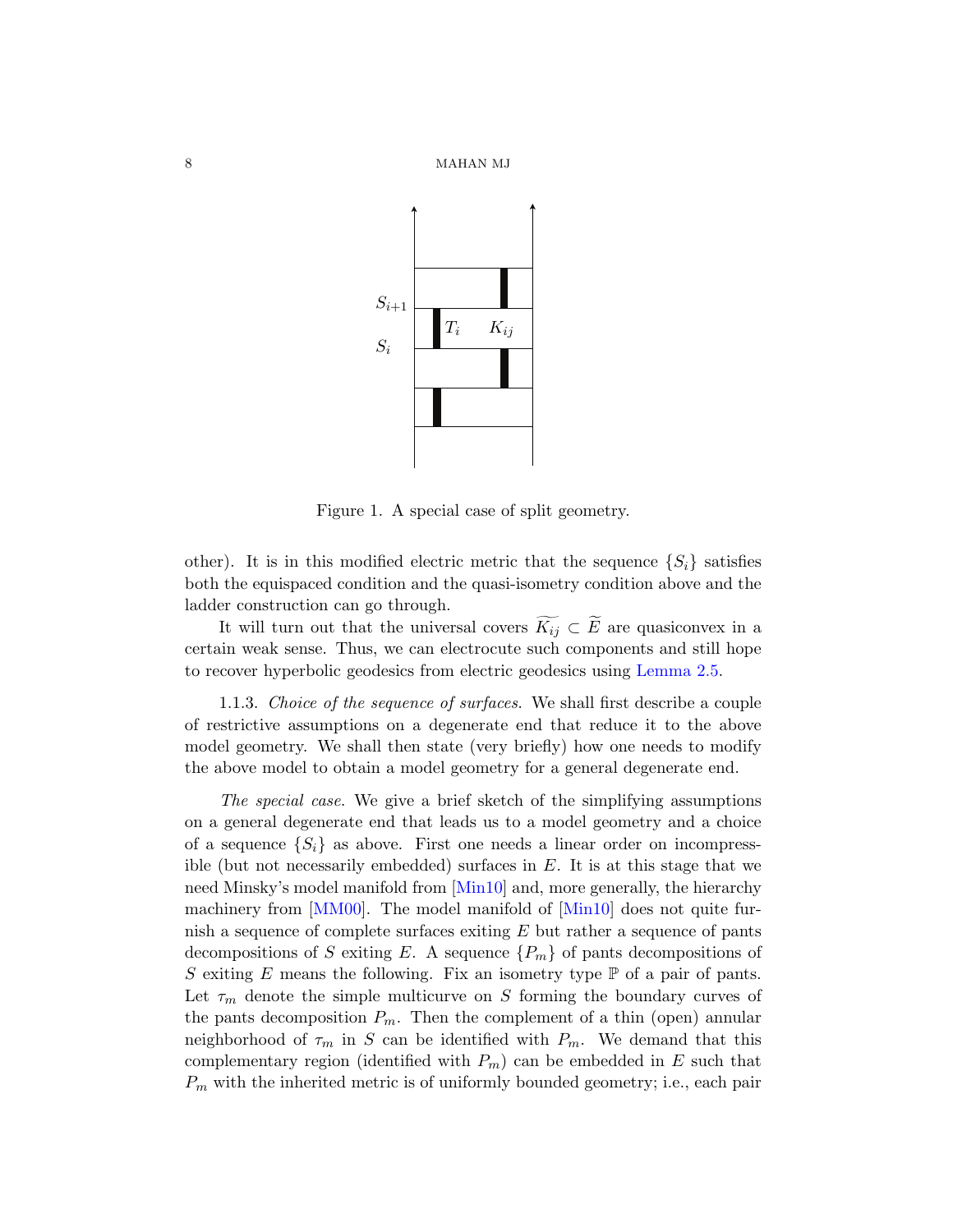



<span id="page-7-0"></span>Figure 1. A special case of split geometry.

other). It is in this modified electric metric that the sequence  $\{S_i\}$  satisfies both the equispaced condition and the quasi-isometry condition above and the ladder construction can go through.

It will turn out that the universal covers  $K_{ij} \subset E$  are quasiconvex in a certain weak sense. Thus, we can electrocute such components and still hope to recover hyperbolic geodesics from electric geodesics using Lemma 2.5.

1.1.3. Choice of the sequence of surfaces. We shall first describe a couple of restrictive assumptions on a degenerate end that reduce it to the above model geome[try. W](#page-78-6)e shall then state (very briefly) how one needs to modify [t](#page-78-0)he above model to obtain [a model](#page-78-6) geometry for a general degenerate end.

The special case. We give a brief sketch of the simplifying assumptions on a general degenerate end that leads us to a model geometry and a choice of a sequence  $\{S_i\}$  as above. First one needs a linear order on incompressible (but not necessarily embedded) surfaces in  $E$ . It is at this stage that we need Minsky's model manifold from [Min10] and, more generally, the hierarchy machinery from [MM00]. The model manifold of [Min10] does not quite furnish a sequence of complete surfaces exiting  $E$  but rather a sequence of pants decompositions of S exiting E. A sequence  $\{P_m\}$  of pants decompositions of S exiting E means the following. Fix an isometry type  $\mathbb P$  of a pair of pants. Let  $\tau_m$  denote the simple multicurve on S forming the boundary curves of the pants decomposition  $P_m$ . Then the complement of a thin (open) annular neighborhood of  $\tau_m$  in S can be identified with  $P_m$ . We demand that this complementary region (identified with  $P_m$ ) can be embedded in E such that  $P_m$  with the inherited metric is of uniformly bounded geometry; i.e., each pair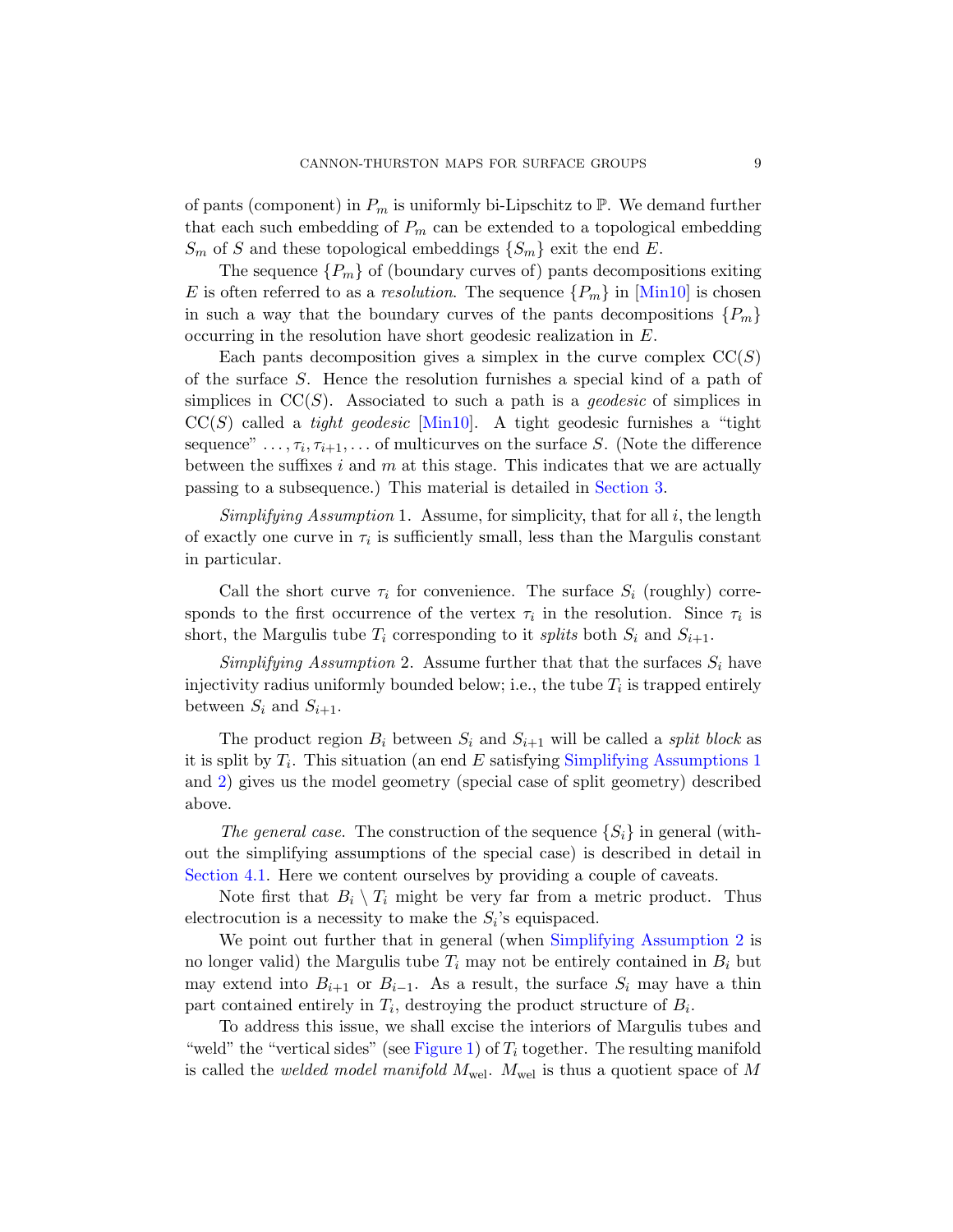of pants (component) in  $P_m$  is uniformly bi-Lipschitz to  $\mathbb P$ . We demand further that each such embedding of  $P_m$  can be extended to a topological embedding  $S_m$  of S and these topological embeddings  $\{S_m\}$  exit the end E.

The sequence  $\{P_m\}$  of (boundary curves of) pants decompositions exiting E is ofte[n referr](#page-78-6)ed to as a resolution. The sequence  $\{P_m\}$  in [Min10] is chosen in such a way that the boundary curves of the pants decompositions  ${P_m}$ occurring in the resolution have short geodesic realization in E.

<span id="page-8-0"></span>Each pants decomposition [gives a si](#page-23-0)mplex in the curve complex  $CC(S)$ of the surface S. Hence the resolution furnishes a special kind of a path of simplices in  $CC(S)$ . Associated to such a path is a *qeodesic* of simplices in  $CC(S)$  called a *tight geodesic* [Min10]. A tight geodesic furnishes a "tight" sequence"  $\dots, \tau_i, \tau_{i+1}, \dots$  of multicurves on the surface S. (Note the difference between the suffixes i and  $m$  at this stage. This indicates that we are actually passing to a subsequence.) This material is detailed in Section 3.

Simplifying Assumption 1. Assume, for simplicity, that for all  $i$ , the length of exactly one curve in  $\tau_i$  is sufficiently small, less than the Margulis constant in particular.

Call the short curve  $\tau_i$  for convenience. The surface  $S_i$  (roughly) corresponds to the first occurrence of the vertex  $\tau_i$  in the resolution. Since  $\tau_i$  is short, the Margulis tube  $T_i$  [corresponding to it](#page-8-0) splits both  $S_i$  and  $S_{i+1}$ .

Simplifying Assumption 2. Assume further that that the surfaces  $S_i$  have injectivity radius uniformly bounded below; i.e., the tube  $T_i$  is trapped entirely between  $S_i$  and  $S_{i+1}$ .

The product region  $B_i$  between  $S_i$  and  $S_{i+1}$  will be called a *split block* as it is split by  $T_i$ . This situation (an end E satisfying Simplifying Assumptions 1) and 2) gives us the model geometry (special case of split geometry) described above.

The general case. The construction of the sequence  $\{S_i\}$  in general (without the simplifying assumptions of the special case) is described in detail in Section 4.1. Here we content ourselves by providing a couple of caveats.

Note first that  $B_i \setminus T_i$  might be very far from a metric product. Thus electro[cution is a](#page-7-0) necessity to make the  $S_i$ 's equispaced.

We point out further that in general (when Simplifying Assumption 2 is no longer valid) the Margulis tube  $T_i$  may not be entirely contained in  $B_i$  but may extend into  $B_{i+1}$  or  $B_{i-1}$ . As a result, the surface  $S_i$  may have a thin part contained entirely in  $T_i$ , destroying the product structure of  $B_i$ .

To address this issue, we shall excise the interiors of Margulis tubes and "weld" the "vertical sides" (see Figure 1) of  $T_i$  together. The resulting manifold is called the *welded model manifold*  $M_{\text{wel}}$ .  $M_{\text{wel}}$  is thus a quotient space of M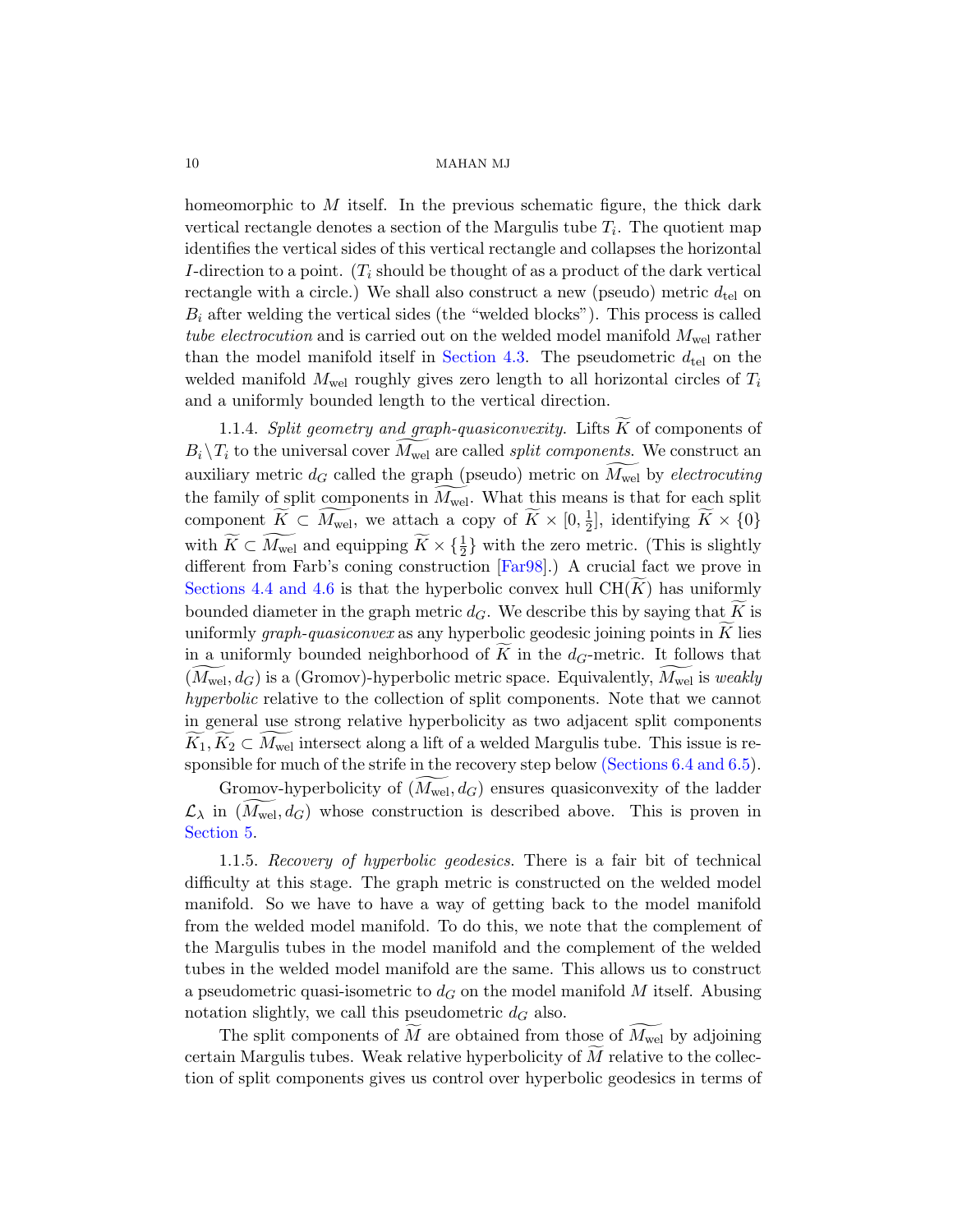homeomorphic to  $M$  itself. In the previous schematic figure, the thick dark vertical rec[tangle denot](#page-37-0)es a section of the Margulis tube  $T_i$ . The quotient map identifies the vertical sides of this vertical rectangle and collapses the horizontal I-direction to a point.  $(T_i$  should be thought of as a product of the dark vertical rectangle with a circle.) We shall also construct a new (pseudo) metric  $d_{\text{tel}}$  on  $B_i$  after welding the vertical sides (the "welded blocks"). This process is called tube electrocution and is carried out on the welded model manifold  $M_{\text{wel}}$  rather than the model manifold itself in Section 4.3. The pseudometric  $d_{\text{tel}}$  on the welded manifold  $M_{\text{wel}}$  roughly gives zero length to all horizontal circles of  $T_i$ and a uniformly bounded length to the vertical direction.

1.1.4. Split ge[ometry](#page-77-3) and graph-quasiconvexity. Lifts  $\tilde{K}$  of components of  $B_i \backslash T_i$  to the universal cover  $M_{\text{wel}}$  are called *split components*. We construct an auxiliary metric  $d_G$  called the graph (pseudo) metric on  $M_{\text{wel}}$  by *electrocuting* the family of split components in  $M_{\text{wel}}$ . What this means is that for each split component  $\widetilde{K} \subset \widetilde{M_{\text{wel}}}$ , we attach a copy of  $\widetilde{K} \times [0, \frac{1}{2}]$  $\frac{1}{2}$ , identifying  $K \times \{0\}$ with  $\widetilde{K} \subset \widetilde{M_{\text{wel}}}$  and equipping  $\widetilde{K} \times {\{\frac{1}{2}\}\ }$  with the zero metric. (This is slightly different from Farb's coning construction [Far98].) A crucial fact we prove in Sections 4.4 and 4.6 is that the hyperbolic convex hull  $CH(K)$  has uniformly bounded diameter in the graph metric  $d_G$ . We describe this by saying that K is uniformlygraph-quasiconvex as a[ny hyperbolic](#page-64-0) [geodesi](#page-65-0)c joining points in  $K$  lies in a uniformly bounded neighborhood of  $K$  in the  $d_G$ -metric. It follows that  $(M_{\text{wel}}, d_G)$  is a (Gromov)-hyperbolic metric space. Equivalently,  $M_{\text{wel}}$  is *weakly* hyperbolic relative to the collection of split components. Note that we cannot in general use strong relative hyperbolicity as two adjacent split components  $K_1, K_2 \subset M_{\text{wel}}$  intersect along a lift of a welded Margulis tube. This issue is responsible for much of the strife in the recovery step below (Sections 6.4 and 6.5).

Gromov-hyperbolicity of  $(M_{\text{wel}}, d_G)$  ensures quasiconvexity of the ladder  $\mathcal{L}_{\lambda}$  in  $(M_{\text{wel}}, d_G)$  whose construction is described above. This is proven in Section 5.

1.1.5. Recovery of hyperbolic geodesics. There is a fair bit of technical difficulty at this stage. The graph metric is constructed on the welded model manifold. So we have to have a way of getting back to the model manifold from the welded model manifold. To do this, we note that the complement of the Margulis tubes in the model manifold and the complement of the welded tubes in the welded model manifold are the same. This allows us to construct a pseudometric quasi-isometric to  $d_G$  on the model manifold M itself. Abusing notation slightly, we call this pseudometric  $d_G$  also.

The split components of M are obtained from those of  $M_{\text{wel}}$  by adjoining certain Margulis tubes. Weak relative hyperbolicity of  $M$  relative to the collection of split components gives us control over hyperbolic geodesics in terms of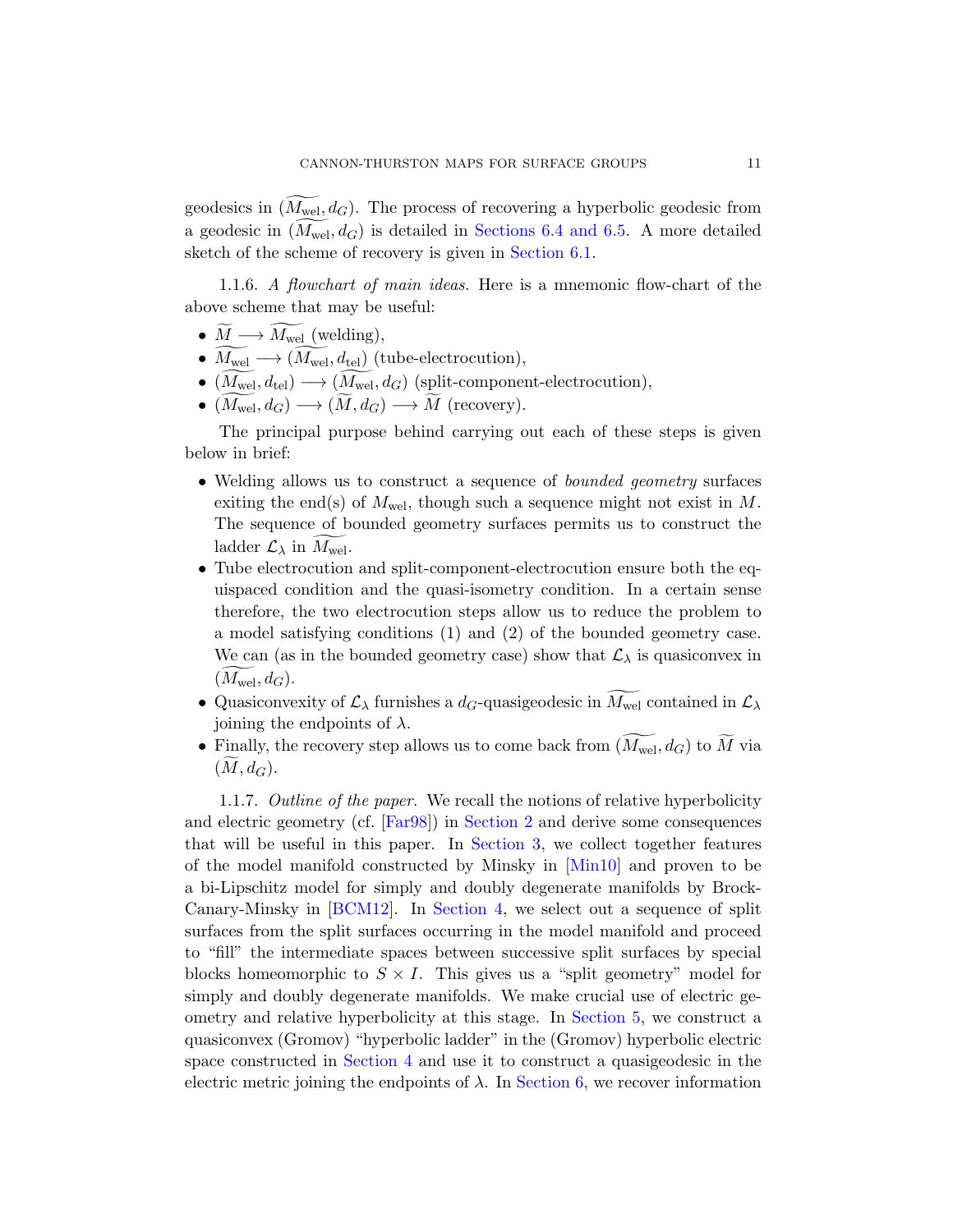geodesics in  $(M_{\text{wel}}, d_G)$ . The process of recovering a hyperbolic geodesic from a geodesic in  $(M_{\text{wel}}, d_G)$  is detailed in Sections 6.4 and 6.5. A more detailed sketch of the scheme of recovery is given in Section 6.1.

1.1.6. A flowchart of main ideas. Here is a mnemonic flow-chart of the above scheme that may be useful:

- $M \longrightarrow M_{\text{wel}}$  (welding),
- $M_{\text{wel}} \longrightarrow (M_{\text{wel}}, d_{\text{tel}})$  (tube-electrocution),
- $(M_{\text{wel}}, d_{\text{tel}}) \longrightarrow (M_{\text{wel}}, d_G)$  (split-component-electrocution),
- $(M_{\text{wel}}, d_G) \longrightarrow (M, d_G) \longrightarrow M$  (recovery).

The principal purpose behind carrying out each of these steps is given below in brief:

- Welding allows us to construct a sequence of *bounded geometry* surfaces exiting the end(s) of  $M_{\text{wel}}$ , though such a sequence might not exist in M. The sequence of bounded geometry surfaces permits us to construct the ladder  $\mathcal{L}_{\lambda}$  in  $M_{\text{wel}}$ .
- Tube electrocution and split-component-electrocution ensure both the equispaced condition and the quasi-isometry condition. In a certain sense therefore, the two electrocution steps allow us to reduce the problem to a model satisfying conditions (1) and (2) of the bounded geometry case. We can (as in the bounded geometry case) show that  $\mathcal{L}_{\lambda}$  is quasiconvex in  $(M_{\text{wel}}, d_G)$ .
- Quasiconv[e](#page-13-0)[xity of](#page-23-0)  $\mathcal{L}_{\lambda}$  furnishes a  $d_G$ -quasigeodesic in  $M_{\text{wel}}$  contained in  $\mathcal{L}_{\lambda}$ joining the endpoints of  $\lambda$ .
- Finally, the recovery step allows us to come back from  $(M_{\text{wel}}, d_G)$  to M via  $(M, d_G)$  $(M, d_G)$ .

1.1.7. Outline of the paper. We recall the notions of relative hyperbolicity and electric geometry (cf. [Far98]) in Section 2 and derive some consequences that will be useful in this paper. In Section 3, we collect together features of the model manifold constructed by Minsky in [Min10] and proven to be a bi-Lipschitz model for sim[ply and d](#page-50-0)oubly degenerate manifolds by Brock-Canary-Minsky in [BCM12]. In Section 4, we select out a sequence of split [surfaces](#page-29-1) from the split surfaces occurring in the model manifold and proceed to "fill" the interme[diate space](#page-55-1)s between successive split surfaces by special blocks homeomorphic to  $S \times I$ . This gives us a "split geometry" model for simply and doubly degenerate manifolds. We make crucial use of electric geometry and relative hyperbolicity at this stage. In Section 5, we construct a quasiconvex (Gromov) "hyperbolic ladder" in the (Gromov) hyperbolic electric space constructed in Section 4 and use it to construct a quasigeodesic in the electric metric joining the endpoints of  $\lambda$ . In Section 6, we recover information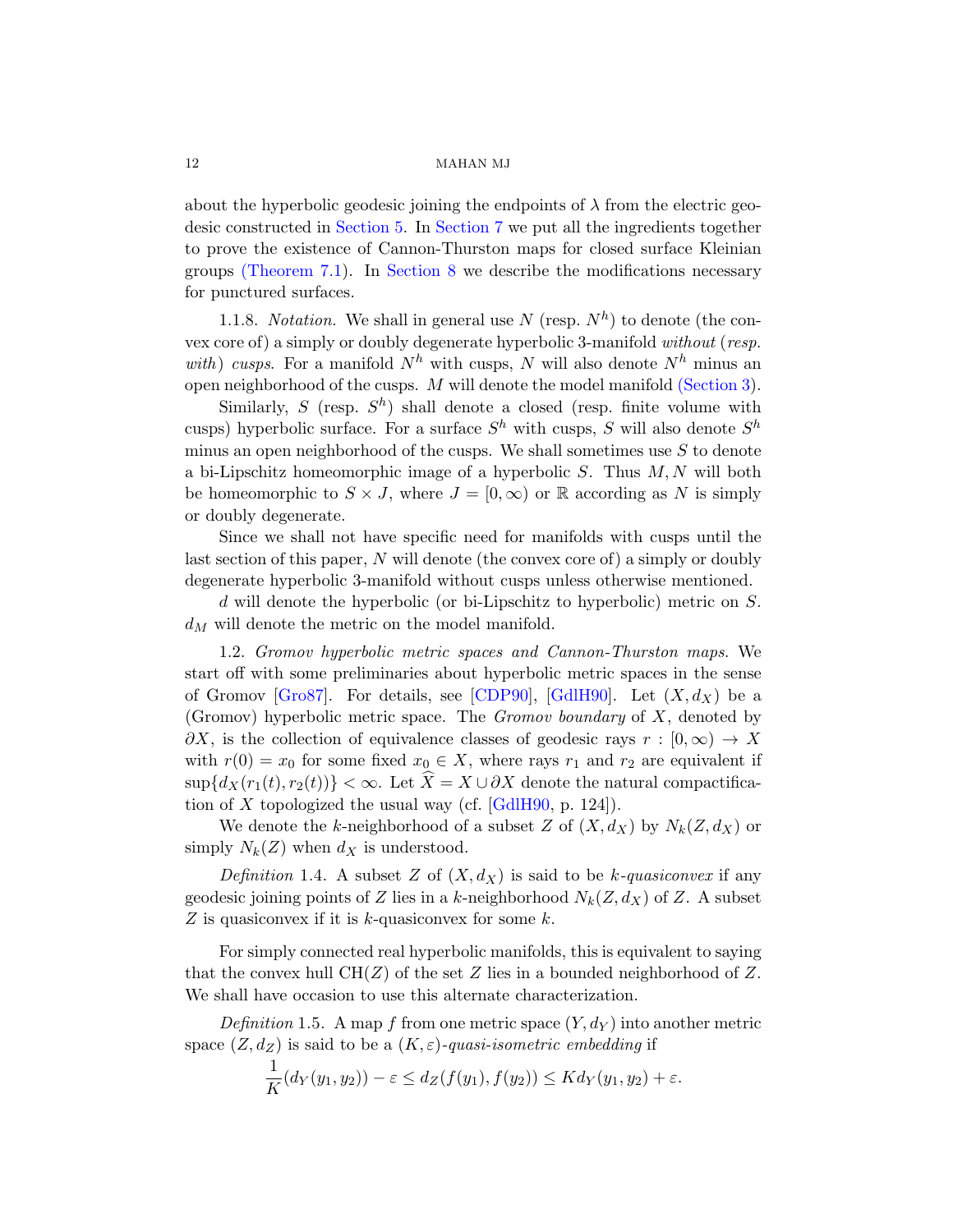about the hyperbolic geodesic joining the endpoints of  $\lambda$  from the electric geodesic constructed in Section 5. In Section 7 we put all the ingredients together to prove the existence of Cannon-Thursto[n maps for](#page-23-0) closed surface Kleinian groups (Theorem 7.1). In Section 8 we describe the modifications necessary for punctured surfaces.

1.1.8. Notation. We shall in general use N (resp.  $N^h$ ) to denote (the convex core of) a simply or doubly degenerate hyperbolic 3-manifold without (resp. with) cusps. For a manifold  $N^h$  with cusps, N will also denote  $N^h$  minus an open neighborhood of the cusps. M will denote the model manifold (Section 3).

Similarly, S (resp.  $S^h$ ) shall denote a closed (resp. finite volume with cusps) hyperbolic surface. For a surface  $S<sup>h</sup>$  with cusps, S will also denote  $S<sup>h</sup>$ minus an open neighborhood of the cusps. We shall sometimes use  $S$  to denote a bi-Lipschitz homeomorphic image of a hyperbolic  $S$ . Thus  $M, N$  will both be homeomorphic to  $S \times J$ , where  $J = [0, \infty)$  or R according as N is simply or doubly degenerate.

Since we shall not have specific need for manifolds with cusps until the last section of t[his paper](#page-77-4), N [will de](#page-78-7)note (the convex core of) a simply or doubly degenerate hyperbolic 3-manifold without cusps unless otherwise mentioned.

d will denote the hyperbolic (or bi-Lipschitz to hyperbolic) metric on S.  $d_M$  will denote the metric on the model manifold.

1.2. Gromov hyperbolic metric spaces and Cannon-Thurston maps. We start off with som[e prelim](#page-78-7)inaries about hyperbolic metric spaces in the sense of Gromov [Gro87]. For details, see [CDP90], [GdlH90]. Let  $(X, d_X)$  be a (Gromov) hyperbolic metric space. The *Gromov boundary* of  $X$ , denoted by  $\partial X$ , is the collection of equivalence classes of geodesic rays  $r : [0, \infty) \to X$ with  $r(0) = x_0$  for some fixed  $x_0 \in X$ , where rays  $r_1$  and  $r_2$  are equivalent if  $\sup\{d_X(r_1(t), r_2(t))\} < \infty$ . Let  $\hat{X} = X \cup \partial X$  denote the natural compactification of X topologized the usual way (cf.  $[GdH90, p. 124]$ ).

We denote the k-neighborhood of a subset Z of  $(X, d_X)$  by  $N_k(Z, d_X)$  or simply  $N_k(Z)$  when  $d_X$  is understood.

Definition 1.4. A subset Z of  $(X, d_X)$  is said to be k-quasiconvex if any geodesic joining points of Z lies in a k-neighborhood  $N_k(Z, d_X)$  of Z. A subset Z is quasiconvex if it is k-quasiconvex for some  $k$ .

For simply connected real hyperbolic manifolds, this is equivalent to saying that the convex hull  $CH(Z)$  of the set Z lies in a bounded neighborhood of Z. We shall have occasion to use this alternate characterization.

Definition 1.5. A map f from one metric space  $(Y, d_Y)$  into another metric space  $(Z, d_Z)$  is said to be a  $(K, \varepsilon)$ -quasi-isometric embedding if

$$
\frac{1}{K}(d_Y(y_1, y_2)) - \varepsilon \le d_Z(f(y_1), f(y_2)) \le K d_Y(y_1, y_2) + \varepsilon.
$$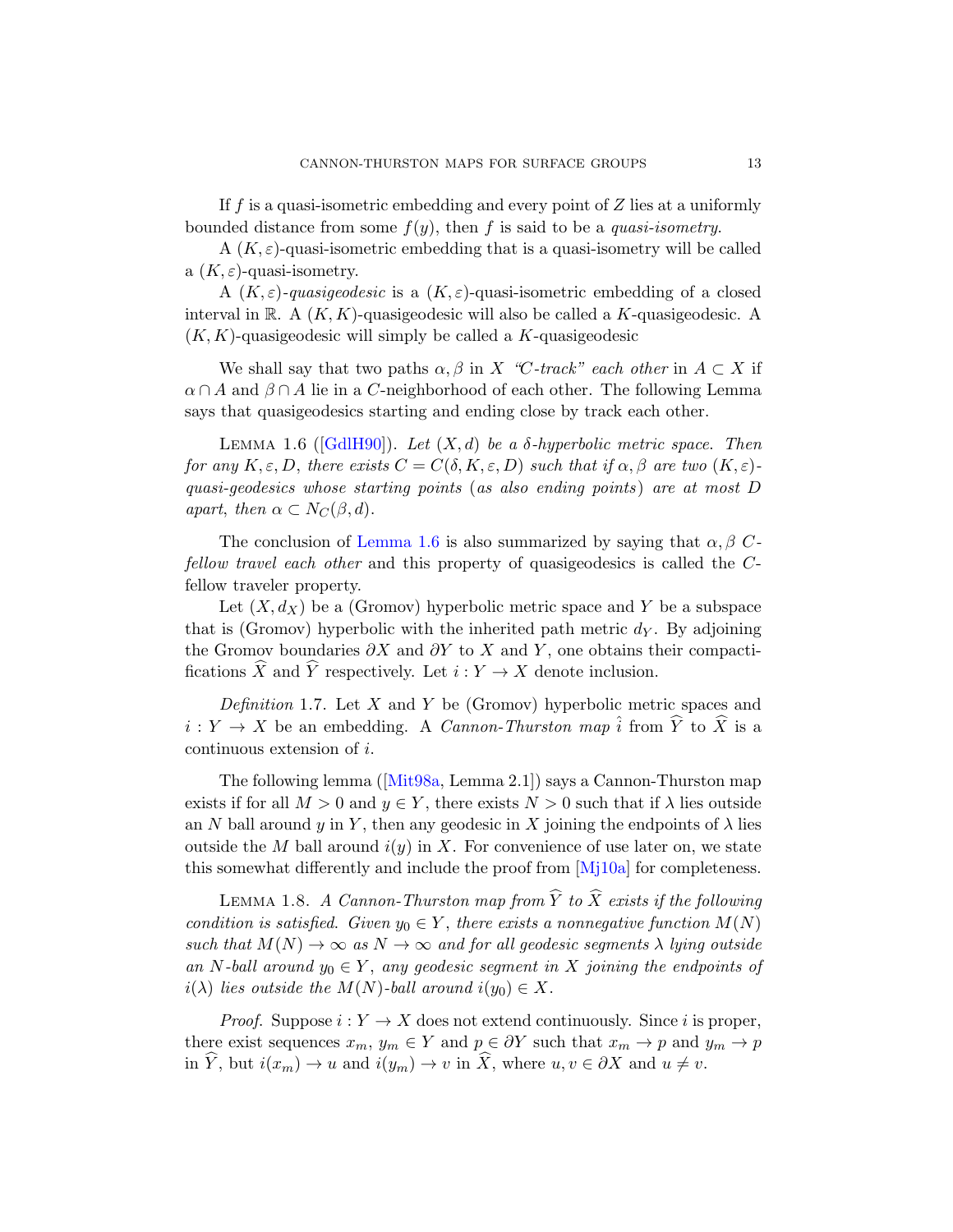If  $f$  is a quasi-isometric embedding and every point of  $Z$  lies at a uniformly bounded distance from some  $f(y)$ , then f is said to be a *quasi-isometry*.

A  $(K, \varepsilon)$ -quasi-isometric embedding that is a quasi-isometry will be called a  $(K, \varepsilon)$ -quasi-isometry.

<span id="page-12-0"></span>A  $(K, \varepsilon)$ -quasigeodesic is a  $(K, \varepsilon)$ -quasi-isometric embedding of a closed [inte](#page-78-7)rval in R. A  $(K, K)$ -quasigeodesic will also be called a K-quasigeodesic. A  $(K, K)$ -quasigeodesic will simply be called a K-quasigeodesic

We shall say that two paths  $\alpha, \beta$  in X "C-track" each other in  $A \subset X$  if  $\alpha \cap A$  and  $\beta \cap A$  lie in a C-neighborhood of each other. The following Lemma [says that qu](#page-12-0)asigeodesics starting and ending close by track each other.

LEMMA 1.6 ( $[GdH90]$ ). Let  $(X, d)$  be a  $\delta$ -hyperbolic metric space. Then for any  $K, \varepsilon, D$ , there exists  $C = C(\delta, K, \varepsilon, D)$  such that if  $\alpha, \beta$  are two  $(K, \varepsilon)$ quasi-geodesics whose starting points (as also ending points) are at most D apart, then  $\alpha \subset N_C(\beta, d)$ .

The conclusion of Lemma 1.6 is also summarized by saying that  $\alpha, \beta$  Cfellow travel each other and this property of quasigeodesics is called the Cfellow traveler property.

Let  $(X, d_X)$  be a (Gromov) hyperbolic metric space and Y be a subspace that is (Gromov) hyperbolic with the inherited path metric  $d<sub>Y</sub>$ . By adjoining the [Gromov](#page-78-5) boundaries  $\partial X$  and  $\partial Y$  to X and Y, one obtains their compactifications  $\widehat{X}$  and  $\widehat{Y}$  respectively. Let  $i : Y \to X$  denote inclusion.

Definition 1.7. Let X and Y be (Gromov) hyperbolic metric spaces and  $i: Y \to X$  be an embedding[. A](#page-79-7) *Cannon-Thurston map*  $\hat{i}$  from  $\widehat{Y}$  to  $\widehat{X}$  is a continuous extension of i.

The following lemma ([Mit98a, Lemma 2.1]) says a Cannon-Thurston map exists if for all  $M > 0$  and  $y \in Y$ , there exists  $N > 0$  such that if  $\lambda$  lies outside an N ball around y in Y, then any geodesic in X joining the endpoints of  $\lambda$  lies outside the M ball around  $i(y)$  in X. For convenience of use later on, we state this somewhat differently and include the proof from  $[M_1]10a$  for completeness.

LEMMA 1.8. A Cannon-Thurston map from  $\widehat{Y}$  to  $\widehat{X}$  exists if the following condition is satisfied. Given  $y_0 \in Y$ , there exists a nonnegative function  $M(N)$ such that  $M(N) \to \infty$  as  $N \to \infty$  and for all geodesic segments  $\lambda$  lying outside an N-ball around  $y_0 \in Y$ , any geodesic segment in X joining the endpoints of  $i(\lambda)$  lies outside the  $M(N)$ -ball around  $i(y_0) \in X$ .

*Proof.* Suppose  $i: Y \to X$  does not extend continuously. Since i is proper, there exist sequences  $x_m$ ,  $y_m \in Y$  and  $p \in \partial Y$  such that  $x_m \to p$  and  $y_m \to p$ in  $\widehat{Y}$ , but  $i(x_m) \to u$  and  $i(y_m) \to v$  in  $\widehat{X}$ , where  $u, v \in \partial X$  and  $u \neq v$ .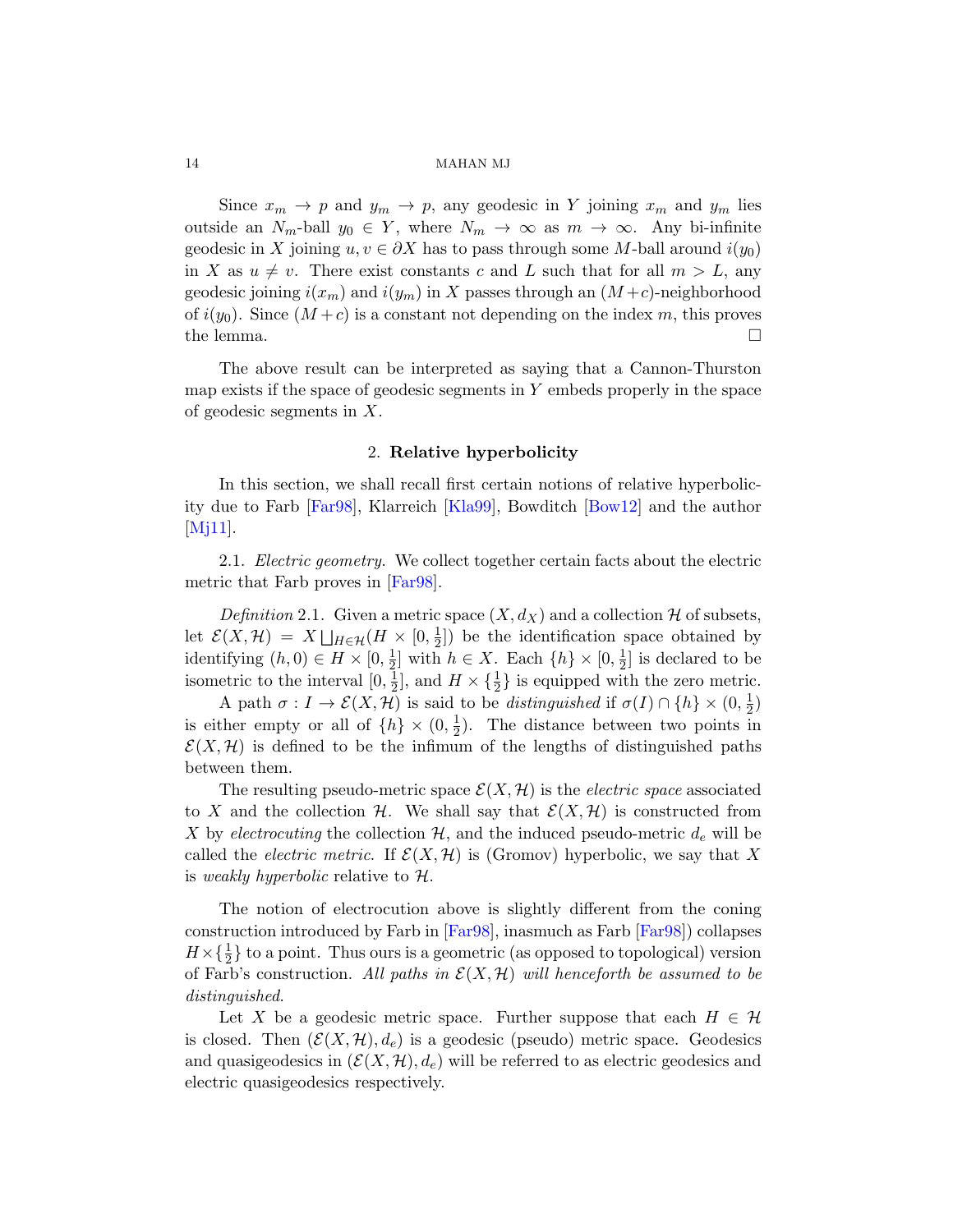Since  $x_m \to p$  and  $y_m \to p$ , any geodesic in Y joining  $x_m$  and  $y_m$  lies outside an  $N_m$ -ball  $y_0 \in Y$ , where  $N_m \to \infty$  as  $m \to \infty$ . Any bi-infinite geodesic in X joining  $u, v \in \partial X$  has to pass through some M-ball around  $i(y_0)$ in X as  $u \neq v$ . There exist constants c and L such that for all  $m > L$ , any geodesic joining  $i(x_m)$  and  $i(y_m)$  in X passes through an  $(M+c)$ -neighborhood of  $i(y_0)$ . Since  $(M+c)$  is a constant not depending on the index m, this proves the lemma.  $\Box$ 

<span id="page-13-0"></span>The ab[ove res](#page-78-2)ult can be [interpre](#page-76-4)ted as saying that a Cannon-Thurston map exists if the space of geodesic segments in  $Y$  embeds properly in the space of geodesic segments in X.

## 2. Relative hyperbolicity

In this section, we shall recall first certain notions of relative hyperbolicity due to Farb [Far98], Klarreich [Kla99], Bowditch [Bow12] and the author [Mj11].

2.1. *Electric geometry*. We collect together certain facts about the electric metric that Farb proves in [Far98].

Definition 2.1. Given a metric space  $(X, d_X)$  and a collection H of subsets, let  $\mathcal{E}(X,\mathcal{H}) = X \bigsqcup_{H \in \mathcal{H}} (H \times [0, \frac{1}{2}))$  $\frac{1}{2}$ ) be the identification space obtained by identifying  $(h, 0) \in H \times [0, \frac{1}{2}]$  $\frac{1}{2}$  with  $h \in X$ . Each  $\{h\} \times [0, \frac{1}{2}]$  $\frac{1}{2}$  is declared to be isometric to the interval  $[0, \frac{1}{2}]$  $\frac{1}{2}$ , and  $H \times {\frac{1}{2}}$  is equipped with the zero metric.

A path  $\sigma: I \to \mathcal{E}(X, \mathcal{H})$  is said to be *distinguished* if  $\sigma(I) \cap \{h\} \times (0, \frac{1}{2})$  $(\frac{1}{2})$ is either empty or all of  $\{h\} \times (0, \frac{1}{2})$  $\frac{1}{2}$ ). The distance between two points in  $\mathcal{E}(X, \mathcal{H})$  is defined to be the infimum of the lengths of distinguished paths between them.

The res[ulting](#page-77-3) pseudo-metric space  $\mathcal{E}(X,\mathcal{H})$  $\mathcal{E}(X,\mathcal{H})$  $\mathcal{E}(X,\mathcal{H})$  is the *electric space* associated to X and the collection H. We shall say that  $\mathcal{E}(X, \mathcal{H})$  is constructed from X by electrocuting the collection  $\mathcal{H}$ , and the induced pseudo-metric  $d_e$  will be called the *electric metric*. If  $\mathcal{E}(X, \mathcal{H})$  is (Gromov) hyperbolic, we say that X is weakly hyperbolic relative to  $\mathcal{H}$ .

The notion of electrocution above is slightly different from the coning construction introduced by Farb in [Far98], inasmuch as Farb [Far98]) collapses  $H \times {\frac{1}{2}}$  to a point. Thus ours is a geometric (as opposed to topological) version of Farb's construction. All paths in  $\mathcal{E}(X, \mathcal{H})$  will henceforth be assumed to be distinguished.

Let X be a geodesic metric space. Further suppose that each  $H \in \mathcal{H}$ is closed. Then  $(\mathcal{E}(X, \mathcal{H}), d_e)$  is a geodesic (pseudo) metric space. Geodesics and quasigeodesics in  $(\mathcal{E}(X,\mathcal{H}), d_e)$  will be referred to as electric geodesics and electric quasigeodesics respectively.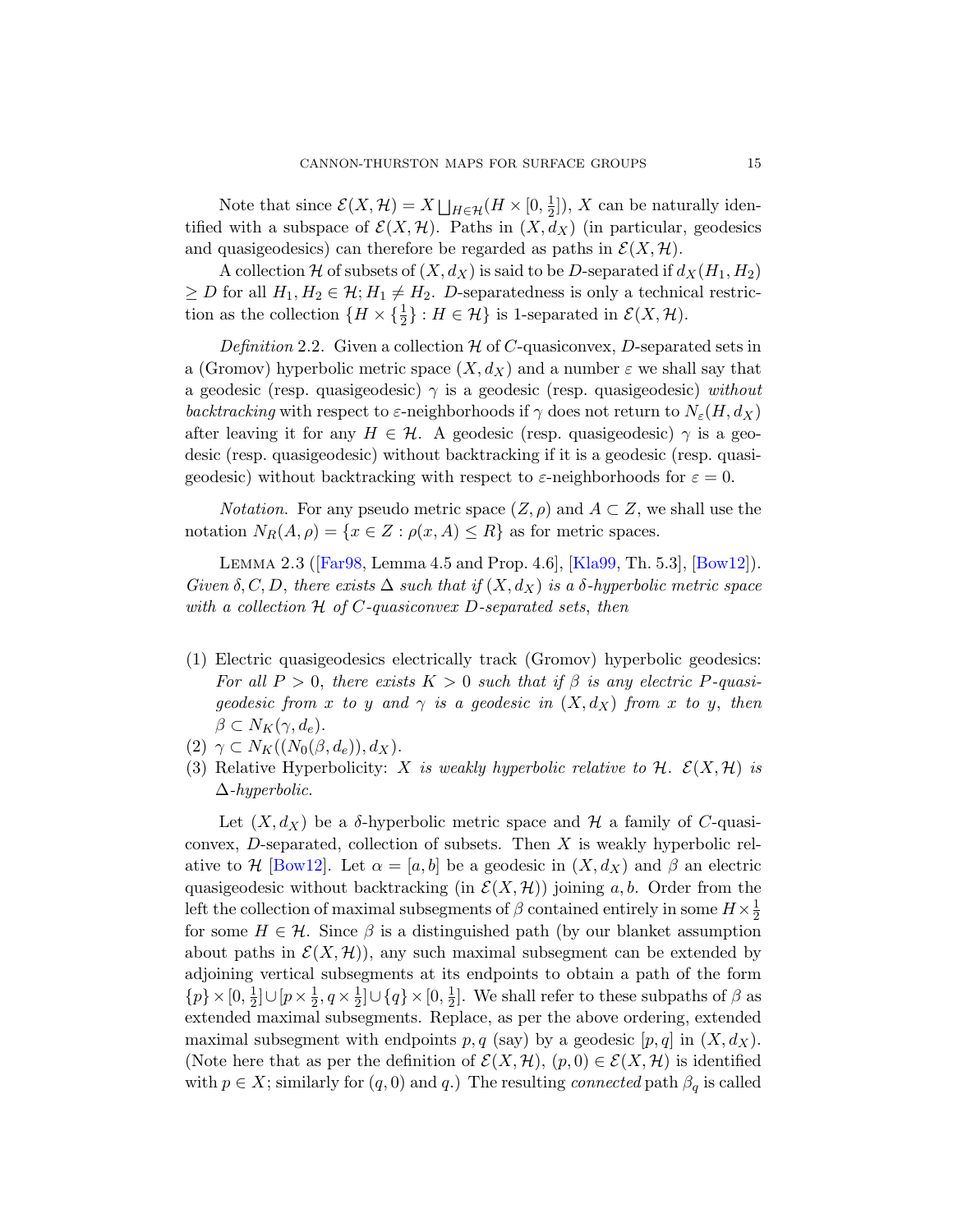<span id="page-14-0"></span>Note that since  $\mathcal{E}(X, \mathcal{H}) = X \bigsqcup_{H \in \mathcal{H}} (H \times [0, \frac{1}{2}))$  $\frac{1}{2}$ ]), X can be naturally identified with a subspace of  $\mathcal{E}(X, \mathcal{H})$ . Paths in  $(X, d_X)$  (in particular, geodesics and quasigeodesics) can therefore be regarded as paths in  $\mathcal{E}(X, \mathcal{H})$ .

A collection H of subsets of  $(X, d_X)$  is said to be D-separated if  $d_X(H_1, H_2)$  $\geq D$  for all  $H_1, H_2 \in \mathcal{H}$ ;  $H_1 \neq H_2$ . D-separatedness is only a technical restriction as the collection  $\{H \times {\{\frac{1}{2}\}} : H \in \mathcal{H}\}\$ is 1-separated in  $\mathcal{E}(X, \mathcal{H})$ .

Definition 2.2. Given a collection  $\mathcal H$  of C-quasiconvex, D-separated sets in a (Gromov) hyperbolic metric space  $(X, d_X)$  and a number  $\varepsilon$  we shall say that a geodesic (resp. quasigeodesic)  $\gamma$  is a geodesic (resp. quasigeodesic) without backtracking with respect to  $\varepsilon$ -neighborhoods if  $\gamma$  does not return to  $N_{\varepsilon}(H, d_X)$ [a](#page-77-3)fter leaving it for any  $H \in \mathcal{H}$ [. A](#page-78-2) geodesic [\(resp. q](#page-76-4)uasigeodesic)  $\gamma$  is a geodesic (resp. quasigeodesic) without backtracking if it is a geodesic (resp. quasigeodesic) without backtracking with respect to  $\varepsilon$ -neighborhoods for  $\varepsilon = 0$ .

*Notation.* For any pseudo metric space  $(Z, \rho)$  and  $A \subset Z$ , we shall use the notation  $N_R(A, \rho) = \{x \in Z : \rho(x, A) \leq R\}$  as for metric spaces.

Lemma 2.3 ([Far98, Lemma 4.5 and Prop. 4.6], [Kla99, Th. 5.3], [Bow12]). Given  $\delta, C, D$ , there exists  $\Delta$  such that if  $(X, d_X)$  is a  $\delta$ -hyperbolic metric space with a collection  $H$  of C-quasiconvex D-separated sets, then

- (1) Electric quasigeodesics electrically track (Gromov) hyperbolic geodesics: For all  $P > 0$ , there exists  $K > 0$  such that if  $\beta$  is any electric P-quasigeodesic from x to y and  $\gamma$  is a geodesic in  $(X, d_X)$  from x to y, then  $\beta \subset N_K(\gamma, d_e).$
- (2)  $\gamma \subset N_K((N_0(\beta, d_e)), d_X)$ .
- (3) Relative Hyperbolicity: X is weakly hyperbolic relative to  $\mathcal{H}$ .  $\mathcal{E}(X, \mathcal{H})$  is ∆-hyperbolic.

Let  $(X, d_X)$  be a  $\delta$ -hyperbolic metric space and H a family of C-quasiconvex,  $D$ -separated, collection of subsets. Then  $X$  is weakly hyperbolic relative to H [Bow12]. Let  $\alpha = [a, b]$  be a geodesic in  $(X, d_X)$  and  $\beta$  an electric quasigeodesic without backtracking (in  $\mathcal{E}(X, \mathcal{H})$ ) joining a, b. Order from the left the collection of maximal subsegments of  $\beta$  contained entirely in some  $H \times \frac{1}{2}$ 2 for some  $H \in \mathcal{H}$ . Since  $\beta$  is a distinguished path (by our blanket assumption about paths in  $\mathcal{E}(X, \mathcal{H})$ , any such maximal subsegment can be extended by adjoining vertical subsegments at its endpoints to obtain a path of the form  $\{p\} \times [0, \frac{1}{2}]$  $\frac{1}{2}$ ] $\cup$ [ $p \times \frac{1}{2}$  $\frac{1}{2}$ ,  $q \times \frac{1}{2}$  $\frac{1}{2}$ ] $\cup \{q\} \times [0, \frac{1}{2}]$  $\frac{1}{2}$ . We shall refer to these subpaths of  $\beta$  as extended maximal subsegments. Replace, as per the above ordering, extended maximal subsegment with endpoints p, q (say) by a geodesic  $[p, q]$  in  $(X, d_X)$ . (Note here that as per the definition of  $\mathcal{E}(X, \mathcal{H})$ ,  $(p, 0) \in \mathcal{E}(X, \mathcal{H})$  is identified with  $p \in X$ ; similarly for  $(q, 0)$  and  $q$ .) The resulting *connected* path  $\beta_q$  is called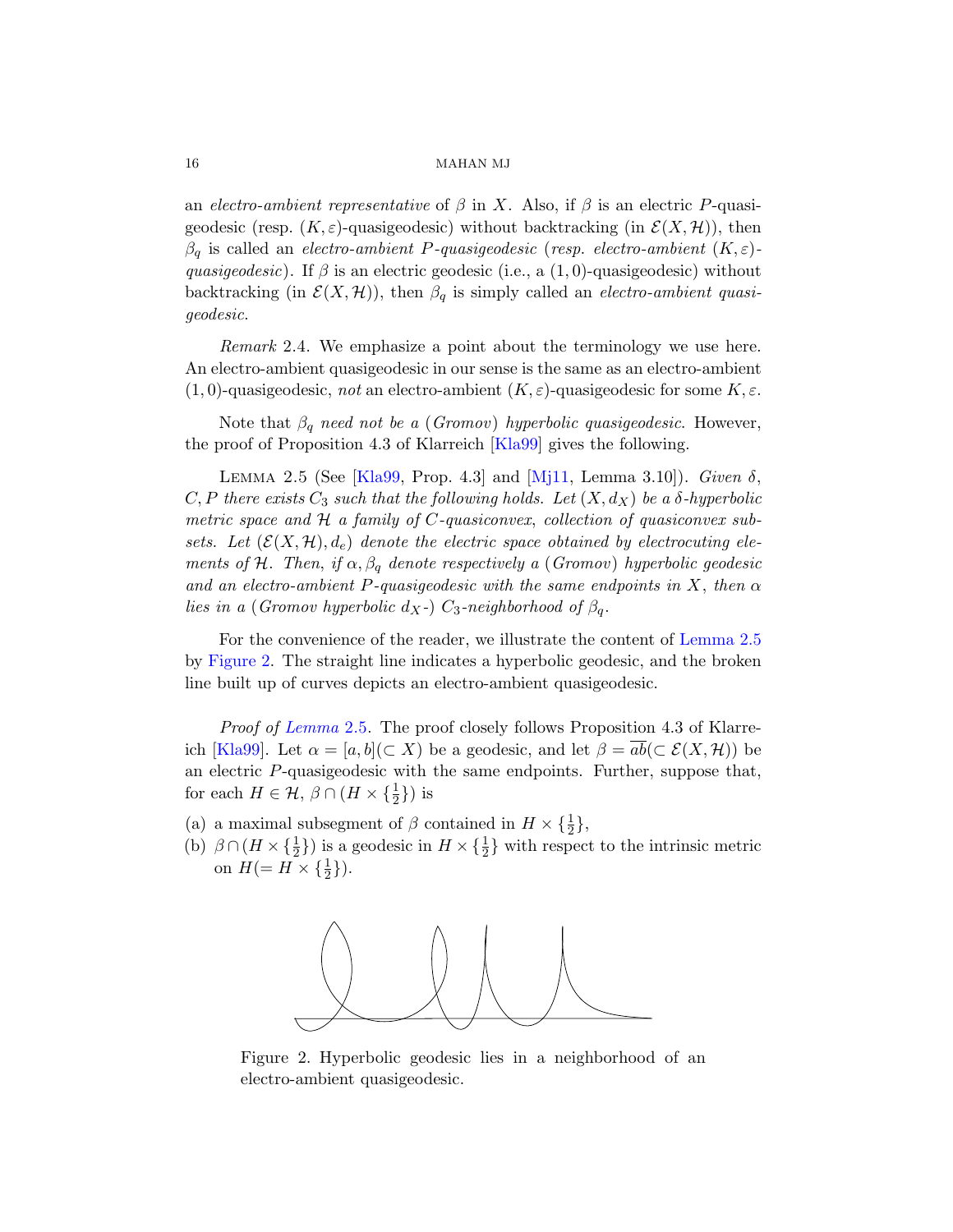an electro-ambient representative of  $\beta$  in X. Also, if  $\beta$  is an electric P-quasigeodesic (resp.  $(K, \varepsilon)$ -quasigeodesic) without backtracking (in  $\mathcal{E}(X, \mathcal{H})$ ), then  $\beta_q$  is called an *electro-ambient P-quasigeodesic* (resp. electro-ambient  $(K, \varepsilon)$ quasigeodesic). If  $\beta$  is an electric geodesic (i.e., a  $(1,0)$ -quasigeodesic) without backtracking (in  $\mathcal{E}(X, \mathcal{H})$ ), then  $\beta_q$  is simply called an *electro-ambient quasi*geodesic.

<span id="page-15-0"></span>[R](#page-78-2)emark 2.4. Wee[mphas](#page-79-3)ize a point about the terminology we use here. An electro-ambient quasigeodesic in our sense is the same as an electro-ambient  $(1,0)$ -quasigeodesic, not an electro-ambient  $(K,\varepsilon)$ -quasigeodesic for some  $K,\varepsilon$ .

Note that  $\beta_q$  need not be a (Gromov) hyperbolic quasigeodesic. However, the proof of Proposition 4.3 of Klarreich [Kla99] gives the following.

LEMMA 2.5 (See [Kla99, Prop. 4.3] and [Mj11, Lemma 3.10]). Given  $\delta$ , C, P there exists  $C_3$  such that the following [holds](#page-15-0). Let  $(X, d_X)$  be a  $\delta$ -hyperbolic metric space and  $H$  a family of  $C$ -quasiconvex, collection of quasiconvex subsets. Let  $(\mathcal{E}(X,\mathcal{H}), d_e)$  denote the electric space obtained by electrocuting elements of H. Then, if  $\alpha, \beta_q$  denote respectively a (Gromov) hyperbolic geodesic [an](#page-15-0)d an electro-ambient P-quasigeodesic with the same endpoints in X, then  $\alpha$ lies in a (Gromov hyperbolic d<sub>X</sub>-) C<sub>3</sub>-neighborhood of  $\beta_q$ .

For the convenience of the reader, we illustrate the content of Lemma 2.5 by Figure 2. The straight line indicates a hyperbolic geodesic, and the broken line built up of curves depicts an electro-ambient quasigeodesic.

Proof of Lemma 2.5. The proof closely follows Proposition 4.3 of Klarreich [Kla99]. Let  $\alpha = [a, b] (\subset X)$  be a geodesic, and let  $\beta = \overline{ab}(\subset \mathcal{E}(X, \mathcal{H}))$  be an electric P-quasigeodesic with the same endpoints. Further, suppose that, for each  $H \in \mathcal{H}, \beta \cap (H \times {\{\frac{1}{2}\}})$  is

- (a) a maximal subsegment of  $\beta$  contained in  $H \times {\frac{1}{2}}$ ,
- (b)  $\beta \cap (H \times {\frac{1}{2}})$  is a geodesic in  $H \times {\frac{1}{2}}$  with respect to the intrinsic metric on  $H (= H \times {\frac{1}{2}}).$



Figure 2. Hyperbolic geodesic lies in a neighborhood of an electro-ambient quasigeodesic.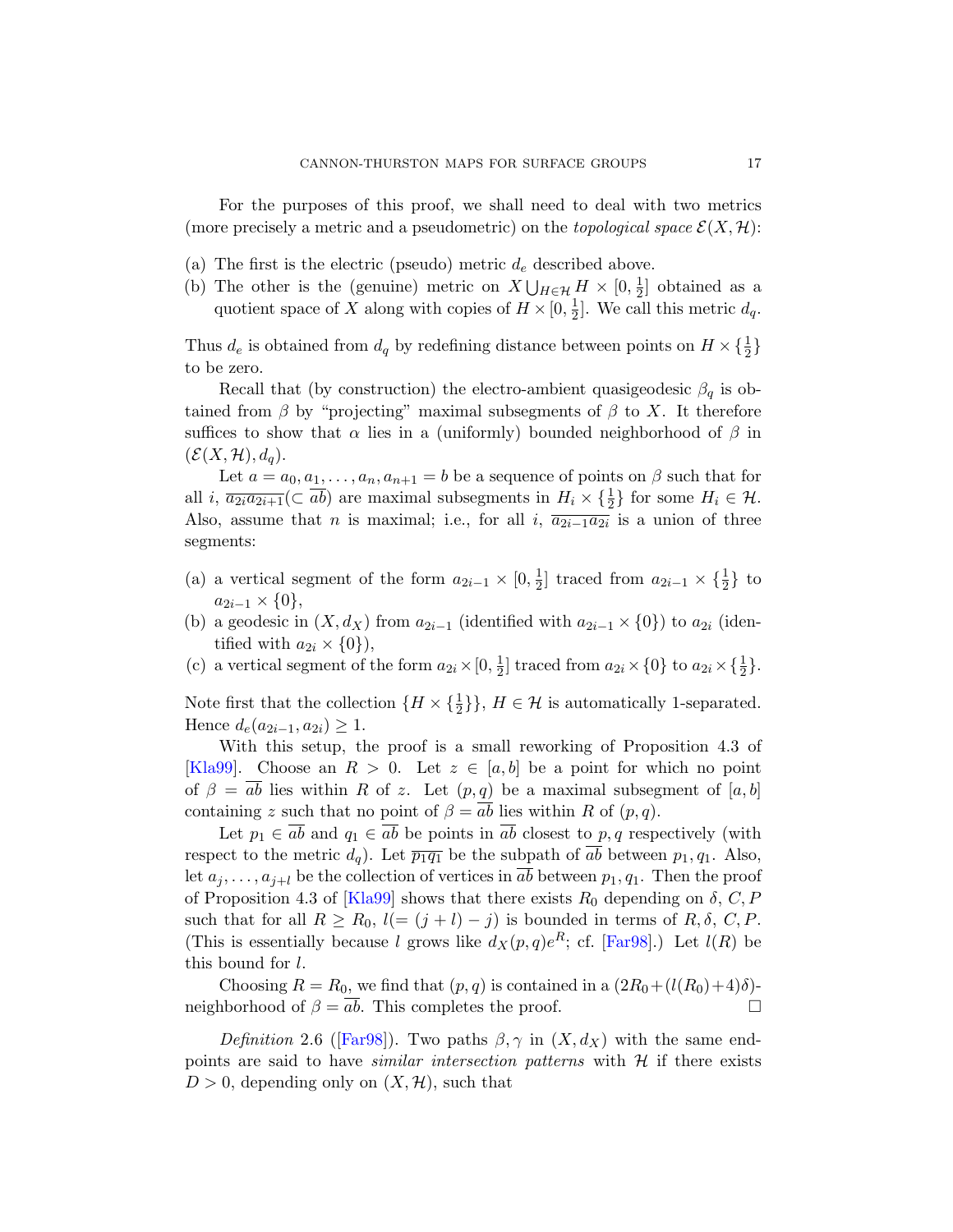For the purposes of this proof, we shall need to deal with two metrics (more precisely a metric and a pseudometric) on the topological space  $\mathcal{E}(X, \mathcal{H})$ :

- (a) The first is the electric (pseudo) metric  $d_e$  described above.
- (b) The other is the (genuine) metric on  $X \bigcup_{H \in \mathcal{H}} H \times [0, \frac{1}{2}]$  $\frac{1}{2}$  obtained as a quotient space of X along with copies of  $H \times [0, \frac{1}{2}]$  $\frac{1}{2}$ . We call this metric  $d_q$ .

Thus  $d_e$  is obtained from  $d_q$  by redefining distance between points on  $H \times {\frac{1}{2}}$ to be zero.

Recall that (by construction) the electro-ambient quasigeodesic  $\beta_q$  is obtained from  $\beta$  by "projecting" maximal subsegments of  $\beta$  to X. It therefore suffices to show that  $\alpha$  lies in a (uniformly) bounded neighborhood of  $\beta$  in  $(\mathcal{E}(X,\mathcal{H}), d_a).$ 

Let  $a = a_0, a_1, \ldots, a_n, a_{n+1} = b$  be a sequence of points on  $\beta$  such that for all *i*,  $\overline{a_{2i}a_{2i+1}}(\subset \overline{ab})$  are maximal subsegments in  $H_i \times \{\frac{1}{2}\}\$ for some  $H_i \in \mathcal{H}$ . Also, assume that *n* is maximal; i.e., for all *i*,  $\overline{a_{2i-1}a_{2i}}$  is a union of three segments:

- (a) a vertical segment of the form  $a_{2i-1} \times [0, \frac{1}{2}]$  $\frac{1}{2}$  traced from  $a_{2i-1} \times {\frac{1}{2}}$  to  $a_{2i-1} \times \{0\},\$
- (b) a geodesic in  $(X, d_X)$  from  $a_{2i-1}$  (identified with  $a_{2i-1} \times \{0\}$ ) to  $a_{2i}$  (identified with  $a_{2i} \times \{0\}$ ,
- (c) a vertical segment of the form  $a_{2i} \times [0, \frac{1}{2}]$  $\frac{1}{2}$  traced from  $a_{2i} \times \{0\}$  to  $a_{2i} \times \{\frac{1}{2}\}.$

Note first that the collection  $\{H \times {\{\frac{1}{2}\}}\}, H \in \mathcal{H}$  is automatically 1-separated. Hence  $d_e(a_{2i-1}, a_{2i}) \geq 1$ .

With this setup, the proof is a small reworking of Proposition 4.3 of [\[Kla9](#page-78-2)9]. Choose an  $R > 0$ . Let  $z \in [a, b]$  be a point for which no point of  $\beta = ab$  lies within R of z. Let  $(p, q)$  be a maximal subsegment of  $[a, b]$ containing z such that no point of  $\beta = \overline{ab}$  $\beta = \overline{ab}$  $\beta = \overline{ab}$  lies within R of  $(p, q)$ .

Let  $p_1 \in \overline{ab}$  and  $q_1 \in \overline{ab}$  be points in  $\overline{ab}$  closest to p, q respectively (with respect to the metric  $d_q$ ). Let  $\overline{p_1q_1}$  be the subpath of  $\overline{ab}$  between  $p_1, q_1$ . Also, let  $a_j, \ldots, a_{j+l}$  be the collection of vertices in ab between  $p_1, q_1$ . Then the proof [of P](#page-77-3)roposition 4.3 of [Kla99] shows that there exists  $R_0$  depending on  $\delta$ , C, P such that for all  $R \ge R_0$ ,  $l = (j + l) - j$  is bounded in terms of  $R, \delta, C, P$ . (This is essentially because l grows like  $d_X(p,q)e^{R}$ ; cf. [Far98].) Let  $l(R)$  be this bound for l.

Choosing  $R = R_0$ , we find that  $(p, q)$  is contained in a  $(2R_0+(l(R_0)+4)\delta)$ neighborhood of  $\beta = ab$ . This completes the proof.

Definition 2.6 ([Far98]). Two paths  $\beta, \gamma$  in  $(X, d_X)$  with the same endpoints are said to have *similar intersection patterns* with  $H$  if there exists  $D > 0$ , depending only on  $(X, \mathcal{H})$ , such that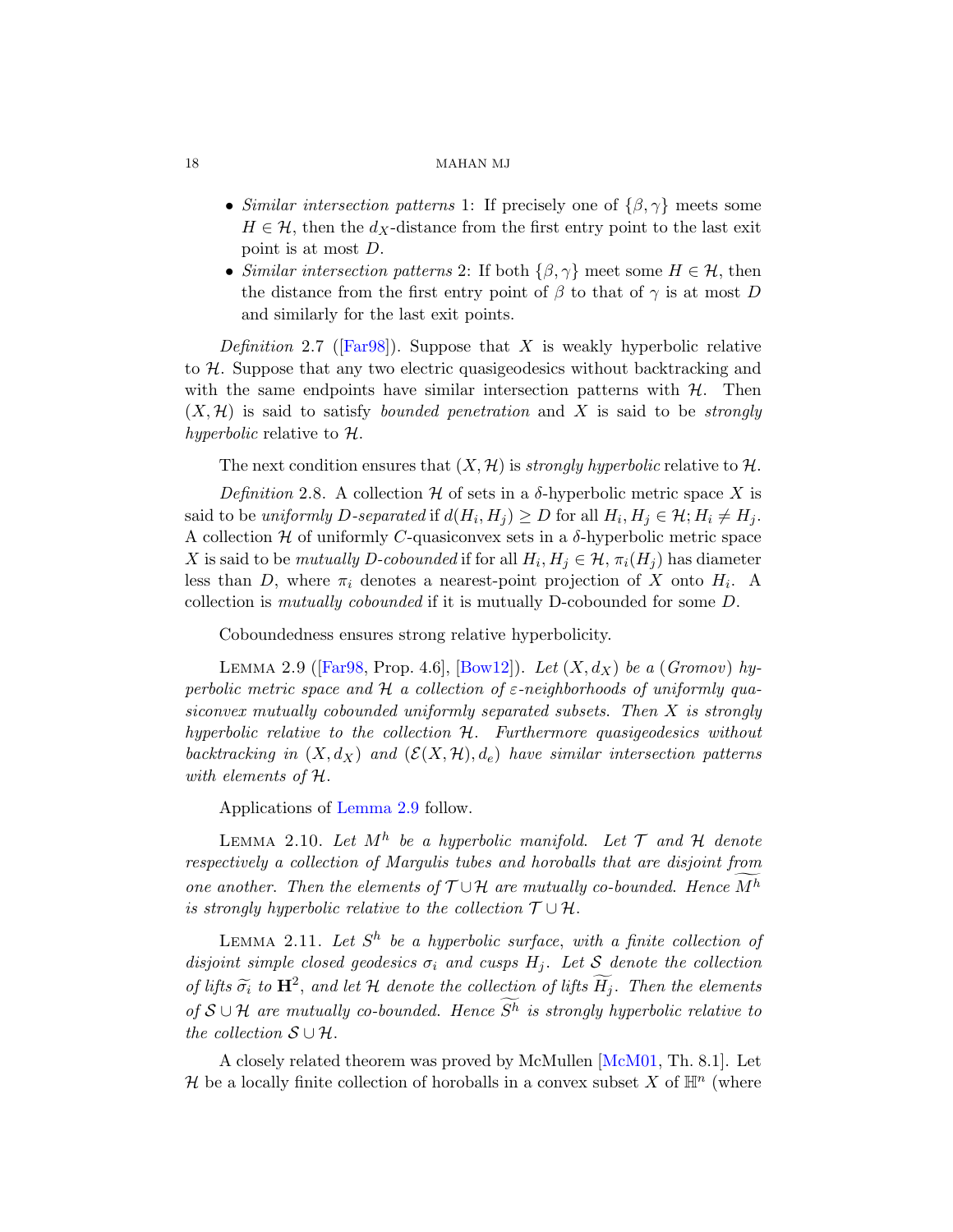- Similar intersection patterns 1: If precisely one of  $\{\beta, \gamma\}$  meets some  $H \in \mathcal{H}$ , then the  $d_X$ -distance from the first entry point to the last exit point is at most D.
- Similar intersection patterns 2: If both  $\{\beta, \gamma\}$  meet some  $H \in \mathcal{H}$ , then the distance from the first entry point of  $\beta$  to that of  $\gamma$  is at most D and similarly for the last exit points.

Definition 2.7 ([Far98]). Suppose that X is weakly hyperbolic relative to H. Suppose that any two electric quasigeodesics without backtracking and with the same endpoints have similar intersection patterns with  $H$ . Then  $(X, \mathcal{H})$  is said to satisfy bounded penetration and X is said to be strongly hyperbolic relative to  $\mathcal{H}$ .

The next condition ensures that  $(X, \mathcal{H})$  is *strongly hyperbolic* relative to H.

<span id="page-17-0"></span>Definition 2.8. A collection  $\mathcal H$  of sets in a  $\delta$ -hyperbolic metric space X is said to be uniformly D-separated if  $d(H_i, H_j) \ge D$  for all  $H_i, H_j \in \mathcal{H}; H_i \ne H_j$ . [A](#page-77-3) collection  $H$  [of uni](#page-76-4)formly C-quasiconvex sets in a  $\delta$ -hyperbolic metric space X is said to be *mutually D-cobounded* if for all  $H_i, H_j \in \mathcal{H}, \pi_i(H_j)$  has diameter less than D, where  $\pi_i$  denotes a nearest-point projection of X onto  $H_i$ . A collection is mutually cobounded if it is mutually D-cobounded for some D.

Coboundedness ensures strong relative hyperbolicity.

LEMMA 2.9 ( $[Far98, Prop. 4.6], [Bow12]$ ). Let  $(X, d_X)$  be a (Gromov) hyperbolic metric space and H a collection of  $\varepsilon$ -neighborhoods of uniformly quasiconvex mutually cobounded uniformly separated subsets. Then X is strongly hyperbolic relative to the collection H. Furthermore quasigeodesics without backtracking in  $(X, d_X)$  and  $(\mathcal{E}(X, \mathcal{H}), d_e)$  have similar intersection patterns with elements of H.

Applications of Lemma 2.9 follow.

LEMMA 2.10. Let  $M^h$  be a hyperbolic manifold. Let  $\mathcal T$  and  $\mathcal H$  denote respectively a collection of Margulis tubes and horoballs that are disjoint from one another. Then the elements of  $T \cup \mathcal{H}$  are mutually co-bounded. Hence  $M^h$ is strongly hyperbolic relative to the collection  $\mathcal{T} \cup \mathcal{H}$ .

LEMMA 2.11. Let  $S^h$  be a hyperbolic surface, with a finite collection of disjoint simple closed geodesics  $\sigma_i$  and cusps  $H_i$ . Let S denote the collection of lifts  $\widetilde{\sigma_i}$  to  $\mathbf{H}^2$ , and let  $\mathcal H$  denote the collection of lifts  $\widetilde{H_j}$ . Then the elements of  $S \cup H$  are mutually co-bounded. Hence  $S<sup>h</sup>$  is strongly hyperbolic relative to the collection  $S \cup \mathcal{H}$ .

A closely related theorem was proved by McMullen [McM01, Th. 8.1]. Let H be a locally finite collection of horoballs in a convex subset X of  $\mathbb{H}^n$  (where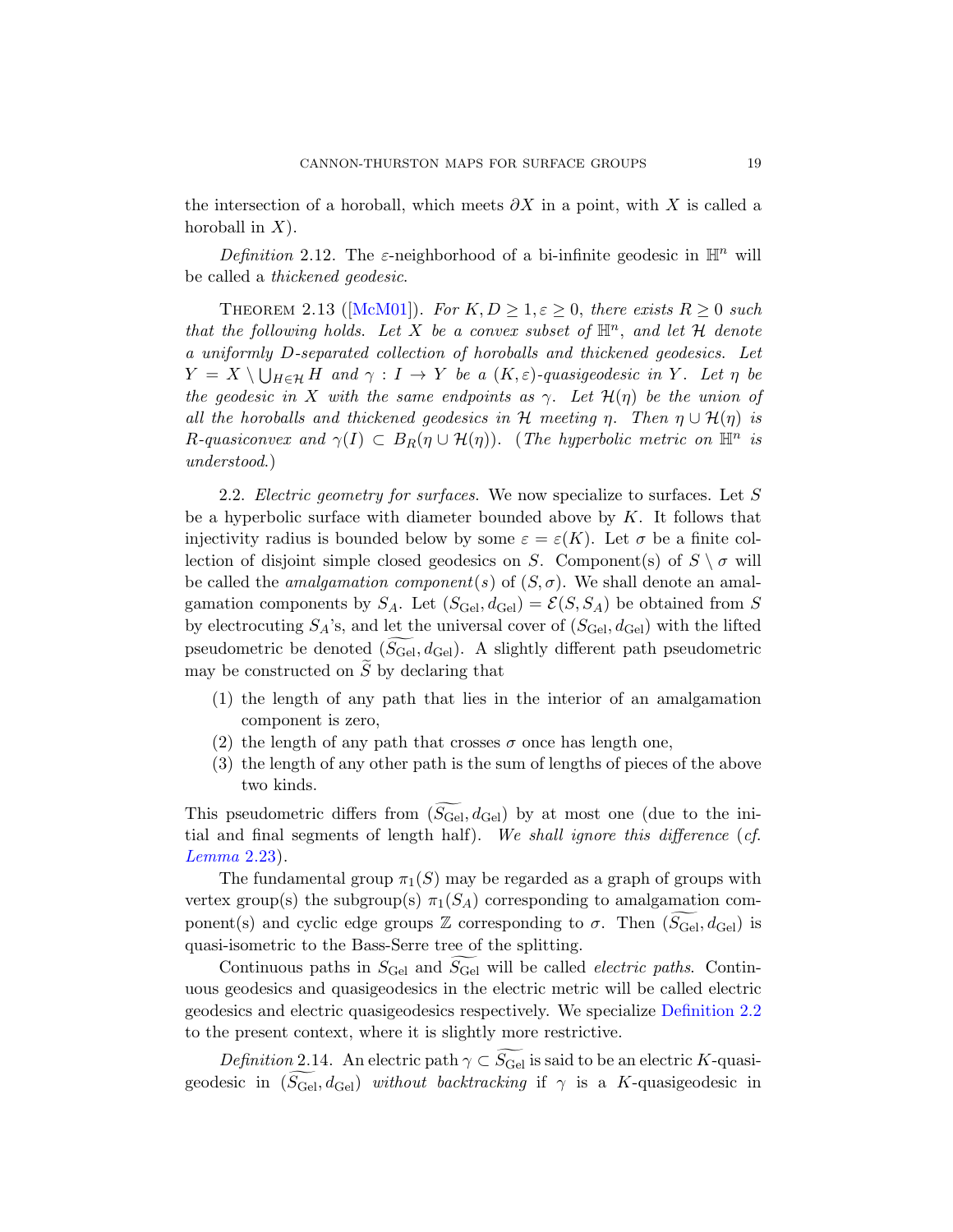the intersection of a horoball, which meets  $\partial X$  in a point, with X is called a horoball in  $X$ ).

Definition 2.12. The  $\varepsilon$ -neighborhood of a bi-infinite geodesic in  $\mathbb{H}^n$  will be called a thickened geodesic.

THEOREM 2.13 ([McM01]). For  $K, D \geq 1, \varepsilon \geq 0$ , there exists  $R \geq 0$  such that the following holds. Let X be a convex subset of  $\mathbb{H}^n$ , and let H denote a uniformly D-separated collection of horoballs and thickened geodesics. Let  $Y = X \setminus \bigcup_{H \in \mathcal{H}} H$  and  $\gamma : I \to Y$  be a  $(K, \varepsilon)$ -quasigeodesic in Y. Let  $\eta$  be the geodesic in X with the same endpoints as  $\gamma$ . Let  $\mathcal{H}(\eta)$  be the union of all the horoballs and thickened geodesics in H meeting  $\eta$ . Then  $\eta \cup \mathcal{H}(\eta)$  is R-quasiconvex and  $\gamma(I) \subset B_R(\eta \cup \mathcal{H}(\eta))$ . (The hyperbolic metric on  $\mathbb{H}^n$  is understood.)

2.2. Electric geometry for surfaces. We now specialize to surfaces. Let  $S$ be a hyperbolic surface with diameter bounded above by  $K$ . It follows that injectivity radius is bounded below by some  $\varepsilon = \varepsilon(K)$ . Let  $\sigma$  be a finite collection of disjoint simple closed geodesics on S. Component(s) of  $S \setminus \sigma$  will be called the *amalgamation component*(s) of  $(S, \sigma)$ . We shall denote an amalgamation components by  $S_A$ . Let  $(S_{\text{Gel}}, d_{\text{Gel}}) = \mathcal{E}(S, S_A)$  be obtained from S by electrocuting  $S_A$ 's, and let the universal cover of  $(S_{\text{Ge}}, d_{\text{Ge}})$  with the lifted pseudometric be denoted  $(S_{\text{Gel}}, d_{\text{Gel}})$ . A slightly different path pseudometric may be constructed on  $S$  by declaring that

- (1) the length of any path that lies in the interior of an amalgamation component is zero,
- (2) the length of any path that crosses  $\sigma$  once has length one,
- (3) the length of any other path is the sum of lengths of pieces of the above two kinds.

This pseudometric differs from  $(S_{\text{Gel}}, d_{\text{Gel}})$  by at most one (due to the initial and final segments of length half). We shall ignore this difference (cf. Lemma 2.23).

The fundamental group  $\pi_1(S)$  may [be regarded as](#page-14-0) a graph of groups with vertex group(s) the subgroup(s)  $\pi_1(S_A)$  corresponding to amalgamation component(s) and cyclic edge groups  $\mathbb Z$  corresponding to  $\sigma$ . Then  $(\widetilde{S_{\text{Gel}}}, d_{\text{Gel}})$  is quasi-isometric to the Bass-Serre tree of the splitting.

Continuous paths in  $S_{\text{Gel}}$  and  $S_{\text{Gel}}$  will be called *electric paths*. Continuous geodesics and quasigeodesics in the electric metric will be called electric geodesics and electric quasigeodesics respectively. We specialize Definition 2.2 to the present context, where it is slightly more restrictive.

Definition 2.14. An electric path  $\gamma \subset S_{\text{Ge}l}$  is said to be an electric K-quasigeodesic in  $(S_{\text{Gel}}, d_{\text{Gel}})$  without backtracking if  $\gamma$  is a K-quasigeodesic in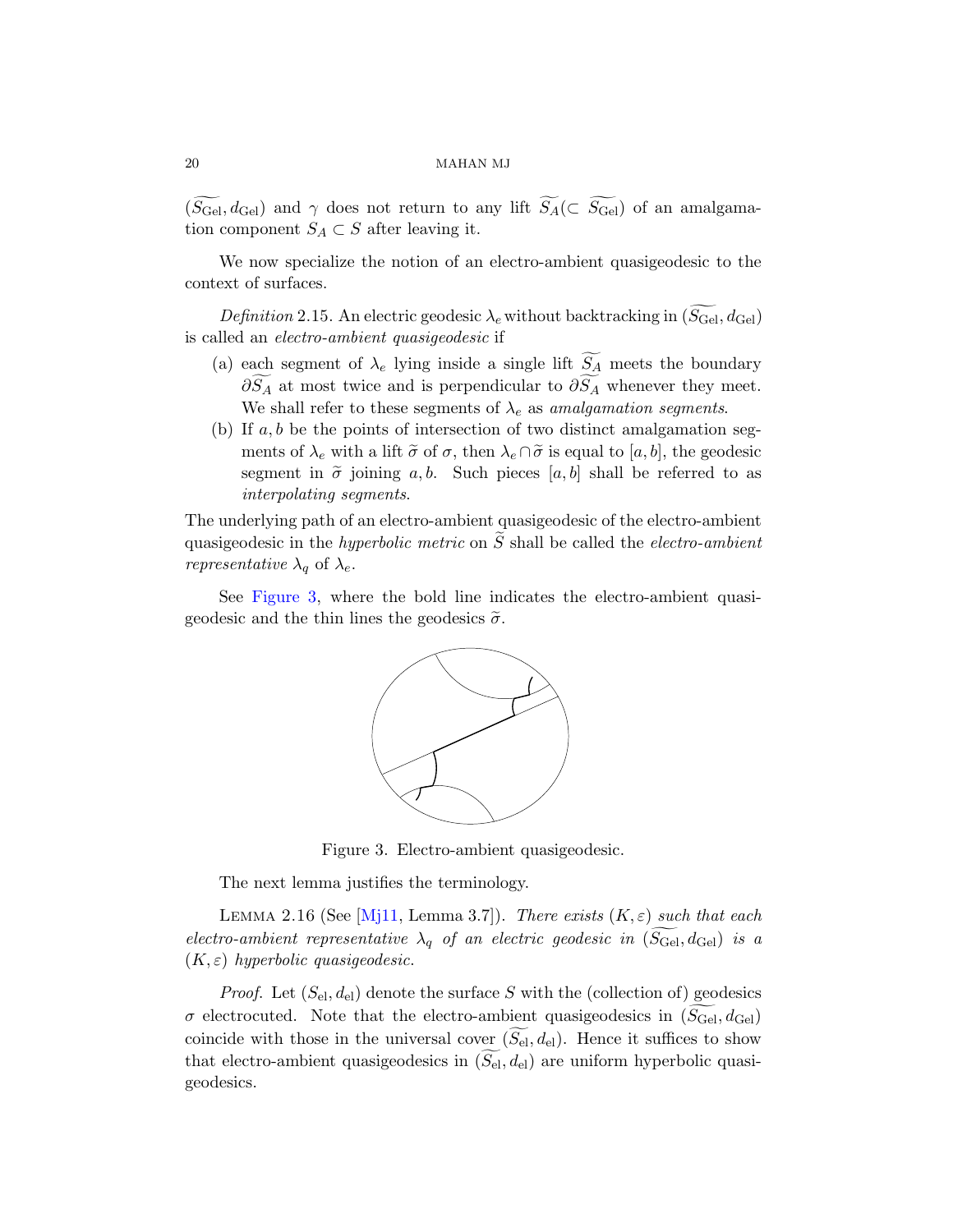$(S_{\text{Gel}}, d_{\text{Gel}})$  and  $\gamma$  does not return to any lift  $S_A(\subset S_{\text{Gel}})$  of an amalgamation component  $S_A \subset S$  after leaving it.

We now specialize the notion of an electro-ambient quasigeodesic to the context of surfaces.

Definition 2.15. An electric geodesic  $\lambda_e$  without backtracking in  $(S_{\text{Gel}}, d_{\text{Gel}})$ is called an electro-ambient quasigeodesic if

- (a) each segment of  $\lambda_e$  lying inside a single lift  $S_A$  meets the boundary  $\partial S_A$  at most twice and is perpendicular to  $\partial S_A$  whenever they meet. We shall refer to these segments of  $\lambda_e$  as amalgamation segments.
- (b) If  $a, b$  be the points of intersection of two distinct amalgamation segments of  $\lambda_e$  with a lift  $\tilde{\sigma}$  of  $\sigma$ , then  $\lambda_e \cap \tilde{\sigma}$  is equal to  $[a, b]$ , the geodesic segment in  $\tilde{\sigma}$  joining a, b. Such pieces [a, b] shall be referred to as interpolating segments.

The underlying path of an electro-ambient quasigeodesic of the electro-ambient quasigeodesic in the *hyperbolic metric* on  $S$  shall be called the *electro-ambient representative*  $\lambda_q$  of  $\lambda_e$ .

See Figure 3, where the bold line indicates the electro-ambient quasigeodesic and the thin lines the geodesics  $\tilde{\sigma}$ .



Figure 3. Electro-ambient quasigeodesic.

The next lemma justifies the terminology.

<span id="page-19-0"></span>LEMMA 2.16 (See [Mj11, Lemma 3.7]). There exists  $(K, \varepsilon)$  such that each electro-ambient representative  $\lambda_q$  of an electric geodesic in  $(S_{\text{Ge}}, d_{\text{Ge}})$  is a  $(K, \varepsilon)$  hyperbolic quasigeodesic.

*Proof.* Let  $(S_{el}, d_{el})$  denote the surface S with the (collection of) geodesics  $\sigma$  electrocuted. Note that the electro-ambient quasigeodesics in  $(S_{\text{Gel}}, d_{\text{Gel}})$ coincide with those in the universal cover  $(S_{\text{el}}, d_{\text{el}})$ . Hence it suffices to show that electro-ambient quasigeodesics in  $(S_{el}, d_{el})$  are uniform hyperbolic quasigeodesics.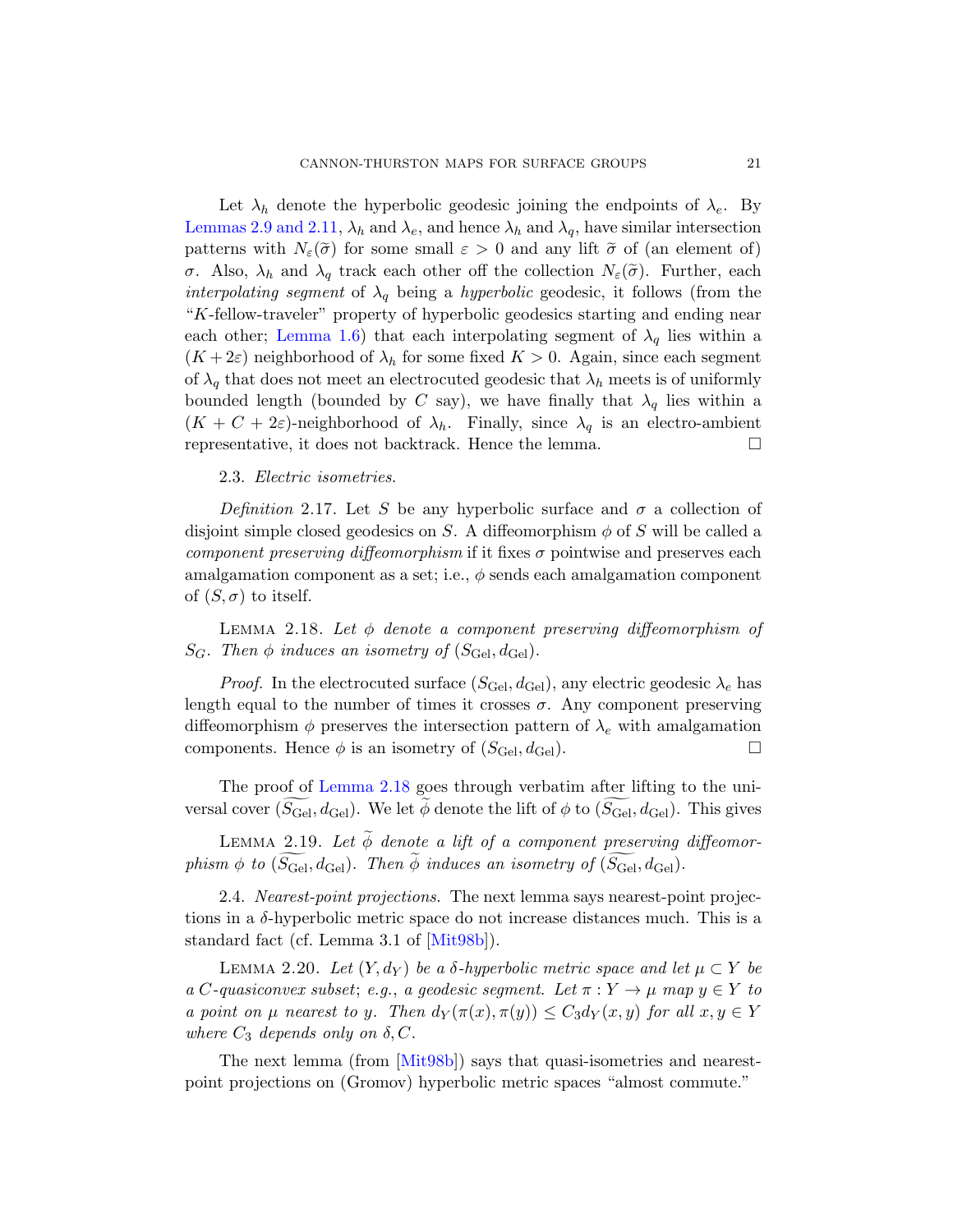<span id="page-20-0"></span>Let  $\lambda_h$  denote the hyperbolic geodesic joining the endpoints of  $\lambda_e$ . By Lemmas 2.9 and 2.11,  $\lambda_h$  and  $\lambda_e$ , and hence  $\lambda_h$  and  $\lambda_q$ , have similar intersection patterns with  $N_{\varepsilon}(\tilde{\sigma})$  for some small  $\varepsilon > 0$  and any lift  $\tilde{\sigma}$  of (an element of) σ. Also,  $\lambda_h$  and  $\lambda_q$  track each other off the collection  $N_{\varepsilon}(\tilde{\sigma})$ . Further, each interpolating segment of  $\lambda_q$  being a hyperbolic geodesic, it follows (from the "K-fellow-traveler" property of hyperbolic geodesics starting and ending near each other; Lemma 1.6) that each interpolating segment of  $\lambda_q$  lies within a  $(K+2\varepsilon)$  neighborhood of  $\lambda_h$  for some fixed  $K > 0$ . Again, since each segment of  $\lambda_q$  that does not meet an electrocuted geodesic that  $\lambda_h$  meets is of uniformly bounded length (bounded by C say), we have finally that  $\lambda_q$  lies within a  $(K + C + 2\varepsilon)$ -neighborhood of  $\lambda_h$ . Finally, since  $\lambda_q$  is an electro-ambient representative, it does not backtrack. Hence the lemma.  $\Box$ 

## 2.3. Electric isometries.

<span id="page-20-2"></span>Definition 2.17. Let S be any hyperbolic surface and  $\sigma$  a collection of disjoint simple closed geodesics on S. A diffeomorphism  $\phi$  of S will be called a component preserving diffeomorphism if it fixes  $\sigma$  pointwise and preserves each amalgamation component as a set; i.e.,  $\phi$  sends each amalgamation component of  $(S, \sigma)$  to itself.

LEMMA 2.18. Let  $\phi$  denote a component preserving diffeomorphism of  $S_G$ . [The](#page-20-2)n  $\phi$  induces an isometry of  $(S_{\text{Ge}}^{\dagger}, d_{\text{Ge}}^{\dagger})$ .

*Proof.* In the electrocuted surface  $(S_{\text{Geel}}, d_{\text{Geel}})$ , any electric geodesic  $\lambda_e$  has length equal to the number of times it crosses  $\sigma$ . Any component preserving diffeomorphism  $\phi$  preserves the intersection pattern of  $\lambda_e$  with amalgamation components. Hence  $\phi$  is an isometry of  $(S_{\text{Gel}}, d_{\text{Gel}})$ .

<span id="page-20-1"></span>The proof of Lemma 2.18 goes through verbatim after lifting to the universal cover  $(S_{\text{Gel}}, d_{\text{Gel}})$ . We let  $\phi$  denote the lift of  $\phi$  to  $(S_{\text{Gel}}, d_{\text{Gel}})$ . This gives

LEMMA 2.19. Let  $\widetilde{\phi}$  denote a lift of a component preserving diffeomorphism  $\phi$  to  $(S_{\text{Gel}}, d_{\text{Gel}})$ . Then  $\phi$  induces an isometry of  $(S_{\text{Gel}}, d_{\text{Gel}})$ .

2.4. Nearest-point projections. The next lemma says nearest-point projections [in a](#page-78-4)  $\delta$ -hyperbolic metric space do not increase distances much. This is a standard fact (cf. Lemma 3.1 of [Mit98b]).

LEMMA 2.20. Let  $(Y, d_Y)$  be a  $\delta$ -hyperbolic metric space and let  $\mu \subset Y$  be a C-quasiconvex subset; e.g., a geodesic segment. Let  $\pi: Y \to \mu$  map  $y \in Y$  to a point on  $\mu$  nearest to y. Then  $d_Y(\pi(x), \pi(y)) \leq C_3 d_Y(x, y)$  for all  $x, y \in Y$ where  $C_3$  depends only on  $\delta, C$ .

The next lemma (from [Mit98b]) says that quasi-isometries and nearestpoint projections on (Gromov) hyperbolic metric spaces "almost commute."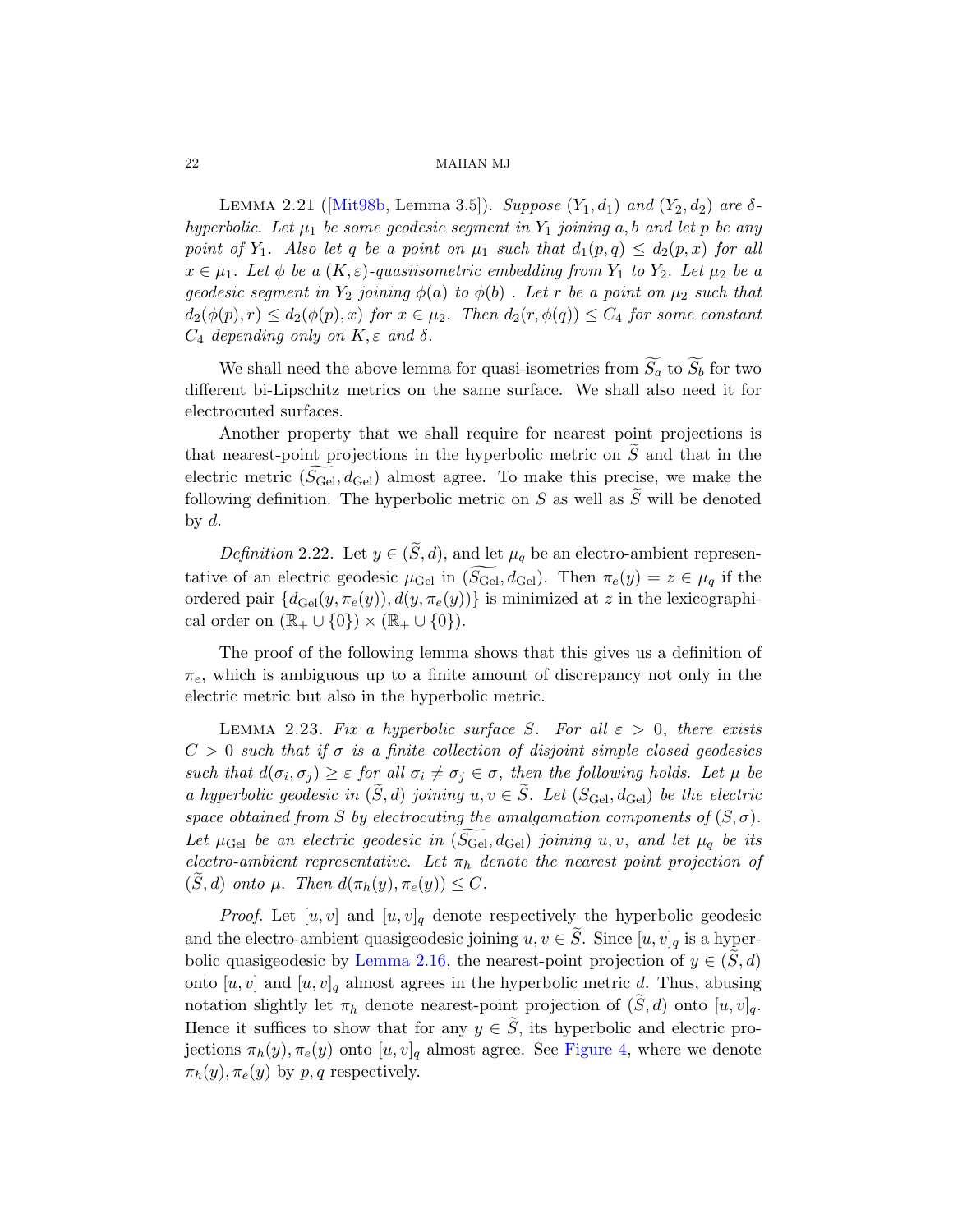LEMMA 2.21 ( $[Mit98b, Lemma 3.5]$ ). Suppose  $(Y_1, d_1)$  and  $(Y_2, d_2)$  are  $\delta$ hyperbolic. Let  $\mu_1$  be some geodesic segment in  $Y_1$  joining a, b and let p be any point of Y<sub>1</sub>. Also let q be a point on  $\mu_1$  such that  $d_1(p,q) \leq d_2(p,x)$  for all  $x \in \mu_1$ . Let  $\phi$  be a  $(K, \varepsilon)$ -quasiisometric embedding from  $Y_1$  to  $Y_2$ . Let  $\mu_2$  be a qeodesic seqment in  $Y_2$  joining  $\phi(a)$  to  $\phi(b)$ . Let r be a point on  $\mu_2$  such that  $d_2(\phi(p), r) \leq d_2(\phi(p), x)$  for  $x \in \mu_2$ . Then  $d_2(r, \phi(q)) \leq C_4$  for some constant  $C_4$  depending only on  $K, \varepsilon$  and  $\delta$ .

We shall need the above lemma for quasi-isometries from  $\widetilde{S}_a$  to  $\widetilde{S}_b$  for two different bi-Lipschitz metrics on the same surface. We shall also need it for electrocuted surfaces.

Another property that we shall require for nearest point projections is that nearest-point projections in the hyperbolic metric on  $\tilde{S}$  and that in the electric metric  $(S_{\text{Gel}}, d_{\text{Gel}})$  almost agree. To make this precise, we make the following definition. The hyperbolic metric on S as well as  $\widetilde{S}$  will be denoted by  $d$ .

*Definition* 2.22. Let  $y \in (\tilde{S}, d)$ , and let  $\mu_q$  be an electro-ambient representative of an electric geodesic  $\mu_{\text{Ge}}$  in  $(S_{\text{Ge}}^{\dagger}, d_{\text{Ge}}^{\dagger})$ . Then  $\pi_e(y) = z \in \mu_q$  if the ordered pair  $\{d_{\text{Gel}}(y, \pi_e(y)), d(y, \pi_e(y))\}$  is minimized at z in the lexicographical order on  $(\mathbb{R}_{+} \cup \{0\}) \times (\mathbb{R}_{+} \cup \{0\}).$ 

The proof of the following lemma shows that this gives us a definition of  $\pi_e$ , which is ambiguous up to a finite amount of discrepancy not only in the electric metric but also in the hyperbolic metric.

LEMMA 2.23. Fix a hyperbolic surface S. For all  $\varepsilon > 0$ , there exists  $C > 0$  such that if  $\sigma$  is a finite collection of disjoint simple closed geodesics such that  $d(\sigma_i, \sigma_j) \geq \varepsilon$  for all  $\sigma_i \neq \sigma_j \in \sigma$ , then the following holds. Let  $\mu$  be a hyperbolic geodesic in  $(\tilde{S}, d)$  joining  $u, v \in \tilde{S}$ . Let  $(S_{\text{Ge}}^{\text{de}}), d_{\text{Ge}}^{\text{de}})$  be the electric [space obtaine](#page-19-0)d from S by electrocuting the amalgamation components of  $(S, \sigma)$ . Let  $\mu_{\text{Ge}}$  be an electric geodesic in  $(S_{\text{Ge}}, d_{\text{Ge}})$  joining u, v, and let  $\mu_q$  be its electro-ambient representative. Let  $\pi_h$  denote the nearest point projection of  $(S, d)$  onto  $\mu$ . Then  $d(\pi_h(y), \pi_e(y)) \leq C$ .

*Proof.* Let  $[u, v]$  and  $[u, v]_q$  [den](#page-22-0)ote respectively the hyperbolic geodesic and the electro-ambient quasigeodesic joining  $u, v \in \tilde{S}$ . Since  $[u, v]_q$  is a hyperbolic quasigeodesic by Lemma 2.16, the nearest-point projection of  $y \in (S, d)$ onto  $[u, v]$  and  $[u, v]_q$  almost agrees in the hyperbolic metric d. Thus, abusing notation slightly let  $\pi_h$  denote nearest-point projection of  $(\tilde{S}, d)$  onto  $[u, v]_q$ . Hence it suffices to show that for any  $y \in \widetilde{S}$ , its hyperbolic and electric projections  $\pi_h(y), \pi_e(y)$  onto  $[u, v]_q$  almost agree. See Figure 4, where we denote  $\pi_h(y), \pi_e(y)$  by p, q respectively.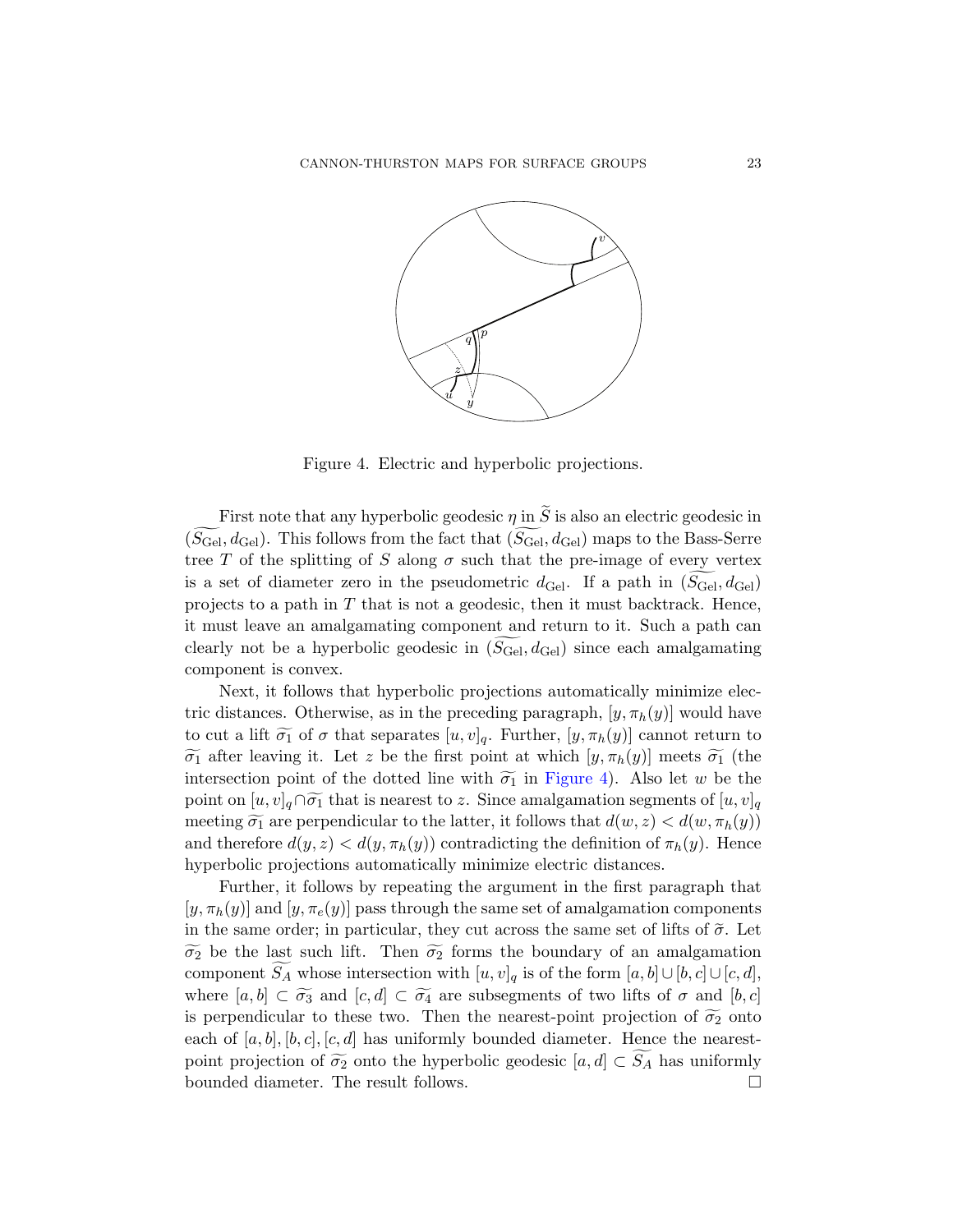

<span id="page-22-0"></span>Figure 4. Electric and hyperbolic projections.

First note that any hyperbolic geodesic  $\eta$  in  $\tilde{S}$  is also an electric geodesic in  $(S_{\text{Gel}}, d_{\text{Gel}})$ . This follows from the fact that  $(S_{\text{Gel}}, d_{\text{Gel}})$  maps to the Bass-Serre tree T of the splitting of S along  $\sigma$  such that the pre-image of every vertex is a set of diameter zero in the pseudometric  $d_{\text{Ge}}$ . If a path in  $(S_{\text{Ge}}, d_{\text{Ge}})$ projects to a path in  $T$  that is not a geodesic, then it must backtrack. Hence, it must leave an amalgamating component and return to it. Such a path can clearly not be a hyperb[olic geodes](#page-22-0)ic in  $(S_{\text{Ge}l}, d_{\text{Ge}l})$  since each amalgamating component is convex.

Next, it follows that hyperbolic projections automatically minimize electric distances. Otherwise, as in the preceding paragraph,  $[y, \pi_h(y)]$  would have to cut a lift  $\widetilde{\sigma_1}$  of  $\sigma$  that separates  $[u, v]_q$ . Further,  $[y, \pi_h(y)]$  cannot return to  $\widetilde{\sigma_1}$  after leaving it. Let z be the first point at which  $[y, \pi_h(y)]$  meets  $\widetilde{\sigma_1}$  (the intersection point of the dotted line with  $\widetilde{\sigma_1}$  in Figure 4). Also let w be the point on  $[u, v]_q \cap \widetilde{\sigma_1}$  that is nearest to z. Since amalgamation segments of  $[u, v]_q$ meeting  $\widetilde{\sigma_1}$  are perpendicular to the latter, it follows that  $d(w, z) < d(w, \pi_h(y))$ and therefore  $d(y, z) < d(y, \pi_h(y))$  contradicting the definition of  $\pi_h(y)$ . Hence hyperbolic projections automatically minimize electric distances.

Further, it follows by repeating the argument in the first paragraph that  $[y, \pi_h(y)]$  and  $[y, \pi_e(y)]$  pass through the same set of amalgamation components in the same order; in particular, they cut across the same set of lifts of  $\tilde{\sigma}$ . Let  $\widetilde{\sigma_2}$  be the last such lift. Then  $\widetilde{\sigma_2}$  forms the boundary of an amalgamation component  $S_A$  whose intersection with  $[u, v]_q$  is of the form  $[a, b] \cup [b, c] \cup [c, d]$ , where  $[a, b] \subset \widetilde{\sigma_3}$  and  $[c, d] \subset \widetilde{\sigma_4}$  are subsegments of two lifts of  $\sigma$  and  $[b, c]$ is perpendicular to these two. Then the nearest-point projection of  $\widetilde{\sigma_2}$  onto each of  $[a, b], [b, c], [c, d]$  has uniformly bounded diameter. Hence the nearestpoint projection of  $\widetilde{\sigma_2}$  onto the hyperbolic geodesic  $[a, d] \subset S_A$  has uniformly bounded diameter. The result follows.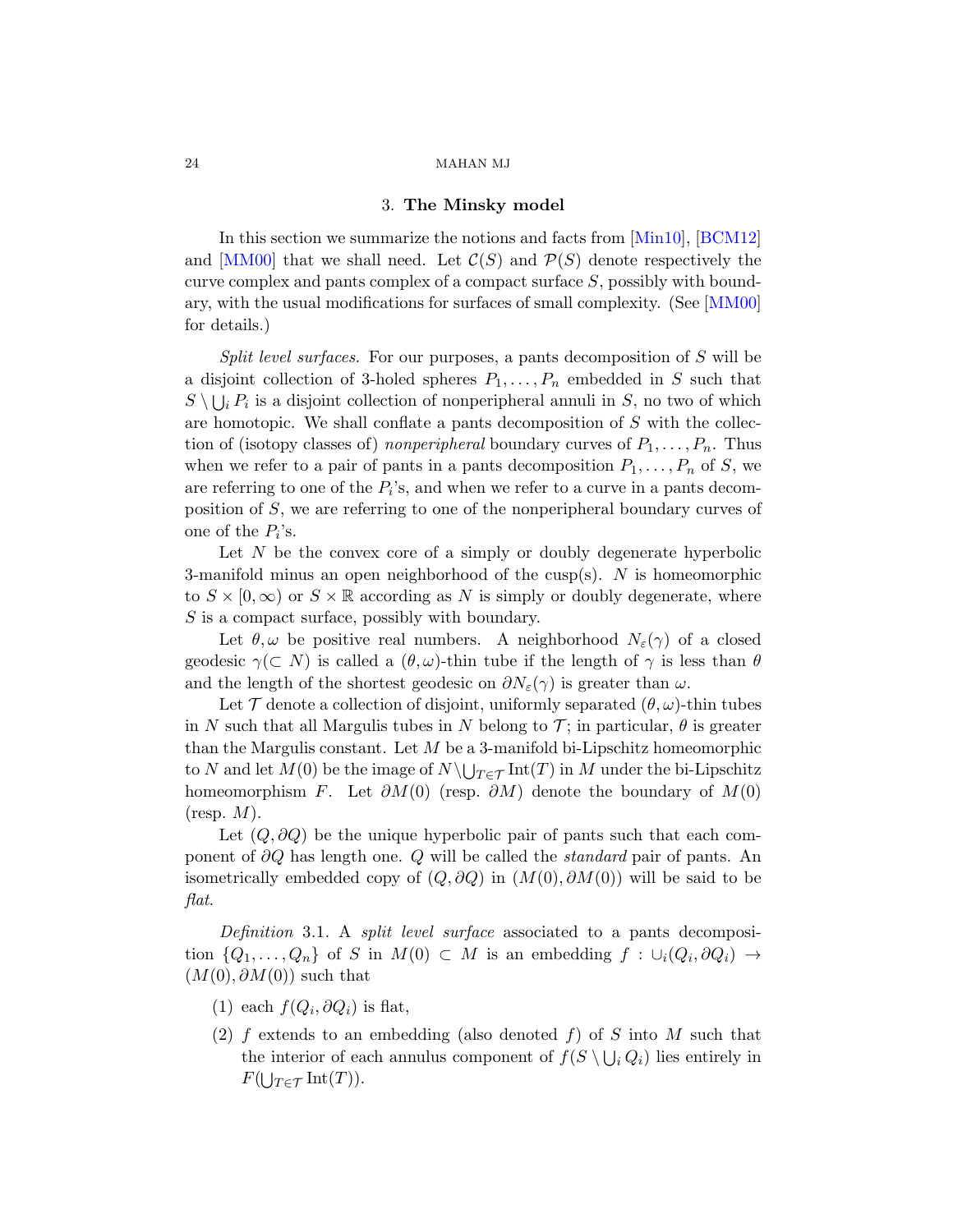#### 3. The Minsky model

<span id="page-23-0"></span>In this section we summarize the notions and facts from [Min10], [BCM12] and  $[MM00]$  that we shall need. Let  $C(S)$  and  $\mathcal{P}(S)$  denote respectively the curve complex and pants complex of a compact surface S, possibly with boundary, with the usual modifications for surfaces of small complexity. (See [MM00] for details.)

Split level surfaces. For our purposes, a pants decomposition of S will be a disjoint collection of 3-holed spheres  $P_1, \ldots, P_n$  embedded in S such that  $S \setminus \bigcup_i P_i$  is a disjoint collection of nonperipheral annuli in S, no two of which are homotopic. We shall conflate a pants decomposition of S with the collection of (isotopy classes of) nonperipheral boundary curves of  $P_1, \ldots, P_n$ . Thus when we refer to a pair of pants in a pants decomposition  $P_1, \ldots, P_n$  of S, we are referring to one of the  $P_i$ 's, and when we refer to a curve in a pants decomposition of S, we are referring to one of the nonperipheral boundary curves of one of the  $P_i$ 's.

Let N be the convex core of a simply or doubly degenerate hyperbolic 3-manifold minus an open neighborhood of the cusp(s).  $N$  is homeomorphic to  $S \times [0, \infty)$  or  $S \times \mathbb{R}$  according as N is simply or doubly degenerate, where S is a compact surface, possibly with boundary.

Let  $\theta, \omega$  be positive real numbers. A neighborhood  $N_{\varepsilon}(\gamma)$  of a closed geodesic  $\gamma(\subset N)$  is called a  $(\theta, \omega)$ -thin tube if the length of  $\gamma$  is less than  $\theta$ and the length of the shortest geodesic on  $\partial N_{\varepsilon}(\gamma)$  is greater than  $\omega$ .

Let  $\mathcal T$  denote a collection of disjoint, uniformly separated  $(\theta, \omega)$ -thin tubes in N such that all Margulis tubes in N belong to  $\mathcal{T}$ ; in particular,  $\theta$  is greater than the Margulis constant. Let  $M$  be a 3-manifold bi-Lipschitz homeomorphic to N and let  $M(0)$  be the image of  $N \setminus \bigcup_{T \in \mathcal{T}} \text{Int}(T)$  in M under the bi-Lipschitz homeomorphism F. Let  $\partial M(0)$  (resp.  $\partial M$ ) denote the boundary of  $M(0)$  $(r \exp M).$ 

Let  $(Q, \partial Q)$  be the unique hyperbolic pair of pants such that each component of  $\partial Q$  has length one. Q will be called the *standard* pair of pants. An isometrically embedded copy of  $(Q, \partial Q)$  in  $(M(0), \partial M(0))$  will be said to be flat.

Definition 3.1. A split level surface associated to a pants decomposition  $\{Q_1, \ldots, Q_n\}$  of S in  $M(0) \subset M$  is an embedding  $f : \cup_i (Q_i, \partial Q_i) \to$  $(M(0), \partial M(0))$  such that

- (1) each  $f(Q_i, \partial Q_i)$  is flat,
- (2) f extends to an embedding (also denoted f) of S into M such that the interior of each annulus component of  $f(S \setminus \bigcup_i Q_i)$  lies entirely in  $F(\bigcup_{T \in \mathcal{T}} \mathrm{Int}(T)).$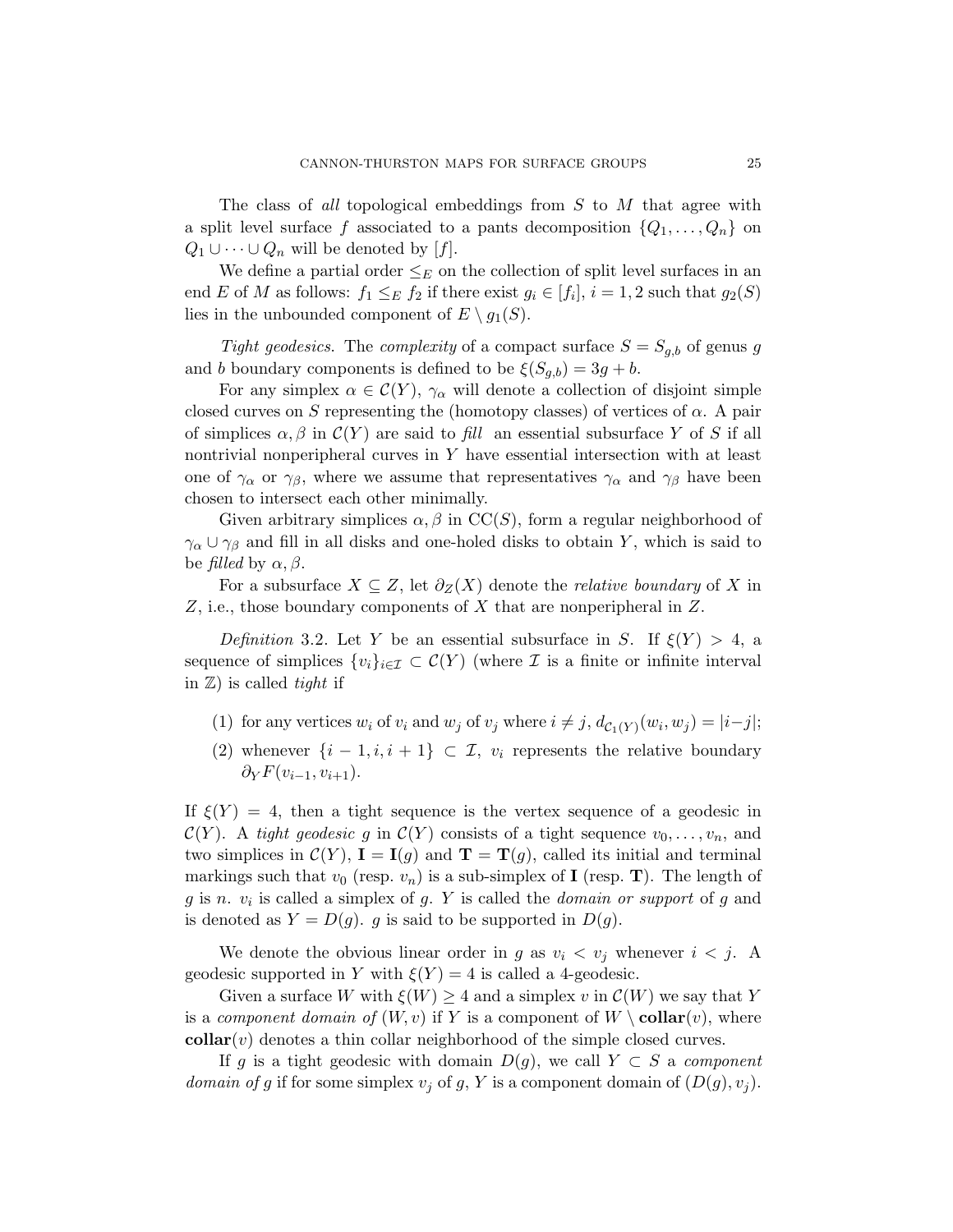The class of all topological embeddings from S to M that agree with a split level surface f associated to a pants decomposition  $\{Q_1, \ldots, Q_n\}$  on  $Q_1 \cup \cdots \cup Q_n$  will be denoted by [f].

We define a partial order  $\leq_E$  on the collection of split level surfaces in an end E of M as follows:  $f_1 \leq_E f_2$  if there exist  $g_i \in [f_i], i = 1, 2$  such that  $g_2(S)$ lies in the unbounded component of  $E \setminus q_1(S)$ .

Tight geodesics. The complexity of a compact surface  $S = S_{q,b}$  of genus g and b boundary components is defined to be  $\xi(S_{a,b}) = 3g + b$ .

For any simplex  $\alpha \in \mathcal{C}(Y)$ ,  $\gamma_{\alpha}$  will denote a collection of disjoint simple closed curves on S representing the (homotopy classes) of vertices of  $\alpha$ . A pair of simplices  $\alpha$ ,  $\beta$  in  $\mathcal{C}(Y)$  are said to fill an essential subsurface Y of S if all nontrivial nonperipheral curves in Y have essential intersection with at least one of  $\gamma_{\alpha}$  or  $\gamma_{\beta}$ , where we assume that representatives  $\gamma_{\alpha}$  and  $\gamma_{\beta}$  have been chosen to intersect each other minimally.

Given arbitrary simplices  $\alpha, \beta$  in CC(S), form a regular neighborhood of  $\gamma_{\alpha} \cup \gamma_{\beta}$  and fill in all disks and one-holed disks to obtain Y, which is said to be filled by  $\alpha, \beta$ .

For a subsurface  $X \subseteq Z$ , let  $\partial_Z(X)$  denote the *relative boundary* of X in  $Z$ , i.e., those boundary components of  $X$  that are nonperipheral in  $Z$ .

Definition 3.2. Let Y be an essential subsurface in S. If  $\xi(Y) > 4$ , a sequence of simplices  $\{v_i\}_{i\in\mathcal{I}} \subset \mathcal{C}(Y)$  (where  $\mathcal I$  is a finite or infinite interval in  $\mathbb{Z}$ ) is called *tight* if

- (1) for any vertices  $w_i$  of  $v_i$  and  $w_j$  of  $v_j$  where  $i \neq j$ ,  $d_{\mathcal{C}_1(Y)}(w_i, w_j) = |i-j|$ ;
- (2) whenever  $\{i-1,i,i+1\} \subset \mathcal{I}$ ,  $v_i$  represents the relative boundary  $\partial_Y F(v_{i-1}, v_{i+1}).$

If  $\xi(Y) = 4$ , then a tight sequence is the vertex sequence of a geodesic in  $\mathcal{C}(Y)$ . A tight geodesic g in  $\mathcal{C}(Y)$  consists of a tight sequence  $v_0, \ldots, v_n$ , and two simplices in  $\mathcal{C}(Y)$ ,  $I = I(g)$  and  $T = T(g)$ , called its initial and terminal markings such that  $v_0$  (resp.  $v_n$ ) is a sub-simplex of **I** (resp. **T**). The length of  $g$  is  $n. v_i$  is called a simplex of  $g. Y$  is called the *domain or support* of  $g$  and is denoted as  $Y = D(g)$ . g is said to be supported in  $D(g)$ .

We denote the obvious linear order in g as  $v_i < v_j$  whenever  $i < j$ . A geodesic supported in Y with  $\xi(Y) = 4$  is called a 4-geodesic.

Given a surface W with  $\xi(W) \geq 4$  and a simplex v in  $\mathcal{C}(W)$  we say that Y is a component domain of  $(W, v)$  if Y is a component of  $W \setminus \text{collar}(v)$ , where  $\text{collar}(v)$  denotes a thin collar neighborhood of the simple closed curves.

If g is a tight geodesic with domain  $D(g)$ , we call  $Y \subset S$  a component domain of g if for some simplex  $v_j$  of g, Y is a component domain of  $(D(g), v_j)$ .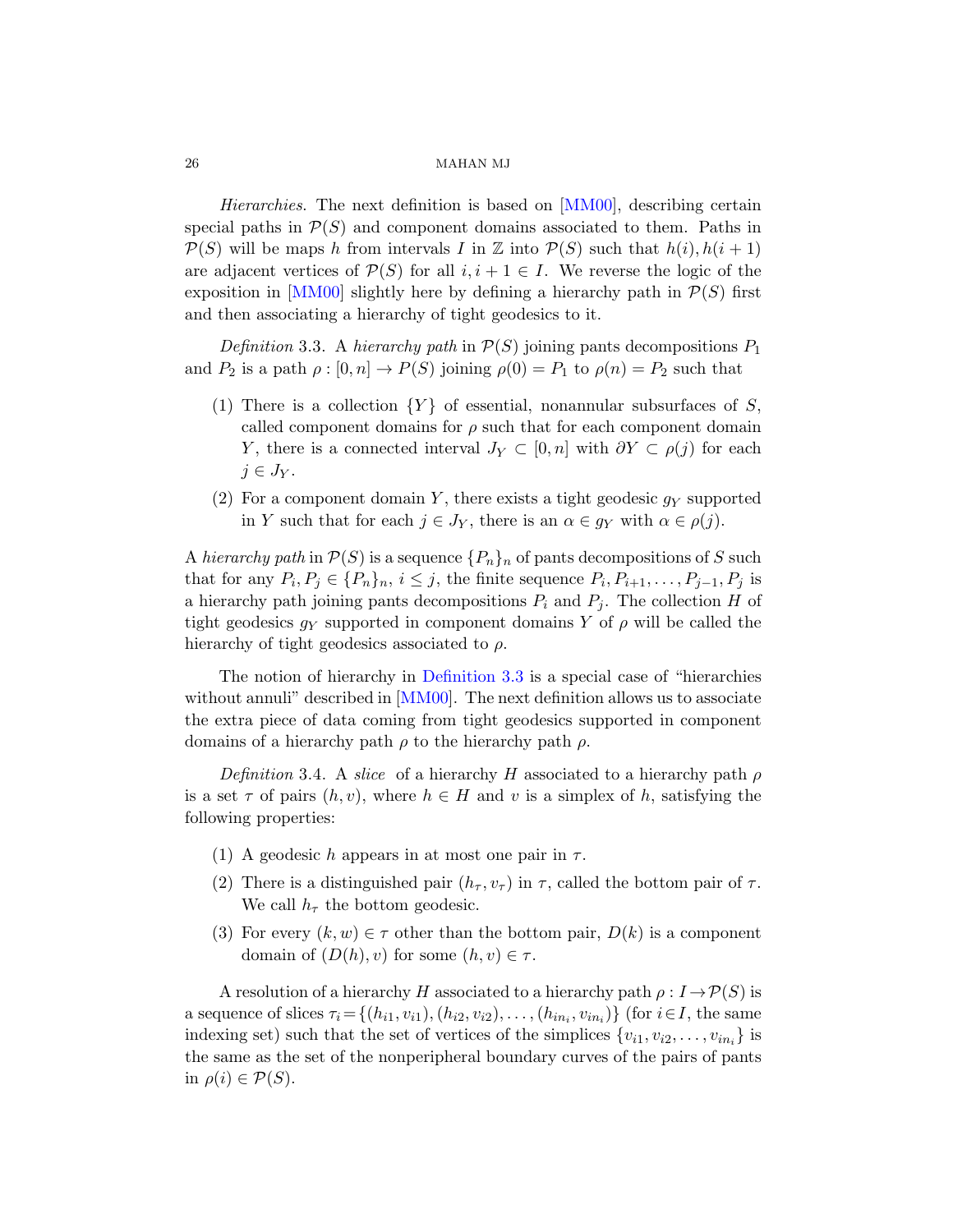<span id="page-25-0"></span>Hierarchies. The next definition is based on [MM00], describing certain special paths in  $\mathcal{P}(S)$  and component domains associated to them. Paths in  $\mathcal{P}(S)$  will be maps h from intervals I in Z into  $\mathcal{P}(S)$  such that  $h(i)$ ,  $h(i+1)$ are adjacent vertices of  $\mathcal{P}(S)$  for all  $i, i + 1 \in I$ . We reverse the logic of the exposition in [MM00] slightly here by defining a hierarchy path in  $\mathcal{P}(S)$  first and then associating a hierarchy of tight geodesics to it.

Definition 3.3. A hierarchy path in  $\mathcal{P}(S)$  joining pants decompositions  $P_1$ and  $P_2$  is a path  $\rho : [0, n] \to P(S)$  joining  $\rho(0) = P_1$  to  $\rho(n) = P_2$  such that

- (1) There is a collection  ${Y}$  of essential, nonannular subsurfaces of S, called component domains for  $\rho$  such that for each component domain Y, there is a connected interval  $J_Y \subset [0, n]$  with  $\partial Y \subset \rho(j)$  for each  $j \in J_Y$ .
- (2) For a component domain Y, there exists a tight geodesic  $g<sub>Y</sub>$  supported in Y such that for each  $j \in J_Y$ , there is an  $\alpha \in g_Y$  with  $\alpha \in \rho(j)$ .

A hie[rarchy p](#page-78-0)[ath](#page-25-0) in  $\mathcal{P}(S)$  is a sequence  $\{P_n\}_n$  of pants decompositions of S such that for any  $P_i, P_j \in \{P_n\}_n, i \leq j$ , the finite sequence  $P_i, P_{i+1}, \ldots, P_{j-1}, P_j$  is a hierarchy path joining pants decompositions  $P_i$  and  $P_j$ . The collection H of tight geodesics  $g_Y$  supported in component domains Y of  $\rho$  will be called the hierarchy of tight geodesics associated to  $\rho$ .

The notion of hierarchy in Definition 3.3 is a special case of "hierarchies without annuli" described in [MM00]. The next definition allows us to associate the extra piece of data coming from tight geodesics supported in component domains of a hierarchy path  $\rho$  to the hierarchy path  $\rho$ .

Definition 3.4. A slice of a hierarchy H associated to a hierarchy path  $\rho$ is a set  $\tau$  of pairs  $(h, v)$ , where  $h \in H$  and v is a simplex of h, satisfying the following properties:

- (1) A geodesic h appears in at most one pair in  $\tau$ .
- (2) There is a distinguished pair  $(h_\tau, v_\tau)$  in  $\tau$ , called the bottom pair of  $\tau$ . We call  $h_{\tau}$  the bottom geodesic.
- (3) For every  $(k, w) \in \tau$  other than the bottom pair,  $D(k)$  is a component domain of  $(D(h), v)$  for some  $(h, v) \in \tau$ .

A resolution of a hierarchy H associated to a hierarchy path  $\rho: I \to \mathcal{P}(S)$  is a sequence of slices  $\tau_i = \{(h_{i1}, v_{i1}), (h_{i2}, v_{i2}), \ldots, (h_{in_i}, v_{in_i})\}$  (for  $i \in I$ , the same indexing set) such that the set of vertices of the simplices  $\{v_{i1}, v_{i2}, \ldots, v_{in_i}\}$  is the same as the set of the nonperipheral boundary curves of the pairs of pants in  $\rho(i) \in \mathcal{P}(S)$ .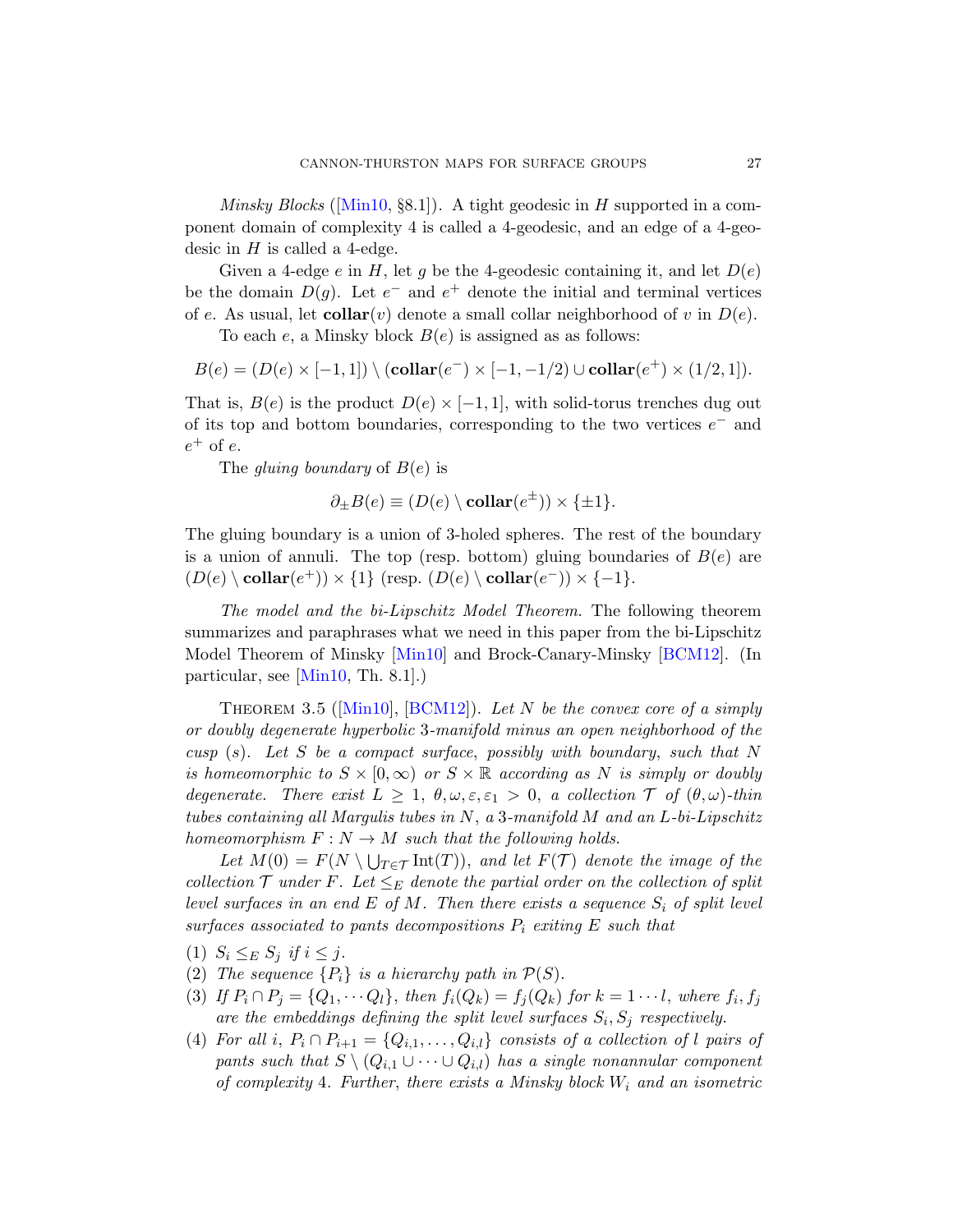*Minsky Blocks* ([Min10, §8.1]). A tight geodesic in H supported in a component domain of complexity 4 is called a 4-geodesic, and an edge of a 4-geodesic in  $H$  is called a 4-edge.

Given a 4-edge e in H, let g be the 4-geodesic containing it, and let  $D(e)$ be the domain  $D(g)$ . Let  $e^-$  and  $e^+$  denote the initial and terminal vertices of e. As usual, let **collar** $(v)$  denote a small collar neighborhood of v in  $D(e)$ .

To each e, a Minsky block  $B(e)$  is assigned as as follows:

$$
B(e) = (D(e) \times [-1,1]) \setminus ( \mathbf{collar}(e^-) \times [-1,-1/2) \cup \mathbf{collar}(e^+) \times (1/2,1]).
$$

That is,  $B(e)$  is the product  $D(e) \times [-1,1]$ , with solid-torus trenches dug out of its top and bottom boundaries, corresponding to the two vertices  $e^-$  and  $e^+$  of  $e$ .

The gluing boundary of  $B(e)$  is

$$
\partial_{\pm}B(e) \equiv (D(e) \setminus \text{collar}(e^{\pm})) \times \{\pm 1\}.
$$

<span id="page-26-0"></span>The gluing boundary is a union of 3-holed spheres. The rest of the boundary is a union of annuli. The top (resp. bottom) gluing boundaries of  $B(e)$  are  $(D(e) \setminus \text{collar}(e^+) \times \{1\}$  $(D(e) \setminus \text{collar}(e^+) \times \{1\}$  $(D(e) \setminus \text{collar}(e^+) \times \{1\}$  $(D(e) \setminus \text{collar}(e^+) \times \{1\}$  $(D(e) \setminus \text{collar}(e^+) \times \{1\}$  (resp.  $(D(e) \setminus \text{collar}(e^-)) \times \{-1\}$ .

The model and the bi-Lipschitz Model Theorem. The following theorem summarizes and paraphrases what we need in this paper from the bi-Lipschitz Model Theorem of Minsky [Min10] and Brock-Canary-Minsky [BCM12]. (In particular, see [Min10, Th. 8.1].)

THEOREM 3.5 ([Min10], [BCM12]). Let N be the convex core of a simply or doubly degenerate hyperbolic 3-manifold minus an open neighborhood of the cusp  $(s)$ . Let S be a compact surface, possibly with boundary, such that N is homeomorphic to  $S \times [0,\infty)$  or  $S \times \mathbb{R}$  according as N is simply or doubly degenerate. There exist  $L \geq 1$ ,  $\theta, \omega, \varepsilon, \varepsilon_1 > 0$ , a collection  $\mathcal T$  of  $(\theta, \omega)$ -thin tubes containing all Margulis tubes in N, a 3-manifold M and an L-bi-Lipschitz homeomorphism  $F: N \to M$  such that the following holds.

Let  $M(0) = F(N \setminus \bigcup_{T \in \mathcal{T}} \text{Int}(T))$ , and let  $F(\mathcal{T})$  denote the image of the collection  $\mathcal T$  under F. Let  $\leq_E$  denote the partial order on the collection of split level surfaces in an end E of M. Then there exists a sequence  $S_i$  of split level surfaces associated to pants decompositions  $P_i$  exiting E such that

- (1)  $S_i \leq_E S_j$  if  $i \leq j$ .
- (2) The sequence  $\{P_i\}$  is a hierarchy path in  $\mathcal{P}(S)$ .
- (3) If  $P_i \cap P_j = \{Q_1, \dots Q_l\}$ , then  $f_i(Q_k) = f_j(Q_k)$  for  $k = 1 \dots l$ , where  $f_i, f_j$ are the embeddings defining the split level surfaces  $S_i$ ,  $S_j$  respectively.
- (4) For all i,  $P_i \cap P_{i+1} = \{Q_{i,1}, \ldots, Q_{i,l}\}$  consists of a collection of l pairs of pants such that  $S \setminus (Q_{i,1} \cup \cdots \cup Q_{i,l})$  has a single nonannular component of complexity 4. Further, there exists a Minsky block  $W_i$  and an isometric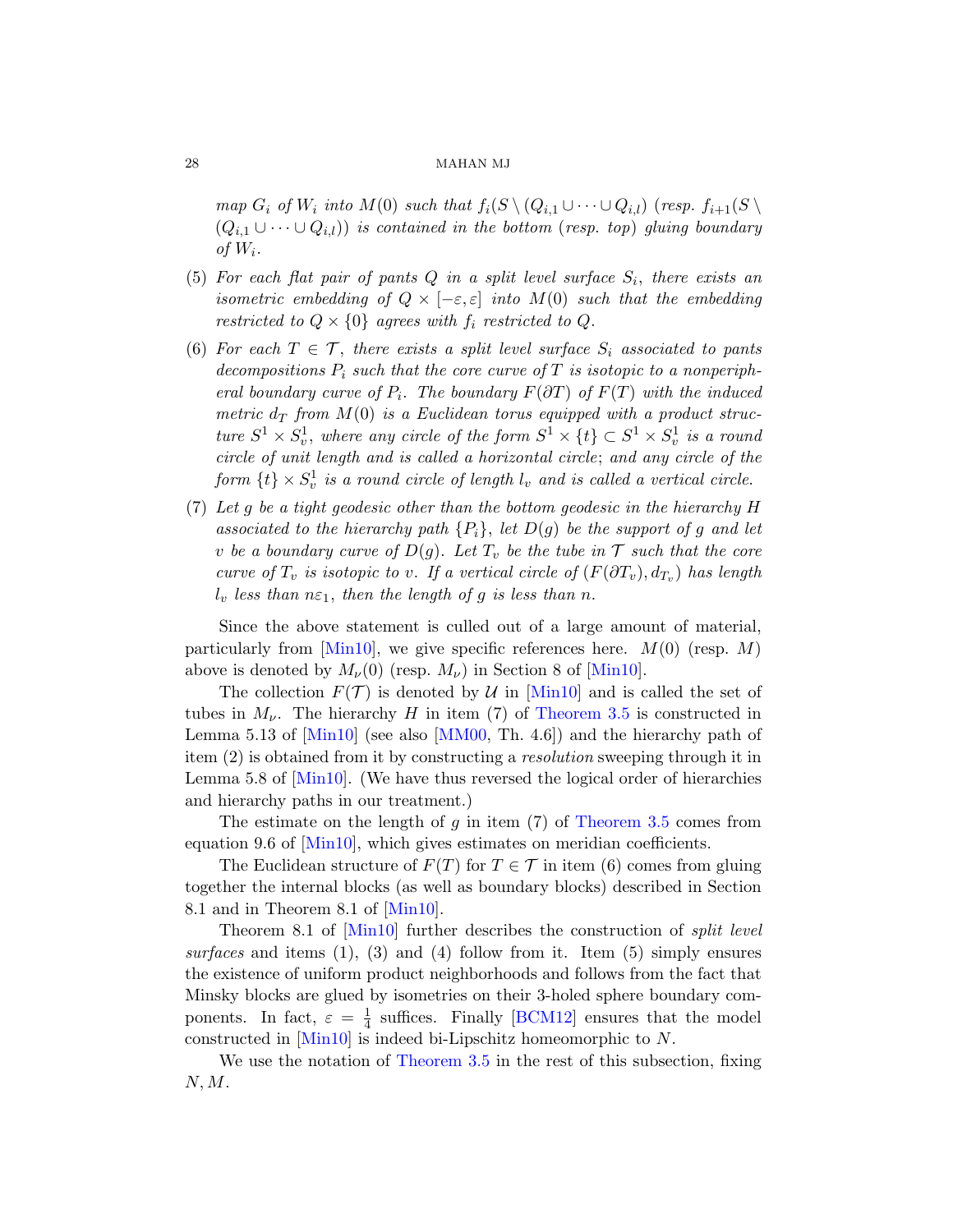map  $G_i$  of  $W_i$  into  $M(0)$  such that  $f_i(S \setminus (Q_{i,1} \cup \cdots \cup Q_{i,l})$  (resp.  $f_{i+1}(S \setminus$  $(Q_{i,1} \cup \cdots \cup Q_{i,l})$  is contained in the bottom (resp. top) gluing boundary of  $W_i$ .

- (5) For each flat pair of pants  $Q$  in a split level surface  $S_i$ , there exists an isometric embedding of  $Q \times [-\varepsilon, \varepsilon]$  into  $M(0)$  such that the embedding restricted to  $Q \times \{0\}$  agrees with  $f_i$  restricted to  $Q$ .
- (6) For each  $T \in \mathcal{T}$ , there exists a split level surface  $S_i$  associated to pants decompositions  $P_i$  such that the core curve of  $T$  is isotopic to a nonperipheral boundary curve of  $P_i$ . The boundary  $F(\partial T)$  of  $F(T)$  with the induced metric  $d_T$  from  $M(0)$  is a Euclidean torus equipped with a product structure  $S^1 \times S_v^1$ , where any circle of the form  $S^1 \times \{t\} \subset S^1 \times S_v^1$  is a round circle of unit length and is called a horizontal circle; and any circle of the form  $\{t\} \times S_v^1$  is a round circle of length  $l_v$  and is called a vertical circle.
- [\(7\)](#page-78-6) Let g be a tight geodesic other than the bottom geodesic in the hierarchy H associated to the hierarchy [path](#page-78-6)  ${P_i}$ , let  $D(g)$  be the support of g and let v be a boundary cu[rve of](#page-78-6)  $D(g)$ . Let  $T_v$  be the tube in  $\mathcal T$  such that the core curve of  $T_v$  is isoto[pic to](#page-26-0) v. If a vertical circle of  $(F(\partial T_v), d_{T_v})$  has length  $l_v$  less [than](#page-78-0)  $n\epsilon_1$ , then the length of g is less than n.

Since the above statement is culled out of a large amount of material, particularly from [Min10], we give specific references here.  $M(0)$  (resp. M) above is denoted by  $M_{\nu}(0)$  (resp.  $M_{\nu}$ ) in Section 8 of [Min10].

The collection  $F(\mathcal{T})$  is [denoted by](#page-26-0) U in [Min10] and is called the set of tubes in  $M_{\nu}$ . The hierarchy H in item (7) of Theorem 3.5 is constructed in Lemma 5.13 of [Min10] (see also [MM00, Th. 4.6]) and the hierarchy path of item (2) is obtained from it by constructing a resolution sweeping through it in Le[mma 5.8](#page-78-6) of [Min10]. (We have thus reversed the logical order of hierarchies [and h](#page-78-6)ierarchy paths in our treatment.)

The estimate on the length of  $q$  in item (7) of Theorem 3.5 comes from equation 9.6 of [Min10], which gives estimates on meridian coefficients.

The Euclidean structure of  $F(T)$  for  $T \in \mathcal{T}$  in item (6) comes from gluing together the internal [blocks \(a](#page-76-0)s well as boundary blocks) described in Section 8.1 and in Theorem 8.1 of [Min10].

[Theorem 8.1](#page-26-0) of [Min10] further describes the construction of split level surfaces and items  $(1)$ ,  $(3)$  and  $(4)$  follow from it. Item  $(5)$  simply ensures the existence of uniform product neighborhoods and follows from the fact that Minsky blocks are glued by isometries on their 3-holed sphere boundary components. In fact,  $\varepsilon = \frac{1}{4}$  $\frac{1}{4}$  suffices. Finally [BCM12] ensures that the model constructed in [Min10] is indeed bi-Lipschitz homeomorphic to N.

We use the notation of Theorem 3.5 in the rest of this subsection, fixing  $N, M$ .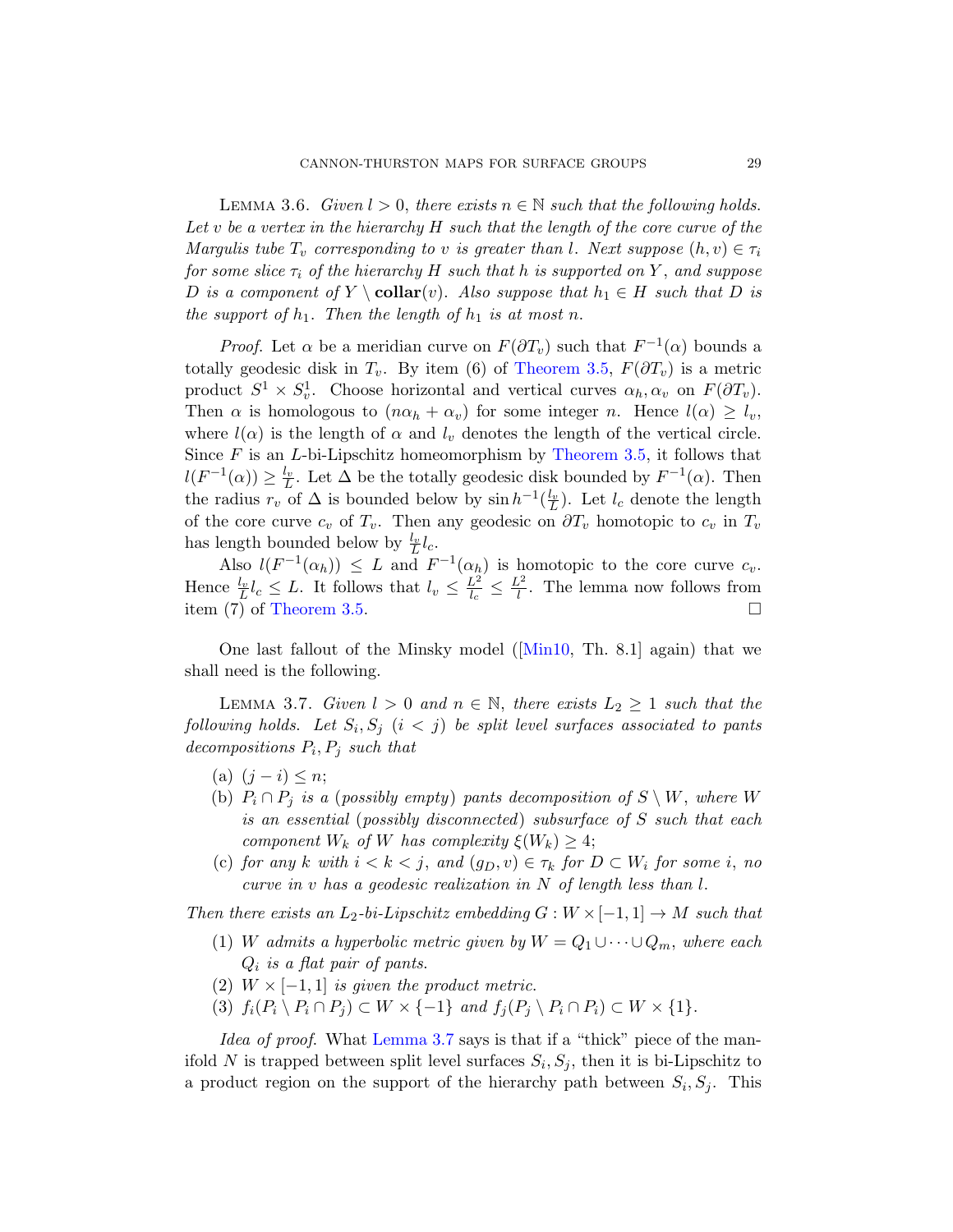<span id="page-28-1"></span>LEMMA 3.6. Given  $l > 0$ , there exists  $n \in \mathbb{N}$  such that the following holds. Let v be a vertex in t[he hierarchy](#page-26-0)  $H$  such that the length of the core curve of the Margulis tube  $T_v$  corresponding to v is greater than l. Next suppose  $(h, v) \in \tau_i$ for some slice  $\tau_i$  of the hierarchy H such that h is supported on Y, and suppose D is a component of Y \collar(v). Also suppose that  $h_1 \in H$  such that D is the support of  $h_1$ . Then t[he length of](#page-26-0)  $h_1$  is at most n.

*Proof.* Let  $\alpha$  be a meridian curve on  $F(\partial T_v)$  such that  $F^{-1}(\alpha)$  bounds a totally geodesic disk in  $T_v$ . By item (6) of Theorem 3.5,  $F(\partial T_v)$  is a metric product  $S^1 \times S_v^1$ . Choose horizontal and vertical curves  $\alpha_h, \alpha_v$  on  $F(\partial T_v)$ . Then  $\alpha$  is homologous to  $(n\alpha_h + \alpha_v)$  for some integer n. Hence  $l(\alpha) \geq l_v$ , where  $l(\alpha)$  is the length of  $\alpha$  and  $l_\nu$  denotes the length of the vertical circle. Since  $F$  is an  $L$ -bi-Lipschitz homeomorphism by Theorem 3.5, it follows that  $l(F^{-1}(\alpha)) \geq \frac{l_v}{L}$  $l(F^{-1}(\alpha)) \geq \frac{l_v}{L}$ . Let  $\Delta$  be the totally geodesic disk bounded by  $F^{-1}(\alpha)$ . Then the radius  $r_v$  of  $\Delta$  is bounded below by  $\sinh^{-1}(\frac{l_v}{L})$ . Let  $l_c$  denote the length of the core curve  $c_v$  of  $T_v$ [. T](#page-78-6)hen any geodesic on  $\partial T_v$  homotopic to  $c_v$  in  $T_v$ has length bounded below by  $\frac{l_v}{L}l_c$ .

<span id="page-28-0"></span>Also  $l(F^{-1}(\alpha_h)) \leq L$  and  $F^{-1}(\alpha_h)$  is homotopic to the core curve  $c_v$ . Hence  $\frac{l_v}{L} l_c \leq L$ . It follows that  $l_v \leq \frac{L^2}{l_c}$  $\frac{L^2}{l_c} \leq \frac{L^2}{l}$  $\frac{1}{l}$ . The lemma now follows from item  $(7)$  of Theorem 3.5.

One last fallout of the Minsky model ([Min10, Th. 8.1] again) that we shall need is the following.

LEMMA 3.7. Given  $l > 0$  and  $n \in \mathbb{N}$ , there exists  $L_2 \geq 1$  such that the following holds. Let  $S_i, S_j$   $(i < j)$  be split level surfaces associated to pants decompositions  $P_i, P_j$  such that

- (a)  $(j i) \leq n;$
- (b)  $P_i \cap P_j$  is a (possibly empty) pants decomposition of  $S \setminus W$ , where W is an essential (possibly disconnected) subsurface of S such that each component  $W_k$  of W has complexity  $\xi(W_k) \geq 4$ ;
- (c) for any k with  $i < k < j$ , and  $(g_D, v) \in \tau_k$  for  $D \subset W_i$  for some i, no curve in v has a geodesic realization in N of length less than l.

T[hen there ex](#page-28-0)ists an  $L_2$ -bi-Lipschitz embedding  $G: W \times [-1,1] \to M$  such that

- (1) W admits a hyperbolic metric given by  $W = Q_1 \cup \cdots \cup Q_m$ , where each  $Q_i$  is a flat pair of pants.
- (2)  $W \times [-1, 1]$  is given the product metric.
- (3)  $f_i(P_i \setminus P_i \cap P_j) \subset W \times \{-1\}$  and  $f_j(P_j \setminus P_i \cap P_i) \subset W \times \{1\}.$

Idea of proof. What Lemma 3.7 says is that if a "thick" piece of the manifold N is trapped between split level surfaces  $S_i, S_j$ , then it is bi-Lipschitz to a product region on the support of the hierarchy path between  $S_i, S_j$ . This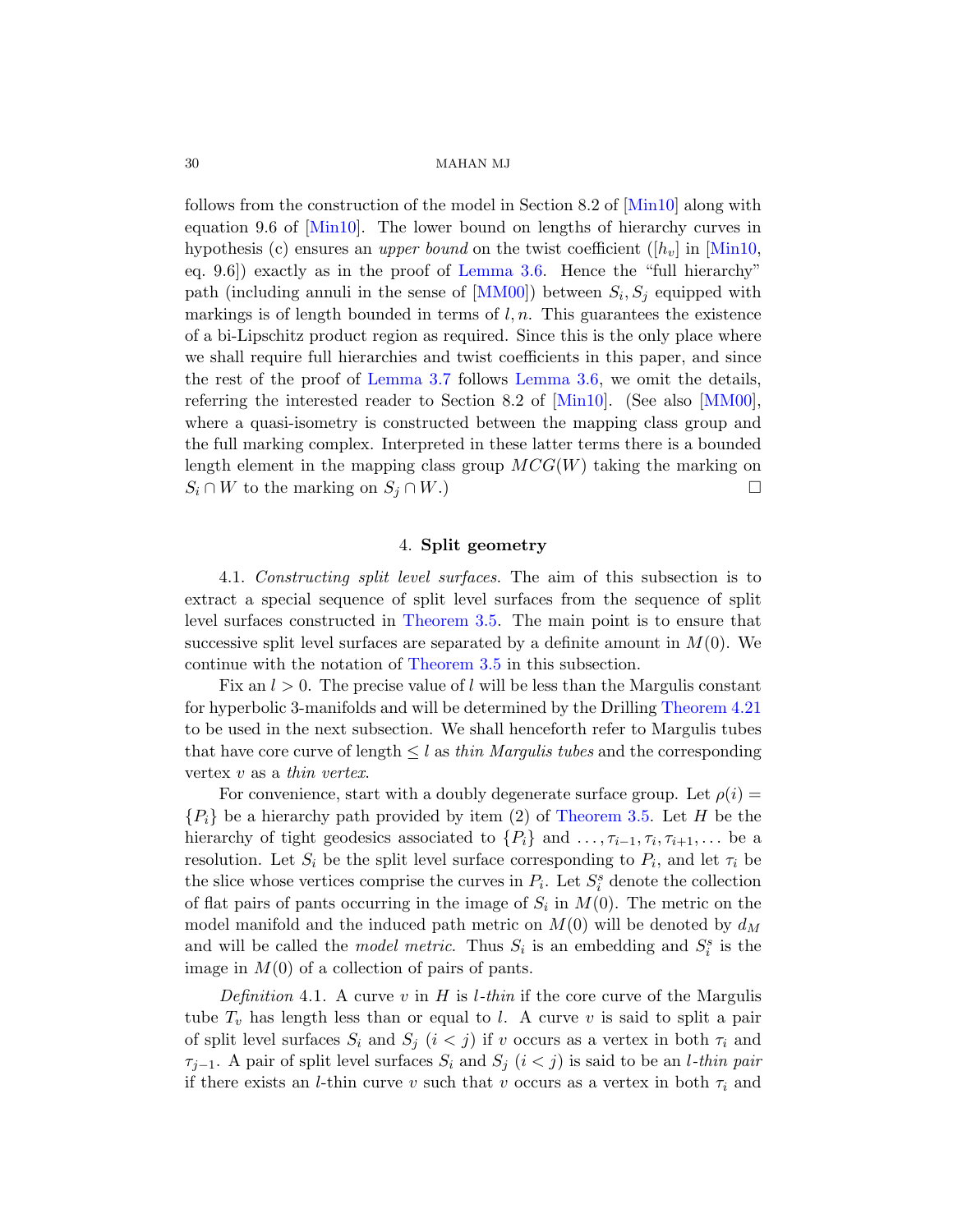follows from the construction of the model in Section 8.2 of [Min10] along with equation 9.6 of [Min10]. The lower bound on lengths of hierarchy curves in h[ypothesis \(c](#page-28-0)) ensures an *[upper b](#page-28-1)ound* on the twist coefficient ( $[h_v]$  in [Min10, eq. 9.6]) exactly as in the [proof](#page-78-6) of Lemma3[.6. Hen](#page-78-0)ce the "full hierarchy" path (including annuli in the sense of  $[MM00]$ ) between  $S_i, S_j$  equipped with markings is of length bounded in terms of  $l, n$ . This guarantees the existence of a bi-Lipschitz product region as required. Since this is the only place where we shall require full hierarchies and twist coefficients in this paper, and since the rest of the proof of Lemma 3.7 follows Lemma 3.6, we omit the details, referring the interested reader to Section 8.2 of [Min10]. (See also [MM00], where a quasi-isometry is constructed between the mapping class group and the full marking complex. Interpreted in these latter terms there is a bounded length element in the mapping class group  $MCG(W)$  taking the marking on  $S_i \cap W$  [to the mark](#page-26-0)ing on  $S_j \cap W$ .)

## 4. Split geometry

<span id="page-29-1"></span><span id="page-29-0"></span>4.1. Constructing split level surfaces[. The aim o](#page-43-1)f this subsection is to extract a special sequence of split level surfaces from the sequence of split level surfaces constructed in Theorem 3.5. The main point is to ensure that successive split level surfaces are separated by a definite amount in  $M(0)$ . We continue with the notation of Theorem 3.5 in this subsection.

Fix an  $l > 0$ . The pre[cise value of](#page-26-0) l will be less than the Margulis constant for hyperbolic 3-manifolds and will be determined by the Drilling Theorem 4.21 to be used in the next subsection. We shall henceforth refer to Margulis tubes that have core curve of length  $\leq l$  as thin Margulis tubes and the corresponding vertex v as a thin vertex.

For convenience, start with a doubly degenerate surface group. Let  $\rho(i)$  =  ${P_i}$  be a hierarchy path provided by item (2) of Theorem 3.5. Let H be the hierarchy of tight geodesics associated to  $\{P_i\}$  and  $\ldots, \tau_{i-1}, \tau_i, \tau_{i+1}, \ldots$  be a resolution. Let  $S_i$  be the split level surface corresponding to  $P_i$ , and let  $\tau_i$  be the slice whose vertices comprise the curves in  $P_i$ . Let  $S_i^s$  denote the collection of flat pairs of pants occurring in the image of  $S_i$  in  $M(0)$ . The metric on the model manifold and the induced path metric on  $M(0)$  will be denoted by  $d_M$ and will be called the *model metric*. Thus  $S_i$  is an embedding and  $S_i^s$  is the image in  $M(0)$  of a collection of pairs of pants.

Definition 4.1. A curve v in H is *l*-thin if the core curve of the Margulis tube  $T_v$  has length less than or equal to l. A curve v is said to split a pair of split level surfaces  $S_i$  and  $S_j$   $(i < j)$  if v occurs as a vertex in both  $\tau_i$  and  $\tau_{i-1}$ . A pair of split level surfaces  $S_i$  and  $S_j$   $(i < j)$  is said to be an *l*-thin pair if there exists an *l*-thin curve v such that v occurs as a vertex in both  $\tau_i$  and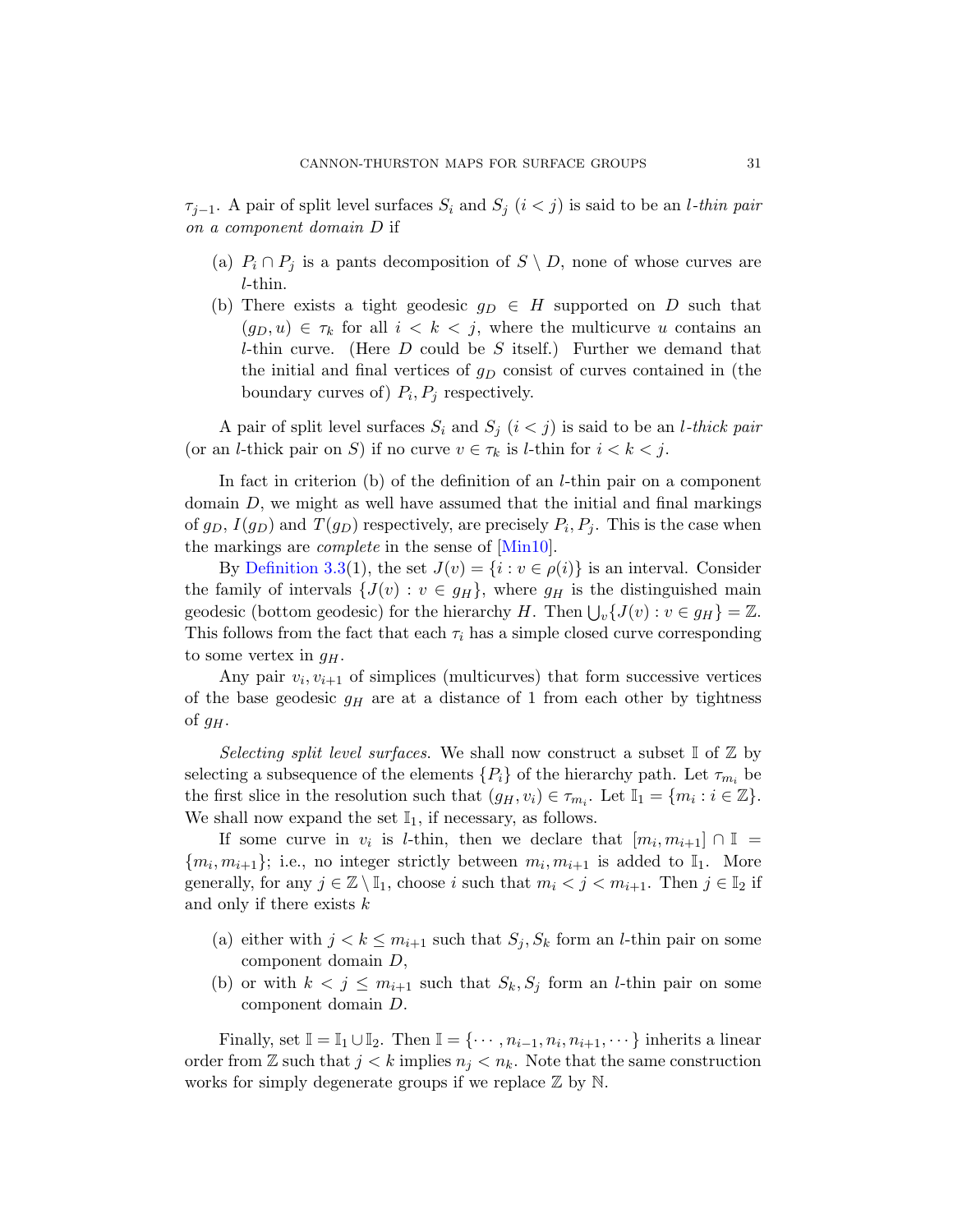$\tau_{i-1}$ . A pair of split level surfaces  $S_i$  and  $S_j$   $(i < j)$  is said to be an *l*-thin pair on a component domain D if

- (a)  $P_i \cap P_j$  is a pants decomposition of  $S \setminus D$ , none of whose curves are l-thin.
- (b) There exists a tight geodesic  $g_D \in H$  supported on D such that  $(g_D, u) \in \tau_k$  for all  $i < k < j$ , where the multicurve u contains an *l*-thin curve. (Here  $D$  could be  $S$  itself.) Further we demand that the initial and final vertices of  $g_D$  consist of curves contained in (the boundary curves of)  $P_i, P_j$  respectively.

A pair of split level surfaces  $S_i$  and  $S_j$   $(i < j)$  is said to be an *l*-thick pair (or an *l*-thick pair on S) if no curve  $v \in \tau_k$  is *l*-thin for  $i < k < j$ .

In fact in criterion (b) of the definition of an *l*-thin pair on a component domain  $D$ , we might as well have assumed that the initial and final markings of  $g_D$ ,  $I(g_D)$  and  $T(g_D)$  respectively, are precisely  $P_i$ ,  $P_j$ . This is the case when the markings are complete in the sense of [Min10].

By Definition 3.3(1), the set  $J(v) = \{i : v \in \rho(i)\}\$ is an interval. Consider the family of intervals  $\{J(v): v \in g_H\}$ , where  $g_H$  is the distinguished main geodesic (bottom geodesic) for the hierarchy H. Then  $\bigcup_{v} \{J(v) : v \in g_H\} = \mathbb{Z}$ . This follows from the fact that each  $\tau_i$  has a simple closed curve corresponding to some vertex in  $q_H$ .

Any pair  $v_i, v_{i+1}$  of simplices (multicurves) that form successive vertices of the base geodesic  $g_H$  are at a distance of 1 from each other by tightness of  $g_H$ .

Selecting split level surfaces. We shall now construct a subset  $\mathbb{I}$  of  $\mathbb{Z}$  by selecting a subsequence of the elements  $\{P_i\}$  of the hierarchy path. Let  $\tau_{m_i}$  be the first slice in the resolution such that  $(g_H, v_i) \in \tau_{m_i}$ . Let  $\mathbb{I}_1 = \{m_i : i \in \mathbb{Z}\}.$ We shall now expand the set  $\mathbb{I}_1$ , if necessary, as follows.

If some curve in  $v_i$  is *l*-thin, then we declare that  $[m_i, m_{i+1}] \cap \mathbb{I}$  ${m_i, m_{i+1}};$  i.e., no integer strictly between  $m_i, m_{i+1}$  is added to  $\mathbb{I}_1$ . More generally, for any  $j \in \mathbb{Z} \setminus \mathbb{I}_1$ , choose i such that  $m_i < j < m_{i+1}$ . Then  $j \in \mathbb{I}_2$  if and only if there exists  $k$ 

- (a) either with  $j < k \leq m_{i+1}$  such that  $S_j$ ,  $S_k$  form an *l*-thin pair on some component domain D,
- (b) or with  $k < j \leq m_{i+1}$  such that  $S_k, S_j$  form an *l*-thin pair on some component domain D.

Finally, set  $\mathbb{I} = \mathbb{I}_1 \cup \mathbb{I}_2$ . Then  $\mathbb{I} = \{ \cdots, n_{i-1}, n_i, n_{i+1}, \cdots \}$  inherits a linear order from  $\mathbb Z$  such that  $j < k$  implies  $n_j < n_k$ . Note that the same construction works for simply degenerate groups if we replace  $\mathbb Z$  by  $\mathbb N$ .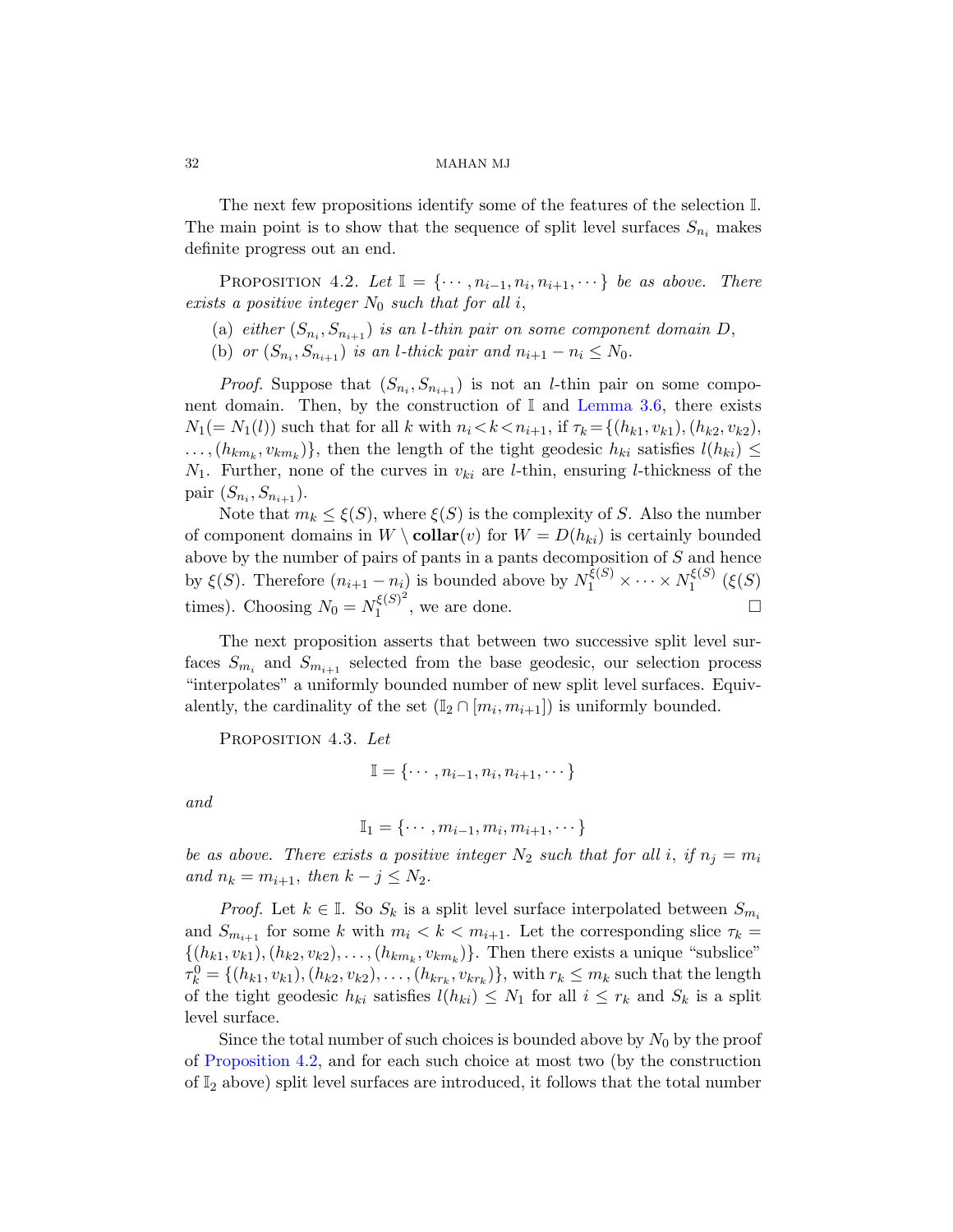The next few propositions identify some of the features of the selection I. The main point is to show that the sequence of split level surfaces  $S_{n_i}$  makes definite progress out an end.

PROPOSITION 4.2. Let  $\mathbb{I} = \{ \cdots, n_{i-1}, n_i, n_{i+1}, \cdots \}$  be as above. There exists a positive integer  $N_0$  such that for all i,

- (a) either  $(S_{n_i}, S_{n_{i+1}})$  is an *l*-thin pair on some component domain D,
- (b) or  $(S_{n_i}, S_{n_{i+1}})$  is an *l*-thick pair and  $n_{i+1} n_i \leq N_0$ .

*Proof.* Suppose that  $(S_{n_i}, S_{n_{i+1}})$  is not an *l*-thin pair on some component domain. Then, by the construction of  $\mathbb{I}$  and Lemma 3.6, there exists  $N_1(= N_1(l))$  such that for all k with  $n_i < k < n_{i+1}$ , if  $\tau_k = \{(h_{k1}, v_{k1}), (h_{k2}, v_{k2}),$  $\ldots, (h_{km_k}, v_{km_k})\},$  then the length of the tight geodesic  $h_{ki}$  satisfies  $l(h_{ki}) \leq$  $N_1$ . Further, none of the curves in  $v_{ki}$  are *l*-thin, ensuring *l*-thickness of the pair  $(S_{n_i}, S_{n_{i+1}})$ .

Note that  $m_k \leq \xi(S)$ , where  $\xi(S)$  is the complexity of S. Also the number of component domains in  $W \setminus \text{collar}(v)$  for  $W = D(h_{ki})$  is certainly bounded above by the number of pairs of pants in a pants decomposition of  $S$  and hence by  $\xi(S)$ . Therefore  $(n_{i+1} - n_i)$  is bounded above by  $N_1^{\xi(S)} \times \cdots \times N_1^{\xi(S)}$  $\zeta^{(\mathcal{S})}$   $(\xi(S))$ times). Choosing  $N_0 = N_1^{\xi(S)^2}$  $\mathcal{L}_1^{\xi(S)^2}$ , we are done.

<span id="page-31-0"></span>The next proposition asserts that between two successive split level surfaces  $S_{m_i}$  and  $S_{m_{i+1}}$  selected from the base geodesic, our selection process "interpolates" a uniformly bounded number of new split level surfaces. Equivalently, the cardinality of the set  $(\mathbb{I}_2 \cap [m_i, m_{i+1}])$  is uniformly bounded.

PROPOSITION 4.3. Let

$$
\mathbb{I} = \{\cdots, n_{i-1}, n_i, n_{i+1}, \cdots\}
$$

and

$$
\mathbb{I}_1 = \{\cdots, m_{i-1}, m_i, m_{i+1}, \cdots\}
$$

be as above. There exists a positive integer  $N_2$  such that for all i, if  $n_i = m_i$ and  $n_k = m_{i+1}$ , then  $k - j \leq N_2$ .

*Proof.* Let  $k \in \mathbb{I}$ . So  $S_k$  is a split level surface interpolated between  $S_{m_i}$ and  $S_{m_{i+1}}$  for some k with  $m_i < k < m_{i+1}$ . Let the corresponding slice  $\tau_k =$  $\{(h_{k1}, v_{k1}), (h_{k2}, v_{k2}), \ldots, (h_{km_k}, v_{km_k})\}$ . Then there exists a unique "subslice"  $\tau_k^0 = \{(h_{k1}, v_{k1}), (h_{k2}, v_{k2}), \ldots, (h_{kr_k}, v_{kr_k})\},\$  with  $r_k \leq m_k$  such that the length of the tight geodesic  $h_{ki}$  satisfies  $l(h_{ki}) \leq N_1$  for all  $i \leq r_k$  and  $S_k$  is a split level surface.

Since the total number of such choices is bounded above by  $N_0$  by the proof of Proposition 4.2, and for each such choice at most two (by the construction of  $\mathbb{I}_2$  above) split level surfaces are introduced, it follows that the total number

<span id="page-31-1"></span>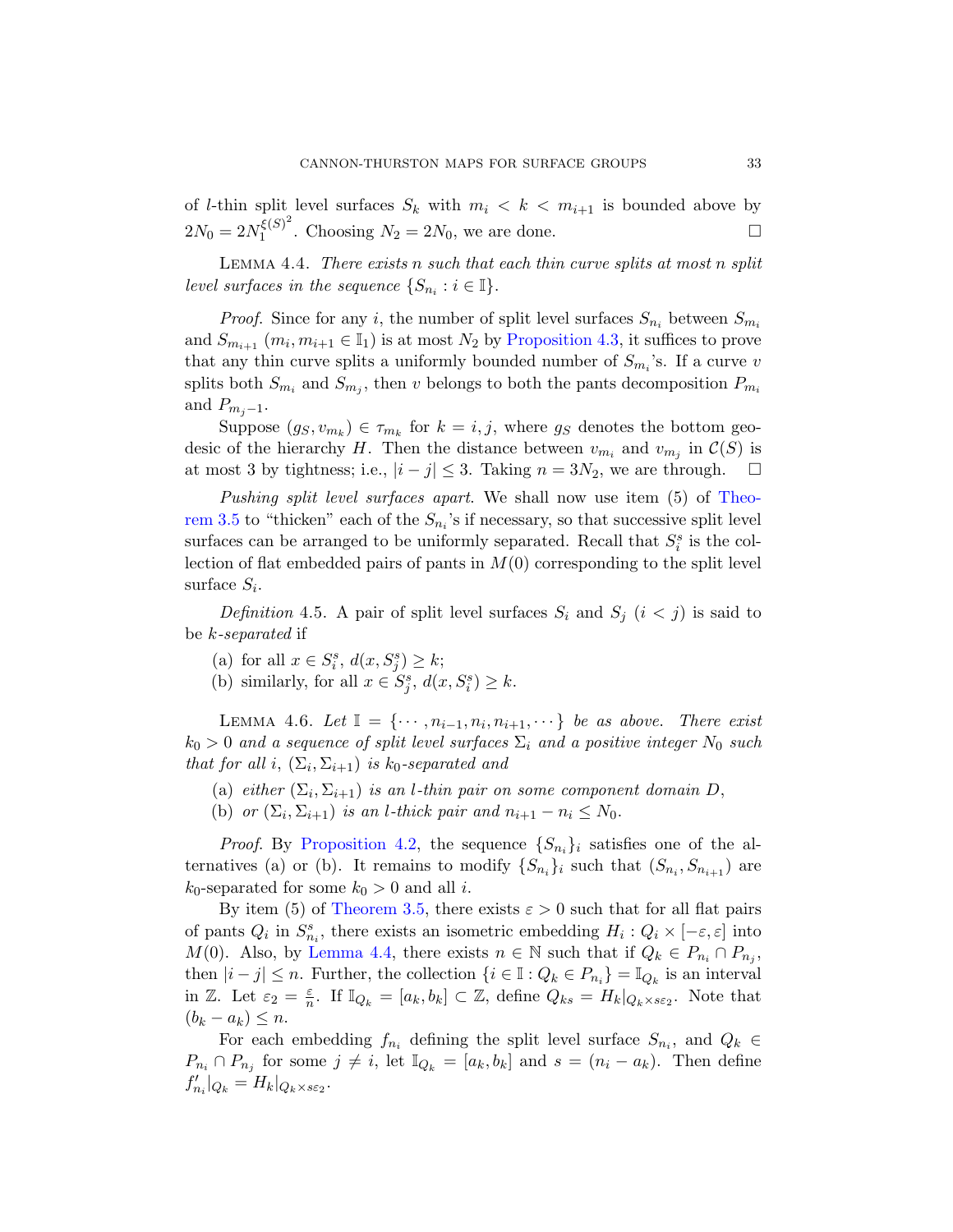<span id="page-32-0"></span>of *l*-thin split level [surfaces](#page-31-0)  $S_k$  with  $m_i < k < m_{i+1}$  is bounded above by  $2N_0 = 2N_1^{\xi(S)^2}$  $\zeta(S)^2$ . Choosing  $N_2 = 2N_0$ , we are done.

LEMMA 4.4. There exists n such that each thin curve splits at most n split level surfaces in the sequence  $\{S_{n_i} : i \in \mathbb{I}\}.$ 

*Proof.* Since for any i, the number of split level surfaces  $S_{n_i}$  between  $S_{m_i}$ and  $S_{m_{i+1}}$   $(m_i, m_{i+1} \in \mathbb{I}_1)$  is at most  $N_2$  by Proposition 4.3, it suffices to prove that any thin curve splits a uniformly bounded [number](#page-26-0) of  $S_{m_i}$ 's. If a curve v splits both  $S_{m_i}$  and  $S_{m_j}$ , then v belongs to both the pants decomposition  $P_{m_i}$ and  $P_{m_i-1}$ .

Suppose  $(g_S, v_{m_k}) \in \tau_{m_k}$  for  $k = i, j$ , where  $g_S$  denotes the bottom geodesic of the hierarchy H. Then the distance between  $v_{m_i}$  and  $v_{m_j}$  in  $\mathcal{C}(S)$  is at most 3 by tightness; i.e.,  $|i-j|$  ≤ 3. Taking  $n = 3N_2$ , we are through.  $□$ 

Pushing split level surfaces apart. We shall now use item (5) of Theorem 3.5 to "thicken" each of the  $S_{n_i}$ 's if necessary, so that successive split level surfaces can be arranged to be uniformly separated. Recall that  $S_i^s$  is the collection of flat embedded pairs of pants in  $M(0)$  corresponding to the split level surface  $S_i$ .

<span id="page-32-1"></span>Definition 4.5. A pair of split level surfaces  $S_i$  and  $S_j$   $(i < j)$  is said to be k-separated if

- (a) for all  $x \in S_i^s$ ,  $d(x, S_j^s) \geq k$ ;
- (b) similarly, for all  $x \in S_j^s$ ,  $d(x, S_i^s) \geq k$ .

LEMMA 4.6. Let  $\mathbb{I} = \{\cdots, n_{i-1}, n_i, n_{i+1}, \cdots\}$  be as above. There exist  $k_0 > 0$  and a sequence of split level surfaces  $\Sigma_i$  and a positive integer  $N_0$  such [that for a](#page-26-0)ll i,  $(\Sigma_i, \Sigma_{i+1})$  is  $k_0$ -separated and

- (a) either  $(\Sigma_i, \Sigma_{i+1})$  is an *l*-thin pair on some component domain D,
- [\(b](#page-32-0)) or  $(\Sigma_i, \Sigma_{i+1})$  is an *l*-thick pair and  $n_{i+1} n_i \leq N_0$ .

*Proof.* By Proposition 4.2, the sequence  $\{S_{n_i}\}_i$  satisfies one of the alternatives (a) or (b). It remains to modify  $\{S_{n_i}\}\$ i such that  $(S_{n_i}, S_{n_{i+1}})$  are  $k_0$ -separated for some  $k_0 > 0$  and all *i*.

By item (5) of Theorem 3.5, there exists  $\varepsilon > 0$  such that for all flat pairs of pants  $Q_i$  in  $S_{n_i}^s$ , there exists an isometric embedding  $H_i: Q_i \times [-\varepsilon, \varepsilon]$  into M(0). Also, by Lemma 4.4, there exists  $n \in \mathbb{N}$  such that if  $Q_k \in P_{n_i} \cap P_{n_j}$ , then  $|i - j| \leq n$ . Further, the collection  $\{i \in \mathbb{I} : Q_k \in P_{n_i}\} = \mathbb{I}_{Q_k}$  is an interval in  $\mathbb{Z}$ . Let  $\varepsilon_2 = \frac{\varepsilon}{n}$  $\frac{\varepsilon}{n}$ . If  $\mathbb{I}_{Q_k} = [a_k, b_k] \subset \mathbb{Z}$ , define  $Q_{ks} = H_k|_{Q_k \times s\epsilon_2}$ . Note that  $(b_k - a_k) \leq n$ .

For each embedding  $f_{n_i}$  defining the split level surface  $S_{n_i}$ , and  $Q_k \in$  $P_{n_i} \cap P_{n_j}$  for some  $j \neq i$ , let  $\mathbb{I}_{Q_k} = [a_k, b_k]$  and  $s = (n_i - a_k)$ . Then define  $f'_{n_i}|_{Q_k} = H_k|_{Q_k \times s\varepsilon_2}.$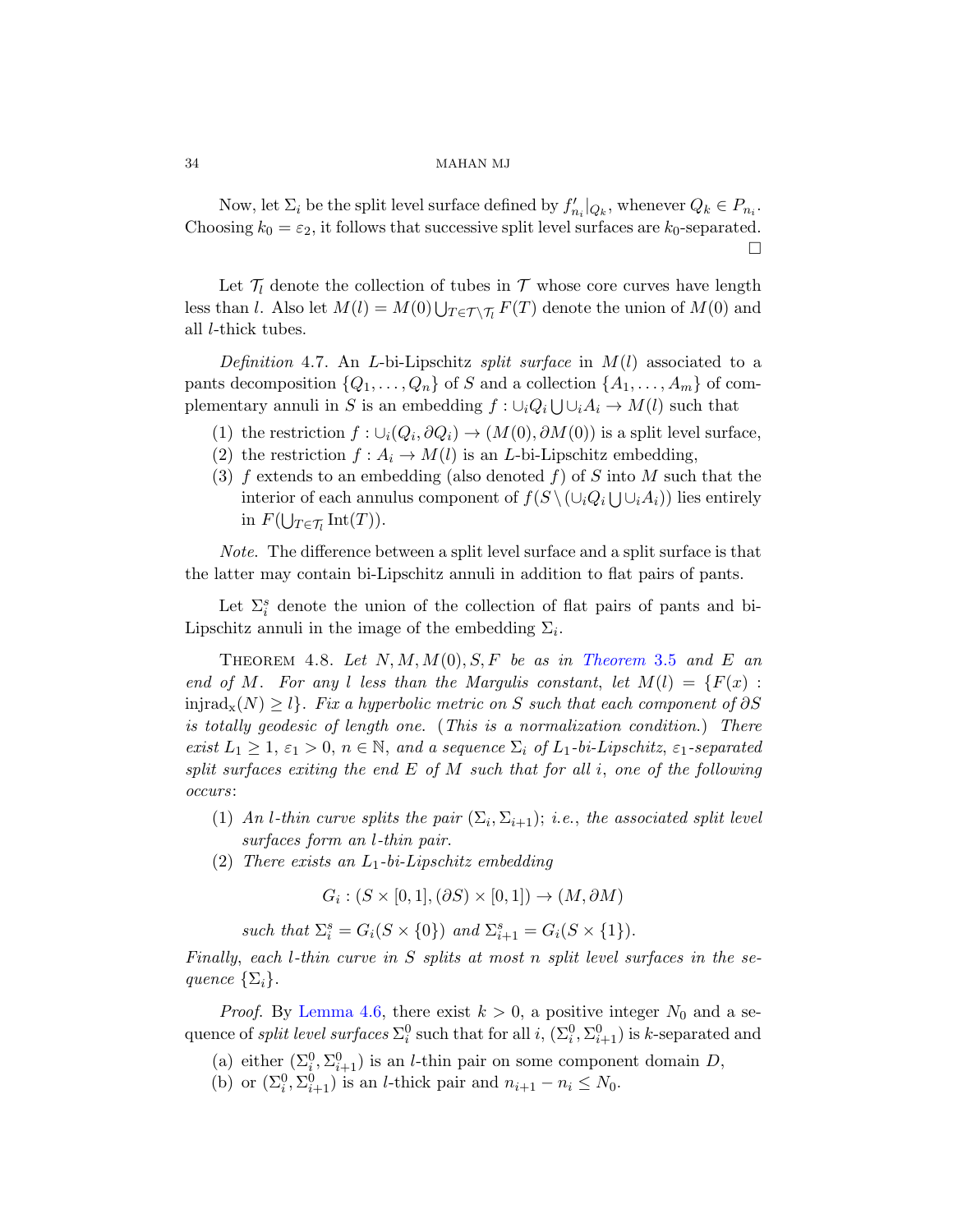Now, let  $\Sigma_i$  be the split level surface defined by  $f'_{n_i}|_{Q_k}$ , whenever  $Q_k \in P_{n_i}$ . Choosing  $k_0 = \varepsilon_2$ , it follows that successive split level surfaces are  $k_0$ -separated. П

Let  $\mathcal{T}_l$  denote the collection of tubes in  $\mathcal{T}$  whose core curves have length less than l. Also let  $M(l) = M(0) \bigcup_{T \in \mathcal{T} \setminus \mathcal{T}_l} F(T)$  denote the union of  $M(0)$  and all l-thick tubes.

Definition 4.7. An L-bi-Lipschitz split surface in  $M(l)$  associated to a pants decomposition  $\{Q_1, \ldots, Q_n\}$  of S and a collection  $\{A_1, \ldots, A_m\}$  of complementary annuli in S is an embedding  $f: \cup_i Q_i \cup \cup_i A_i \to M(l)$  such that

- (1) the restriction  $f: \bigcup_i (Q_i, \partial Q_i) \to (M(0), \partial M(0))$  is a split level surface,
- (2) the restriction  $f : A_i \to M(l)$  is an *L*-bi-Lipschitz embedding,
- (3) f extends to an embedding (also denoted f) of S into M such that the interior of each annulus component of  $f(S \setminus (\cup_i Q_i \cup \cup_i A_i))$  lies entirely in  $F(\bigcup_{T \in \mathcal{T}_l} \mathrm{Int}(T)).$

Note. The difference between a split level surface and a split surface is that the latter may contain bi-Lipschitz annuli in addition to flat pairs of pants.

Let  $\Sigma_i^s$  denote the union of the collection of flat pairs of pants and bi-Lipschitz annuli in the image of the embedding  $\Sigma_i$ .

<span id="page-33-0"></span>THEOREM 4.8. Let  $N, M, M(0), S, F$  be as in Theorem 3.5 and E an end of M. For any l less than the Margulis constant, let  $M(l) = \{F(x) :$ injrad<sub>x</sub>(N) ≥ l}. Fix a hyperbolic metric on S such that each component of  $\partial S$ is totally geodesic of length one. (This is a normalization condition.) There exist  $L_1 \geq 1$ ,  $\varepsilon_1 > 0$ ,  $n \in \mathbb{N}$ , and a sequence  $\Sigma_i$  of  $L_1$ -bi-Lipschitz,  $\varepsilon_1$ -separated split surfaces exiting the end  $E$  of  $M$  such that for all i, one of the following occurs:

- (1) An *l*-thin curve splits the pair  $(\Sigma_i, \Sigma_{i+1});$  i.e., the associated split level surfaces form an l-thin pair.
- (2) There exists an  $L_1$ -bi-Lipschitz embedding

 $G_i: (S \times [0,1], (\partial S) \times [0,1]) \rightarrow (M, \partial M)$ 

such that  $\Sigma_i^s = G_i(S \times \{0\})$  and  $\Sigma_{i+1}^s = G_i(S \times \{1\}).$ 

Finally, each l-thin curve in S splits at most n split level surfaces in the sequence  $\{\Sigma_i\}.$ 

*Proof.* By Lemma 4.6, there exist  $k > 0$ , a positive integer  $N_0$  and a sequence of *split level surfaces*  $\Sigma_i^0$  such that for all *i*,  $(\Sigma_i^0, \Sigma_{i+1}^0)$  is *k*-separated and

- (a) either  $(\Sigma_i^0, \Sigma_{i+1}^0)$  is an *l*-thin pair on some component domain D,
- (b) or  $(\Sigma_i^0, \Sigma_{i+1}^0)$  is an *l*-thick pair and  $n_{i+1} n_i \leq N_0$ .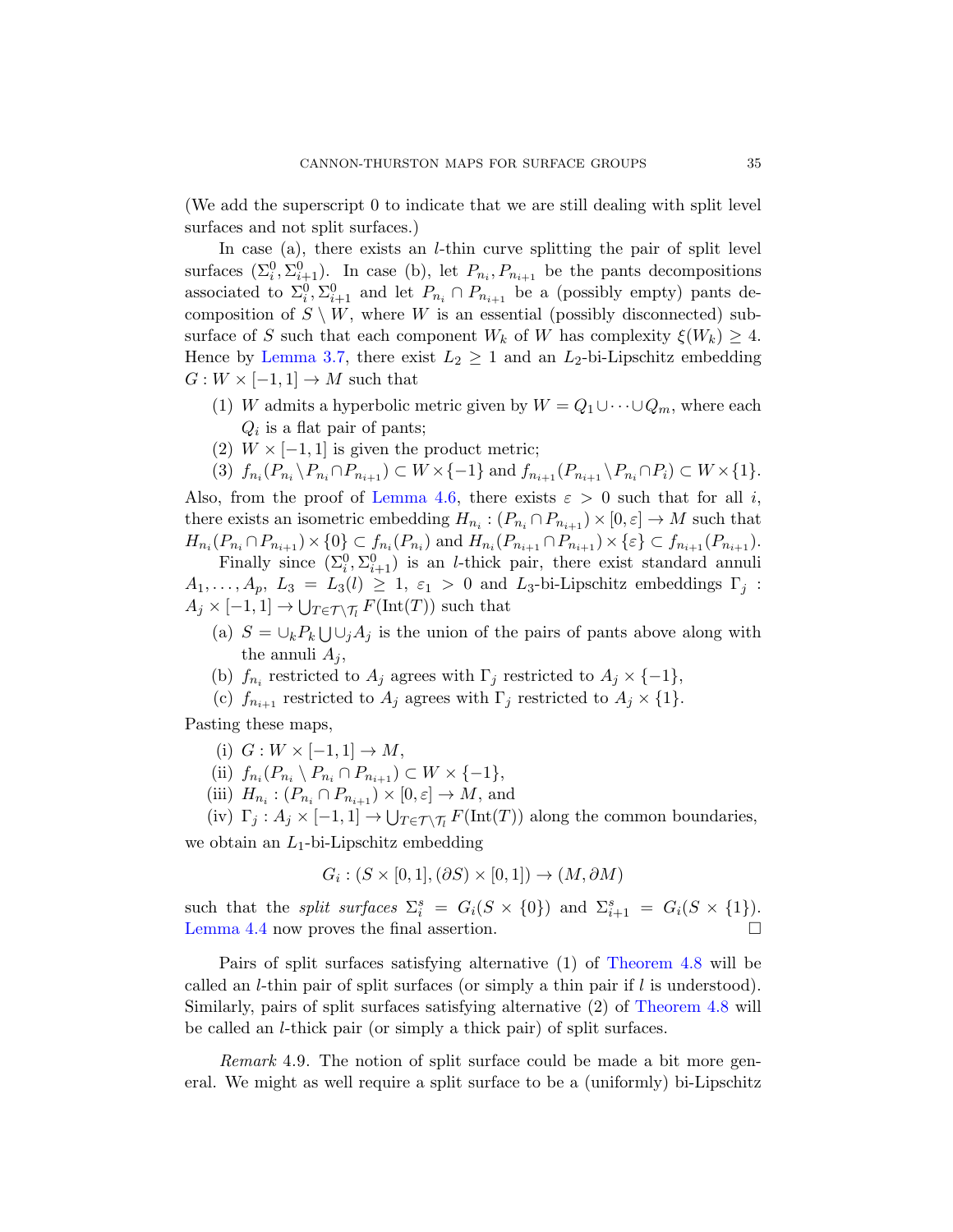(We add the superscript 0 to indicate that we are still dealing with split level surfaces and not split surfaces.)

In case (a), there exists an *l*-thin curve splitting the pair of split level surfaces  $(\Sigma_i^0, \Sigma_{i+1}^0)$ . In case (b), let  $P_{n_i}, P_{n_{i+1}}$  be the pants decompositions associated to  $\Sigma_i^0$ ,  $\Sigma_{i+1}^0$  and let  $P_{n_i} \cap P_{n_{i+1}}$  be a (possibly empty) pants decomposition of  $S \setminus W$ , where W is an essential (possibly disconnected) subsurface of S such that each component  $W_k$  of W has complexity  $\xi(W_k) \geq 4$ . H[ence by](#page-32-1) Lemma 3.7, there exist  $L_2 \geq 1$  and an  $L_2$ -bi-Lipschitz embedding  $G: W \times [-1,1] \to M$  such that

- (1) W admits a hyperbolic metric given by  $W = Q_1 \cup \cdots \cup Q_m$ , where each  $Q_i$  is a flat pair of pants;
- (2)  $W \times [-1, 1]$  is given the product metric;
- (3)  $f_{n_i}(P_{n_i} \setminus P_{n_i} \cap P_{n_{i+1}}) \subset W \times \{-1\}$  and  $f_{n_{i+1}}(P_{n_{i+1}} \setminus P_{n_i} \cap P_i) \subset W \times \{1\}.$

Also, from the proof of Lemma 4.6, there exists  $\varepsilon > 0$  such that for all i, there exists an isometric embedding  $H_{n_i} : (P_{n_i} \cap P_{n_{i+1}}) \times [0, \varepsilon] \to M$  such that  $H_{n_i}(P_{n_i} \cap P_{n_{i+1}}) \times \{0\} \subset f_{n_i}(P_{n_i})$  and  $H_{n_i}(P_{n_{i+1}} \cap P_{n_{i+1}}) \times \{\varepsilon\} \subset f_{n_{i+1}}(P_{n_{i+1}})$ .

Finally since  $(\Sigma_i^0, \Sigma_{i+1}^0)$  is an *l*-thick pair, there exist standard annuli  $A_1, \ldots, A_p, L_3 = L_3(l) \geq 1, \varepsilon_1 > 0$  and  $L_3$ -bi-Lipschitz embeddings  $\Gamma_j$ :  $A_j \times [-1,1] \to \bigcup_{T \in \mathcal{T} \setminus \mathcal{T}_l} F(\text{Int}(T))$  such that

- (a)  $S = \bigcup_k P_k \bigcup \bigcup_j A_j$  is the union of the pairs of pants above along with the annuli  $A_i$ ,
- (b)  $f_{n_i}$  restricted to  $A_j$  agrees with  $\Gamma_j$  restricted to  $A_j \times \{-1\},$
- (c)  $f_{n_{i+1}}$  restricted to  $A_j$  agrees with  $\Gamma_j$  restricted to  $A_j \times \{1\}$ .

Pasting these maps,

- (i)  $G: W \times [-1, 1] \rightarrow M$ ,
- (ii)  $f_{n_i}(P_{n_i} \setminus P_{n_i} \cap P_{n_{i+1}}) \subset W \times \{-1\},\$
- (iii)  $H_{n_i} : (P_{n_i} \cap P_{n_{i+1}}) \times [0, \varepsilon] \to M$ , and
- (iv)  $\Gamma_j : A_j \times [-1, 1] \to \bigcup_{T \in \mathcal{T} \setminus \mathcal{T}_l} F(\text{Int}(T))$  along the common boundaries, we obtain an  $L_1$ -bi-Lipschitz emb[edding](#page-33-0)

$$
G_i : (S \times [0,1], (\partial S) \times [0,1]) \to (M, \partial M)
$$

<span id="page-34-0"></span>such that the *split surfaces*  $\Sigma_i^s = G_i(S \times \{0\})$  and  $\Sigma_{i+1}^s = G_i(S \times \{1\})$ . Lemma 4.4 now proves the final assertion.  $\Box$ 

Pairs of split surfaces satisfying alternative (1) of Theorem 4.8 will be called an *l*-thin pair of split surfaces (or simply a thin pair if  $l$  is understood). Similarly, pairs of split surfaces satisfying alternative (2) of Theorem 4.8 will be called an l-thick pair (or simply a thick pair) of split surfaces.

Remark 4.9. The notion of split surface could be made a bit more general. We might as well require a split surface to be a (uniformly) bi-Lipschitz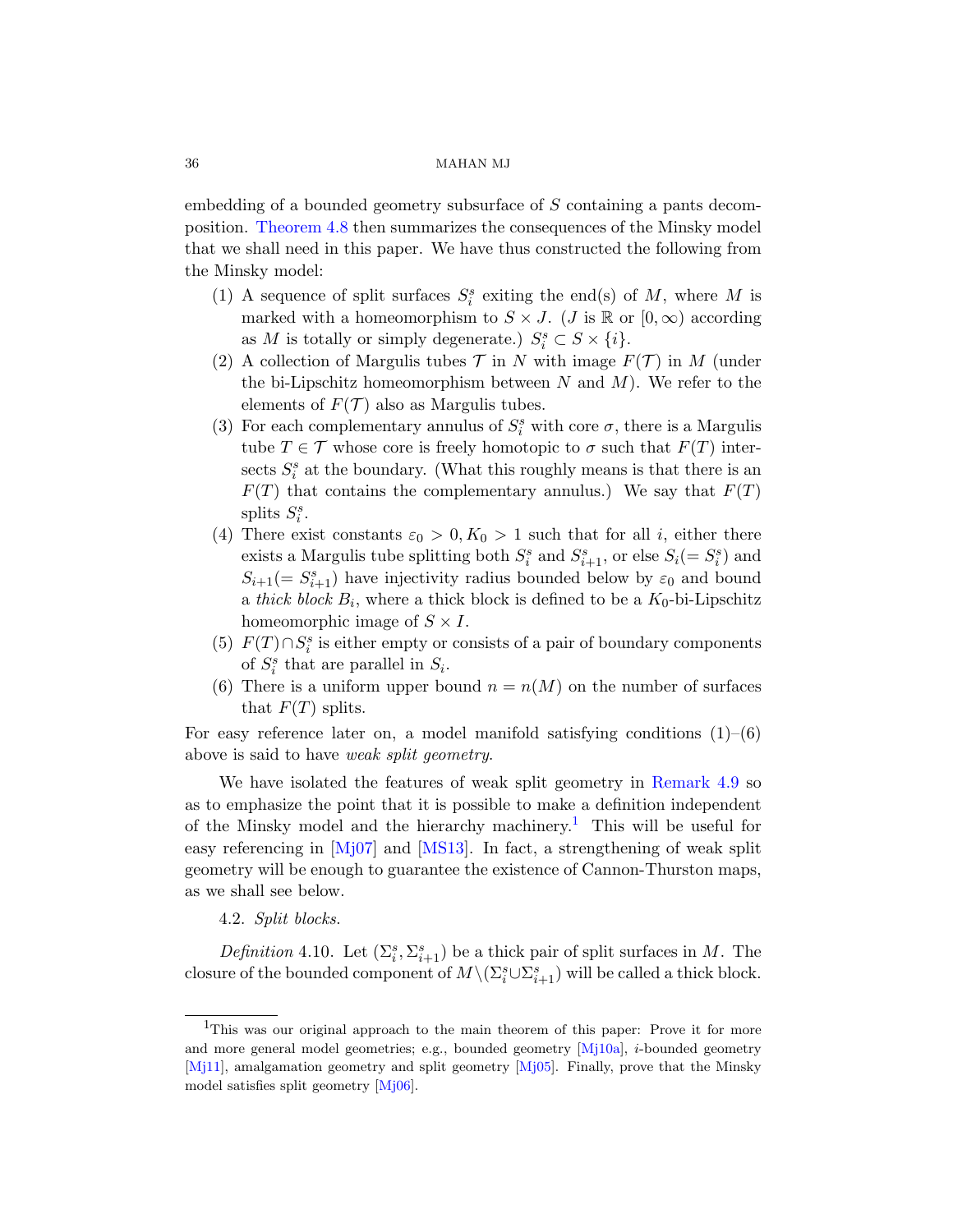embedding of a bounded geometry subsurface of S containing a pants decomposition. Theorem 4.8 then summarizes the consequences of the Minsky model that we shall need in this paper. We have thus constructed the following from the Minsky model:

- (1) A sequence of split surfaces  $S_i^s$  exiting the end(s) of M, where M is marked with a homeomorphism to  $S \times J$ . (*J* is R or  $[0, \infty)$  according as M is totally or simply degenerate.)  $S_i^s \subset S \times \{i\}$ .
- (2) A collection of Margulis tubes  $\mathcal T$  in N with image  $F(\mathcal T)$  in M (under the bi-Lipschitz homeomorphism between  $N$  and  $M$ ). We refer to the elements of  $F(\mathcal{T})$  also as Margulis tubes.
- (3) For each complementary annulus of  $S_i^s$  with core  $\sigma$ , there is a Margulis tube  $T \in \mathcal{T}$  whose core is freely homotopic to  $\sigma$  such that  $F(T)$  intersects  $S_i^s$  at the boundary. (What this roughly means is that there is an  $F(T)$  that contains the complementary annulus.) We say that  $F(T)$ splits  $S_i^s$ .
- (4) There exist constants  $\varepsilon_0 > 0, K_0 > 1$  such that for all *i*, either there exists a Margulis tube splitting both  $S_i^s$  and  $S_{i+1}^s$ , or else  $S_i(=S_i^s)$  and  $S_{i+1}(=S_{i+1}^s)$  have injectivity radius bounded below by  $\varepsilon_0$  and bound a *thick block*  $B_i$ , where a thick block is defined to be a  $K_0$ -bi-Lipschitz homeomorphic image of  $S \times I$ .
- (5)  $F(T) \cap S_i^s$  is either empty or con[sists of a pair](#page-34-0) of boundary components of  $S_i^s$  that are parallel in  $S_i$ .
- (6) There is a uniform u[pp](#page-35-0)er bound  $n = n(M)$  on the number of surfaces t[hat](#page-79-8)  $F(T)$  splits.

For easy reference later on, a model manifold satisfying conditions  $(1)$ – $(6)$ above is said to have weak split geometry.

We have isolated the features of weak split geometry in Remark 4.9 so as to emphasize the point that it is possible to make a definition independent of the Minsky model and the hierarchy machinery.<sup>1</sup> This will be useful for easy referencing in  $[Mj07]$  and  $[MS13]$ . In fact, a strengthening of weak split geometry will be enough to guarantee the existence of Cannon-Thurston maps, as we shall see below.

## 4.2. Split blocks.

<span id="page-35-0"></span>[Defi](#page-79-6)nition 4.10. Let  $(\Sigma_i^s, \Sigma_{i+1}^s)$  be a thick pair of split surfaces in M. The closure of the bounded component of  $M \setminus (\Sigma_i^s \cup \Sigma_{i+1}^s)$  will be called a thick block.

<sup>&</sup>lt;sup>1</sup>This was our original approach to the main theorem of this paper: Prove it for more and more general model geometries; e.g., bounded geometry [Mj10a], i-bounded geometry [Mj11], amalgamation geometry and split geometry [Mj05]. Finally, prove that the Minsky model satisfies split geometry [Mj06].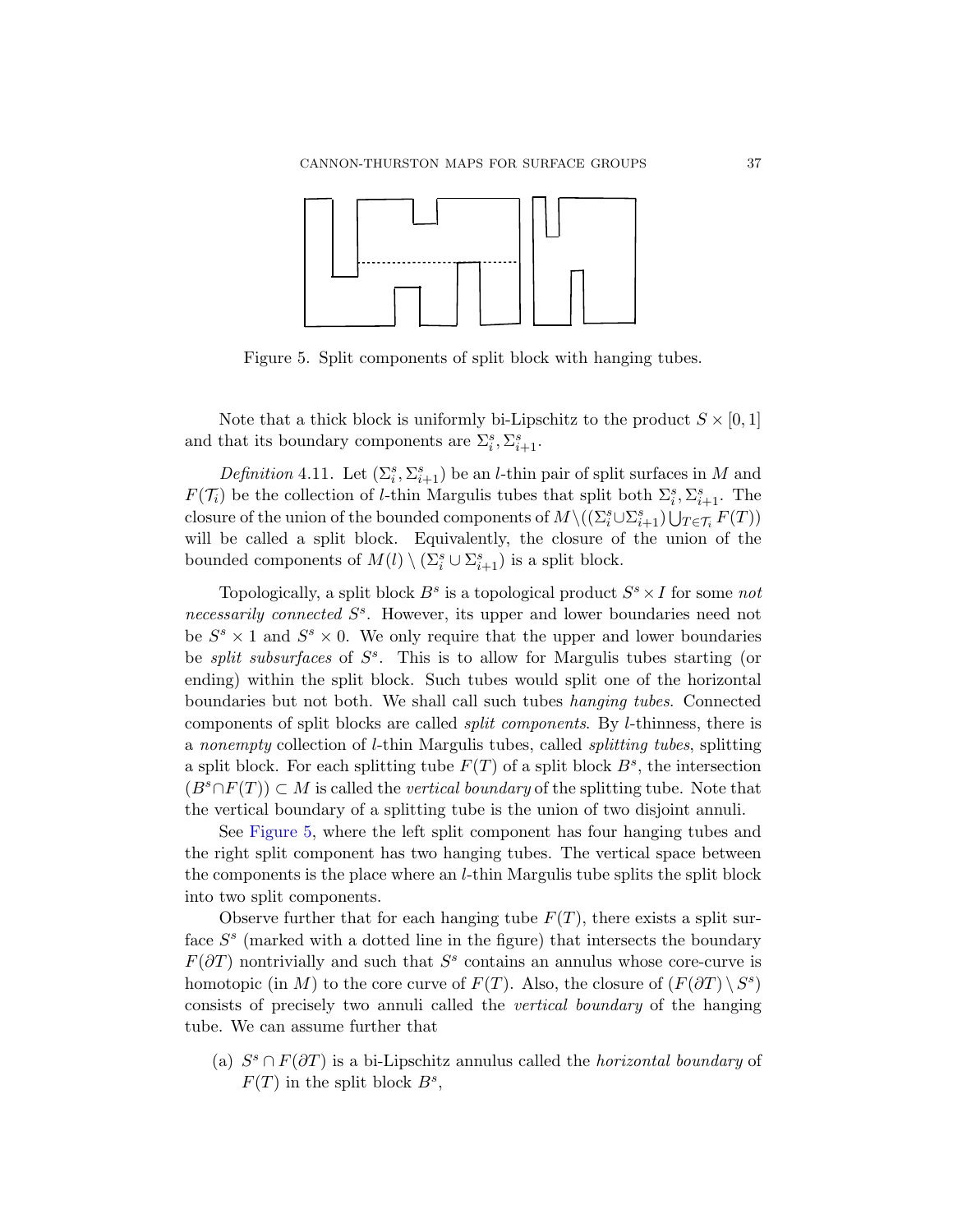<span id="page-36-0"></span>

Figure 5. Split components of split block with hanging tubes.

Note that a thick block is uniformly bi-Lipschitz to the product  $S \times [0,1]$ and that its boundary components are  $\Sigma_i^s, \Sigma_{i+1}^s$ .

Definition 4.11. Let  $(\Sigma_i^s, \Sigma_{i+1}^s)$  be an *l*-thin pair of split surfaces in M and  $F(\mathcal{T}_i)$  be the collection of *l*-thin Margulis tubes that split both  $\Sigma_i^s, \Sigma_{i+1}^s$ . The closure of the union of the bounded components of  $M \setminus ((\Sigma_i^s \cup \Sigma_{i+1}^s) \bigcup_{T \in \mathcal{T}_i} F(T))$ will be called a split block. Equivalently, the closure of the union of the bounded components of  $M(l) \setminus (\Sigma_i^s \cup \Sigma_{i+1}^s)$  is a split block.

Topologically, a split block  $B^s$  is a topological product  $S^s \times I$  for some not necessarily connected  $S^s$ . However, its upper and lower boundaries need not be  $S^s \times 1$  and  $S^s \times 0$ . We only require that the upper and lower boundaries be *split subsurfaces* of  $S<sup>s</sup>$ . This is to allow for Margulis tubes starting (or ending) within the split block. Such tubes would split one of the horizontal boundaries but not both. We shall call such tubes hanging tubes. Connected components of split blocks are called split components. By l-thinness, there is a nonempty collection of l-thin Margulis tubes, called splitting tubes, splitting a split block. For each splitting tube  $F(T)$  of a split block  $B^s$ , the intersection  $(B^s \cap F(T)) \subset M$  is called the vertical boundary of the splitting tube. Note that the vertical boundary of a splitting tube is the union of two disjoint annuli.

See Figure 5, where the left split component has four hanging tubes and the right split component has two hanging tubes. The vertical space between the components is the place where an l-thin Margulis tube splits the split block into two split components.

Observe further that for each hanging tube  $F(T)$ , there exists a split surface  $S<sup>s</sup>$  (marked with a dotted line in the figure) that intersects the boundary  $F(\partial T)$  nontrivially and such that  $S^s$  contains an annulus whose core-curve is homotopic (in M) to the core curve of  $F(T)$ . Also, the closure of  $(F(\partial T) \setminus S^s)$ consists of precisely two annuli called the vertical boundary of the hanging tube. We can assume further that

(a)  $S^s \cap F(\partial T)$  is a bi-Lipschitz annulus called the *horizontal boundary* of  $F(T)$  in the split block  $B^s$ ,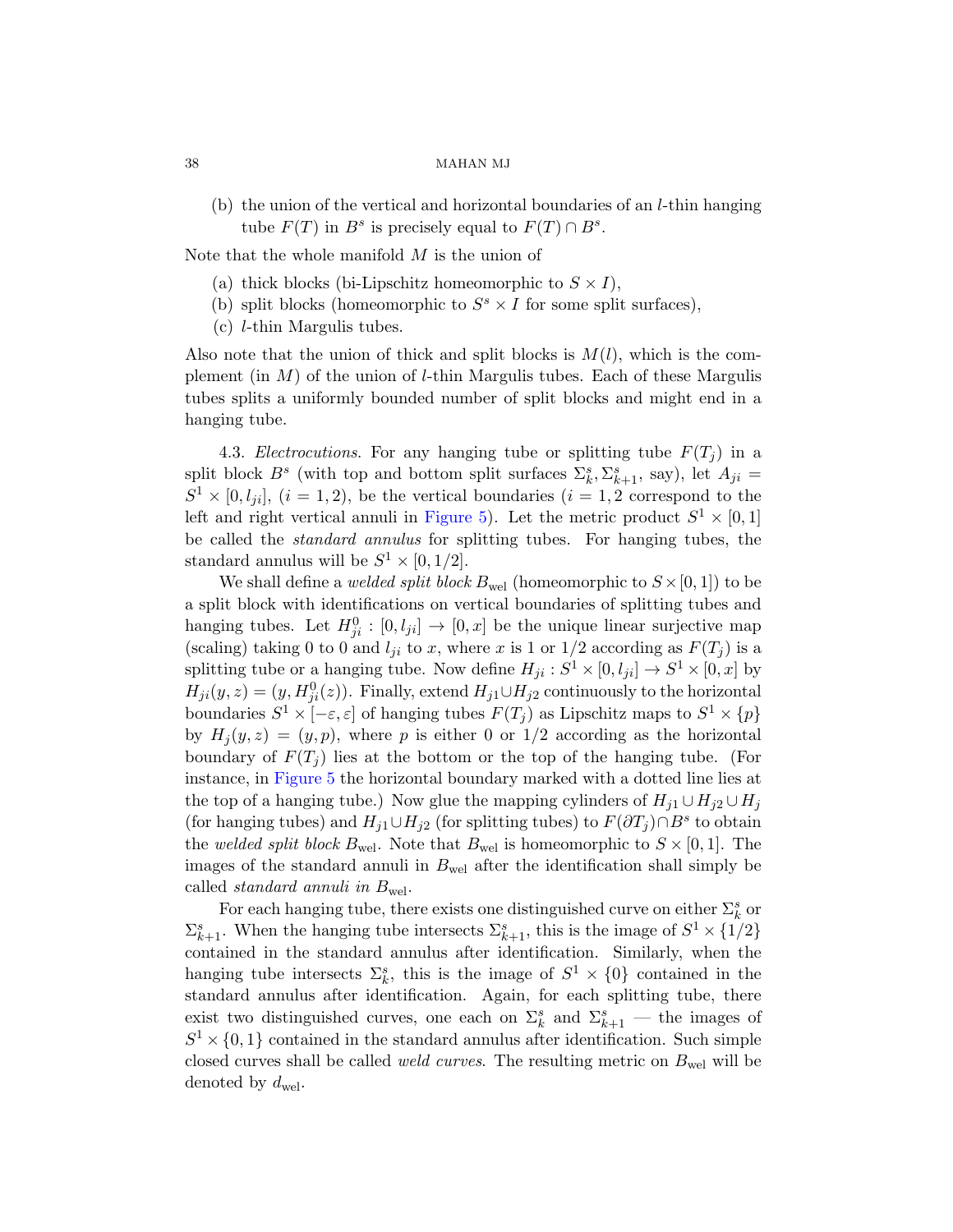(b) the union of the vertical and horizontal boundaries of an l-thin hanging tube  $F(T)$  in  $B^s$  is precisely equal to  $F(T) \cap B^s$ .

Note that the whole manifold  $M$  is the union of

- (a) thick blocks (bi-Lipschitz homeomorphic to  $S \times I$ ),
- (b) split blocks (homeomorphic to  $S^s \times I$  for some split surfaces),
- (c) l-thin Margulis tubes.

Also note that the union of thick and split blocks is  $M(l)$ , which is the complement (in  $M$ [\) of](#page-36-0) the union of *l*-thin Margulis tubes. Each of these Margulis tubes splits a uniformly bounded number of split blocks and might end in a hanging tube.

4.3. *Electrocutions*. For any hanging tube or splitting tube  $F(T_i)$  in a split block  $B^s$  (with top and bottom split surfaces  $\Sigma_k^s$ ,  $\Sigma_{k+1}^s$ , say), let  $A_{ji}$  =  $S^1 \times [0, l_{ji}],$   $(i = 1, 2)$ , be the vertical boundaries  $(i = 1, 2)$  correspond to the left and right vertical annuli in Figure 5). Let the metric product  $S^1 \times [0,1]$ be called the standard annulus for splitting tubes. For hanging tubes, the standard annulus will be  $S^1 \times [0, 1/2]$ .

We shall define a *welded split block*  $B_{\text{wel}}$  (homeomorphic to  $S \times [0, 1]$ ) to be a split block with identifications on vertical boundaries of splitting tubes and hanging tubes. Let  $H_{ji}^0 : [0, l_{ji}] \to [0, x]$  be the unique linear surjective map (scaling) taking 0 to 0 and  $l_{ji}$  to x, where x is 1 or 1/2 according as  $F(T_j)$  is a splitting tube or a hanging tube. Now define  $H_{ji}: S^1 \times [0, l_{ji}] \to S^1 \times [0, x]$  by  $H_{ji}(y, z) = (y, H_{ji}^0(z))$ . Finally, extend  $H_{j1} \cup H_{j2}$  continuously to the horizontal boundaries  $S^1 \times [-\varepsilon, \varepsilon]$  of hanging tubes  $F(T_j)$  as Lipschitz maps to  $S^1 \times \{p\}$ by  $H_i(y, z) = (y, p)$ , where p is either 0 or 1/2 according as the horizontal boundary of  $F(T_i)$  lies at the bottom or the top of the hanging tube. (For instance, in Figure 5 the horizontal boundary marked with a dotted line lies at the top of a hanging tube.) Now glue the mapping cylinders of  $H_{i1} \cup H_{i2} \cup H_i$ (for hanging tubes) and  $H_{j1} \cup H_{j2}$  (for splitting tubes) to  $F(\partial T_j) \cap B^s$  to obtain the welded split block  $B_{\text{wel}}$ . Note that  $B_{\text{wel}}$  is homeomorphic to  $S \times [0, 1]$ . The images of the standard annuli in  $B_{\text{wel}}$  after the identification shall simply be called *standard annuli in*  $B_{\text{wel}}$ .

For each hanging tube, there exists one distinguished curve on either  $\Sigma_k^s$  or  $\Sigma_{k+1}^s$ . When the hanging tube intersects  $\Sigma_{k+1}^s$ , this is the image of  $S^1 \times \{1/2\}$ contained in the standard annulus after identification. Similarly, when the hanging tube intersects  $\Sigma_k^s$ , this is the image of  $S^1 \times \{0\}$  contained in the standard annulus after identification. Again, for each splitting tube, there exist two distinguished curves, one each on  $\Sigma_k^s$  and  $\Sigma_{k+1}^s$  — the images of  $S^1 \times \{0,1\}$  contained in the standard annulus after identification. Such simple closed curves shall be called *weld curves*. The resulting metric on  $B_{\text{wel}}$  will be denoted by  $d_{\text{wel}}$ .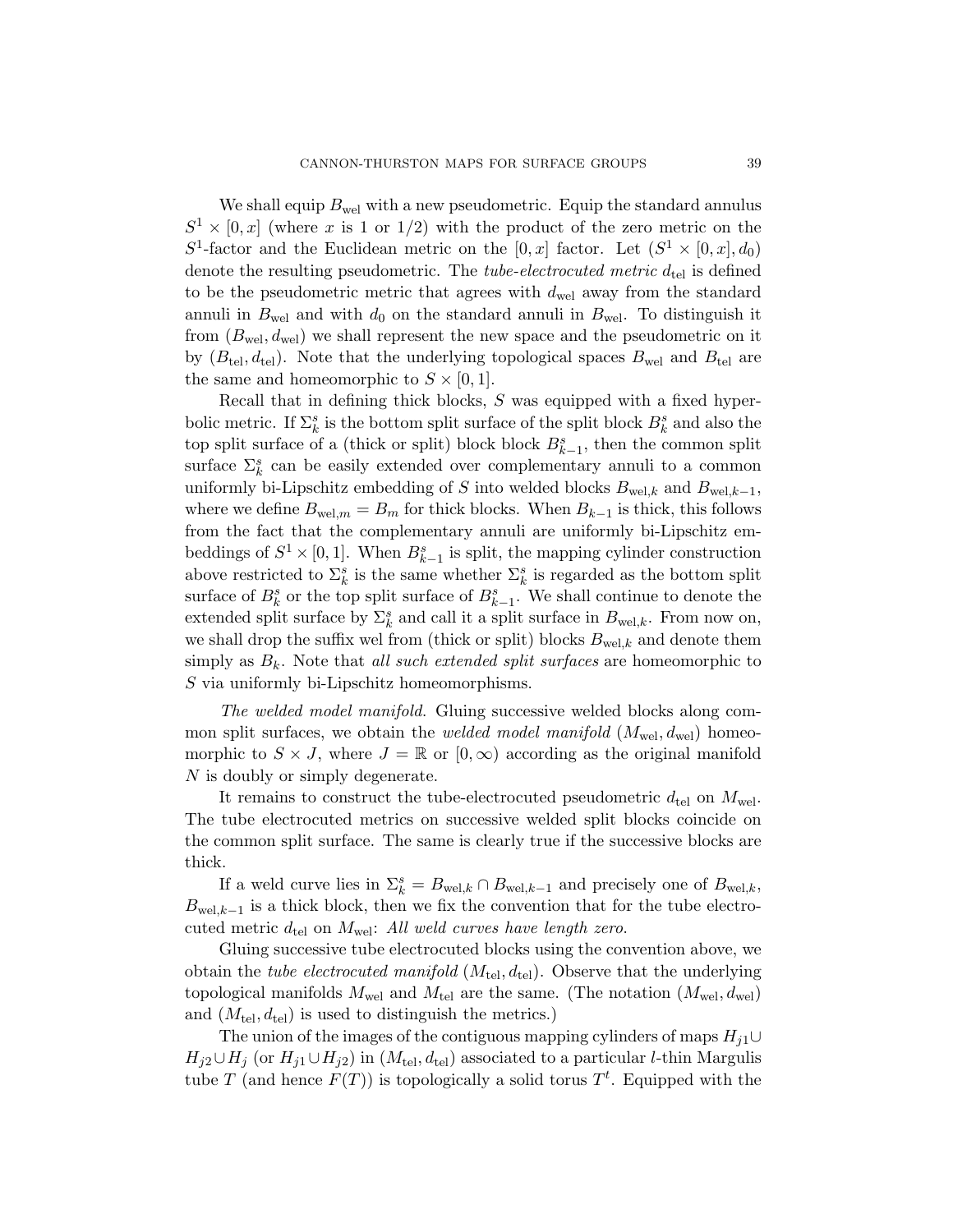We shall equip  $B_{\text{wel}}$  with a new pseudometric. Equip the standard annulus  $S^1 \times [0, x]$  (where x is 1 or 1/2) with the product of the zero metric on the  $S^1$ -factor and the Euclidean metric on the [0, x] factor. Let  $(S^1 \times [0, x], d_0)$ denote the resulting pseudometric. The *tube-electrocuted metric*  $d_{\text{tel}}$  is defined to be the pseudometric metric that agrees with  $d_{\text{wel}}$  away from the standard annuli in  $B_{\text{wel}}$  and with  $d_0$  on the standard annuli in  $B_{\text{wel}}$ . To distinguish it from  $(B_{\text{wel}}, d_{\text{wel}})$  we shall represent the new space and the pseudometric on it by  $(B_{tel}, d_{tel})$ . Note that the underlying topological spaces  $B_{wel}$  and  $B_{tel}$  are the same and homeomorphic to  $S \times [0, 1]$ .

Recall that in defining thick blocks, S was equipped with a fixed hyperbolic metric. If  $\Sigma_k^s$  is the bottom split surface of the split block  $B_k^s$  and also the top split surface of a (thick or split) block block  $B_{k-1}^s$ , then the common split surface  $\Sigma_k^s$  can be easily extended over complementary annuli to a common uniformly bi-Lipschitz embedding of S into welded blocks  $B_{\text{wel},k}$  and  $B_{\text{wel},k-1}$ , where we define  $B_{\text{wel},m} = B_m$  for thick blocks. When  $B_{k-1}$  is thick, this follows from the fact that the complementary annuli are uniformly bi-Lipschitz embeddings of  $S^1 \times [0,1]$ . When  $B_{k-1}^s$  is split, the mapping cylinder construction above restricted to  $\Sigma_k^s$  is the same whether  $\Sigma_k^s$  is regarded as the bottom split surface of  $B_k^s$  or the top split surface of  $B_{k-1}^s$ . We shall continue to denote the extended split surface by  $\Sigma_k^s$  and call it a split surface in  $B_{\text{wel},k}$ . From now on, we shall drop the suffix wel from (thick or split) blocks  $B_{\text{wel},k}$  and denote them simply as  $B_k$ . Note that all such extended split surfaces are homeomorphic to S via uniformly bi-Lipschitz homeomorphisms.

The welded model manifold. Gluing successive welded blocks along common split surfaces, we obtain the *welded model manifold*  $(M_{\text{wel}}, d_{\text{wel}})$  homeomorphic to  $S \times J$ , where  $J = \mathbb{R}$  or  $[0, \infty)$  according as the original manifold N is doubly or simply degenerate.

It remains to construct the tube-electrocuted pseudometric  $d_{\text{tel}}$  on  $M_{\text{wel}}$ . The tube electrocuted metrics on successive welded split blocks coincide on the common split surface. The same is clearly true if the successive blocks are thick.

If a weld curve lies in  $\Sigma_k^s = B_{\text{wel},k} \cap B_{\text{wel},k-1}$  and precisely one of  $B_{\text{wel},k}$ ,  $B_{\text{wel},k-1}$  is a thick block, then we fix the convention that for the tube electrocuted metric  $d_{\text{tel}}$  on  $M_{\text{wel}}$ : All weld curves have length zero.

Gluing successive tube electrocuted blocks using the convention above, we obtain the *tube electrocuted manifold*  $(M_{tel}, d_{tel})$ . Observe that the underlying topological manifolds  $M_{\text{wel}}$  and  $M_{\text{tel}}$  are the same. (The notation  $(M_{\text{wel}}, d_{\text{wel}})$ and  $(M_{\text{tel}}, d_{\text{tel}})$  is used to distinguish the metrics.)

The union of the images of the contiguous mapping cylinders of maps  $H_{i1}$ ∪  $H_{j2}\cup H_j$  (or  $H_{j1}\cup H_{j2}$ ) in  $(M_{\text{tel}}, d_{\text{tel}})$  associated to a particular *l*-thin Margulis tube T (and hence  $F(T)$ ) is topologically a solid torus  $T<sup>t</sup>$ . Equipped with the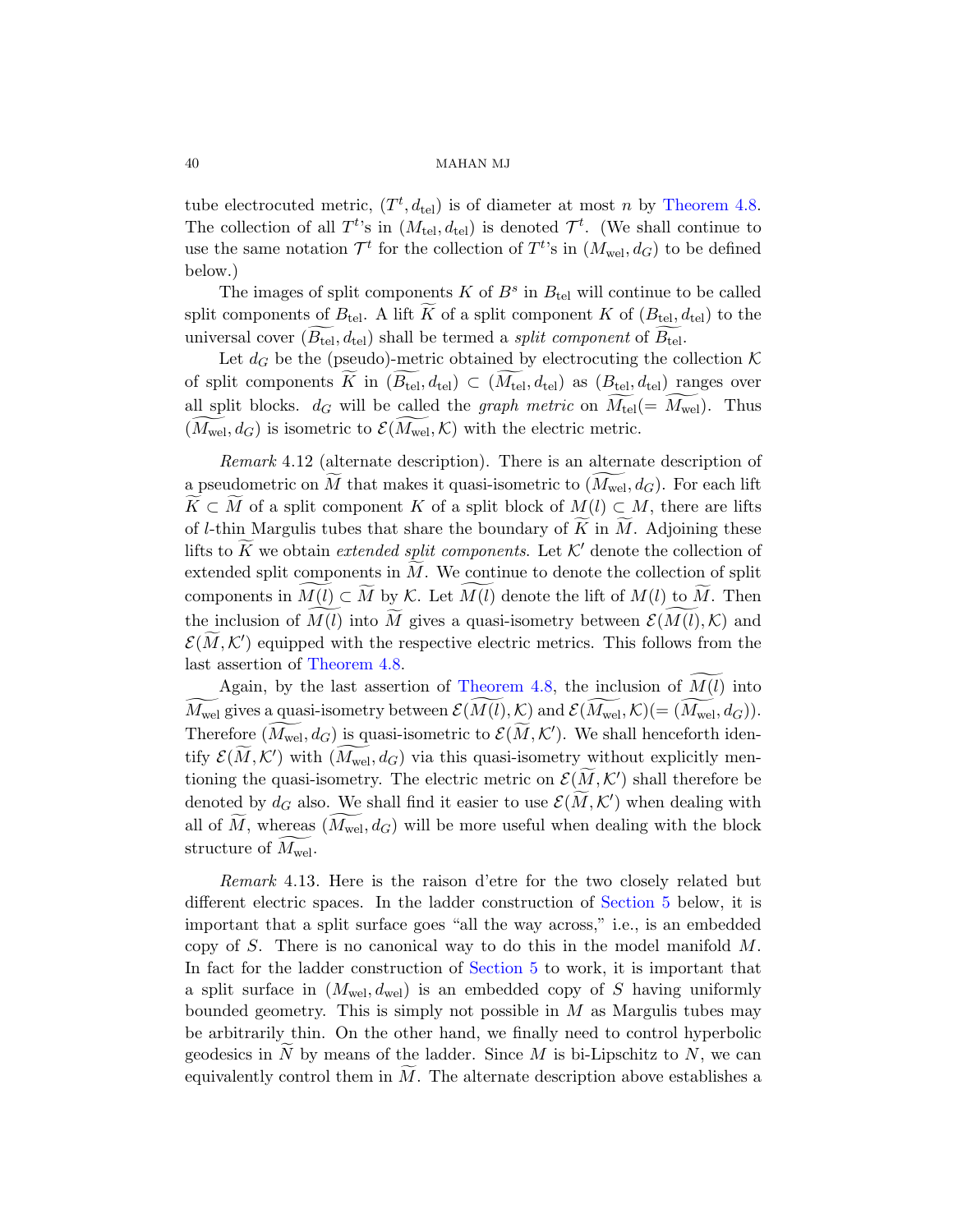tube electrocuted metric,  $(T^t, d_{\text{tel}})$  is of diameter at most n by Theorem 4.8. The collection of all  $T^{t}$ 's in  $(M_{\text{tel}}, d_{\text{tel}})$  is denoted  $\mathcal{T}^{t}$ . (We shall continue to use the same notation  $\mathcal{T}^t$  for the collection of  $T^t$ 's in  $(M_{\text{wel}}, d_G)$  to be defined below.)

<span id="page-39-0"></span>The images of split components  $K$  of  $B^s$  in  $B_{tel}$  will continue to be called split components of  $B_{\text{tel}}$ . A lift K of a split component K of  $(B_{\text{tel}}, d_{\text{tel}})$  to the universal cover  $(B_{\text{tel}}, d_{\text{tel}})$  shall be termed a *split component* of  $B_{\text{tel}}$ .

Let  $d_G$  be the (pseudo)-metric obtained by electrocuting the collection  $\mathcal K$ of split components K in  $(B_{tel}, d_{tel}) \subset (M_{tel}, d_{tel})$  as  $(B_{tel}, d_{tel})$  ranges over all split blocks.  $d_G$  will be called the *graph metric* on  $M_{\text{tel}}(=M_{\text{wel}})$ . Thus  $(M_{\text{wel}}, d_G)$  is isometric to  $\mathcal{E}(M_{\text{wel}}, \mathcal{K})$  with the electric metric.

Remark 4.12 (alternate description). There is an alternate description of a pseudometric on M that makes it quasi-isometric to  $(M_{\text{wel}}, d_G)$ . For each lift  $\widetilde{K} \subset \widetilde{M}$  of a split component K of a split block of  $M(l) \subset M$ , there are lifts of *l*[-thi](#page-33-0)n Margulis tubes that share the boundary of  $\tilde{K}$  in  $\tilde{M}$ . Adjoining these lifts to K we obtain [extende](#page-33-0)d split components. Let  $K'$  denote the collection of extended split components in  $M$ . We continue to denote the collection of split components in  $M(l) \subset M$  by K. Let  $M(l)$  denote the lift of  $M(l)$  to M. Then the inclusion of  $M(l)$  into M gives a quasi-isometry between  $\mathcal{E}(M(l), \mathcal{K})$  and  $\mathcal{E}(\widetilde{M},\mathcal{K}')$  equipped with the respective electric metrics. This follows from the last assertion of Theorem 4.8.

Again, by the last assertion of Theorem 4.8, the inclusion of  $M(l)$  into  $M_{\rm well}$  gives a quasi-isometry between  $\mathcal{E}(M(l), \mathcal{K})$  and  $\mathcal{E}(M_{\rm well}, \mathcal{K}) (= (M_{\rm well}, d_G)).$ Therefore  $(M_{\text{wel}}, d_G)$  is quasi-isometric to  $\mathcal{E}(\widetilde{M}, \mathcal{K}')$ . We shall henceforth identify  $\mathcal{E}(\widetilde{M},\mathcal{K}')$  with  $(\widetilde{M}_{\mathrm{wel}},d_G)$  vi[a this quas](#page-50-0)i-isometry without explicitly mentioning the quasi-isometry. The electric metric on  $\mathcal{E}(\widetilde{M},\mathcal{K}')$  shall therefore be denoted by  $d_G$  also. We shall find it easier to use  $\mathcal{E}(\widetilde{M}, \mathcal{K}')$  when dealing with all of  $M$ , whereas  $(M_{\text{wel}}, d_G)$  will be more useful when dealing with the block structure of  $M_{\text{wel}}$ .

Remark 4.13. Here is the raison d'etre for the two closely related but different electric spaces. In the ladder construction of Section 5 below, it is important that a split surface goes "all the way across," i.e., is an embedded copy of S. There is no canonical way to do this in the model manifold  $M$ . In fact for the ladder construction of Section 5 to work, it is important that a split surface in  $(M_{\text{wel}}, d_{\text{wel}})$  is an embedded copy of S having uniformly bounded geometry. This is simply not possible in  $M$  as Margulis tubes may be arbitrarily thin. On the other hand, we finally need to control hyperbolic geodesics in N by means of the ladder. Since M is bi-Lipschitz to N, we can equivalently control them in  $M$ . The alternate description above establishes a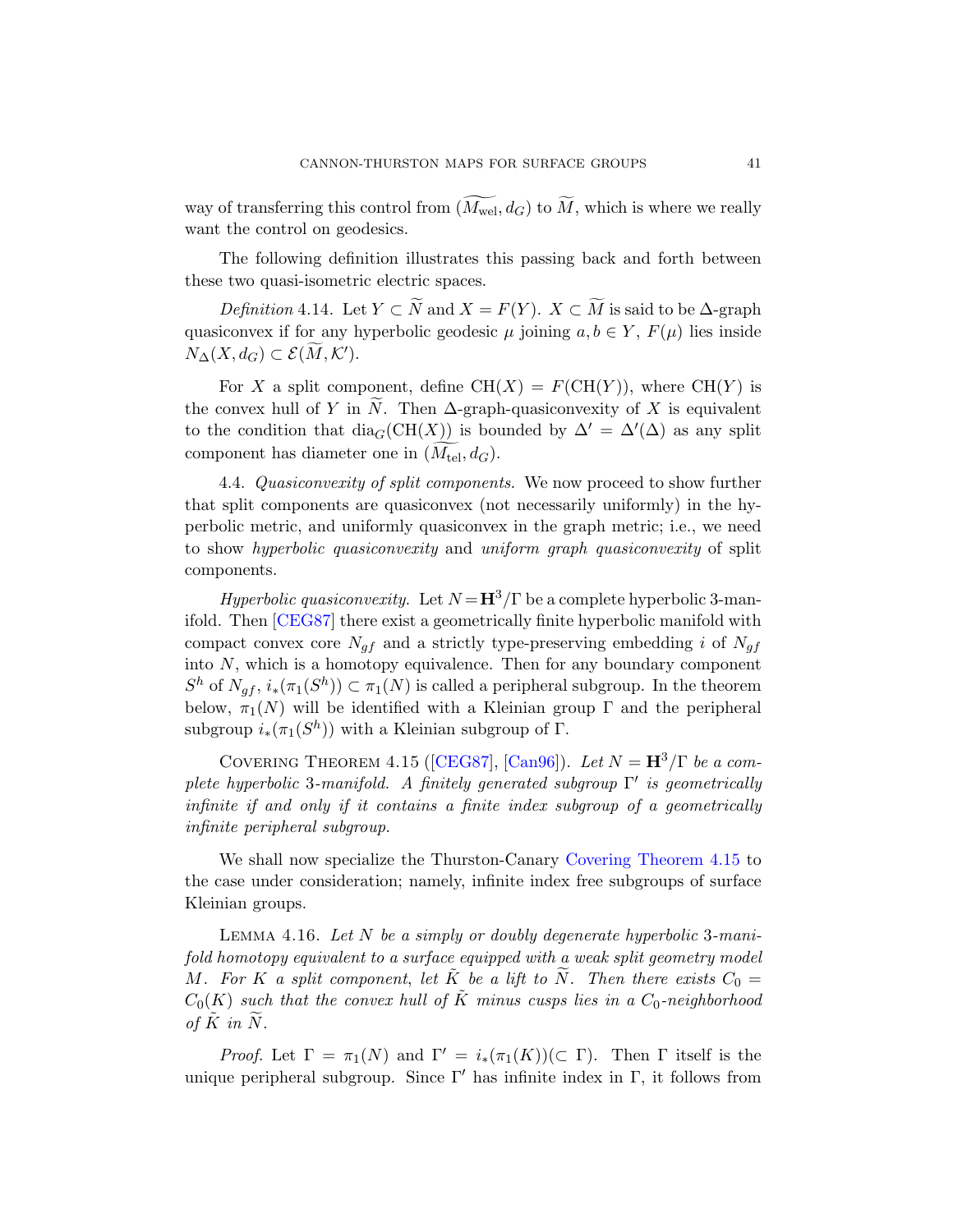way of transferring this control from  $(M_{\text{wel}}, d_G)$  to  $M$ , which is where we really want the control on geodesics.

The following definition illustrates this passing back and forth between these two quasi-isometric electric spaces.

Definition 4.14. Let  $Y \subset N$  and  $X = F(Y)$ .  $X \subset M$  is said to be  $\Delta$ -graph quasiconvex if for any hyperbolic geodesic  $\mu$  joining  $a, b \in Y$ ,  $F(\mu)$  lies inside  $N_{\Delta}(X,d_G) \subset \mathcal{E}(\widetilde{M},\mathcal{K}').$ 

For X a split component, define  $CH(X) = F(CH(Y))$ , where  $CH(Y)$  is the convex hull of Y in N. Then  $\Delta$ -graph-quasiconvexity of X is equivalent to the condition that  $\text{dia}_G(\text{CH}(X))$  is bounded by  $\Delta' = \Delta'(\Delta)$  as any split component has diameter one in  $(M_{\text{tel}}, d_G)$ .

4.4. Quasiconvexity of split components. We now proceed to show further that split components are quasiconvex (not necessarily uniformly) in the hyperbolic metric, and uniformly quasiconvex in the graph metric; i.e., we need to show hyperbolic quasiconvexity and uniform graph quasiconvexity of split components.

<span id="page-40-0"></span>*Hyperbolic quasiconvexity.* Let  $N = H^3/\Gamma$  be a complete hyperbolic 3-manifold. The[n \[CEG8](#page-77-0)7[\] there e](#page-77-1)xist a geometrically finite hyperbolic manifold with compact convex core  $N_{af}$  and a strictly type-preserving embedding i of  $N_{af}$ into  $N$ , which is a homotopy equivalence. Then for any boundary component  $S^h$  of  $N_{gf}$ ,  $i_*(\pi_1(S^h)) \subset \pi_1(N)$  is called a peripheral subgroup. In the theorem below,  $\pi_1(N)$  will be identified with a Kleinian group  $\Gamma$  and the peripheral subgroup  $i_*(\pi_1(S^h))$  with a Kleinian subgroup of  $\Gamma$ .

<span id="page-40-1"></span>COVERING THEOREM 4.15 ([CEG87], [Can96]). Let  $N = H^3/\Gamma$  be a complete hyperbolic 3-manifold. A finitely generated subgroup  $\Gamma'$  is geometrically infinite if and only if it contains a finite index subgroup of a geometrically infinite peripheral subgroup.

We shall now specialize the Thurston-Canary Covering Theorem 4.15 to the case under consideration; namely, infinite index free subgroups of surface Kleinian groups.

LEMMA 4.16. Let  $N$  be a simply or doubly degenerate hyperbolic 3-manifold homotopy equivalent to a surface equipped with a weak split geometry model M. For K a split component, let  $\tilde{K}$  be a lift to  $\widetilde{N}$ . Then there exists  $C_0 =$  $C_0(K)$  such that the convex hull of  $\tilde{K}$  minus cusps lies in a  $C_0$ -neighborhood of  $\tilde{K}$  in  $\tilde{N}$ .

Proof. Let  $\Gamma = \pi_1(N)$  and  $\Gamma' = i_*(\pi_1(K))(\subset \Gamma)$ . Then  $\Gamma$  itself is the unique peripheral subgroup. Since  $\Gamma'$  has infinite index in Γ, it follows from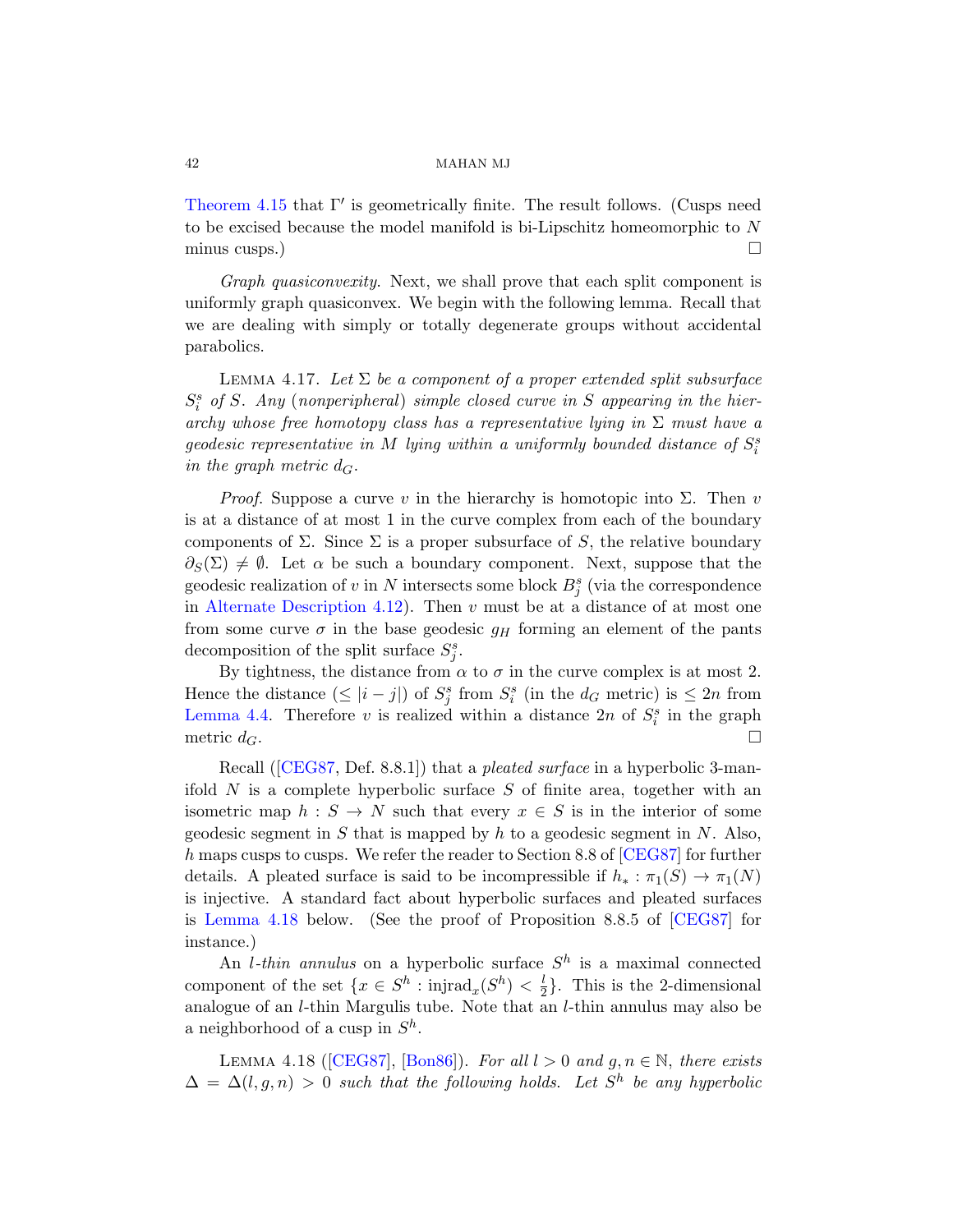<span id="page-41-0"></span>Theorem 4.15 that  $\Gamma'$  is geometrically finite. The result follows. (Cusps need to be excised because the model manifold is bi-Lipschitz homeomorphic to N minus cusps.)  $\Box$ 

Graph quasiconvexity. Next, we shall prove that each split component is uniformly graph quasiconvex. We begin with the following lemma. Recall that we are dealing with simply or totally degenerate groups without accidental parabolics.

LEMMA 4.17. Let  $\Sigma$  be a component of a proper extended split subsurface  $S_i^s$  of S. Any (nonperipheral) simple closed curve in S appearing in the hierarchy whose free homotopy class has a representative lying in  $\Sigma$  must have a geodesic representative in M lying within a uniformly bounded distance of  $S_i^s$ [in the](#page-39-0) graph metric  $d_G$ .

*Proof.* Suppose a curve v in the hierarchy is homotopic into  $\Sigma$ . Then v is at a distance of at most 1 in the curve complex from each of the boundary components of  $\Sigma$ . Since  $\Sigma$  is a proper subsurface of S, the relative boundary  $\partial_S(\Sigma) \neq \emptyset$ . Let  $\alpha$  be such a boundary component. Next, suppose that the geodesic realization of v in N intersects some block  $B_j^s$  (via the correspondence in Alternate Description 4.12). Then  $v$  must be at a distance of at most one from some curve  $\sigma$  in the base geodesic  $g_H$  forming an element of the pants decomposition of the split surface  $S_j^s$ .

By tightness, the distance from  $\alpha$  to  $\sigma$  in the curve complex is at most 2. Hence the distance  $(\leq |i - j|)$  of  $S_j^s$  from  $S_i^s$  (in the  $d_G$  metric) is  $\leq 2n$  from Lemma 4.4. Therefore v is realize[d within](#page-77-0) a distance  $2n$  of  $S_i^s$  in the graph metric  $d_G$ .

Recall ([CEG87, Def. 8.8.1]) that a *pleated surface* in a hyperbolic 3-manifold  $N$  is a complete hyperbolic surface  $S$  [of fin](#page-77-0)ite area, together with an isometric map  $h : S \to N$  such that every  $x \in S$  is in the interior of some geodesic segment in S that is mapped by h to a geodesic segment in N. Also, h maps cusps to cusps. We refer the reader to Section 8.8 of [CEG87] for further details. A pleated surface is said to be incompressible if  $h_* : \pi_1(S) \to \pi_1(N)$ is injective. A standard fact about hyperbolic surfaces and pleated surfaces is [Le](#page-77-0)[mma 4.1](#page-76-0)8 below. (See the proof of Proposition 8.8.5 of [CEG87] for instance.)

<span id="page-41-1"></span>An *l*-thin annulus on a hyperbolic surface  $S<sup>h</sup>$  is a maximal connected component of the set  $\{x \in S^h : \text{injrad}_x(S^h) < \frac{1}{2}\}$  $\frac{l}{2}$ . This is the 2-dimensional analogue of an l-thin Margulis tube. Note that an l-thin annulus may also be a neighborhood of a cusp in  $S^h$ .

LEMMA 4.18 ([CEG87], [Bon86]). For all  $l > 0$  and  $g, n \in \mathbb{N}$ , there exists  $\Delta = \Delta(l, g, n) > 0$  such that the following holds. Let  $S<sup>h</sup>$  be any hyperbolic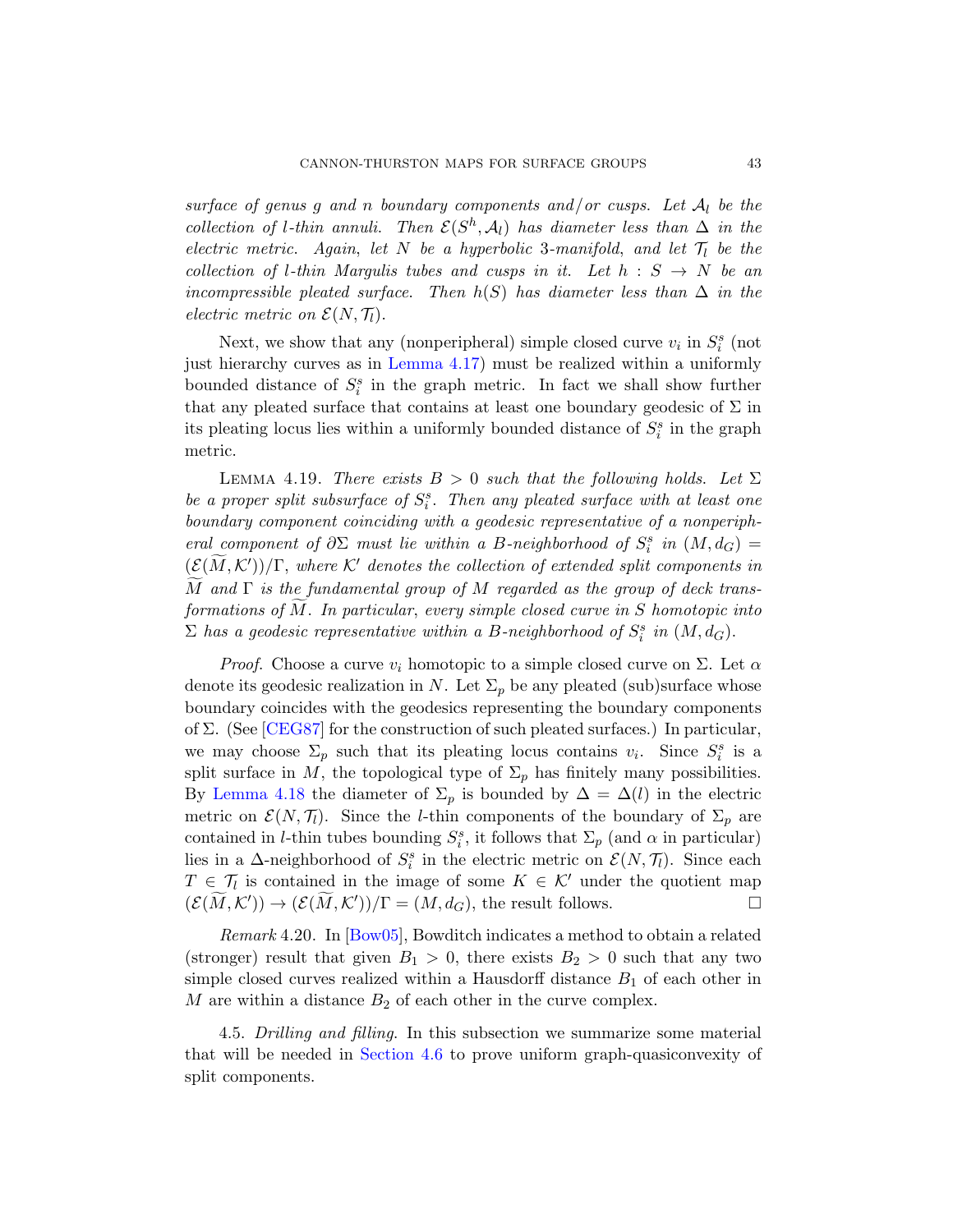surface of genus g and n boundary components and/or cusps. Let  $A_l$  be the coll[ection of](#page-41-0) l-thin annuli. Then  $\mathcal{E}(S^h, \mathcal{A}_l)$  has diameter less than  $\Delta$  in the electric metric. Again, let N be a hyperbolic 3-manifold, and let  $\mathcal{T}_l$  be the collection of l-thin Margulis tubes and cusps in it. Let  $h : S \to N$  be an incompressible pleated surface. Then  $h(S)$  has diameter less than  $\Delta$  in the electric metric on  $\mathcal{E}(N, \mathcal{T}_l)$ .

<span id="page-42-0"></span>Next, we show that any (nonperipheral) simple closed curve  $v_i$  in  $S_i^s$  (not just hierarchy curves as in Lemma 4.17) must be realized within a uniformly bounded distance of  $S_i^s$  in the graph metric. In fact we shall show further that any pleated surface that contains at least one boundary geodesic of  $\Sigma$  in its pleating locus lies within a uniformly bounded distance of  $S_i^s$  in the graph metric.

LEMMA 4.19. There exists  $B > 0$  such that the following holds. Let  $\Sigma$ be a proper split subsurface of  $S_i^s$ . Then any pleated surface with at least one boundary component coinciding with a geodesic representative of a nonperipheral component of  $\partial \Sigma$  must lie within a B-neighborhood of  $S_i^s$  in  $(M, d_G)$  =  $(\mathcal{E}(\widetilde{M},\mathcal{K}'))/\Gamma$ , where  $\mathcal{K}'$  denotes the collection of extended split components in M and  $\Gamma$  is the fundamental group of M regarded as the group of deck transformations of  $M$ . In particular, every simple closed curve in  $S$  homotopic into  $\Sigma$  has a geodesic representative within a B-neighborhood of  $S_i^s$  in  $(M, d_G)$ .

*Proof.* Choose a curve  $v_i$  homotopic to a simple closed curve on  $\Sigma$ . Let  $\alpha$ denote its geodesic realization in N. Let  $\Sigma_p$  be any pleated (sub)surface whose boundary coincides with the geodesics representing the boundary components of  $\Sigma$ . (See [CEG87] for the construction of such pleated surfaces.) In particular, we may choose  $\Sigma_p$  such that its pleating locus contains  $v_i$ . Since  $S_i^s$  is a split surface in M, the topological type of  $\Sigma_p$  has finitely many possibilities. [By](#page-76-1) Lemma 4.18 the diameter of  $\Sigma_p$  is bounded by  $\Delta = \Delta(l)$  in the electric metric on  $\mathcal{E}(N, \mathcal{T}_l)$ . Since the *l*-thin components of the boundary of  $\Sigma_p$  are contained in *l*-thin tubes bounding  $S_i^s$ , it follows that  $\Sigma_p$  (and  $\alpha$  in particular) lies in a  $\Delta$ -neighborhood of  $S_i^s$  in the electric metric on  $\mathcal{E}(N, \mathcal{T}_l)$ . Since each  $T \in \mathcal{T}_l$  is contained in the image of some  $K \in \mathcal{K}'$  under the quotient map  $(\mathcal{E}(\widetilde{M},\mathcal{K}')) \to (\mathcal{E}(\widetilde{M},\mathcal{K}'))/\Gamma = (M,d_G)$ , the result follows.

[Remark](#page-43-0) 4.20. In [Bow05], Bowditch indicates a method to obtain a related (stronger) result that given  $B_1 > 0$ , there exists  $B_2 > 0$  such that any two simple closed curves realized within a Hausdorff distance  $B_1$  of each other in  $M$  are within a distance  $B_2$  of each other in the curve complex.

4.5. Drilling and filling. In this subsection we summarize some material that will be needed in Section 4.6 to prove uniform graph-quasiconvexity of split components.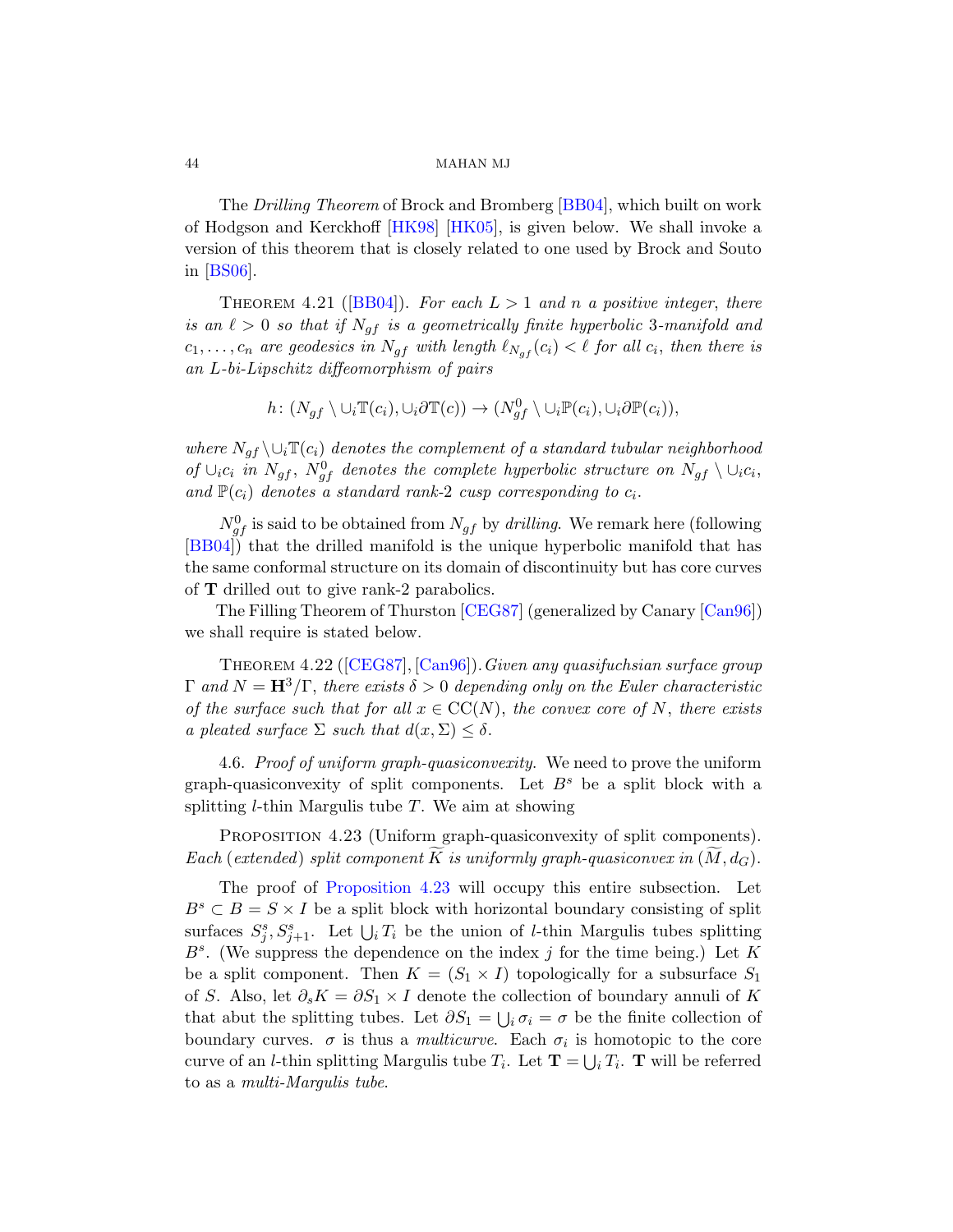<span id="page-43-3"></span>The Drilling Theorem of Brock and Bromberg [BB04], which built on work of Hodgson and Kerckhoff [HK98] [HK05], is given below. We shall invoke a version of this theorem that is closely related to one used by Brock and Souto in [BS06].

THEOREM 4.21 ([BB04]). For each  $L > 1$  and n a positive integer, there is an  $\ell > 0$  so that if  $N_{af}$  is a geometrically finite hyperbolic 3-manifold and  $c_1, \ldots, c_n$  are geodesics in  $N_{gf}$  with length  $\ell_{N_{gf}} (c_i) < \ell$  for all  $c_i$ , then there is an L-bi-Lipschitz diffeomorphism of pairs

$$
h\colon (N_{gf} \setminus \cup_i \mathbb{T}(c_i), \cup_i \partial \mathbb{T}(c)) \to (N_{gf}^0 \setminus \cup_i \mathbb{P}(c_i), \cup_i \partial \mathbb{P}(c_i)),
$$

where  $N_{gf} \setminus \cup_i \mathbb{T}(c_i)$  denotes the complement of a standard tubular neighborhood of  $\cup_i c_i$  in  $N_{gf}$  $N_{gf}$  $N_{gf}$ ,  $N_{gf}^0$  denotes the complete hyp[erbolic](#page-77-1) structure on  $N_{gf} \setminus \cup_i c_i$ , and  $\mathbb{P}(c_i)$  denotes a standard rank-2 cusp corresponding to  $c_i$ .

<span id="page-43-2"></span> $N_{gf}^0$  $N_{gf}^0$  [is said](#page-77-1) to be obtained from  $N_{gf}$  by *drilling*. We remark here (following [BB04]) that the drilled manifold is the unique hyperbolic manifold that has the same conformal structure on its domain of discontinuity but has core curves of T drilled out to give rank-2 parabolics.

<span id="page-43-0"></span>The Filling Theorem of Thurston [CEG87] (generalized by Canary [Can96]) we shall require is stated below.

<span id="page-43-1"></span>Theorem 4.22 ([CEG87], [Can96]).Given any quasifuchsian surface group  $\Gamma$  and  $N = H^3/\Gamma$ , there exists  $\delta > 0$  depending only on the Euler characteristic of the surface such that for all  $x \in CC(N)$ , the convex core of N, there exists a pleated surface  $\Sigma$  such that  $d(x, \Sigma) \leq \delta$ .

[4.6.](#page-43-1) Proof of uniform graph-quasiconvexity. We need to prove the uniform graph-quasiconvexity of split components. Let  $B<sup>s</sup>$  be a split block with a splitting  $l$ -thin Margulis tube  $T$ . We aim at showing

PROPOSITION 4.23 (Uniform graph-quasiconvexity of split components). Each (extended) split component K is uniformly graph-quasiconvex in  $(M, d_G)$ .

The proof of Proposition 4.23 will occupy this entire subsection. Let  $B^s \subset B = S \times I$  be a split block with horizontal boundary consisting of split surfaces  $S_j^s, S_{j+1}^s$ . Let  $\bigcup_i T_i$  be the union of *l*-thin Margulis tubes splitting  $B^s$ . (We suppress the dependence on the index j for the time being.) Let K be a split component. Then  $K = (S_1 \times I)$  topologically for a subsurface  $S_1$ of S. Also, let  $\partial_s K = \partial S_1 \times I$  denote the collection of boundary annuli of K that abut the splitting tubes. Let  $\partial S_1 = \bigcup_i \sigma_i = \sigma$  be the finite collection of boundary curves.  $\sigma$  is thus a *multicurve*. Each  $\sigma_i$  is homotopic to the core curve of an *l*-thin splitting Margulis tube  $T_i$ . Let  $\mathbf{T} = \bigcup_i T_i$ . **T** will be referred to as a multi-Margulis tube.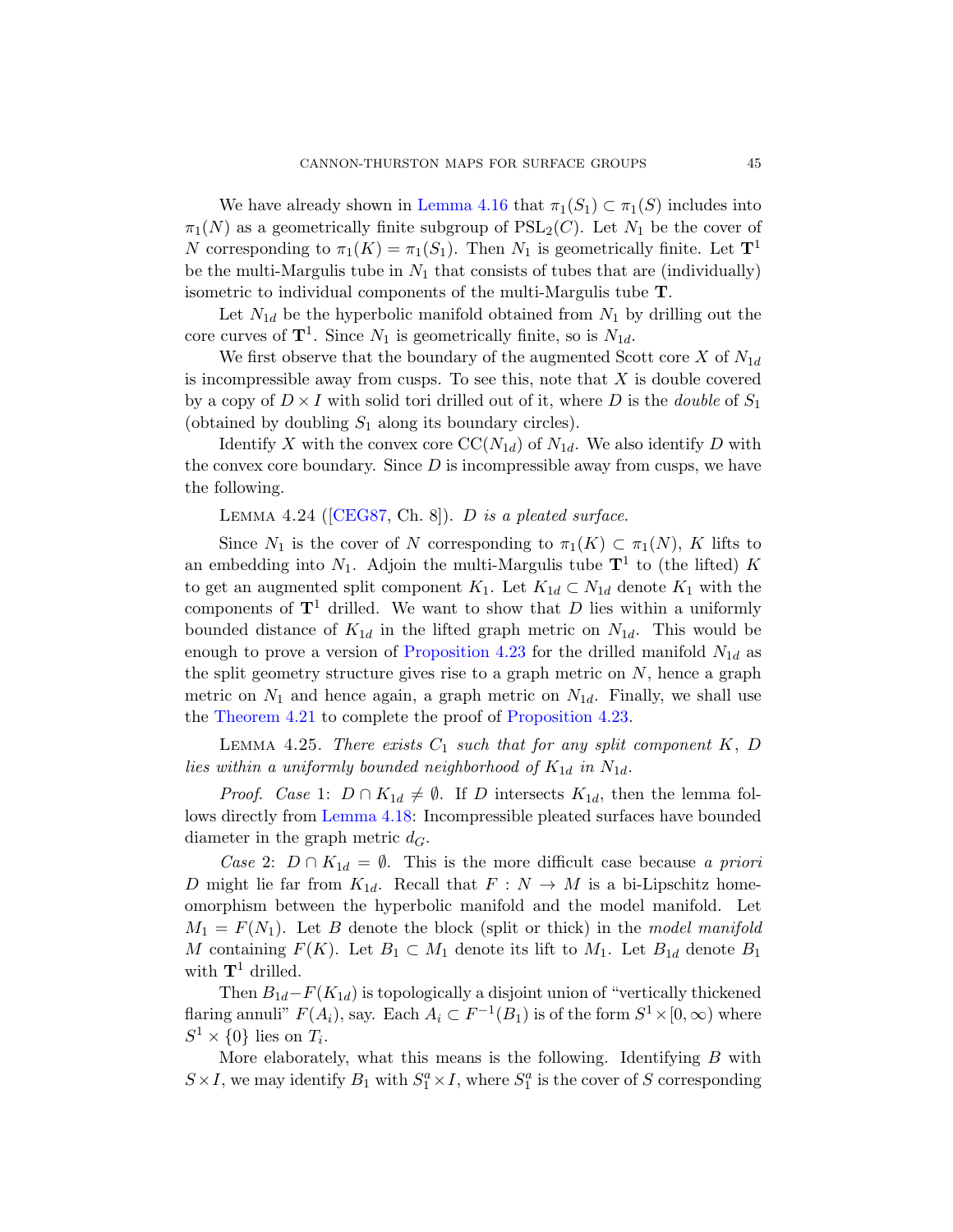We have already shown in Lemma 4.16 that  $\pi_1(S_1) \subset \pi_1(S)$  includes into  $\pi_1(N)$  as a geometrically finite subgroup of  $PSL_2(C)$ . Let  $N_1$  be the cover of N corresponding to  $\pi_1(K) = \pi_1(S_1)$ . Then  $N_1$  is geometrically finite. Let  $\mathbf{T}^1$ be the multi-Margulis tube in  $N_1$  that consists of tubes that are (individually) isometric to individual components of the multi-Margulis tube T.

Let  $N_{1d}$  be the hyperbolic manifold obtained from  $N_1$  by drilling out the core curves of  $\mathbf{T}^1$ . Since  $N_1$  is geometrically finite, so is  $N_{1d}$ .

We first observe that the boundary of the augmented Scott core  $X$  of  $N_{1d}$ [is inc](#page-77-0)ompressible away from cusps. To see this, note that  $X$  is double covered by a copy of  $D \times I$  with solid tori drilled out of it, where D is the *double* of  $S_1$ (obtained by doubling  $S_1$  along its boundary circles).

Identify X with the convex core  $CC(N_{1d})$  of  $N_{1d}$ . We also identify D with the convex core boundary. Since  $D$  is incompressible away from cusps, we have the following.

LEMMA 4.24 ( $[CEGS7, Ch. 8]$ ). *D* is a pleated surface.

<span id="page-44-0"></span>Since  $N_1$  is the cover of N corresponding to  $\pi_1(K) \subset \pi_1(N)$ , K lifts to an embedding into  $N_1$ . Adjoin the multi-Margulis tube  $\mathbf{T}^1$  to (the lifted) K to get an augmente[d split component](#page-43-1)  $K_1$ . Let  $K_{1d} \subset N_{1d}$  denote  $K_1$  with the components of  $T<sup>1</sup>$  drilled. We want to show that D lies within a uniformly bounded distance of  $K_{1d}$  in the lifted graph metric on  $N_{1d}$ . This would be enough to prove a version of Proposition 4.23 for the drilled manifold  $N_{1d}$  as [the split](#page-41-1) geometry structure gives rise to a graph metric on  $N$ , hence a graph metric on  $N_1$  and hence again, a graph metric on  $N_{1d}$ . Finally, we shall use the Theorem 4.21 to complete the proof of Proposition 4.23.

LEMMA 4.25. There exists  $C_1$  such that for any split component  $K, D$ lies within a uniformly bounded neighborhood of  $K_{1d}$  in  $N_{1d}$ .

*Proof.* Case 1:  $D \cap K_{1d} \neq \emptyset$ . If D intersects  $K_{1d}$ , then the lemma follows directly from Lemma 4.18: Incompressible pleated surfaces have bounded diameter in the graph metric  $d_G$ .

Case 2:  $D \cap K_{1d} = \emptyset$ . This is the more difficult case because a priori D might lie far from  $K_{1d}$ . Recall that  $F : N \to M$  is a bi-Lipschitz homeomorphism between the hyperbolic manifold and the model manifold. Let  $M_1 = F(N_1)$ . Let B denote the block (split or thick) in the model manifold M containing  $F(K)$ . Let  $B_1 \subset M_1$  denote its lift to  $M_1$ . Let  $B_{1d}$  denote  $B_1$ with  $T^1$  drilled.

Then  $B_{1d} - F(K_{1d})$  is topologically a disjoint union of "vertically thickened" flaring annuli"  $F(A_i)$ , say. Each  $A_i \subset F^{-1}(B_1)$  is of the form  $S^1 \times [0, \infty)$  where  $S^1 \times \{0\}$  lies on  $T_i$ .

More elaborately, what this means is the following. Identifying  $B$  with  $S \times I$ , we may identify  $B_1$  with  $S_1^a \times I$ , where  $S_1^a$  is the cover of S corresponding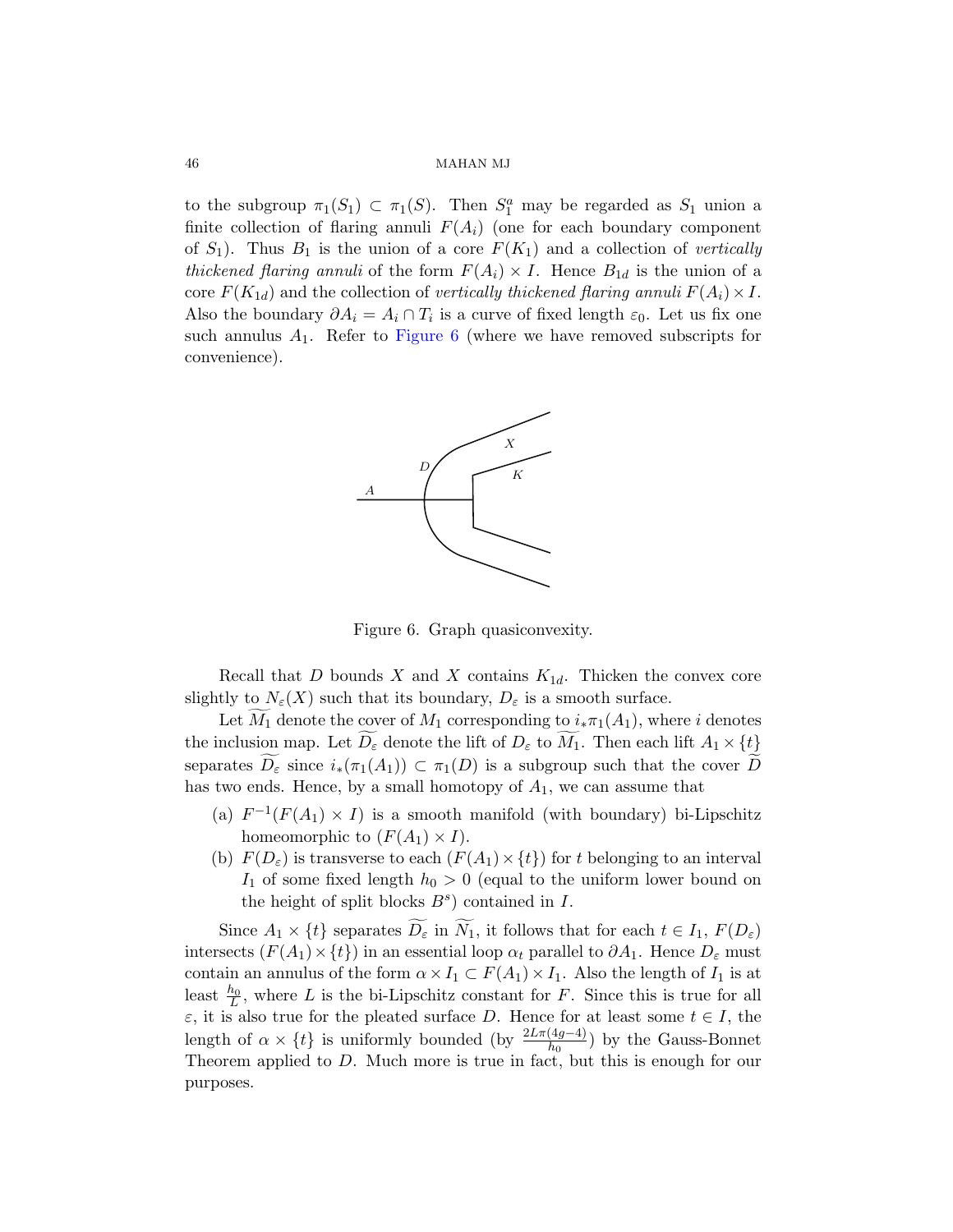to t[he subgrou](#page-45-0)p  $\pi_1(S_1) \subset \pi_1(S)$ . Then  $S_1^a$  may be regarded as  $S_1$  union a finite collection of flaring annuli  $F(A_i)$  (one for each boundary component of  $S_1$ ). Thus  $B_1$  is the union of a core  $F(K_1)$  and a collection of vertically thickened flaring annuli of the form  $F(A_i) \times I$ . Hence  $B_{1d}$  is the union of a core  $F(K_{1d})$  and the collection of vertically thickened flaring annuli  $F(A_i) \times I$ . Also the boundary  $\partial A_i = A_i \cap T_i$  is a curve of fixed length  $\varepsilon_0$ . Let us fix one such annulus  $A_1$ . Refer to Figure 6 (where we have removed subscripts for convenience).

<span id="page-45-0"></span>

Figure 6. Graph quasiconvexity.

Recall that D bounds X and X contains  $K_{1d}$ . Thicken the convex core slightly to  $N_{\varepsilon}(X)$  such that its boundary,  $D_{\varepsilon}$  is a smooth surface.

Let  $M_1$  denote the cover of  $M_1$  corresponding to  $i_*\pi_1(A_1)$ , where i denotes the inclusion map. Let  $D_{\varepsilon}$  denote the lift of  $D_{\varepsilon}$  to  $M_1$ . Then each lift  $A_1 \times \{t\}$ separates  $D_{\varepsilon}$  since  $i_*(\pi_1(A_1)) \subset \pi_1(D)$  is a subgroup such that the cover D has two ends. Hence, by a small homotopy of  $A_1$ , we can assume that

- (a)  $F^{-1}(F(A_1) \times I)$  is a smooth manifold (with boundary) bi-Lipschitz homeomorphic to  $(F(A_1) \times I)$ .
- (b)  $F(D<sub>\varepsilon</sub>)$  is transverse to each  $(F(A<sub>1</sub>) \times \{t\})$  for t belonging to an interval  $I_1$  of some fixed length  $h_0 > 0$  (equal to the uniform lower bound on the height of split blocks  $B^s$ ) contained in  $I$ .

Since  $A_1 \times \{t\}$  separates  $D_{\varepsilon}$  in  $N_1$ , it follows that for each  $t \in I_1$ ,  $F(D_{\varepsilon})$ intersects  $(F(A_1) \times \{t\})$  in an essential loop  $\alpha_t$  parallel to  $\partial A_1$ . Hence  $D_\varepsilon$  must contain an annulus of the form  $\alpha \times I_1 \subset F(A_1) \times I_1$ . Also the length of  $I_1$  is at least  $\frac{h_0}{L}$ , where L is the bi-Lipschitz constant for F. Since this is true for all  $\varepsilon$ , it is also true for the pleated surface D. Hence for at least some  $t \in I$ , the length of  $\alpha \times \{t\}$  is uniformly bounded (by  $\frac{2L\pi(4g-4)}{h_0}$ ) by the Gauss-Bonnet Theorem applied to  $D$ . Much more is true in fact, but this is enough for our purposes.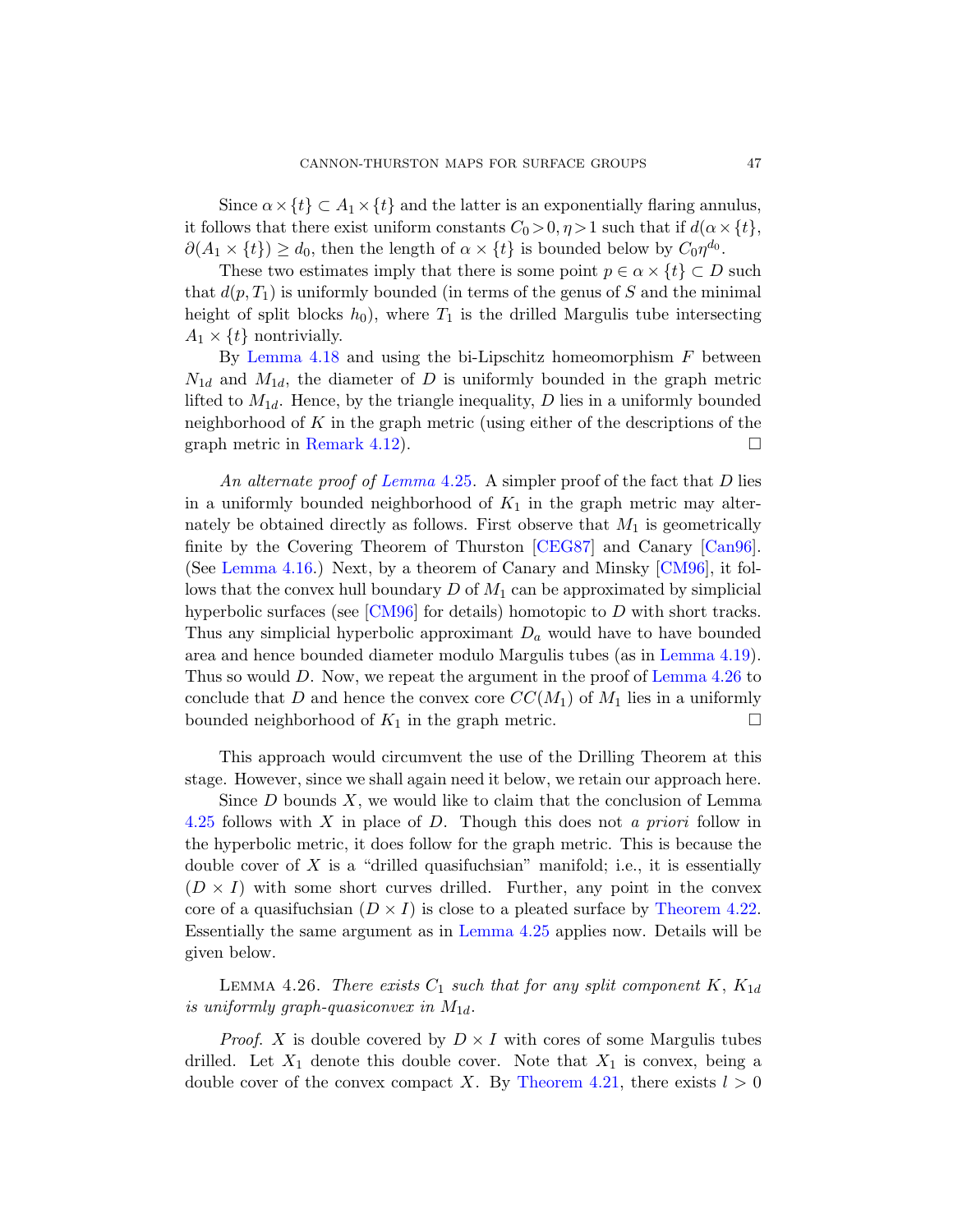Since  $\alpha \times \{t\} \subset A_1 \times \{t\}$  and the latter is an exponentially flaring annulus, it follows that there exist uniform constants  $C_0 > 0, \eta > 1$  such that if  $d(\alpha \times \{t\})$ ,  $\partial(A_1 \times \{t\}) \ge d_0$ , then the length of  $\alpha \times \{t\}$  is bounded below by  $C_0 \eta^{d_0}$ .

These two estimates imply that there is some point  $p \in \alpha \times \{t\} \subset D$  such that  $d(p, T_1)$  is uniformly bounded (in terms of the genus of S and the minimal [height](#page-39-0) of split blocks  $h_0$ , where  $T_1$  is the drilled Margulis tube intersecting  $A_1 \times \{t\}$  nontrivially.

By [Lemma](#page-44-0) 4.18 and using the bi-Lipschitz homeomorphism  $F$  between  $N_{1d}$  and  $M_{1d}$ , the diameter of D is uniformly bounded in the graph metric lifted to  $M_{1d}$ . Hence, by [the tria](#page-77-0)ngle inequality, D lies in a uniformly bounded neighborhoodof  $K$  in the graph metric ([using e](#page-77-2)[ither o](#page-77-1)f the descriptions of the graph metric in Remark 4.12).

[An](#page-77-2) alternate proof of Lemma 4.25. A simpler proof of the fact that  $D$  lies in a uniformly bounded neighborhood of  $K_1$  in the graph metric may alter-nately be obtained directly as follows. [First observe t](#page-42-0)hat  $M_1$  is geometrically finite by the Covering Theorem of Th[urston \[CEG](#page-46-0)87] and Canary [Can96]. (See Lemma 4.16.) Next, by a theorem of Canary and Minsky [CM96], it follows that the convex hull boundary  $D$  of  $M_1$  can be approximated by simplicial hyperbolic surfaces (see  $\lfloor CM96 \rfloor$  for details) homotopic to D with short tracks. Thus any simplicial hyperbolic approximant  $D_a$  would have to have bounded area and hence bounded diameter modulo Margulis tubes (as in Lemma 4.19). Thus so would D. Now, we repeat the argument in the proof of Lemma 4.26 to conclude that D and hence the convex core  $CC(M_1)$  of  $M_1$  lies in a uniformly bounded neighborhood of  $K_1$  in the graph metric.  $\Box$ 

This approach would circumvent the use of the Drilling Theorem at this stage. However, since we shall again nee[d it below, we re](#page-43-2)tain our approach here.

<span id="page-46-0"></span>Since  $D$  [bounds](#page-44-0)  $X$ , we would like to claim that the conclusion of Lemma 4.25 follows with X in place of D. Though this does not a priori follow in the hyperbolic metric, it does follow for the graph metric. This is because the double cover of X is a "drilled quasifuchsian" manifold; i.e., it is essentially  $(D \times I)$  with some short curves drilled. Further, any point in the convex core of a quasifuchsian  $(D \times I)$  is close to a pleated surface by Theorem 4.22. Essentially the same [argument as in](#page-43-3) Lemma 4.25 applies now. Details will be given below.

LEMMA 4.26. There exists  $C_1$  such that for any split component K,  $K_{1d}$ is uniformly graph-quasiconvex in  $M_{1d}$ .

*Proof.* X is double covered by  $D \times I$  with cores of some Margulis tubes drilled. Let  $X_1$  denote this double cover. Note that  $X_1$  is convex, being a double cover of the convex compact X. By Theorem 4.21, there exists  $l > 0$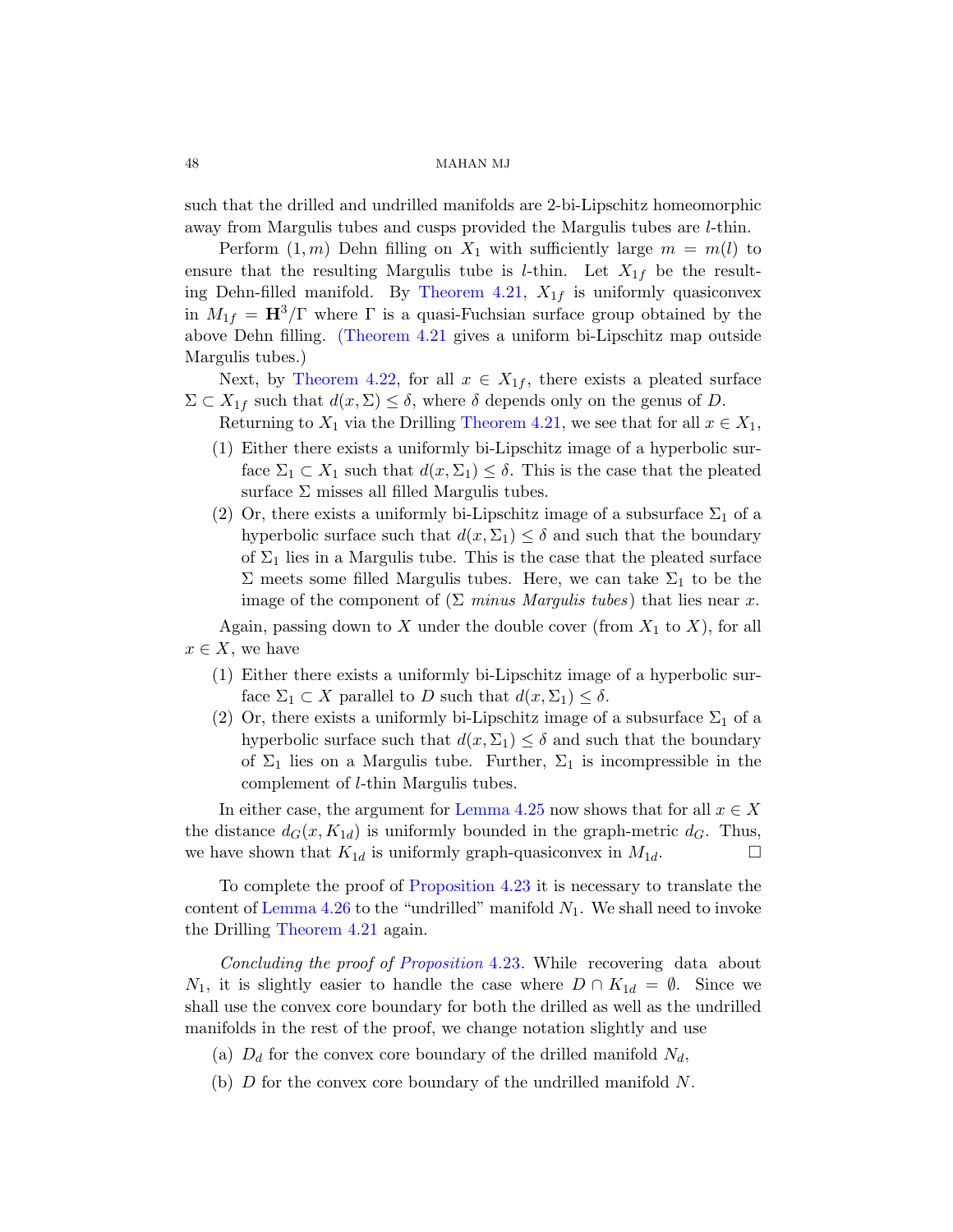[such that the](#page-43-3) drilled and undrilled manifolds are 2-bi-Lipschitz homeomorphic away from Margulis tubes and cusps provided the Margulis tubes are l-thin.

[P](#page-43-2)erform  $(1, m)$  Dehn filling on  $X_1$  with sufficiently large  $m = m(l)$  to ensure that the resulting Margulis tube is *l*-thin. Let  $X_{1f}$  be the resulting Dehn-fille[d manifold. B](#page-43-3)y Theorem 4.21,  $X_{1f}$  is uniformly quasiconvex in  $M_{1f} = H^3/\Gamma$  where  $\Gamma$  is a quasi-Fuchsian surface group obtained by the above Dehn filling. (Theorem 4.21 gives a uniform bi-Lipschitz map outside Margulis tubes.)

Next, by Theorem 4.22, for all  $x \in X_{1f}$ , there exists a pleated surface  $\Sigma \subset X_{1f}$  such that  $d(x, \Sigma) \leq \delta$ , where  $\delta$  depends only on the genus of D.

Returning to  $X_1$  via the Drilling Theorem 4.21, we see that for all  $x \in X_1$ ,

- (1) Either there exists a uniformly bi-Lipschitz image of a hyperbolic surface  $\Sigma_1 \subset X_1$  such that  $d(x, \Sigma_1) \leq \delta$ . This is the case that the pleated surface  $\Sigma$  misses all filled Margulis tubes.
- (2) Or, there exists a uniformly bi-Lipschitz image of a subsurface  $\Sigma_1$  of a hyperbolic surface such that  $d(x, \Sigma_1) \leq \delta$  and such that the boundary of  $\Sigma_1$  lies in a Margulis tube. This is the case that the pleated surface  $\Sigma$  meets some filled Margulis tubes. Here, we can take  $\Sigma_1$  to be the image of the component of  $(\Sigma \text{ minus } \text{Margulis } \text{ tubes})$  that lies near x.

Again, passing down to X under the double cover (from  $X_1$  to X), for all  $x \in X$ , we have

- (1) Eithe[r there exists](#page-44-0) a uniformly bi-Lipschitz image of a hyperbolic surface  $\Sigma_1 \subset X$  parallel to D such that  $d(x, \Sigma_1) \leq \delta$ .
- (2) Or, there exists a uniformly bi-Lipschitz image of a subsurface  $\Sigma_1$  of a [hyperbolic surfac](#page-43-1)e such that  $d(x, \Sigma_1) \leq \delta$  and such that the boundary of  $\Sigma_1$  lies on a Margulis tube. Further,  $\Sigma_1$  is incompressible in the complement of l-thin Margulis tubes.

In either case, the argument for Lemma 4.25 now shows that for all  $x \in X$ the d[istance](#page-43-1)  $d_G(x, K_{1d})$  is uniformly bounded in the graph-metric  $d_G$ . Thus, we have shown that  $K_{1d}$  is uniformly graph-quasiconvex in  $M_{1d}$ .

To complete the proof of Proposition 4.23 it is necessary to translate the content of Lemma 4.26 to the "undrilled" manifold  $N_1$ . We shall need to invoke the Drilling Theorem 4.21 again.

Concluding the proof of Proposition 4.23. While recovering data about  $N_1$ , it is slightly easier to handle the case where  $D \cap K_{1d} = \emptyset$ . Since we shall use the convex core boundary for both the drilled as well as the undrilled manifolds in the rest of the proof, we change notation slightly and use

- (a)  $D_d$  for the convex core boundary of the drilled manifold  $N_d$ ,
- (b)  $D$  for the convex core boundary of the undrilled manifold  $N$ .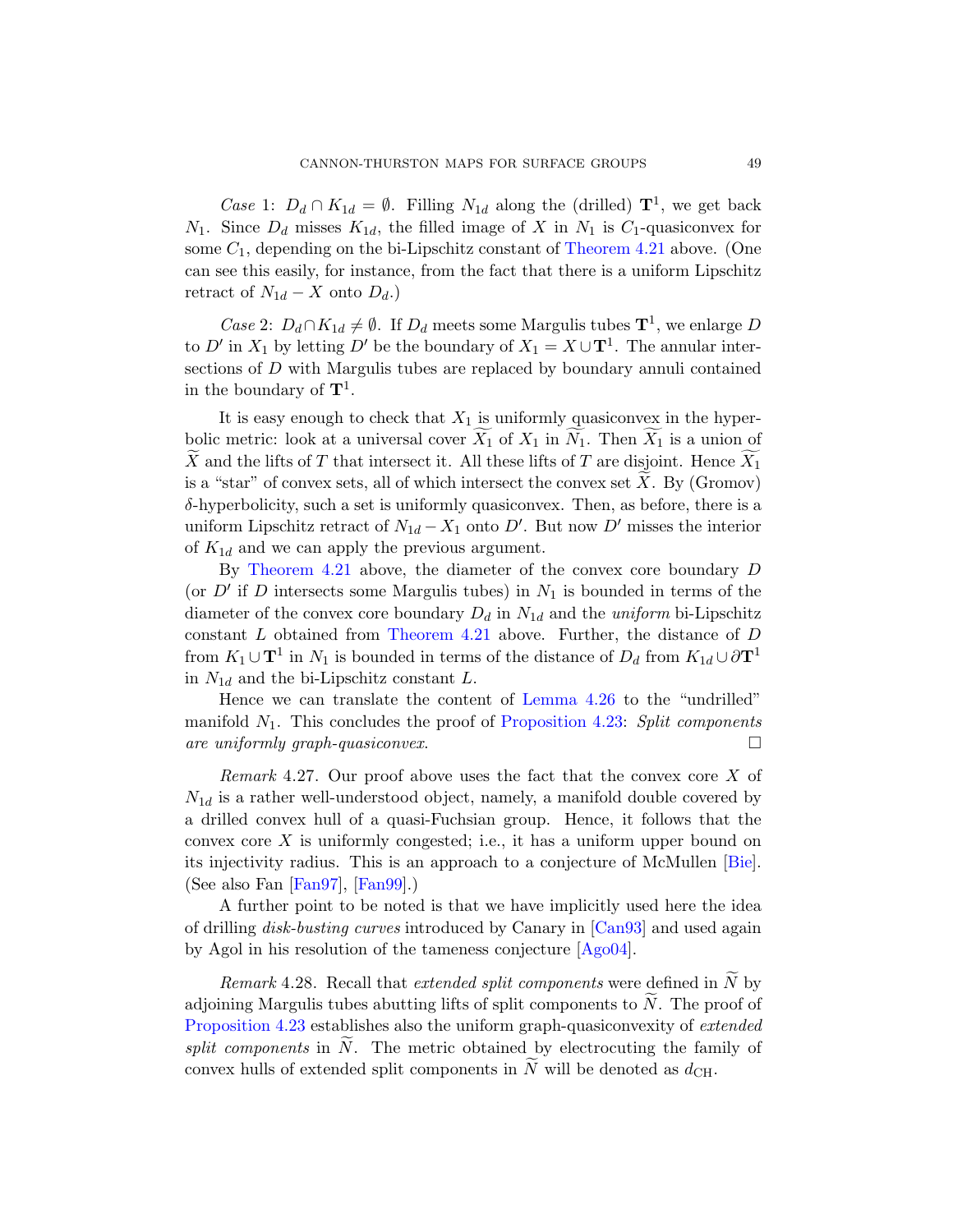*Case* 1:  $D_d \cap K_{1d} = \emptyset$ . Filling  $N_{1d}$  along the (drilled)  $\mathbf{T}^1$ , we get back  $N_1$ . Since  $D_d$  misses  $K_{1d}$ , the filled image of X in  $N_1$  is  $C_1$ -quasiconvex for some  $C_1$ , depending on the bi-Lipschitz constant of Theorem 4.21 above. (One can see this easily, for instance, from the fact that there is a uniform Lipschitz retract of  $N_{1d} - X$  onto  $D_d$ .)

*Case* 2:  $D_d \cap K_{1d} \neq \emptyset$ . If  $D_d$  meets some Margulis tubes  $\mathbf{T}^1$ , we enlarge D to D' in  $X_1$  by letting D' be the boundary of  $X_1 = X \cup T^1$ . The annular intersections of D with Margulis tubes are replaced by boundary annuli contained in the boundary of  $\mathbf{T}^1$ .

It is easy enough to check that  $X_1$  is uniformly quasiconvex in the hyperbolic metric: look at a universal cover  $X_1$  of  $X_1$  in  $N_1$ . Then  $X_1$  is a union of X and the lifts of T that intersect it. All these lifts of T are disjoint. Hence  $X_1$ is a "star" of convex sets, all of which intersect the convex set  $X$ . By (Gromov)  $\delta$ -h[yperbolicity, suc](#page-43-3)h a set is uniformly quasiconvex. Then, as before, there is a uniform Lipschitz retract of  $N_{1d} - X_1$  onto D'. But now D' misses the interior of  $K_{1d}$  and we can apply the previous argument.

By Theorem 4.21 [above, the d](#page-46-0)iameter of the convex core boundary D (or  $D'$  if D interse[cts some Margulis](#page-43-1) tubes) in  $N_1$  is bounded in terms of the diameter of the convex core boundary  $D_d$  in  $N_{1d}$  and the *uniform* bi-Lipschitz constant L obtained from Theorem 4.21 above. Further, the distance of D from  $K_1 \cup \mathbf{T}^1$  in  $N_1$  is bounded in terms of the distance of  $D_d$  from  $K_{1d} \cup \partial \mathbf{T}^1$ in  $N_{1d}$  and the bi-Lipschitz constant L.

Hence we can translate the content of Lemma 4.26 to the "undrilled" manifold  $N_1$ . This concludes the proof of Propos[ition](#page-76-3) 4.23: Split components [are uni](#page-77-3)formly graph-quasiconvex.  $\Box$ 

*Remark* 4.27. Our proof above uses the fact that the convex core  $X$  of  $N_{1d}$  is a rather well-understood [object,](#page-77-4) namely, a manifold double covered by a drilled convex hull of a qu[asi-Fuch](#page-76-4)sian group. Hence, it follows that the convex core X is uniformly congested; i.e., it has a uniform upper bound on its injectivity radius. This is an approach to a conjecture of McMullen [Bie]. (See also Fan [Fan97], [Fan99].)

A further point to be noted is that we have implicitly used here the idea of drilling disk-busting curves introduced by Canary in [Can93] and used again by Agol in his resolution of the tameness conjecture [Ago04].

*Remark* 4.28. Recall that *extended split components* were defined in  $N$  by adjoining Margulis tubes abutting lifts of split components to  $N$ . The proof of Proposition 4.23 establishes also the uniform graph-quasiconvexity of extended split components in N. The metric obtained by electrocuting the family of convex hulls of extended split components in  $N$  will be denoted as  $d_{\text{CH}}$ .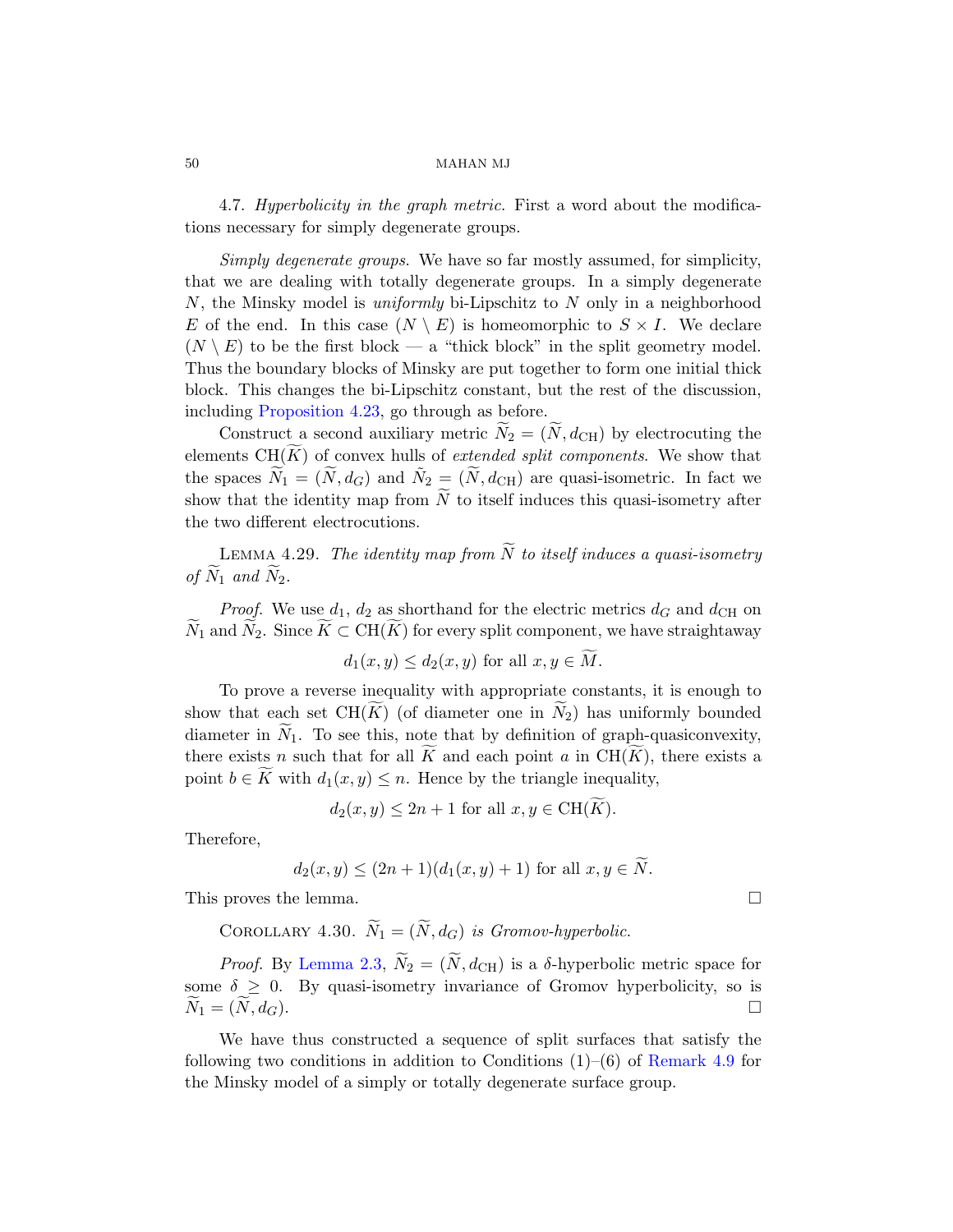4.7. Hyperbolicity in the graph metric. First a word about the modifications necessary for simply degenerate groups.

Simply degenerate groups. We have so far mostly assumed, for simplicity, [that](#page-43-1) we are dealing with totally degenerate groups. In a simply degenerate N, the Minsky model is uniformly bi-Lipschitz to N only in a neighborhood E of the end. In this case  $(N \setminus E)$  is homeomorphic to  $S \times I$ . We declare  $(N \setminus E)$  to be the first block — a "thick block" in the split geometry model. Thus the boundary blocks of Minsky are put together to form one initial thick block. This changes the bi-Lipschitz constant, but the rest of the discussion, including Proposition 4.23, go through as before.

<span id="page-49-0"></span>Construct a second auxiliary metric  $N_2 = (N, d_{\text{CH}})$  by electrocuting the elements  $CH(\widetilde{K})$  of convex hulls of *extended split components*. We show that the spaces  $\widetilde{N}_1 = (\widetilde{N}, d_G)$  and  $\widetilde{N}_2 = (\widetilde{N}, d_{\rm CH})$  are quasi-isometric. In fact we show that the identity map from  $N$  to itself induces this quasi-isometry after the two different electrocutions.

LEMMA 4.29. The identity map from  $\widetilde{N}$  to itself induces a quasi-isometry of  $N_1$  and  $N_2$ .

*Proof.* We use  $d_1$ ,  $d_2$  as shorthand for the electric metrics  $d_G$  and  $d_{\text{CH}}$  on  $N_1$  and  $N_2$ . Since  $K \subset \text{CH}(K)$  for every split component, we have straightaway

$$
d_1(x, y) \le d_2(x, y) \text{ for all } x, y \in M.
$$

To prove a reverse inequality with appropriate constants, it is enough to show that each set  $CH(K)$  (of diameter one in  $N_2$ ) has uniformly bounded diameter in  $N_1$ . To see this, note that by definition of graph-quasiconvexity, there exists n such that for all  $\tilde{K}$  and each point a in  $CH(\tilde{K})$ , there exists a point  $b \in K$  with  $d_1(x, y) \leq n$ . Hence by the triangle inequality,

$$
d_2(x, y) \le 2n + 1
$$
 for all  $x, y \in \text{CH}(K)$ .

[The](#page-14-0)refore,

$$
d_2(x, y) \le (2n + 1)(d_1(x, y) + 1)
$$
 for all  $x, y \in N$ .

This proves the lemma.

COROLLARY 4.30.  $\widetilde{N}_1 = (\widetilde{N}, d_G)$  [is Gromov-hy](#page-34-0)perbolic.

*Proof.* By Lemma 2.3,  $N_2 = (N, d_{\text{CH}})$  is a  $\delta$ -hyperbolic metric space for some  $\delta \geq 0$ . By quasi-isometry invariance of Gromov hyperbolicity, so is  $N_1 = (N, d)$  $\Box$ 

We have thus constructed a sequence of split surfaces that satisfy the following two conditions in addition to Conditions  $(1)$ – $(6)$  of Remark 4.9 for the Minsky model of a simply or totally degenerate surface group.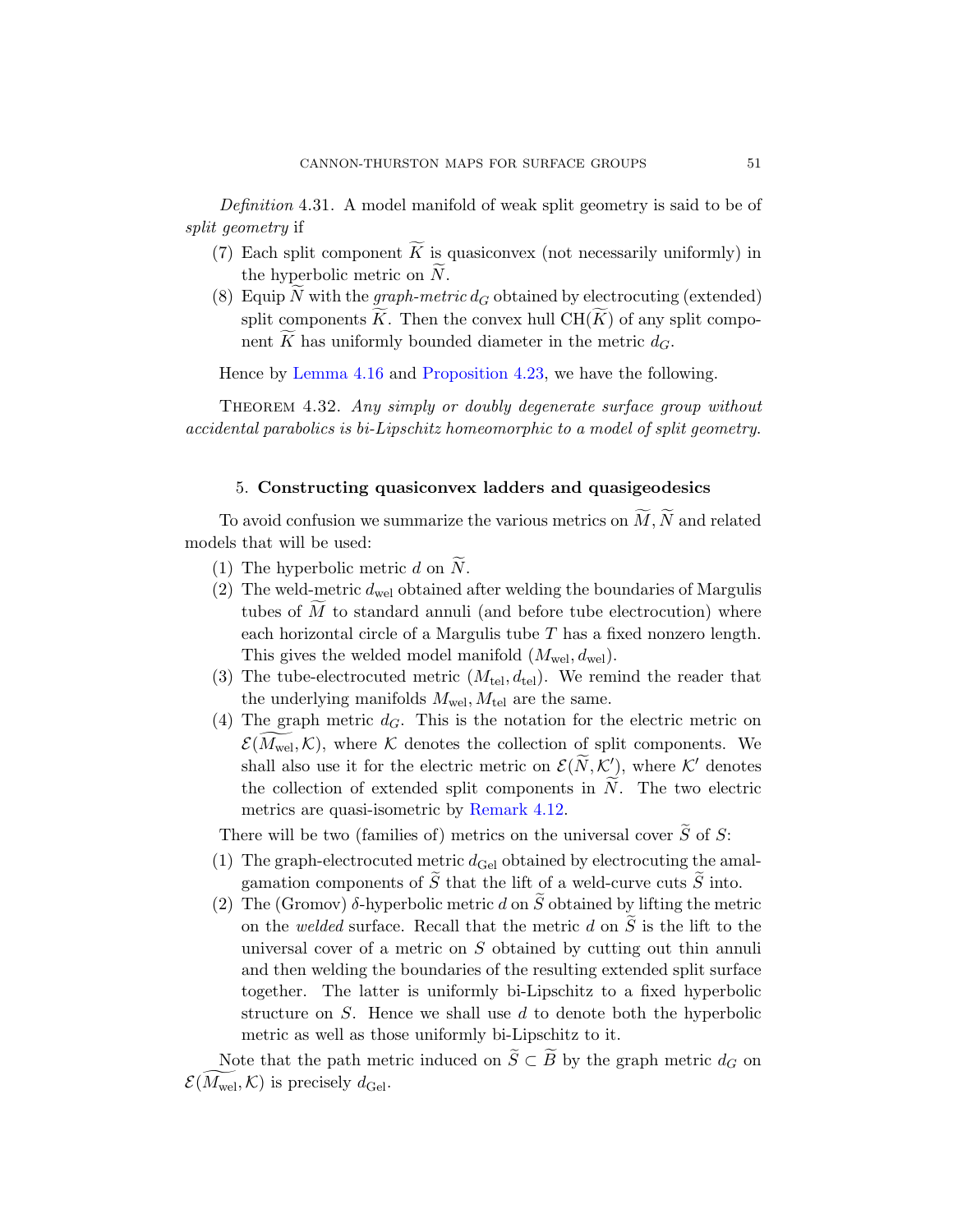<span id="page-50-1"></span>Definition 4.31. A model manifold of weak split geometry is said to be of [split](#page-40-1) geometry if

- (7) [Each split compon](#page-43-1)ent  $\widetilde{K}$  is quasiconvex (not necessarily uniformly) in the hyperbolic metric on  $N$ .
- (8) Equip N with the graph-metric  $d_G$  obtained by electrocuting (extended) split components  $\widetilde{K}$ . Then the convex hull  $\operatorname{CH}(\widetilde{K})$  of any split component  $\widetilde{K}$  has uniformly bounded diameter in the metric  $d_G$ .

Hence by Lemma 4.16 and Proposition 4.23, we have the following.

<span id="page-50-0"></span>THEOREM 4.32. Any simply or doubly degenerate surface group without accidental parabolics is bi-Lipschitz homeomorphic to a model of split geometry.

# 5. Constructing quasiconvex ladders and quasigeodesics

To avoid confusion we summarize the various metrics on  $M, N$  and related models that will be used:

- (1) The hyperbolic metric  $d$  on  $N$ .
- (2) The weld-metric  $d_{\text{wel}}$  obtained after welding the boundaries of Margulis tubes of  $M$  to standard annuli (and before tube electrocution) where each horizontal circle of a Margulis tube  $T$  has a fixed nonzero length. This gives the welded model manifold  $(M_{\text{wel}}, d_{\text{wel}})$ .
- (3) The tu[be-electrocute](#page-39-0)d metric  $(M_{\text{tel}}, d_{\text{tel}})$ . We remind the reader that the underlying manifolds  $M_{\text{wel}}$ ,  $M_{\text{tel}}$  are the same.
- (4) The graph metric  $d_G$ . This is the notation for the electric metric on  $\mathcal{E}(M_{\text{wel}}, \mathcal{K})$ , where  $\mathcal K$  denotes the collection of split components. We shall also use it for the electric metric on  $\mathcal{E}(\widetilde{N},\mathcal{K}'_2)$ , where  $\mathcal{K}'$  denotes the collection of extended split components in  $N$ . The two electric metrics are quasi-isometric by Remark 4.12.

There will be two (families of) metrics on the universal cover  $\tilde{S}$  of S:

- (1) The graph-electrocuted metric  $d_{\text{Gel}}$  obtained by electrocuting the amalgamation components of  $\tilde{S}$  that the lift of a weld-curve cuts  $\tilde{S}$  into.
- (2) The (Gromov)  $\delta$ -hyperbolic metric d on  $\tilde{S}$  obtained by lifting the metric on the welded surface. Recall that the metric d on  $\widetilde{S}$  is the lift to the universal cover of a metric on  $S$  obtained by cutting out thin annuli and then welding the boundaries of the resulting extended split surface together. The latter is uniformly bi-Lipschitz to a fixed hyperbolic structure on  $S$ . Hence we shall use  $d$  to denote both the hyperbolic metric as well as those uniformly bi-Lipschitz to it.

Note that the path metric induced on  $S \subset B$  by the graph metric  $d_G$  on  $\mathcal{E}(M_{\mathrm{wel}}, \mathcal{K})$  is precisely  $d_{\mathrm{Ge}l}$ .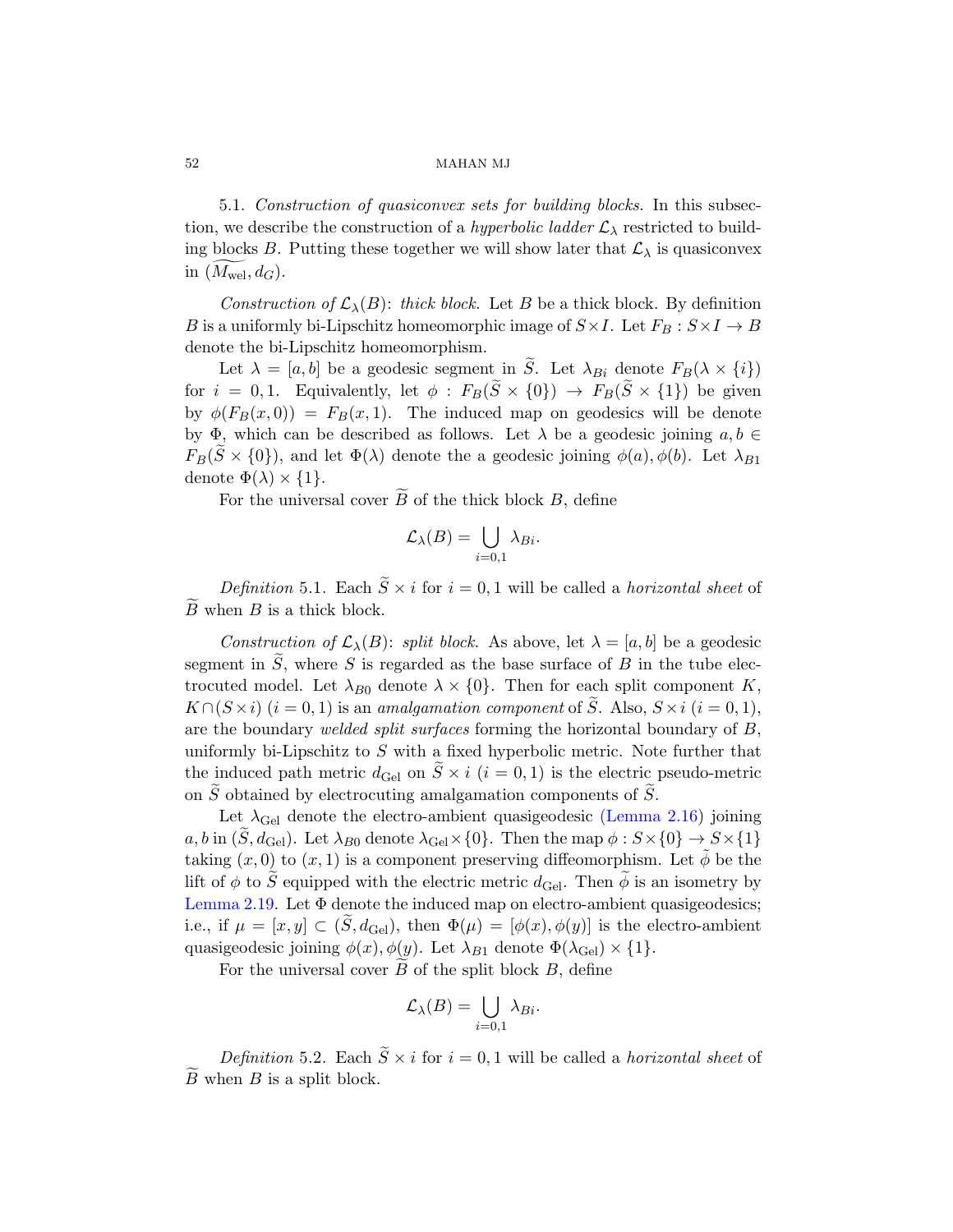5.1. Construction of quasiconvex sets for building blocks. In this subsection, we describe the construction of a *hyperbolic ladder*  $\mathcal{L}_{\lambda}$  restricted to building blocks B. Putting these together we will show later that  $\mathcal{L}_{\lambda}$  is quasiconvex in  $(M_{\text{wel}}, d_G)$ .

Construction of  $\mathcal{L}_{\lambda}(B)$ : thick block. Let B be a thick block. By definition B is a uniformly bi-Lipschitz homeomorphic image of  $S \times I$ . Let  $F_B : S \times I \to B$ denote the bi-Lipschitz homeomorphism.

Let  $\lambda = [a, b]$  be a geodesic segment in  $\widetilde{S}$ . Let  $\lambda_{Bi}$  denote  $F_B(\lambda \times \{i\})$ for  $i = 0, 1$ . Equivalently, let  $\phi : F_B(\tilde{S} \times \{0\}) \to F_B(\tilde{S} \times \{1\})$  be given by  $\phi(F_B(x, 0)) = F_B(x, 1)$ . The induced map on geodesics will be denote by  $\Phi$ , which can be described as follows. Let  $\lambda$  be a geodesic joining  $a, b \in$  $F_B(S \times \{0\})$ , and let  $\Phi(\lambda)$  denote the a geodesic joining  $\phi(a), \phi(b)$ . Let  $\lambda_{B1}$ denote  $\Phi(\lambda) \times \{1\}.$ 

For the universal cover  $B$  of the thick block  $B$ , define

$$
\mathcal{L}_{\lambda}(B) = \bigcup_{i=0,1} \lambda_{Bi}.
$$

Definition 5.1. Each  $\widetilde{S} \times i$  for  $i = 0, 1$  will be called a horizontal sheet of  $B$  when  $B$  is a thick block.

Construction of  $\mathcal{L}_{\lambda}(B)$ : split block. As above, let  $\lambda = [a, b]$  be a geodesic segment in  $\tilde{S}$ , where S is regarded as the base surface of B in the tube electrocuted model. Let  $\lambda_{B0}$  denote  $\lambda \times \{0\}$ [. The](#page-19-0)n for each split component K,  $K \cap (S \times i)$   $(i = 0, 1)$  is an amalgamation component of S. Also,  $S \times i$   $(i = 0, 1)$ , are the boundary welded split surfaces forming the horizontal boundary of  $B$ , uniformly bi-Lipschitz to  $S$  with a fixed hyperbolic metric. Note further that the induced path metric  $d_{\text{Ge}l}$  on  $\tilde{S} \times i$   $(i = 0, 1)$  is the electric pseudo-metric on  $\tilde{S}$  obtained by electrocuting amalgamation components of  $\tilde{S}$ .

Let  $\lambda_{\text{Ge}}$  denote the electro-ambient quasigeodesic (Lemma 2.16) joining a, b in  $(\tilde{S}, d_{\text{Gel}})$ . Let  $\lambda_{B0}$  denote  $\lambda_{\text{Gel}} \times \{0\}$ . Then the map  $\phi : S \times \{0\} \to S \times \{1\}$ taking  $(x, 0)$  to  $(x, 1)$  is a component preserving diffeomorphism. Let  $\phi$  be the lift of  $\phi$  to S equipped with the electric metric  $d_{\text{Ge}l}$ . Then  $\phi$  is an isometry by Lemma 2.19. Let  $\Phi$  denote the induced map on electro-ambient quasigeodesics; i.e., if  $\mu = [x, y] \subset (\tilde{S}, d_{\text{Ge}})$ , then  $\Phi(\mu) = [\phi(x), \phi(y)]$  is the electro-ambient quasigeodesic joining  $\phi(x), \phi(y)$ . Let  $\lambda_{B1}$  denote  $\Phi(\lambda_{\text{Ge}}) \times \{1\}$ .

For the universal cover  $B$  of the split block  $B$ , define

$$
\mathcal{L}_{\lambda}(B) = \bigcup_{i=0,1} \lambda_{Bi}.
$$

Definition 5.2. Each  $\widetilde{S} \times i$  for  $i = 0, 1$  will be called a *horizontal sheet* of  $B$  when  $B$  is a split block.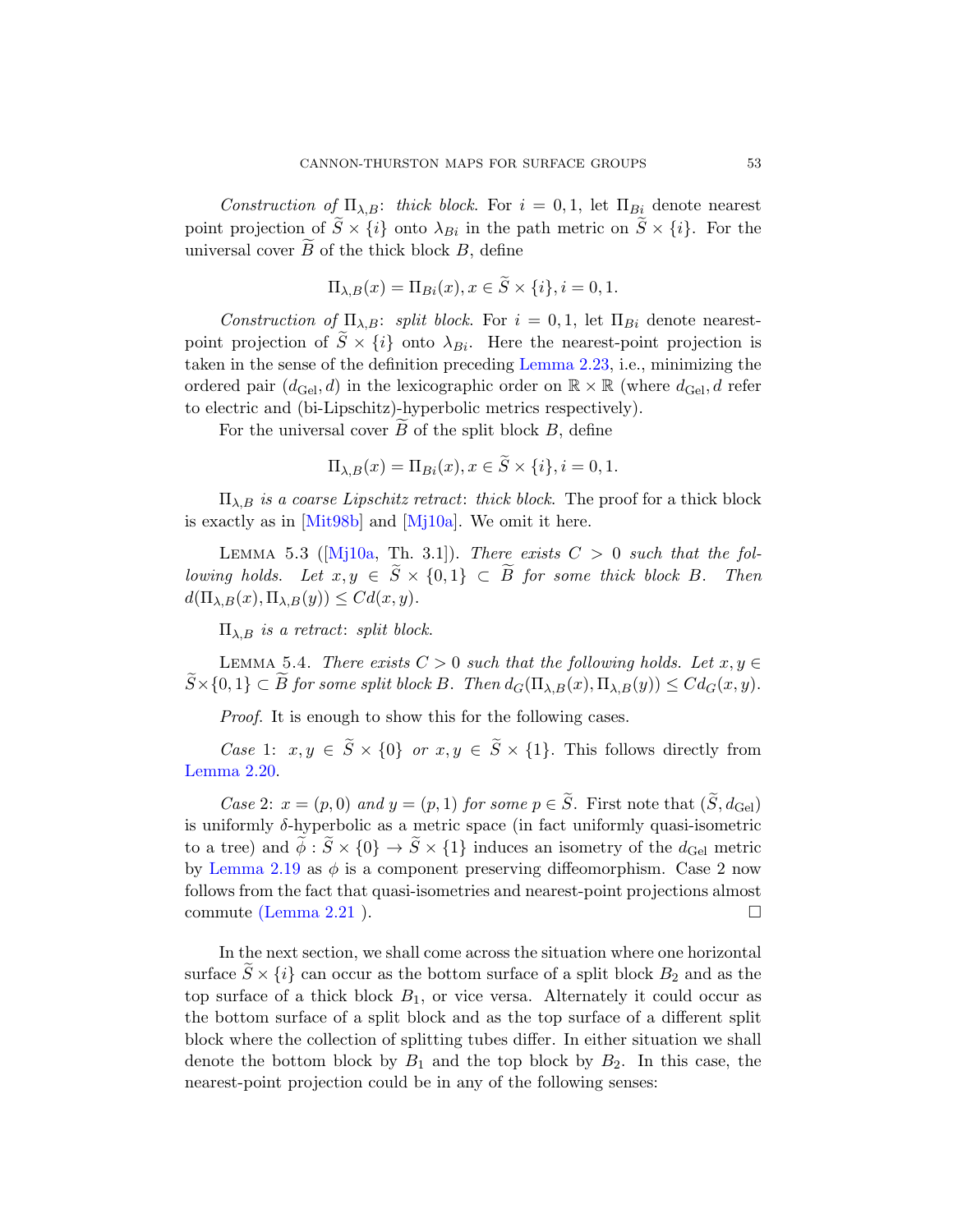Construction of  $\Pi_{\lambda,B}$ : thick block. For  $i = 0,1$ , let  $\Pi_{Bi}$  denote nearest point projection of  $\widetilde{S} \times \{i\}$  [onto](#page-21-0)  $\lambda_{Bi}$  in the path metric on  $\widetilde{S} \times \{i\}$ . For the universal cover  $B$  of the thick block  $B$ , define

$$
\Pi_{\lambda,B}(x) = \Pi_{Bi}(x), x \in \widetilde{S} \times \{i\}, i = 0, 1.
$$

<span id="page-52-0"></span>Construction of  $\Pi_{\lambda,B}$ : split block. For  $i = 0,1$ , let  $\Pi_{Bi}$  denote nearestpoint projection of  $\tilde{S} \times \{i\}$  onto  $\lambda_{Bi}$ . Here the nearest-point projection is taken in the sense of the definition preceding Lemma 2.23, i.e., minimizing the [o](#page-78-0)rdered pair  $(d_{\text{Gel}}, d)$  in the lexicographic order on  $\mathbb{R} \times \mathbb{R}$  (where  $d_{\text{Gel}}$ , d refer [to](#page-79-0) electric and (bi-Lipschitz)-hyperbolic metrics respectively).

For the universal cover  $B$  of the split block  $B$ , define

$$
\Pi_{\lambda,B}(x) = \Pi_{Bi}(x), x \in \widetilde{S} \times \{i\}, i = 0, 1.
$$

<span id="page-52-1"></span> $\Pi_{\lambda,B}$  is a coarse Lipschitz retract: thick block. The proof for a thick block is exactly as in [Mit98b] and [Mj10a]. We omit it here.

LEMMA 5.3 ( $[Mj10a, Th. 3.1]$ ). There exists  $C > 0$  such that the following holds. Let  $x, y \in S \times \{0,1\} \subset B$  for some thick block B. Then  $d(\Pi_{\lambda,B}(x),\Pi_{\lambda,B}(y)) \leq Cd(x,y).$ 

 $\Pi_{\lambda,B}$  is a retract: split block.

LEMMA 5.4. There exists  $C > 0$  such that the following holds. Let  $x, y \in$  $S \times \{0,1\} \subset B$  for some split block B. Then  $d_G(\Pi_{\lambda,B}(x), \Pi_{\lambda,B}(y)) \leq Cd_G(x,y)$ .

Proof. It is enough to show this for the following cases.

Case 1:  $x, y \in \tilde{S} \times \{0\}$  or  $x, y \in \tilde{S} \times \{1\}$ . This follows directly from [L](#page-21-1)emma 2.20.

Case 2:  $x = (p, 0)$  and  $y = (p, 1)$  for some  $p \in \tilde{S}$ . First note that  $(\tilde{S}, d_{\text{Ge}})$ is uniformly  $\delta$ -hyperbolic as a metric space (in fact uniformly quasi-isometric to a tree) and  $\tilde{\phi}$ :  $\tilde{S} \times \{0\} \to \tilde{S} \times \{1\}$  induces an isometry of the  $d_{\text{Ge}l}$  metric by Lemma 2.19 as  $\phi$  is a component preserving diffeomorphism. Case 2 now follows from the fact that quasi-isometries and nearest-point projections almost commute (Lemma 2.21).

In the next section, we shall come across the situation where one horizontal surface  $S \times \{i\}$  can occur as the bottom surface of a split block  $B_2$  and as the top surface of a thick block  $B_1$ , or vice versa. Alternately it could occur as the bottom surface of a split block and as the top surface of a different split block where the collection of splitting tubes differ. In either situation we shall denote the bottom block by  $B_1$  and the top block by  $B_2$ . In this case, the nearest-point projection could be in any of the following senses: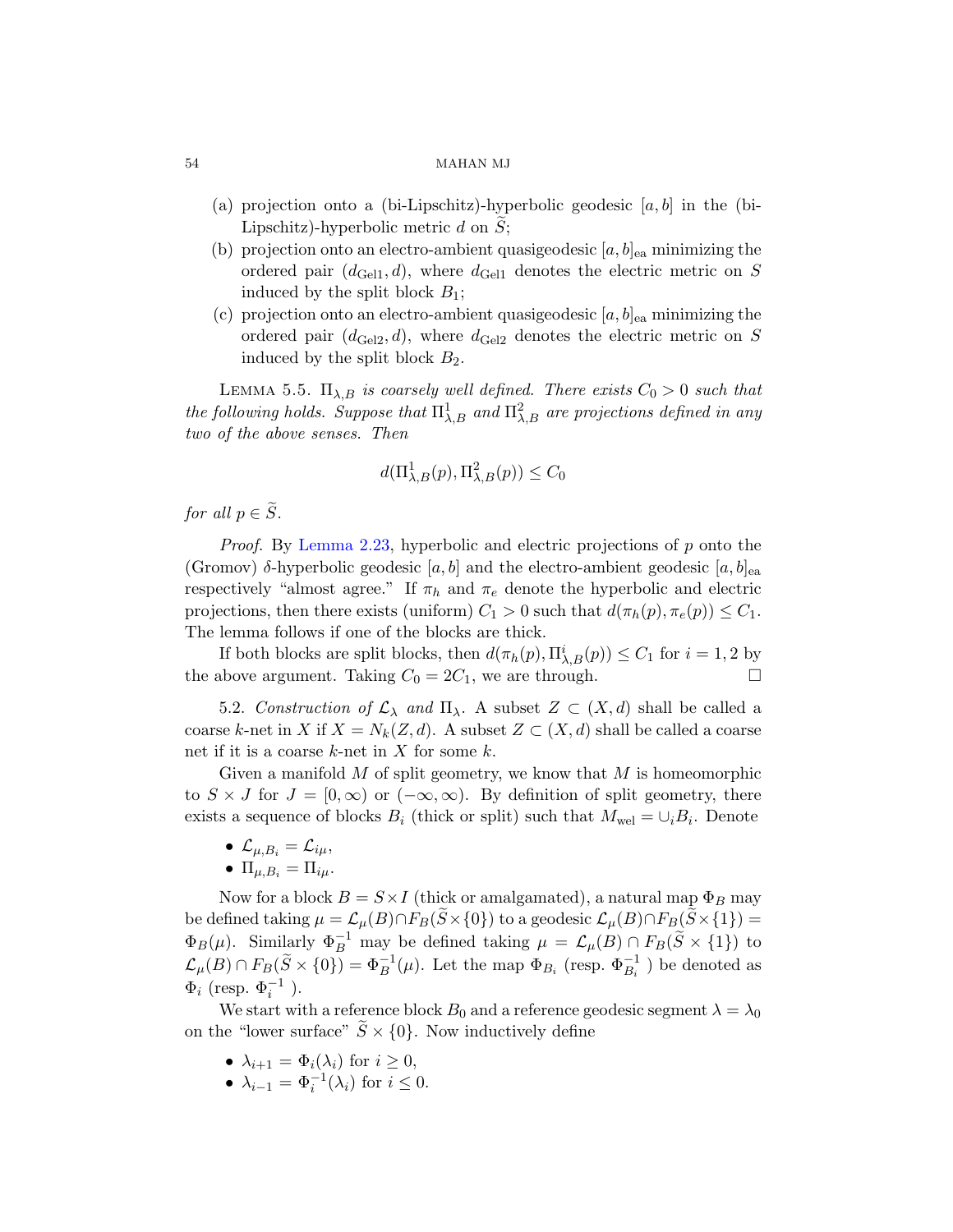- (a) projection onto a (bi-Lipschitz)-hyperbolic geodesic  $[a, b]$  in the (bi-Lipschitz)-hyperbolic metric  $d$  on  $S$ ;
- (b) projection onto an electro-ambient quasigeodesic  $[a, b]_{ea}$  minimizing the ordered pair  $(d_{\text{Gell}}, d)$ , where  $d_{\text{Gell}}$  denotes the electric metric on S induced by the split block  $B_1$ ;
- (c) projection onto an electro-ambient quasigeodesic  $[a, b]_{ea}$  minimizing the ordered pair  $(d_{\text{Gel2}}, d)$ , where  $d_{\text{Gel2}}$  denotes the electric metric on S induced by the split block  $B_2$ .

LEMMA 5.5.  $\Pi_{\lambda,B}$  is coarsely well defined. There exists  $C_0 > 0$  such that [the fo](#page-21-0)llowing holds. Suppose that  $\Pi^1_{\lambda,B}$  and  $\Pi^2_{\lambda,B}$  are projections defined in any two of the above senses. Then

$$
d(\Pi_{\lambda,B}^1(p), \Pi_{\lambda,B}^2(p)) \le C_0
$$

for all  $p \in \widetilde{S}$ .

Proof. By Lemma 2.23, hyperbolic and electric projections of p onto the (Gromov)  $\delta$ -hyperbolic geodesic [a, b] and the electro-ambient geodesic [a, b]<sub>ea</sub> respectively "almost agree." If  $\pi_h$  and  $\pi_e$  denote the hyperbolic and electric projections, then there exists (uniform)  $C_1 > 0$  such that  $d(\pi_h(p), \pi_e(p)) \leq C_1$ . The lemma follows if one of the blocks are thick.

If both blocks are split blocks, then  $d(\pi_h(p), \Pi^i_{\lambda, B}(p)) \leq C_1$  for  $i = 1, 2$  by the above argument. Taking  $C_0 = 2C_1$ , we are through.

5.2. Construction of  $\mathcal{L}_{\lambda}$  and  $\Pi_{\lambda}$ . A subset  $Z \subset (X,d)$  shall be called a coarse k-net in X if  $X = N_k(Z, d)$ . A subset  $Z \subset (X, d)$  shall be called a coarse net if it is a coarse  $k$ -net in  $X$  for some  $k$ .

Given a manifold  $M$  of split geometry, we know that  $M$  is homeomorphic to  $S \times J$  for  $J = [0, \infty)$  or  $(-\infty, \infty)$ . By definition of split geometry, there exists a sequence of blocks  $B_i$  (thick or split) such that  $M_{\text{wel}} = \cup_i B_i$ . Denote

- $\mathcal{L}_{\mu,B_i} = \mathcal{L}_{i\mu},$
- $\Pi_{\mu,B_i} = \Pi_{i\mu}.$

Now for a block  $B = S \times I$  (thick or amalgamated), a natural map  $\Phi_B$  may be defined taking  $\mu = \mathcal{L}_{\mu}(B) \cap F_B(\tilde{S} \times \{0\})$  to a geodesic  $\mathcal{L}_{\mu}(B) \cap F_B(\tilde{S} \times \{1\}) =$  $\Phi_B(\mu)$ . Similarly  $\Phi_B^{-1}$  may be defined taking  $\mu = \mathcal{L}_{\mu}(B) \cap F_B(\tilde{S} \times \{1\})$  to  $\mathcal{L}_{\mu}(B) \cap F_B(\tilde{S} \times \{0\}) = \Phi_B^{-1}(\mu)$ . Let the map  $\Phi_{B_i}$  (resp.  $\Phi_{B_i}^{-1}$ ) be denoted as  $\Phi_i$  (resp.  $\Phi_i^{-1}$  ).

We start with a reference block  $B_0$  and a reference geodesic segment  $\lambda = \lambda_0$ on the "lower surface"  $S \times \{0\}$ . Now inductively define

- $\lambda_{i+1} = \Phi_i(\lambda_i)$  for  $i \geq 0$ ,
- $\lambda_{i-1} = \Phi_i^{-1}(\lambda_i)$  for  $i \leq 0$ .

<span id="page-53-0"></span>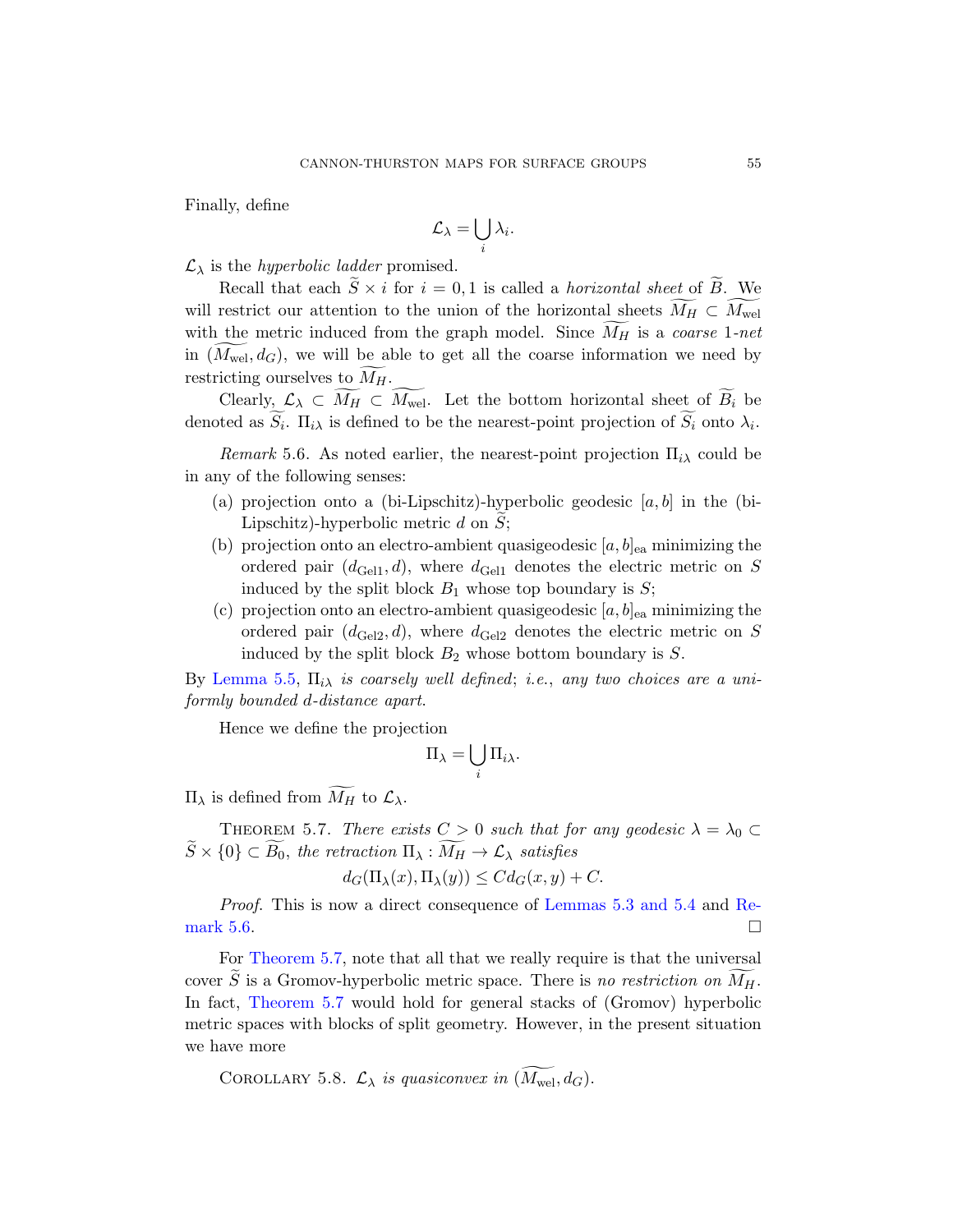Finally, define

$$
\mathcal{L}_{\lambda} = \bigcup_{i} \lambda_{i}.
$$

 $\mathcal{L}_{\lambda}$  is the *hyperbolic ladder* promised.

<span id="page-54-1"></span>Recall that each  $S \times i$  for  $i = 0, 1$  is called a *horizontal sheet* of B. We will restrict our attention to the union of the horizontal sheets  $M_H \subset M_{\text{wel}}$ with the metric induced from the graph model. Since  $M_H$  is a *coarse* 1-net in  $(M_{\text{wel}}, d_G)$ , we will be able to get all the coarse information we need by restricting ourselves to  $M_H$ .

Clearly,  $\mathcal{L}_{\lambda} \subset M_H \subset M_{\text{wel}}$ . Let the bottom horizontal sheet of  $B_i$  be denoted as  $S_i$ .  $\Pi_{i\lambda}$  is defined to be the nearest-point projection of  $S_i$  onto  $\lambda_i$ .

Remark 5.6. As noted earlier, the nearest-point projection  $\Pi_{i\lambda}$  could be in any of the following senses:

- (a) projection onto a (bi-Lipschitz)-hyperbolic geodesic  $[a, b]$  in the (bi-Lipschitz)-hyperbolic metric  $d$  on  $S$ ;
- (b) projection onto an electro-ambient quasigeodesic  $[a, b]_{ea}$  minimizing the ordered pair  $(d_{\text{Gell}}, d)$ , where  $d_{\text{Gell}}$  denotes the electric metric on S induced by the split block  $B_1$  whose top boundary is  $S$ ;
- (c) projection onto an electro-ambient quasigeodesic  $[a, b]_{ea}$  minimizing the ordered pair  $(d_{\text{Gel2}}, d)$ , where  $d_{\text{Gel2}}$  denotes the electric metric on S induced by the split block  $B_2$  whose bottom boundary is  $S$ .

<span id="page-54-0"></span>By Lemma 5.5,  $\Pi_{i\lambda}$  is coarsely well defined; i.e., any two choices are a uniformly bounded d-distance apart.

Hence we define the projection

$$
\Pi_{\lambda} = \bigcup_{i} \Pi_{i\lambda}.
$$

 $\Pi_\lambda$  is defined from  $M_H$  to  $\mathcal{L}_\lambda$ .

THEOREM 5.7. There exists  $C > 0$  such that for any geodesic  $\lambda = \lambda_0 \subset$  $S \times \{0\} \subset B_0$ , the retraction  $\Pi_{\lambda}: M_H \to \mathcal{L}_{\lambda}$  satisfies

$$
d_G(\Pi_{\lambda}(x), \Pi_{\lambda}(y)) \leq C d_G(x, y) + C.
$$

Proof. This is now a direct consequence of Lemmas 5.3 and 5.4 and Remark 5.6.  $\Box$ 

For Theorem 5.7, note that all that we really require is that the universal cover S is a Gromov-hyperbolic metric space. There is no restriction on  $M_H$ . In fact, Theorem 5.7 would hold for general stacks of (Gromov) hyperbolic metric spaces with blocks of split geometry. However, in the present situation we have more

COROLLARY 5.8.  $\mathcal{L}_{\lambda}$  is quasiconvex in  $(\widetilde{M_{\mathrm{wel}}}, d_G)$ .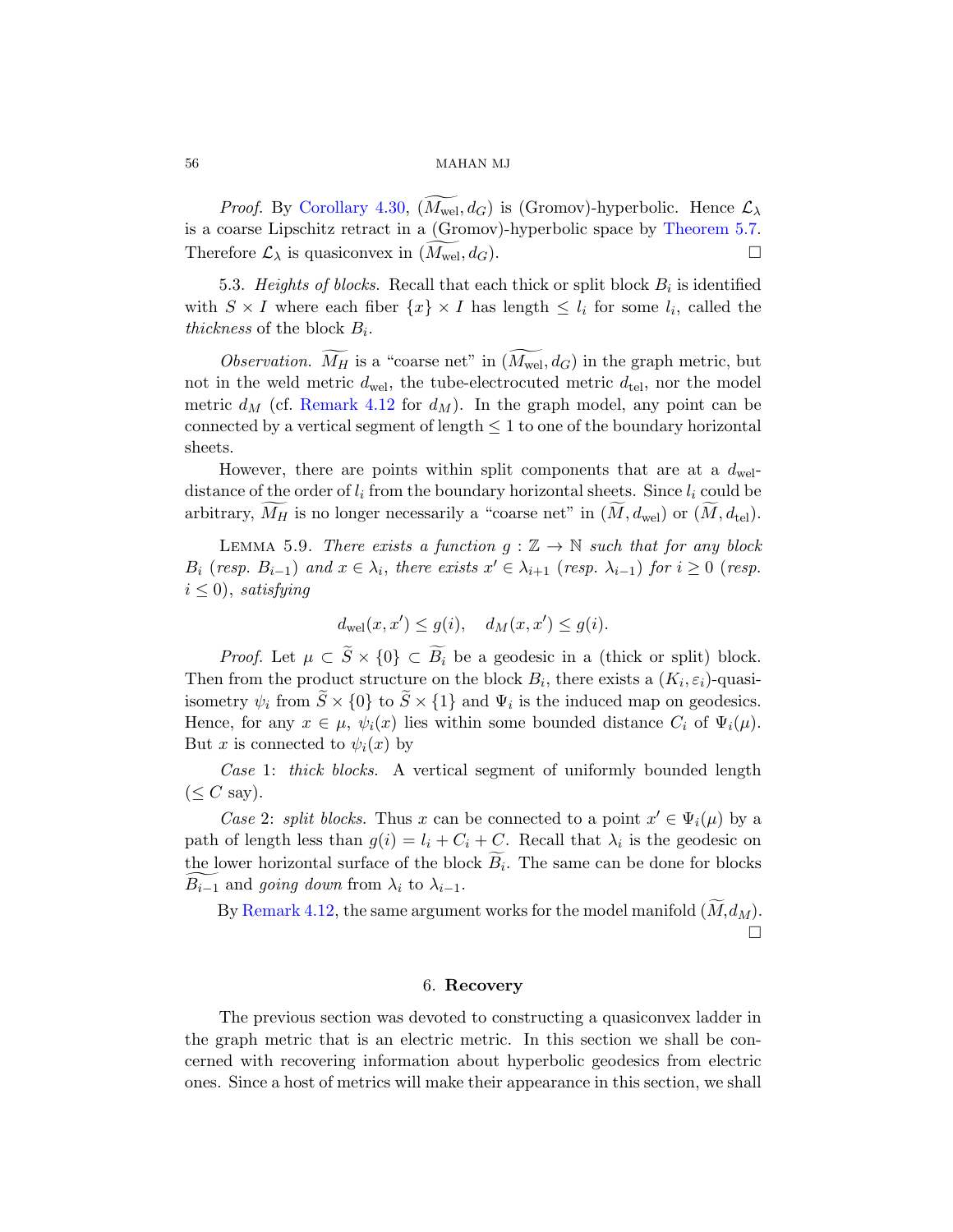*Proof.* By Corollary 4.30,  $(M_{\text{wel}}, d_G)$  is (Gromov)-hyperbolic. Hence  $\mathcal{L}_{\lambda}$ is a coarse Lipschitz retract in a (Gromov)-hyperbolic space by Theorem 5.7. [There](#page-39-0)fore  $\mathcal{L}_{\lambda}$  is quasiconvex in  $(\widetilde{M_{\mathrm{wel}}}, d_G)$ .

5.3. Heights of blocks. Recall that each thick or split block  $B_i$  is identified with  $S \times I$  where each fiber  $\{x\} \times I$  has length  $\leq l_i$  for some  $l_i$ , called the thickness of the block  $B_i$ .

<span id="page-55-0"></span>Observation.  $M_H$  is a "coarse net" in  $(M_{\text{wel}}, d_G)$  in the graph metric, but not in the weld metric  $d_{\text{wel}}$ , the tube-electrocuted metric  $d_{\text{tel}}$ , nor the model metric  $d_M$  (cf. Remark 4.12 for  $d_M$ ). In the graph model, any point can be connected by a vertical segment of length  $\leq 1$  to one of the boundary horizontal sheets.

However, there are points within split components that are at a  $d_{\text{wel}}$ distance of the order of  $l_i$  from the boundary horizontal sheets. Since  $l_i$  could be arbitrary,  $M_H$  is no longer necessarily a "coarse net" in  $(M, d_{\text{wel}})$  or  $(M, d_{\text{tel}})$ .

LEMMA 5.9. There exists a function  $g : \mathbb{Z} \to \mathbb{N}$  such that for any block  $B_i$  (resp.  $B_{i-1}$ ) and  $x \in \lambda_i$ , there exists  $x' \in \lambda_{i+1}$  (resp.  $\lambda_{i-1}$ ) for  $i \geq 0$  (resp.  $i \leq 0$ , satisfying

$$
d_{\text{wel}}(x, x') \le g(i), \quad d_M(x, x') \le g(i).
$$

*Proof.* Let  $\mu \subset \tilde{S} \times \{0\} \subset \widetilde{B}_i$  be a geodesic in a (thick or split) block. Then from the product structure on the block  $B_i$ , there exists a  $(K_i, \varepsilon_i)$ -quasiisometry  $\psi_i$  from  $S \times \{0\}$  to  $S \times \{1\}$  and  $\Psi_i$  is the induced map on geodesics. Hence, for any  $x \in \mu$ ,  $\psi_i(x)$  lies within some bounded distance  $C_i$  of  $\Psi_i(\mu)$ . But x is connected to  $\psi_i(x)$  by

Case 1: thick blocks. A vertical segment of uniformly bounded length  $(\leq C \text{ say}).$ 

Case 2: split blocks. Thus x can be connected to a point  $x' \in \Psi_i(\mu)$  by a path of length less than  $g(i) = l_i + C_i + C$ . Recall that  $\lambda_i$  is the geodesic on the lower horizontal surface of the block  $B_i$ . The same can be done for blocks  $B_{i-1}$  and *going down* from  $\lambda_i$  to  $\lambda_{i-1}$ .

By Remark 4.12, the same argument works for the model manifold  $(M, d_M)$ .  $\Box$ 

### 6. Recovery

The previous section was devoted to constructing a quasiconvex ladder in the graph metric that is an electric metric. In this section we shall be concerned with recovering information about hyperbolic geodesics from electric ones. Since a host of metrics will make their appearance in this section, we shall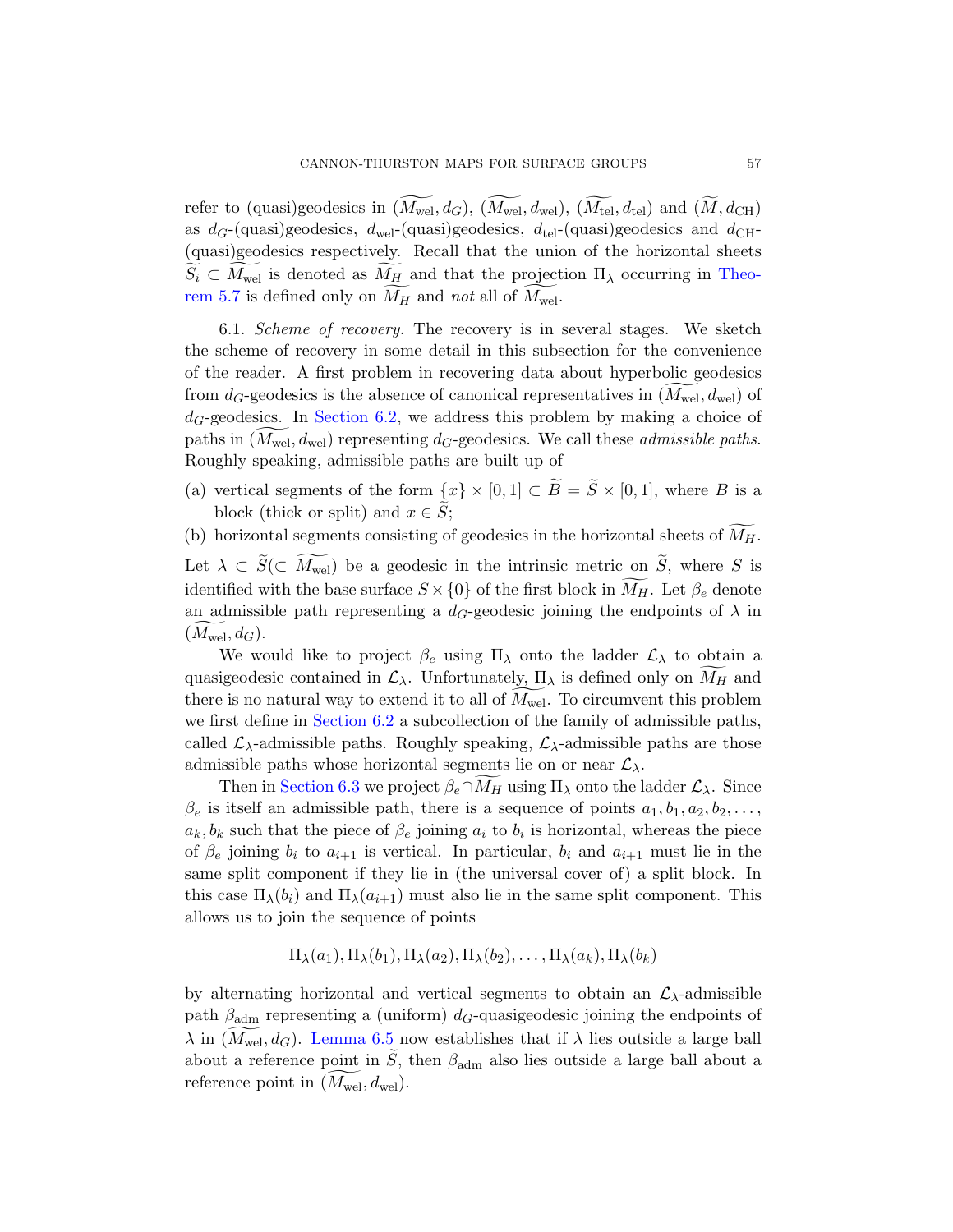refer to (quasi)geodesics in  $(M_{\text{wel}}, d_G)$ ,  $(M_{\text{wel}}, d_{\text{wel}})$ ,  $(M_{\text{tel}}, d_{\text{tel}})$  and  $(M, d_{\text{CH}})$ as  $d_G$ -(quasi)geodesics,  $d_{\text{wel}}$ -(quasi)geodesics,  $d_{\text{tel}}$ -(quasi)geodesics and  $d_{\text{CH}}$ -(quasi)geodesics respectively. Recall that the union of the horizontal sheets  $S_i \subset M_{\text{wel}}$  is denoted as  $M_H$  and that the projection  $\Pi_\lambda$  occurring in Theorem 5.7 is defined only on  $M_H$  and not all of  $M_{\text{wel}}$ .

6.1. Scheme of recovery. The recovery is in several stages. We sketch the scheme of recovery in some detail in this subsection for the convenience of the reader. A first problem in recovering data about hyperbolic geodesics from  $d_G$ -geodesics is the absence of canonical representatives in  $(M_{\text{wel}}, d_{\text{wel}})$  of  $d_G$ -geodesics. In Section 6.2, we address this problem by making a choice of paths in  $(M_{\text{wel}}, d_{\text{wel}})$  representing  $d_G$ -geodesics. We call these *admissible paths*. Roughly speaking, admissible paths are built up of

- (a) vertical segments of the form  $\{x\} \times [0,1] \subset B = S \times [0,1]$ , where B is a block (thick or split) and  $x \in S$ ;
- (b) horizontal segments consisting of geodesics in the horizontal sheets of  $M_H$ .

Let  $\lambda \subset S(\subset M_{\text{wel}})$  be a geodesic in the intrinsic metric on S, where S is [identi](#page-57-0)fied with the base surface  $S \times \{0\}$  of the first block in  $M_H$ . Let  $\beta_e$  denote an admissible path representing a  $d_G$ -geodesic joining the endpoints of  $\lambda$  in  $(M_{\text{wel}}, d_G)$  $(M_{\text{wel}}, d_G)$ .

We would like to project  $\beta_e$  using  $\Pi_\lambda$  onto the ladder  $\mathcal{L}_\lambda$  to obtain a quasigeodesic contained in  $\mathcal{L}_{\lambda}$ . Unfortunately,  $\Pi_{\lambda}$  is defined only on  $M_H$  and there is no natural way to extend it to all of  $M_{\text{wel}}$ . To circumvent this problem we first define in Section 6.2 a subcollection of the family of admissible paths, called  $\mathcal{L}_{\lambda}$ -admissible paths. Roughly speaking,  $\mathcal{L}_{\lambda}$ -admissible paths are those admissible paths whose horizontal segments lie on or near  $\mathcal{L}_{\lambda}$ .

Then in Section 6.3 we project  $\beta_e \cap M_H$  using  $\Pi_\lambda$  onto the ladder  $\mathcal{L}_\lambda$ . Since  $\beta_e$  is itself an admissible path, there is a sequence of points  $a_1, b_1, a_2, b_2, \ldots$ ,  $a_k, b_k$  such that the piece of  $\beta_e$  joining  $a_i$  to  $b_i$  is horizontal, whereas the piece of  $\beta_e$  joining  $b_i$  to  $a_{i+1}$  is vertical. In particular,  $b_i$  and  $a_{i+1}$  must lie in the same split component if they lie in (the universal cover of) a split block. In [this c](#page-61-0)ase  $\Pi_{\lambda}(b_i)$  and  $\Pi_{\lambda}(a_{i+1})$  must also lie in the same split component. This allows us to join the sequence of points

$$
\Pi_{\lambda}(a_1), \Pi_{\lambda}(b_1), \Pi_{\lambda}(a_2), \Pi_{\lambda}(b_2), \ldots, \Pi_{\lambda}(a_k), \Pi_{\lambda}(b_k)
$$

by alternating horizontal and vertical segments to obtain an  $\mathcal{L}_{\lambda}$ -admissible path  $\beta_{\text{adm}}$  representing a (uniform) d<sub>G</sub>-quasigeodesic joining the endpoints of  $\lambda$  in  $(M_{\text{wel}}, d_G)$ . Lemma 6.5 now establishes that if  $\lambda$  lies outside a large ball about a reference point in  $\tilde{S}$ , then  $\beta_{\text{adm}}$  also lies outside a large ball about a reference point in  $(M_{\text{wel}}, d_{\text{wel}})$ .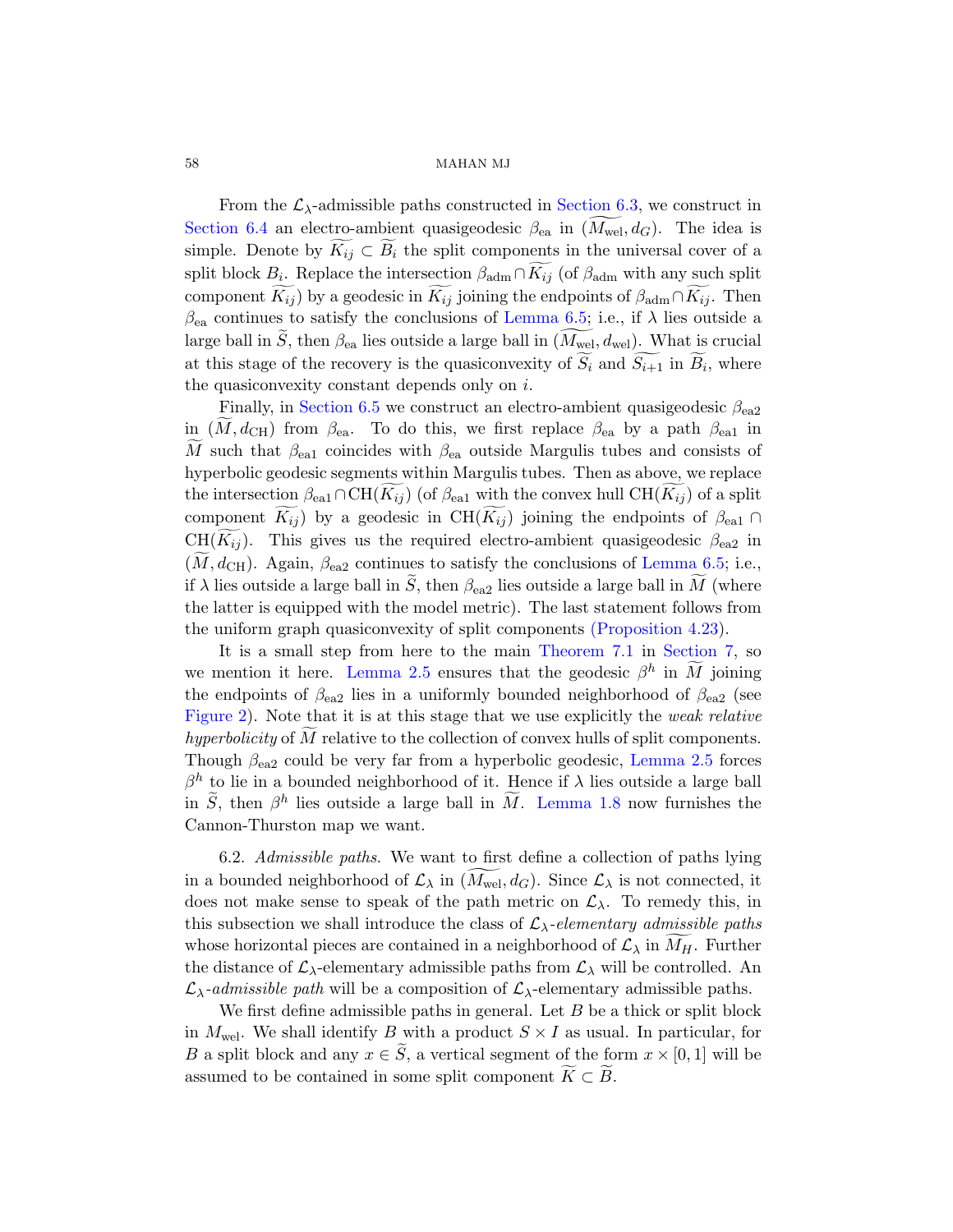From the  $\mathcal{L}_{\lambda}$ -admissible paths constructed in Section 6.3, we construct in Section 6.4 an electro-ambient quasigeodesic  $\beta_{ea}$  in  $(M_{wel}, d_G)$ . The idea is simple. Denote by  $\widetilde{K_{ij}} \subset \widetilde{B_i}$  the split components in the universal cover of a [spli](#page-65-0)t block  $B_i$ . Replace the intersection  $\beta_{\text{adm}} \cap K_{ij}$  (of  $\beta_{\text{adm}}$  with any such split component  $K_{ij}$ ) by a geodesic in  $K_{ij}$  joining the endpoints of  $\beta_{\text{adm}} \cap K_{ij}$ . Then  $\beta_{\rm ea}$  continues to satisfy the conclusions of Lemma 6.5; i.e., if  $\lambda$  lies outside a large ball in S, then  $\beta_{ea}$  lies outside a large ball in  $(M_{\text{wel}}, d_{\text{wel}})$ . What is crucial at this stage of the recovery is the quasiconvexity of  $S_i$  and  $S_{i+1}$  in  $B_i$ , where the quasiconvexity constant depends only on  $i$ .

Finally, in Section 6.5 we construct an electro-ambient quasigeodesic  $\beta_{ea2}$ in  $(M, d_{\text{CH}})$  from  $\beta_{\text{ea}}$ . To do this, [we first repl](#page-61-0)ace  $\beta_{\text{ea}}$  by a path  $\beta_{\text{ea}}$  in M such that  $\beta_{\rm ea1}$  coincides with  $\beta_{\rm ea}$  outside Margulis tubes and consists of hyperbolic geodesic segments within Margulis tubes. Then as above, we replace the intersection  $\beta_{\text{ea}1} \cap \text{CH}(K_{ij})$  (of  $\beta_{\text{ea}1}$  [with the c](#page-43-1)onvex hull  $\text{CH}(K_{ij})$  of a split component  $\widetilde{K_{ij}}$ ) by a [geodesic in CH](#page-69-0) $(\widetilde{K_{ij}})$  joining the endpoints of  $\beta_{\text{ea}1} \cap$ [CH\(](#page-15-0) $\widetilde{K_{ij}}$ ). This gives us the required electro-ambient quasigeodesic  $\beta_{ea2}$  in  $(M, d_{\text{CH}})$ . Again,  $\beta_{\text{ea2}}$  continues to satisfy the conclusions of Lemma 6.5; i.e., if  $\lambda$  lies outside a large ball in  $\tilde{S}$ , then  $\beta_{ea2}$  lies outside a large ball in  $\tilde{M}$  (where the latter is equipped with the model metric). The last statement follows from the uniform graph quasiconvexity of [split compo](#page-15-0)nents (Proposition 4.23).

<span id="page-57-0"></span>It is a small step from here to the main Theorem 7.1 in Section 7, so we mention it here. L[emma 2.5](#page-12-0) ensures that the geodesic  $\beta^h$  in  $\widetilde{M}$  joining the endpoints of  $\beta_{\rm ea2}$  lies in a uniformly bounded neighborhood of  $\beta_{\rm ea2}$  (see Figure 2). Note that it is at this stage that we use explicitly the weak relative hyperbolicity of  $\tilde{M}$  relative to the collection of convex hulls of split components. Though  $\beta_{\text{ea}2}$  could be very far from a hyperbolic geodesic, Lemma 2.5 forces  $\beta^h$  to lie in a bounded neighborhood of it. Hence if  $\lambda$  lies outside a large ball in  $\widetilde{S}$ , then  $\beta^h$  lies outside a large ball in  $\widetilde{M}$ . Lemma 1.8 now furnishes the Cannon-Thurston map we want.

6.2. Admissible paths. We want to first define a collection of paths lying in a bounded neighborhood of  $\mathcal{L}_{\lambda}$  in  $(M_{\text{wel}}, d_G)$ . Since  $\mathcal{L}_{\lambda}$  is not connected, it does not make sense to speak of the path metric on  $\mathcal{L}_{\lambda}$ . To remedy this, in this subsection we shall introduce the class of  $\mathcal{L}_{\lambda}$ -elementary admissible paths whose horizontal pieces are contained in a neighborhood of  $\mathcal{L}_{\lambda}$  in  $M_H$ . Further the distance of  $\mathcal{L}_{\lambda}$ -elementary admissible paths from  $\mathcal{L}_{\lambda}$  will be controlled. An  $\mathcal{L}_{\lambda}$ -admissible path will be a composition of  $\mathcal{L}_{\lambda}$ -elementary admissible paths.

We first define admissible paths in general. Let  $B$  be a thick or split block in  $M_{\text{wel}}$ . We shall identify B with a product  $S \times I$  as usual. In particular, for B a split block and any  $x \in \tilde{S}$ , a vertical segment of the form  $x \times [0,1]$  will be assumed to be contained in some split component  $K \subset B$ .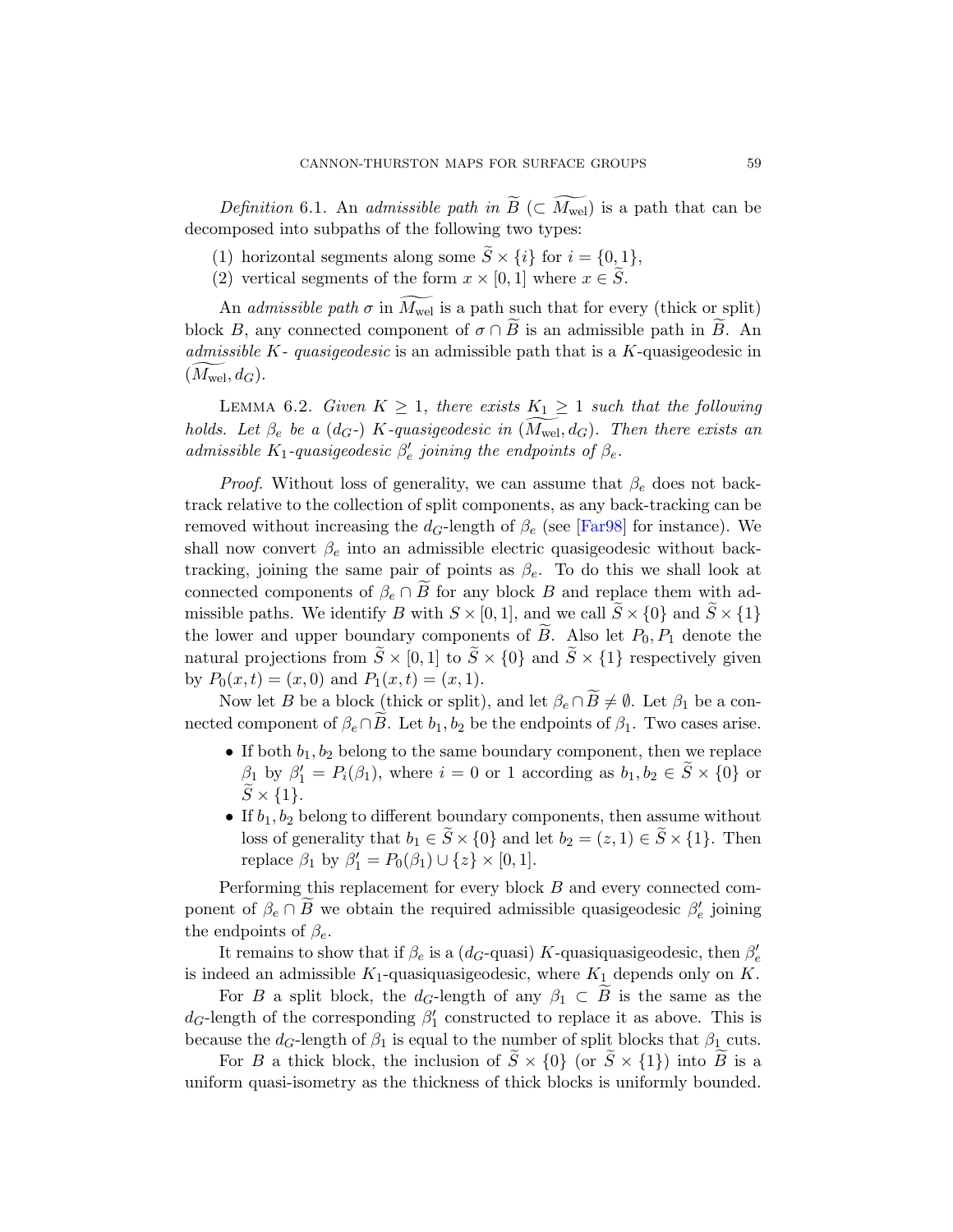*Definition* 6.1. An *admissible path in*  $B \subset M_{\text{wel}}$  is a path that can be decomposed into subpaths of the following two types:

- (1) horizontal segments along some  $S \times \{i\}$  for  $i = \{0, 1\}$ ,
- (2) vertical segments of the form  $x \times [0,1]$  where  $x \in \tilde{S}$ .

<span id="page-58-0"></span>An *admissible path*  $\sigma$  in  $M_{\text{wel}}$  is a path such that for every (thick or split) block B, any connected component of  $\sigma \cap B$  is an admissible path in B. An admissible  $K$ - quasigeodesic is an admissible path that is a  $K$ -quasigeodesic in  $(M_{\text{wel}}, d_G)$ .

LEMMA 6.2. Given  $K \geq 1$ , there exists  $K_1 \geq 1$  such that the following holds. Let  $\beta_e$  be a (d<sub>G</sub>-) K-quasigeodesic in ( $M_{\text{wel}}$ , d<sub>G</sub>). Then there exists an admissible K<sub>1</sub>-quasigeodesic  $\beta'_e$  joining the endpoints of  $\beta_e$ .

*Proof.* Without loss of generality, we can assume that  $\beta_e$  does not backtrack relative to the collection of split components, as any back-tracking can be removed without increasing the  $d_G$ -length of  $\beta_e$  (see [Far98] for instance). We shall now convert  $\beta_e$  into an admissible electric quasigeodesic without backtracking, joining the same pair of points as  $\beta_e$ . To do this we shall look at connected components of  $\beta_e \cap B$  for any block B and replace them with admissible paths. We identify B with  $S \times [0, 1]$ , and we call  $\widetilde{S} \times \{0\}$  and  $\widetilde{S} \times \{1\}$ the lower and upper boundary components of B. Also let  $P_0, P_1$  denote the natural projections from  $\tilde{S} \times [0,1]$  to  $\tilde{S} \times \{0\}$  and  $\tilde{S} \times \{1\}$  respectively given by  $P_0(x,t) = (x,0)$  and  $P_1(x,t) = (x,1)$ .

Now let B be a block (thick or split), and let  $\beta_e \cap B \neq \emptyset$ . Let  $\beta_1$  be a connected component of  $\beta_e \cap B$ . Let  $b_1, b_2$  be the endpoints of  $\beta_1$ . Two cases arise.

- If both  $b_1, b_2$  belong to the same boundary component, then we replace  $\beta_1$  by  $\beta'_1 = P_i(\beta_1)$ , where  $i = 0$  or 1 according as  $b_1, b_2 \in \widetilde{S} \times \{0\}$  or  $\widetilde{S} \times \{1\}.$
- If  $b_1, b_2$  belong to different boundary components, then assume without loss of generality that  $b_1 \in \widetilde{S} \times \{0\}$  and let  $b_2 = (z, 1) \in \widetilde{S} \times \{1\}$ . Then replace  $\beta_1$  by  $\beta'_1 = P_0(\beta_1) \cup \{z\} \times [0, 1].$

Performing this replacement for every block B and every connected component of  $\beta_e \cap \widetilde{B}$  we obtain the required admissible quasigeodesic  $\beta'_e$  joining the endpoints of  $\beta_e$ .

It remains to show that if  $\beta_e$  is a ( $d_G$ -quasi) K-quasiquasigeodesic, then  $\beta'_e$ is indeed an admissible  $K_1$ -quasiquasigeodesic, where  $K_1$  depends only on  $K$ .

For B a split block, the  $d_G$ -length of any  $\beta_1 \subset B$  is the same as the  $d_G$ -length of the corresponding  $\beta'_1$  constructed to replace it as above. This is because the  $d_G$ -length of  $\beta_1$  is equal to the number of split blocks that  $\beta_1$  cuts.

For B a thick block, the inclusion of  $S \times \{0\}$  (or  $S \times \{1\}$ ) into B is a uniform quasi-isometry as the thickness of thick blocks is uniformly bounded.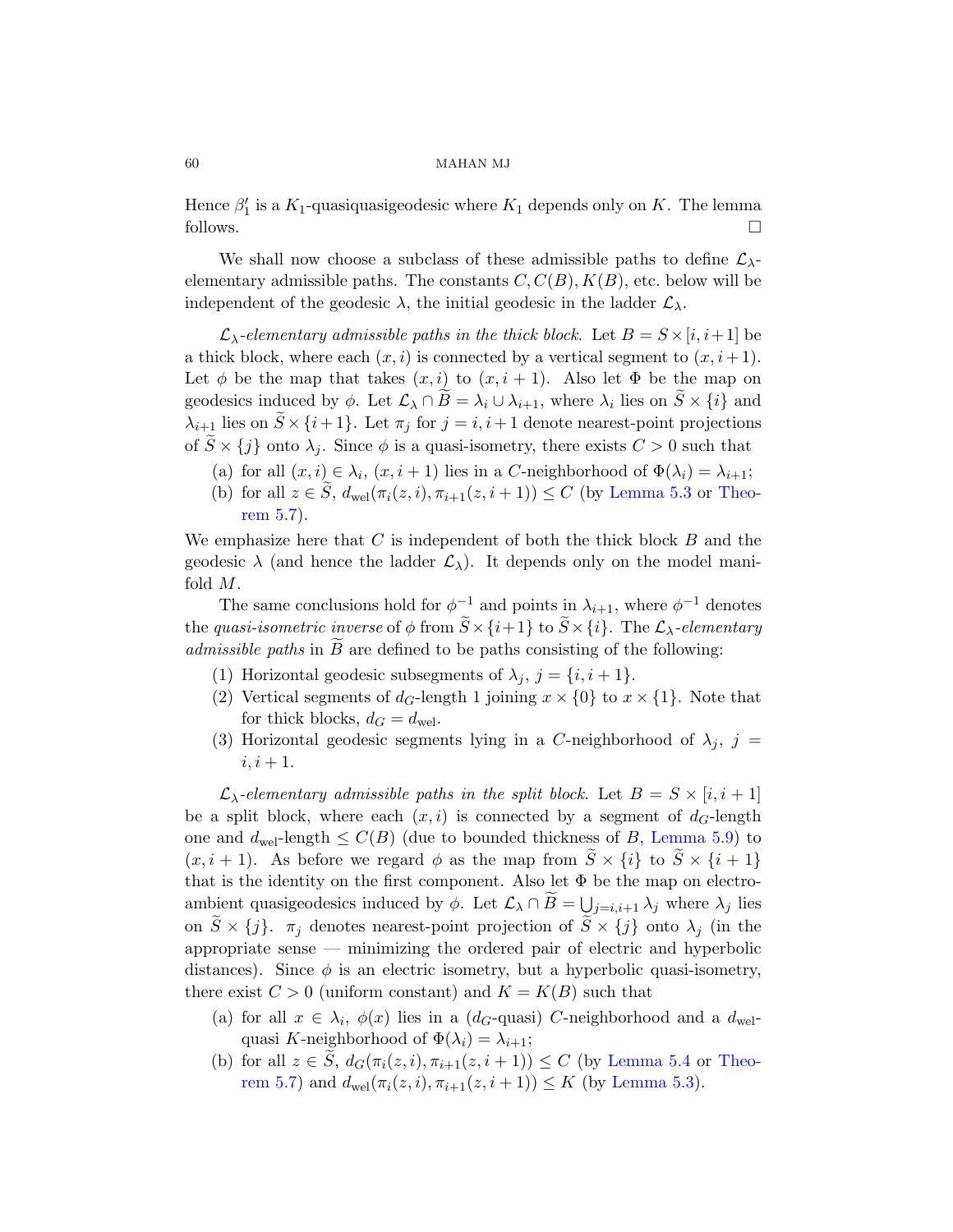Hence  $\beta'_1$  is a  $K_1$ -quasiquasigeodesic where  $K_1$  depends only on K. The lemma follows.  $\Box$ 

We shall now choose a subclass of these admissible paths to define  $\mathcal{L}_{\lambda}$ elementary admissible paths. The constants  $C, C(B), K(B)$ , etc. below will be independent of the geodesic  $\lambda$ , the initial geodesic in the ladder  $\mathcal{L}_{\lambda}$ .

 $\mathcal{L}_{\lambda}$ -elementary admissible paths in the thick block. Let  $B = S \times [i, i+1]$  be a thick block, where each  $(x, i)$  is [connected by](#page-52-0) a [vertica](#page-54-0)l segment to  $(x, i + 1)$ . Let  $\phi$  be the map that takes  $(x, i)$  to  $(x, i + 1)$ . Also let  $\Phi$  be the map on geodesics induced by  $\phi$ . Let  $\mathcal{L}_{\lambda} \cap B = \lambda_i \cup \lambda_{i+1}$ , where  $\lambda_i$  lies on  $S \times \{i\}$  and  $\lambda_{i+1}$  lies on  $\widetilde{S} \times \{i+1\}$ . Let  $\pi_j$  for  $j = i, i+1$  denote nearest-point projections of  $S \times \{j\}$  onto  $\lambda_j$ . Since  $\phi$  is a quasi-isometry, there exists  $C > 0$  such that

- (a) for all  $(x, i) \in \lambda_i$ ,  $(x, i + 1)$  lies in a C-neighborhood of  $\Phi(\lambda_i) = \lambda_{i+1}$ ;
- (b) for all  $z \in \tilde{S}$ ,  $d_{\text{wel}}(\pi_i(z, i), \pi_{i+1}(z, i+1)) \leq C$  (by Lemma 5.3 or Theorem 5.7).

We emphasize here that  $C$  is independent of both the thick block  $B$  and the geodesic  $\lambda$  (and hence the ladder  $\mathcal{L}_{\lambda}$ ). It depends only on the model manifold M.

The same conclusions hold for  $\phi^{-1}$  and points in  $\lambda_{i+1}$ , where  $\phi^{-1}$  denotes the quasi-isometric inverse of  $\phi$  from  $\widetilde{S} \times \{i+1\}$  to  $\widetilde{S} \times \{i\}$ . The  $\mathcal{L}_{\lambda}$ -elementary  $admissible$  paths in  $B$  are defined to be paths consisting of the following:

- (1) Horizontal geodesic subsegments of  $\lambda_j$ ,  $j = \{i, i+1\}.$
- (2) Vertical segments of  $d_G$ -length [1 joining](#page-55-0)  $x \times \{0\}$  to  $x \times \{1\}$ . Note that for thick blocks,  $d_G = d_{\text{wel}}$ .
- (3) Horizontal geodesic segments lying in a C-neighborhood of  $\lambda_i$ ,  $j =$  $i, i+1.$

 $\mathcal{L}_{\lambda}$ -elementary admissible paths in the split block. Let  $B = S \times [i, i + 1]$ be a split block, where each  $(x, i)$  is connected by a segment of  $d_G$ -length one and  $d_{\text{wel}}$ -length  $\leq C(B)$  (due to bounded thickness of B, Lemma 5.9) to  $(x, i + 1)$ . As before we regard  $\phi$  as the map from  $\tilde{S} \times \{i\}$  to  $\tilde{S} \times \{i + 1\}$ that is the identity on the first component. Also let  $\Phi$  be the map on electroambient quasigeodesics induced by  $\phi$ . Let  $\mathcal{L}_{\lambda} \cap B = \bigcup_{j=i, i+1} \lambda_j$  where  $\lambda_j$  lies on  $\widetilde{S} \times \{j\}$ .  $\pi_j$  denotes nearest-[point projec](#page-52-1)tio[n of](#page-54-0)  $\widetilde{S} \times \{j\}$  onto  $\lambda_j$  (in the appropriate sense — minimizing [the ordered](#page-52-0) pair of electric and hyperbolic distances). Since  $\phi$  is an electric isometry, but a hyperbolic quasi-isometry, there exist  $C > 0$  (uniform constant) and  $K = K(B)$  such that

- (a) for all  $x \in \lambda_i$ ,  $\phi(x)$  lies in a (d<sub>G</sub>-quasi) C-neighborhood and a d<sub>wel</sub>quasi K-neighborhood of  $\Phi(\lambda_i) = \lambda_{i+1}$ ;
- (b) for all  $z \in \tilde{S}$ ,  $d_G(\pi_i(z, i), \pi_{i+1}(z, i+1)) \leq C$  (by Lemma 5.4 or Theorem 5.7) and  $d_{\text{wel}}(\pi_i(z, i), \pi_{i+1}(z, i+1)) \leq K$  (by Lemma 5.3).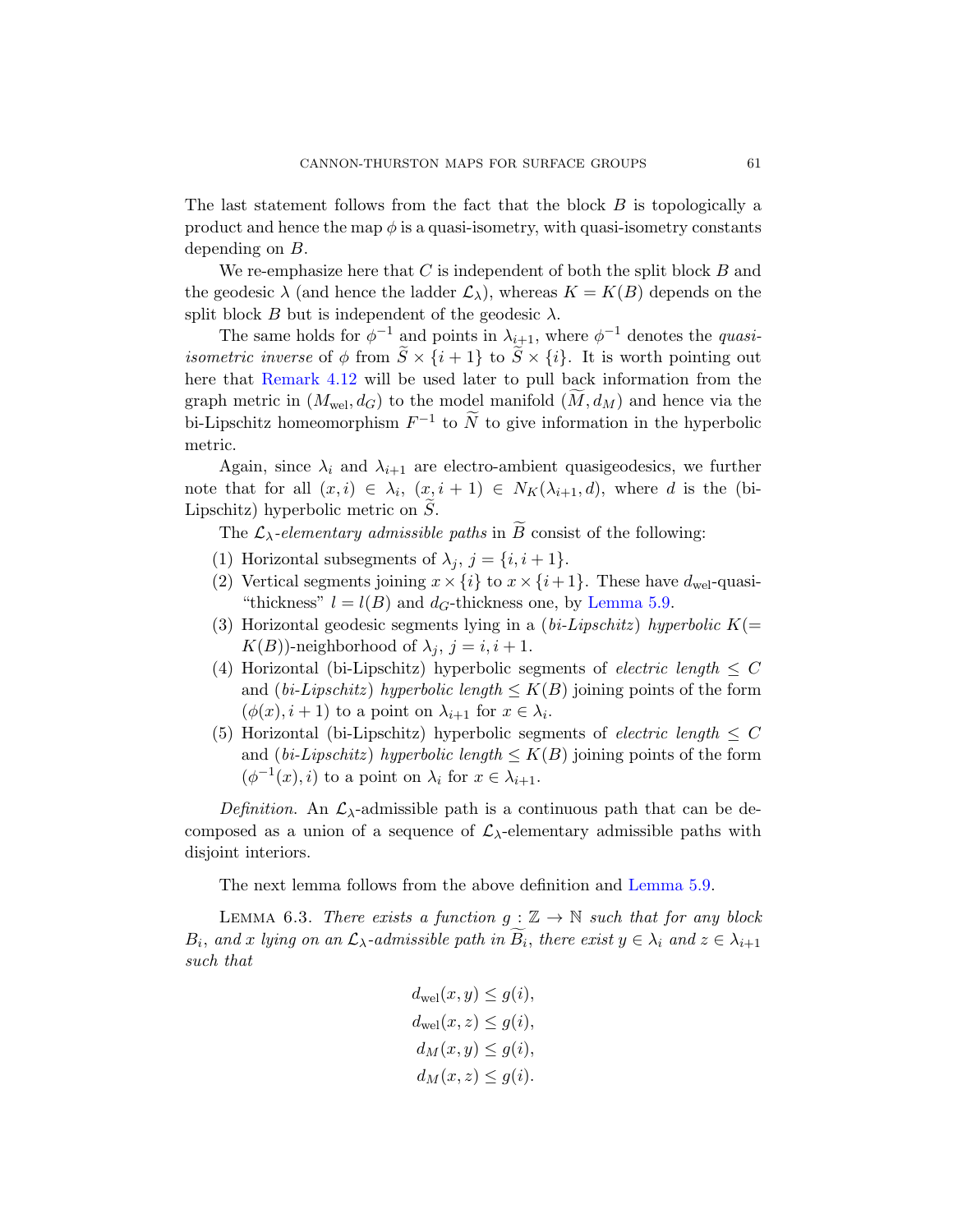The last statement follows from the fact that the block B is topologically a product and hence the map  $\phi$  is a quasi-isometry, with quasi-isometry constants [d](#page-39-0)epending on B.

We re-emphasize here that  $C$  is independent of both the split block  $B$  and the geodesic  $\lambda$  (and hence the ladder  $\mathcal{L}_{\lambda}$ ), whereas  $K = K(B)$  depends on the split block B but is independent of the geodesic  $\lambda$ .

The same holds for  $\phi^{-1}$  and points in  $\lambda_{i+1}$ , where  $\phi^{-1}$  denotes the *quasiisometric inverse* of  $\phi$  from  $\widetilde{S} \times \{i+1\}$  to  $\widetilde{S} \times \{i\}$ . It is worth pointing out here that Remark 4.12 will be used later to pull back information from the graph metric in  $(M_{\text{wel}}, d_G)$  to the model manifold  $(M, d_M)$  and hence via the bi-Lipschitz homeomorphism  $F^{-1}$  to  $\widetilde{N}$  to give information in the hyperbolic metric.

Again, since  $\lambda_i$  and  $\lambda_{i+1}$  [are electro-a](#page-55-0)mbient quasigeodesics, we further note that for all  $(x,i) \in \lambda_i$ ,  $(x,i+1) \in N_K(\lambda_{i+1},d)$ , where d is the (bi-Lipschitz) hyperbolic metric on  $\tilde{S}$ .

The  $\mathcal{L}_{\lambda}$ -elementary admissible paths in B consist of the following:

- (1) Horizontal subsegments of  $\lambda_i$ ,  $j = \{i, i+1\}.$
- (2) Vertical segments joining  $x \times \{i\}$  to  $x \times \{i+1\}$ . These have  $d_{\text{wel}}$ -quasi-"thickness"  $l = l(B)$  and  $d_G$ -thickness one, by Lemma 5.9.
- (3) Horizontal geodesic segments lying in a (bi-Lipschitz) hyperbolic  $K(=$  $K(B)$ )-neighborhood of  $\lambda_i$ ,  $j = i, i + 1$ .
- (4) Horizontal (bi-Lipschitz) hyperbolic segments of *electric length*  $\leq C$ and (bi-Lipschitz) hyperbolic length  $\leq K(B)$  joining points of the form  $(\phi(x), i+1)$  to a point on  $\lambda_{i+1}$  for  $x \in \lambda_i$ .
- (5) Horizontal (bi-Lipschitz) hyperbolic segments of *electric length*  $\leq C$ and (bi-Lipschitz) hyperbolic [length](#page-55-0)  $\leq K(B)$  joining points of the form  $(\phi^{-1}(x), i)$  to a point on  $\lambda_i$  for  $x \in \lambda_{i+1}$ .

Definition. An  $\mathcal{L}_{\lambda}$ -admissible path is a continuous path that can be decomposed as a union of a sequence of  $\mathcal{L}_{\lambda}$ -elementary admissible paths with disjoint interiors.

The next lemma follows from the above definition and Lemma 5.9.

LEMMA 6.3. There exists a function  $g : \mathbb{Z} \to \mathbb{N}$  such that for any block  $B_i$ , and x lying on an  $\mathcal{L}_{\lambda}$ -admissible path in  $B_i$ , there exist  $y \in \lambda_i$  and  $z \in \lambda_{i+1}$ such that

$$
d_{\text{wel}}(x, y) \le g(i),
$$
  
\n
$$
d_{\text{wel}}(x, z) \le g(i),
$$
  
\n
$$
d_M(x, y) \le g(i),
$$
  
\n
$$
d_M(x, z) \le g(i).
$$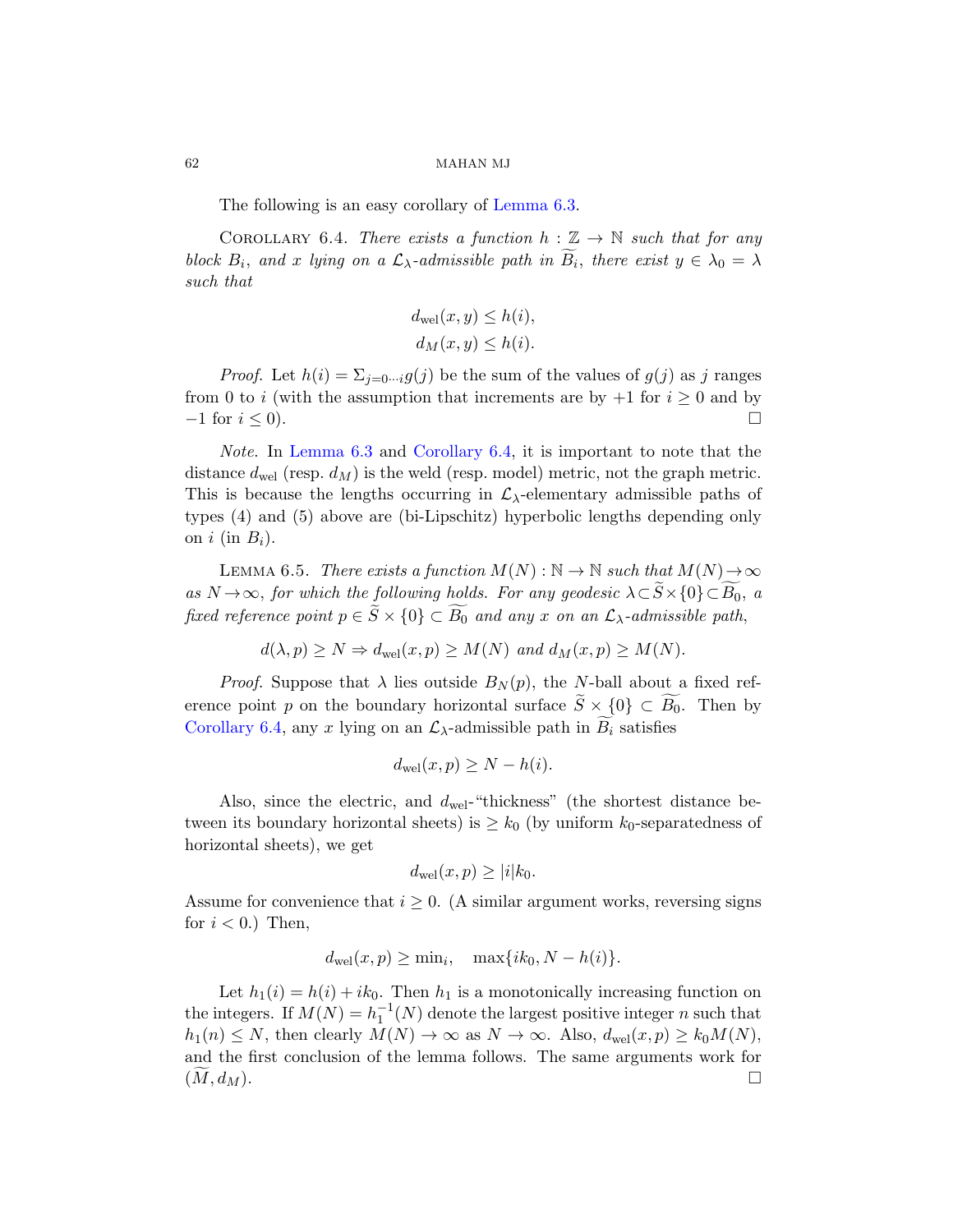The following is an easy corollary of Lemma 6.3.

COROLLARY 6.4. There exists a function  $h : \mathbb{Z} \to \mathbb{N}$  such that for any block  $B_i$ , and x lying on a  $\mathcal{L}_{\lambda}$ -admissible path in  $B_i$ , there exist  $y \in \lambda_0 = \lambda$ such that

$$
d_{\text{wel}}(x, y) \le h(i),
$$
  

$$
d_M(x, y) \le h(i).
$$

*Proof.* Let  $h(i) = \sum_{j=0 \cdots i} g(j)$  be the sum of the values of  $g(j)$  as j ranges from 0 to i (with the assumption that increments are by  $+1$  for  $i \geq 0$  and by  $-1$  for  $i \leq 0$ ).

<span id="page-61-0"></span>Note. In Lemma 6.3 and Corollary 6.4, it is important to note that the distance  $d_{\text{wel}}$  (resp.  $d_M$ ) is the weld (resp. model) metric, not the graph metric. This is because the lengths occurring in  $\mathcal{L}_{\lambda}$ -elementary admissible paths of types (4) and (5) above are (bi-Lipschitz) hyperbolic lengths depending only on  $i$  (in  $B_i$ ).

LEMMA 6.5. There exists a function  $M(N): \mathbb{N} \to \mathbb{N}$  such that  $M(N) \to \infty$ as  $N \to \infty$ , for which the following holds. For any geodesic  $\lambda \subset S \times \{0\} \subset B_0$ , a fixed reference point  $p \in S \times \{0\} \subset B_0$  and any x on an  $\mathcal{L}_{\lambda}$ -admissible path,

$$
d(\lambda, p) \ge N \Rightarrow d_{\text{wel}}(x, p) \ge M(N)
$$
 and  $d_M(x, p) \ge M(N)$ .

*Proof.* Suppose that  $\lambda$  lies outside  $B_N(p)$ , the N-ball about a fixed reference point p on the boundary horizontal surface  $S \times \{0\} \subset B_0$ . Then by Corollary 6.4, any x lying on an  $\mathcal{L}_{\lambda}$ -admissible path in  $\widetilde{B}_i$  satisfies

$$
d_{\text{wel}}(x, p) \geq N - h(i).
$$

Also, since the electric, and  $d_{\text{wel}}$ -"thickness" (the shortest distance between its boundary horizontal sheets) is  $\geq k_0$  (by uniform  $k_0$ -separatedness of horizontal sheets), we get

$$
d_{\text{wel}}(x, p) \ge |i| k_0.
$$

Assume for convenience that  $i \geq 0$ . (A similar argument works, reversing signs for  $i < 0$ .) Then,

$$
d_{\text{wel}}(x, p) \ge \min_i, \quad \max\{ik_0, N - h(i)\}.
$$

Let  $h_1(i) = h(i) + ik_0$ . Then  $h_1$  is a monotonically increasing function on the integers. If  $M(N) = h_1^{-1}(N)$  denote the largest positive integer n such that  $h_1(n) \leq N$ , then clearly  $M(N) \to \infty$  as  $N \to \infty$ . Also,  $d_{\text{wel}}(x, p) \geq k_0 M(N)$ , and the first conclusion of the lemma follows. The same arguments work for  $(\widetilde{M}, d_M).$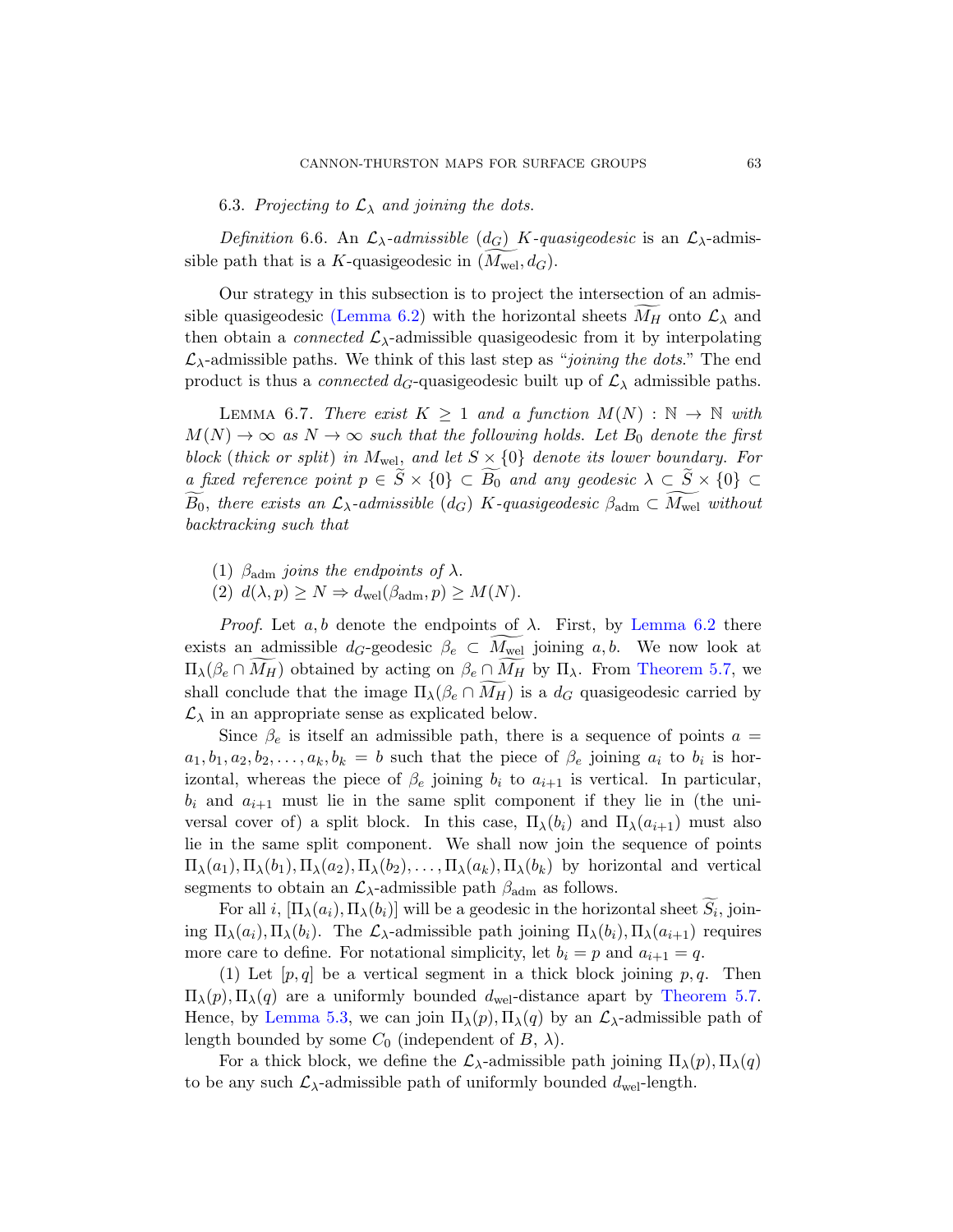6.3. Projecting to  $\mathcal{L}_{\lambda}$  and joining the dots.

<span id="page-62-0"></span>Definition 6.6. An  $\mathcal{L}_{\lambda}$ -admissible (d<sub>G</sub>) K-quasigeodesic is an  $\mathcal{L}_{\lambda}$ -admissible path that is a K-quasigeodesic in  $(M_{\text{wel}}, d_G)$ .

<span id="page-62-1"></span>Our strategy in this subsection is to project the intersection of an admissible quasigeodesic (Lemma 6.2) with the horizontal sheets  $M_H$  onto  $\mathcal{L}_\lambda$  and then obtain a *connected*  $\mathcal{L}_{\lambda}$ -admissible quasigeodesic from it by interpolating  $\mathcal{L}_{\lambda}$ -admissible paths. We think of this last step as "joining the dots." The end product is thus a *connected d<sub>G</sub>*-quasigeodesic built up of  $\mathcal{L}_{\lambda}$  admissible paths.

LEMMA 6.7. There exist  $K \geq 1$  and a function  $M(N) : \mathbb{N} \to \mathbb{N}$  with  $M(N) \to \infty$  as  $N \to \infty$  such that the following holds. Let  $B_0$  denote the first block (thick or split) in  $M_{\text{wel}}$ , and let  $S \times \{0\}$  denote its lower boundary. For a fixed reference point  $p \in S \times \{0\} \subset B_0$  [and a](#page-58-0)ny geodesic  $\lambda \subset S \times \{0\} \subset$  $B_0$ , there exists an  $\mathcal{L}_{\lambda}$ -admissible (d<sub>G</sub>) K-quasigeodesic  $\beta_{\text{adm}} \subset M_{\text{wel}}$  without backtracking such that

- (1)  $\beta_{\text{adm}}$  joins the endpoints of  $\lambda$ .
- (2)  $d(\lambda, p) \geq N \Rightarrow d_{\text{wel}}(\beta_{\text{adm}}, p) \geq M(N).$

*Proof.* Let a, b denote the endpoints of  $\lambda$ . First, by Lemma 6.2 there exists an admissible  $d_G$ -geodesic  $\beta_e \subset M_{\text{wel}}$  joining  $a, b$ . We now look at  $\Pi_{\lambda}(\beta_e \cap M_H)$  obtained by acting on  $\beta_e \cap M_H$  by  $\Pi_{\lambda}$ . From Theorem 5.7, we shall conclude that the image  $\Pi_{\lambda}(\beta_e \cap M_H)$  is a  $d_G$  quasigeodesic carried by  $\mathcal{L}_{\lambda}$  in an appropriate sense as explicated below.

Since  $\beta_e$  is itself an admissible path, there is a sequence of points  $a =$  $a_1, b_1, a_2, b_2, \ldots, a_k, b_k = b$  such that the piece of  $\beta_e$  joining  $a_i$  to  $b_i$  is horizontal, whereas the piece of  $\beta_e$  joining  $b_i$  to  $a_{i+1}$  is vertical. In particular,  $b_i$  and  $a_{i+1}$  must lie in the same split component if they lie in (the universal cover of) a split block. In this case,  $\Pi_{\lambda}(b_i)$  and  $\Pi_{\lambda}(a_{i+1})$  must also lie in the same split component. We shall now join the sequence of points  $\Pi_{\lambda}(a_1), \Pi_{\lambda}(b_1), \Pi_{\lambda}(a_2), \Pi_{\lambda}(b_2), \ldots, \Pi_{\lambda}(a_k), \Pi_{\lambda}(b_k)$  by horizontal and vertical segments to obtain an  $\mathcal{L}_{\lambda}$ -admissible path  $\beta_{\text{adm}}$  as follows.

For all *i*,  $[\Pi_{\lambda}(a_i), \Pi_{\lambda}(b_i)]$  will be a geodesic in the horizontal sheet  $S_i$ , joining  $\Pi_{\lambda}(a_i), \Pi_{\lambda}(b_i)$ . The  $\mathcal{L}_{\lambda}$ -admissible path joining  $\Pi_{\lambda}(b_i), \Pi_{\lambda}(a_{i+1})$  requires more care to define. For notational simplicity, let  $b_i = p$  and  $a_{i+1} = q$ .

(1) Let  $[p, q]$  be a vertical segment in a thick block joining p, q. Then  $\Pi_{\lambda}(p), \Pi_{\lambda}(q)$  are a uniformly bounded  $d_{\text{wel}}$ -distance apart by Theorem 5.7. Hence, by Lemma 5.3, we can join  $\Pi_{\lambda}(p), \Pi_{\lambda}(q)$  by an  $\mathcal{L}_{\lambda}$ -admissible path of length bounded by some  $C_0$  (independent of  $B$ ,  $\lambda$ ).

For a thick block, we define the  $\mathcal{L}_{\lambda}$ -admissible path joining  $\Pi_{\lambda}(p), \Pi_{\lambda}(q)$ to be any such  $\mathcal{L}_{\lambda}$ -admissible path of uniformly bounded  $d_{\text{wel}}$ -length.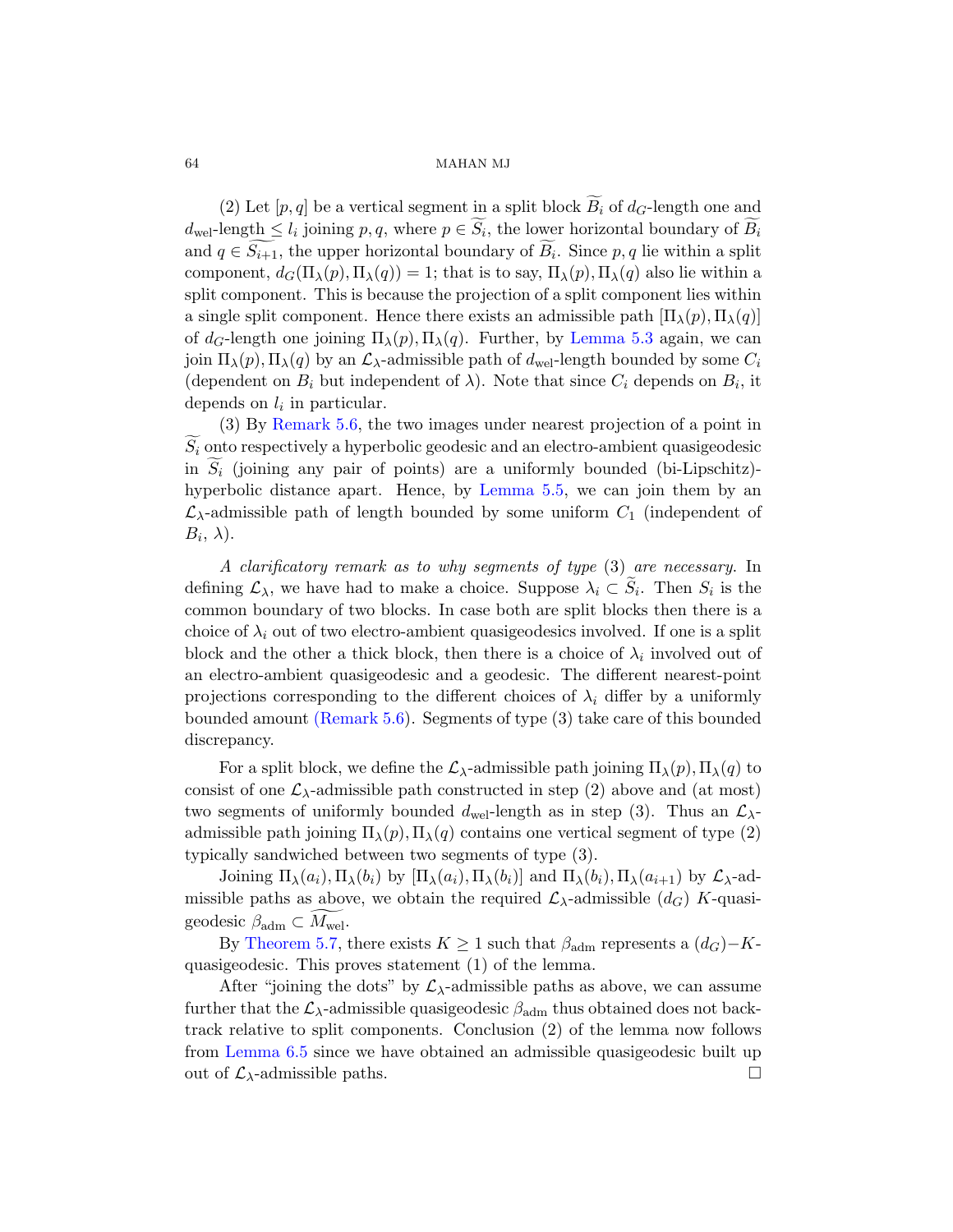(2) Let  $[p, q]$  be a vertic[al segment in](#page-52-0) a split block  $B_i$  of  $d_G$ -length one and  $d_{\text{wel}}$ -length  $\leq l_i$  joining  $p, q$ , where  $p \in S_i$ , the lower horizontal boundary of  $B_i$ and  $q \in S_{i+1}$ , the upper horizontal boundary of  $B_i$ . Since  $p, q$  lie within a split component,  $d_G(\Pi_\lambda(p), \Pi_\lambda(q)) = 1$ ; that is to say,  $\Pi_\lambda(p), \Pi_\lambda(q)$  also lie within a [s](#page-54-1)plit component. This is because the projection of a split component lies within a single split component. Hence there exists an admissible path  $[\Pi_{\lambda}(p), \Pi_{\lambda}(q)]$ of  $d_G$ -length one joining  $\Pi_\lambda(p), \Pi_\lambda(q)$ . Further, by Lemma 5.3 again, we can join  $\Pi_{\lambda}(p), \Pi_{\lambda}(q)$  by an  $\mathcal{L}_{\lambda}$ -admissible path of  $d_{\text{wel}}$ -length bounded by some  $C_i$ (dependent on  $B_i$  but independent of  $\lambda$ ). Note that since  $C_i$  depends on  $B_i$ , it depends on  $l_i$  in particular.

(3) By Remark 5.6, the two images under nearest projection of a point in  $S_i$  onto respectively a hyperbolic geodesic and an electro-ambient quasigeodesic in  $S_i$  (joining any pair of points) are a uniformly bounded (bi-Lipschitz)hyperbolic distance apart. Hence, by Lemma 5.5, we can join them by an  $\mathcal{L}_{\lambda}$ -admissible path of length bounded by some uniform  $C_1$  (independent of  $B_i, \lambda$ ).

A clarificatory remark as to why segments of type (3) are necessary. In [defining](#page-54-1)  $\mathcal{L}_{\lambda}$ , we have had to make a choice. Suppose  $\lambda_i \subset S_i$ . Then  $S_i$  is the common boundary of two blocks. In case both are split blocks then there is a choice of  $\lambda_i$  out of two electro-ambient quasigeodesics involved. If one is a split block and the other a thick block, then there is a choice of  $\lambda_i$  involved out of an electro-ambient quasigeodesic and a geodesic. The different nearest-point projections corresponding to the different choices of  $\lambda_i$  differ by a uniformly bounded amount (Remark 5.6). Segments of type (3) take care of this bounded discrepancy.

For a split block, we define the  $\mathcal{L}_{\lambda}$ -admissible path joining  $\Pi_{\lambda}(p), \Pi_{\lambda}(q)$  to consist of one  $\mathcal{L}_{\lambda}$ -admissible path constructed in step (2) above and (at most) two segments of uniformly bounded  $d_{\text{wel}}$ -length as in step (3). Thus an  $\mathcal{L}_{\lambda}$ admissible path joining  $\Pi_{\lambda}(p), \Pi_{\lambda}(q)$  contains one vertical segment of type (2) typically sandwiched between two segments of type (3).

Joining  $\Pi_{\lambda}(a_i), \Pi_{\lambda}(b_i)$  by  $[\Pi_{\lambda}(a_i), \Pi_{\lambda}(b_i)]$  and  $\Pi_{\lambda}(b_i), \Pi_{\lambda}(a_{i+1})$  by  $\mathcal{L}_{\lambda}$ -admissible paths as above, we obtain the required  $\mathcal{L}_{\lambda}$ -admissible  $(d_G)$  K-quasigeodesic  $\beta_{\text{adm}} \subset M_{\text{wel}}$ .

By Theorem 5.7, there exists  $K \geq 1$  such that  $\beta_{\text{adm}}$  represents a  $(d_G) - K$ quasigeodesic. This proves statement (1) of the lemma.

After "joining the dots" by  $\mathcal{L}_{\lambda}$ -admissible paths as above, we can assume further that the  $\mathcal{L}_{\lambda}$ -admissible quasigeodesic  $\beta_{\text{adm}}$  thus obtained does not backtrack relative to split components. Conclusion (2) of the lemma now follows from Lemma 6.5 since we have obtained an admissible quasigeodesic built up out of  $\mathcal{L}_{\lambda}$ -admissible paths.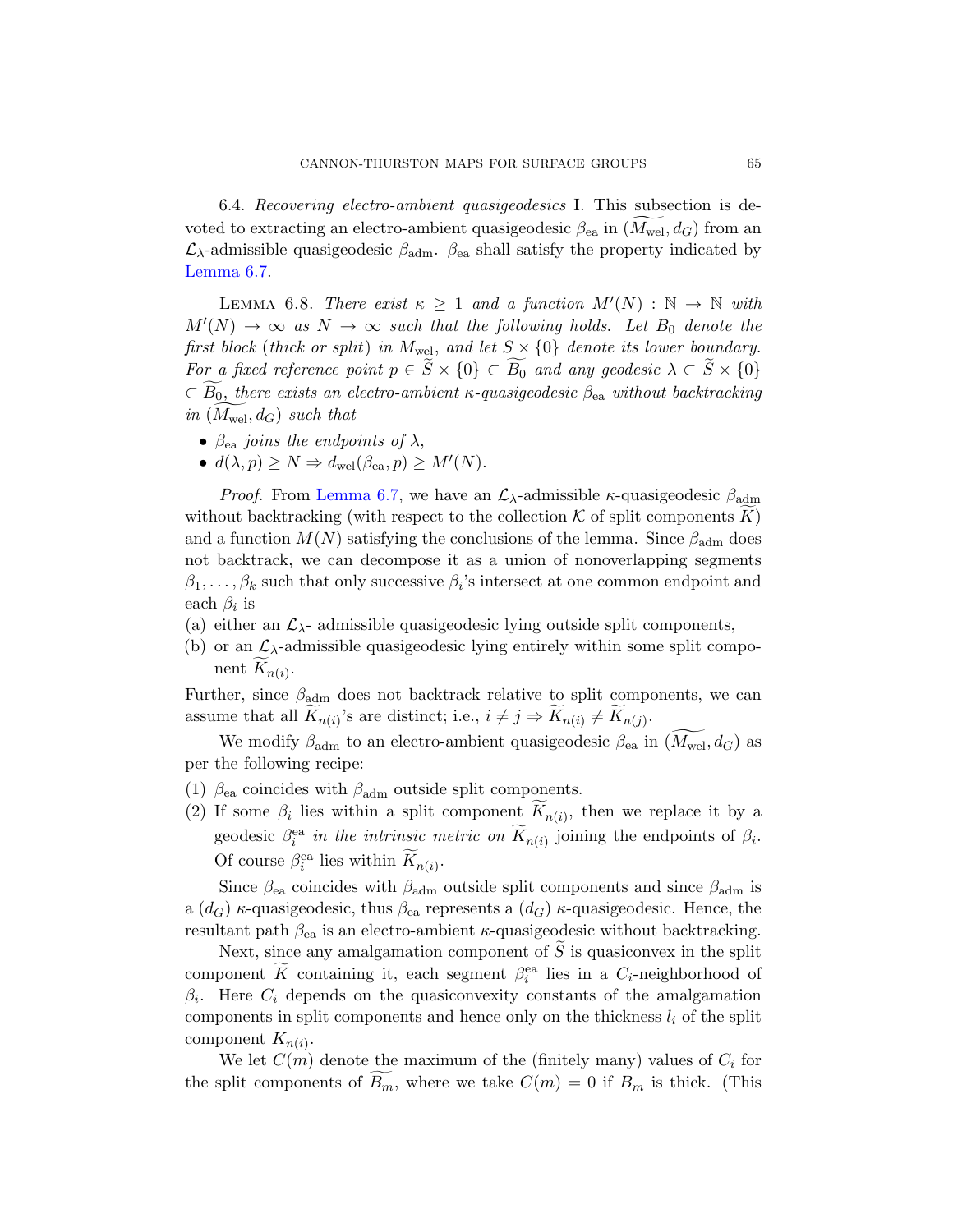<span id="page-64-0"></span>6.4. Recovering electro-ambient quasigeodesics I. This subsection is devoted to extracting an electro-ambient quasigeodesic  $\beta_{\text{ea}}$  in  $(M_{\text{wel}}, d_G)$  from an  $\mathcal{L}_{\lambda}$ -admissible quasigeodesic  $\beta_{\text{adm}}$ .  $\beta_{\text{ea}}$  shall satisfy the property indicated by Lemma 6.7.

LEMMA 6.8. There exist  $\kappa \geq 1$  and a function  $M'(N) : \mathbb{N} \to \mathbb{N}$  with  $M'(N) \rightarrow \infty$  as  $N \rightarrow \infty$  such that the following holds. Let  $B_0$  denote the first block (thick or split) in  $M_{\text{wel}}$ , and let  $S \times \{0\}$  denote its lower boundary. [For a](#page-62-1) fixed reference point  $p \in S \times \{0\} \subset B_0$  and any geodesic  $\lambda \subset S \times \{0\}$  $\subset B_0$ , there exists an electro-ambient  $\kappa$ -quasigeodesic  $\beta_{\rm ea}$  without backtracking in  $(M_{\text{wel}}, d_G)$  such that

- $\beta_{\rm ea}$  joins the endpoints of  $\lambda$ ,
- $d(\lambda, p) \ge N \Rightarrow d_{\text{wel}}(\beta_{\text{ea}}, p) \ge M'(N)$ .

*Proof.* From Lemma 6.7, we have an  $\mathcal{L}_{\lambda}$ -admissible  $\kappa$ -quasigeodesic  $\beta_{\text{adm}}$ without backtracking (with respect to the collection  $K$  of split components K) and a function  $M(N)$  satisfying the conclusions of the lemma. Since  $\beta_{\text{adm}}$  does not backtrack, we can decompose it as a union of nonoverlapping segments  $\beta_1, \ldots, \beta_k$  such that only successive  $\beta_i$ 's intersect at one common endpoint and each  $\beta_i$  is

- (a) either an  $\mathcal{L}_{\lambda}$  admissible quasigeodesic lying outside split components,
- (b) or an  $\mathcal{L}_{\lambda}$ -admissible quasigeodesic lying entirely within some split component  $K_{n(i)}$ .

Further, since  $\beta_{\text{adm}}$  does not backtrack relative to split components, we can assume that all  $K_{n(i)}$ 's are distinct; i.e.,  $i \neq j \Rightarrow K_{n(i)} \neq K_{n(j)}$ .

We modify  $\beta_{\text{adm}}$  to an electro-ambient quasigeodesic  $\beta_{\text{ea}}$  in  $(M_{\text{wel}}, d_G)$  as per the following recipe:

- (1)  $\beta_{\rm ea}$  coincides with  $\beta_{\rm adm}$  outside split components.
- (2) If some  $\beta_i$  lies within a split component  $K_{n(i)}$ , then we replace it by a geodesic  $\beta_i^{\text{ea}}$  in the intrinsic metric on  $\widetilde{K}_{n(i)}$  joining the endpoints of  $\beta_i$ . Of course  $\beta_i^{\text{ea}}$  lies within  $\widetilde{K}_{n(i)}$ .

Since  $\beta_{ea}$  coincides with  $\beta_{adm}$  outside split components and since  $\beta_{adm}$  is a  $(d_G)$  κ-quasigeodesic, thus  $\beta_{ea}$  represents a  $(d_G)$  κ-quasigeodesic. Hence, the resultant path  $\beta_{ea}$  is an electro-ambient  $\kappa$ -quasigeodesic without backtracking.

Next, since any amalgamation component of  $\widetilde{S}$  is quasiconvex in the split component  $\widetilde{K}$  containing it, each segment  $\beta_i^{\text{ea}}$  lies in a  $C_i$ -neighborhood of  $\beta_i$ . Here  $C_i$  depends on the quasiconvexity constants of the amalgamation components in split components and hence only on the thickness  $l_i$  of the split component  $K_{n(i)}$ .

We let  $C(m)$  denote the maximum of the (finitely many) values of  $C_i$  for the split components of  $B_m$ , where we take  $C(m) = 0$  if  $B_m$  is thick. (This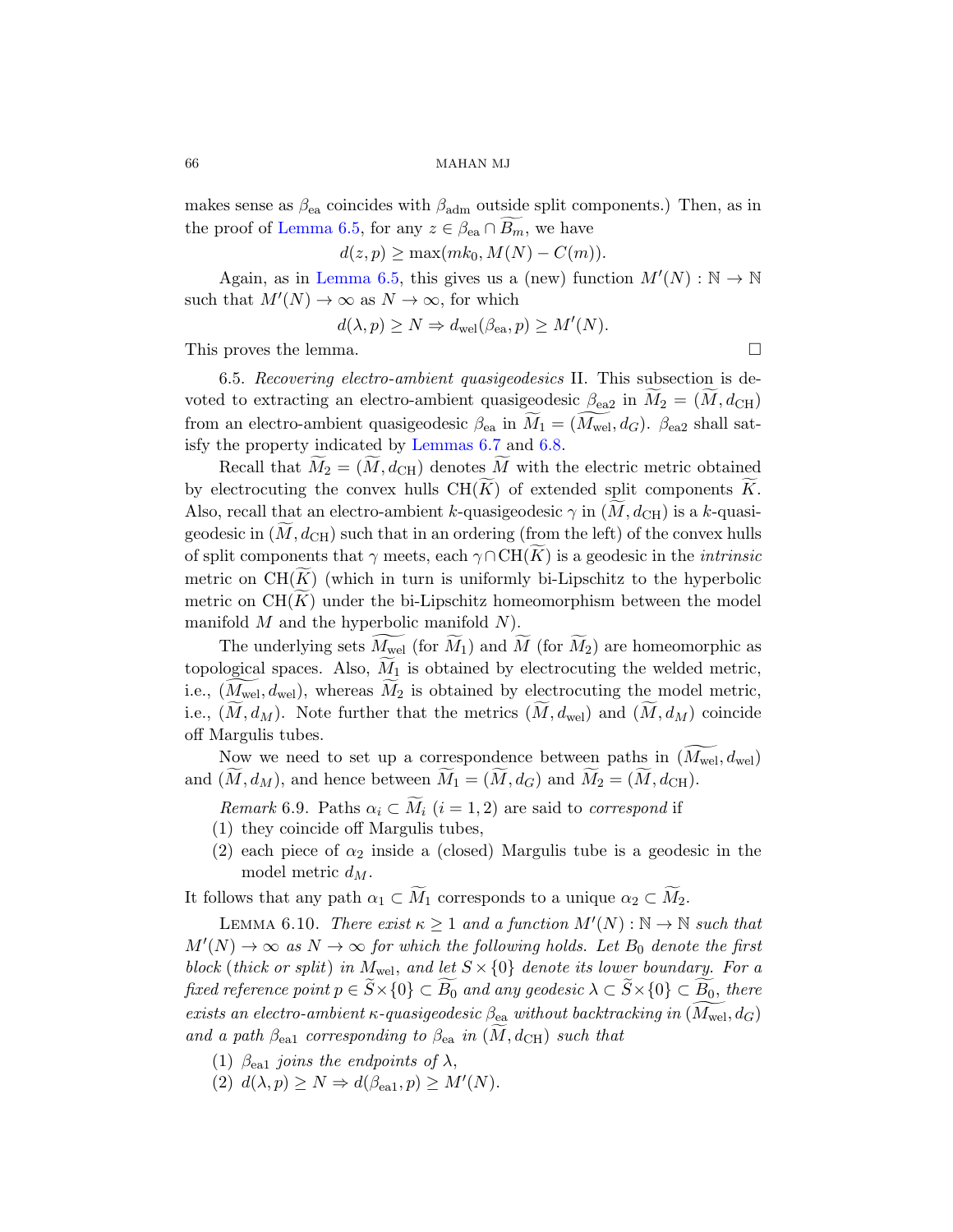<span id="page-65-0"></span>makes sense as  $\beta_{ea}$  coincides with  $\beta_{\text{adm}}$  outside split components.) Then, as in the proof of Lemma 6.5, for any  $z \in \beta_{ea} \cap B_m$ , we have

 $d(z, p) \ge \max(mk_0, M(N) - C(m)).$ 

Again, as in Lemma 6.5, this gives us a (new) function  $M'(N): \mathbb{N} \to \mathbb{N}$ such that  $M'(N) \to \infty$  $M'(N) \to \infty$  $M'(N) \to \infty$  $M'(N) \to \infty$  as  $N \to \infty$ , for which

$$
d(\lambda, p) \ge N \Rightarrow d_{\text{wel}}(\beta_{\text{ea}}, p) \ge M'(N).
$$

This proves the lemma.

6.5. Recovering electro-ambient quasigeodesics II. This subsection is devoted to extracting an electro-ambient quasigeodesic  $\beta_{\text{ea}2}$  in  $M_2 = (M, d_{\text{CH}})$ from an electro-ambient quasigeodesic  $\beta_{ea}$  in  $M_1 = (M_{wel}, d_G)$ .  $\beta_{ea2}$  shall satisfy the property indicated by Lemmas 6.7 and 6.8.

Recall that  $M_2 = (M, d_{\text{CH}})$  denotes M with the electric metric obtained by electrocuting the convex hulls  $CH(K)$  of extended split components K. Also, recall that an electro-ambient k-quasigeodesic  $\gamma$  in  $(M, d_{\text{CH}})$  is a k-quasigeodesic in  $(M, d<sub>CH</sub>)$  such that in an ordering (from the left) of the convex hulls of split components that  $\gamma$  meets, each  $\gamma \cap CH(K)$  is a geodesic in the *intrinsic* metric on  $CH(K)$  (which in turn is uniformly bi-Lipschitz to the hyperbolic metric on  $CH(K)$  under the bi-Lipschitz homeomorphism between the model manifold  $M$  and the hyperbolic manifold  $N$ ).

<span id="page-65-2"></span>The underlying sets  $M_{\text{wel}}$  (for  $M_1$ ) and  $M$  (for  $M_2$ ) are homeomorphic as topological spaces. Also,  $M_1$  is obtained by electrocuting the welded metric, i.e.,  $(M_{\text{wel}}, d_{\text{wel}})$ , whereas  $M_2$  is obtained by electrocuting the model metric, i.e.,  $(M, d_M)$ . Note further that the metrics  $(M, d_{\text{wel}})$  and  $(M, d_M)$  coincide off Margulis tubes.

<span id="page-65-1"></span>Now we need to set up a correspondence between paths in  $(M_{\text{wel}}, d_{\text{wel}})$ and  $(M, d_M)$ , and hence between  $M_1 = (M, d_G)$  and  $M_2 = (M, d_{\text{CH}})$ .

Remark 6.9. Paths  $\alpha_i \subset M_i$   $(i = 1, 2)$  are said to correspond if

- (1) they coincide off Margulis tubes,
- (2) each piece of  $\alpha_2$  inside a (closed) Margulis tube is a geodesic in the model metric  $d_M$ .

It follows that any path  $\alpha_1 \subset \widetilde{M}_1$  corresponds to a unique  $\alpha_2 \subset \widetilde{M}_2$ .

LEMMA 6.10. There exist  $\kappa \geq 1$  and a function  $M'(N): \mathbb{N} \to \mathbb{N}$  such that  $M'(N) \to \infty$  as  $N \to \infty$  for which the following holds. Let  $B_0$  denote the first block (thick or split) in  $M_{\text{wel}}$ , and let  $S \times \{0\}$  denote its lower boundary. For a fixed reference point  $p \in S \times \{0\} \subset B_0$  and any geodesic  $\lambda \subset S \times \{0\} \subset \underline{B_0},$  there exists an electro-ambient  $\kappa$ -quasigeodesic  $\beta_{\mathtt{ea}}$  without backtracking in  $(M_{\mathrm{wel}}, d_G)$ and a path  $\beta_{ea1}$  corresponding to  $\beta_{ea}$  in  $(M, d_{\text{CH}})$  such that

- (1)  $\beta_{\text{e}al}$  joins the endpoints of  $\lambda$ ,
- (2)  $d(\lambda, p) \ge N \Rightarrow d(\beta_{\text{ea}1}, p) \ge M'(N)$ .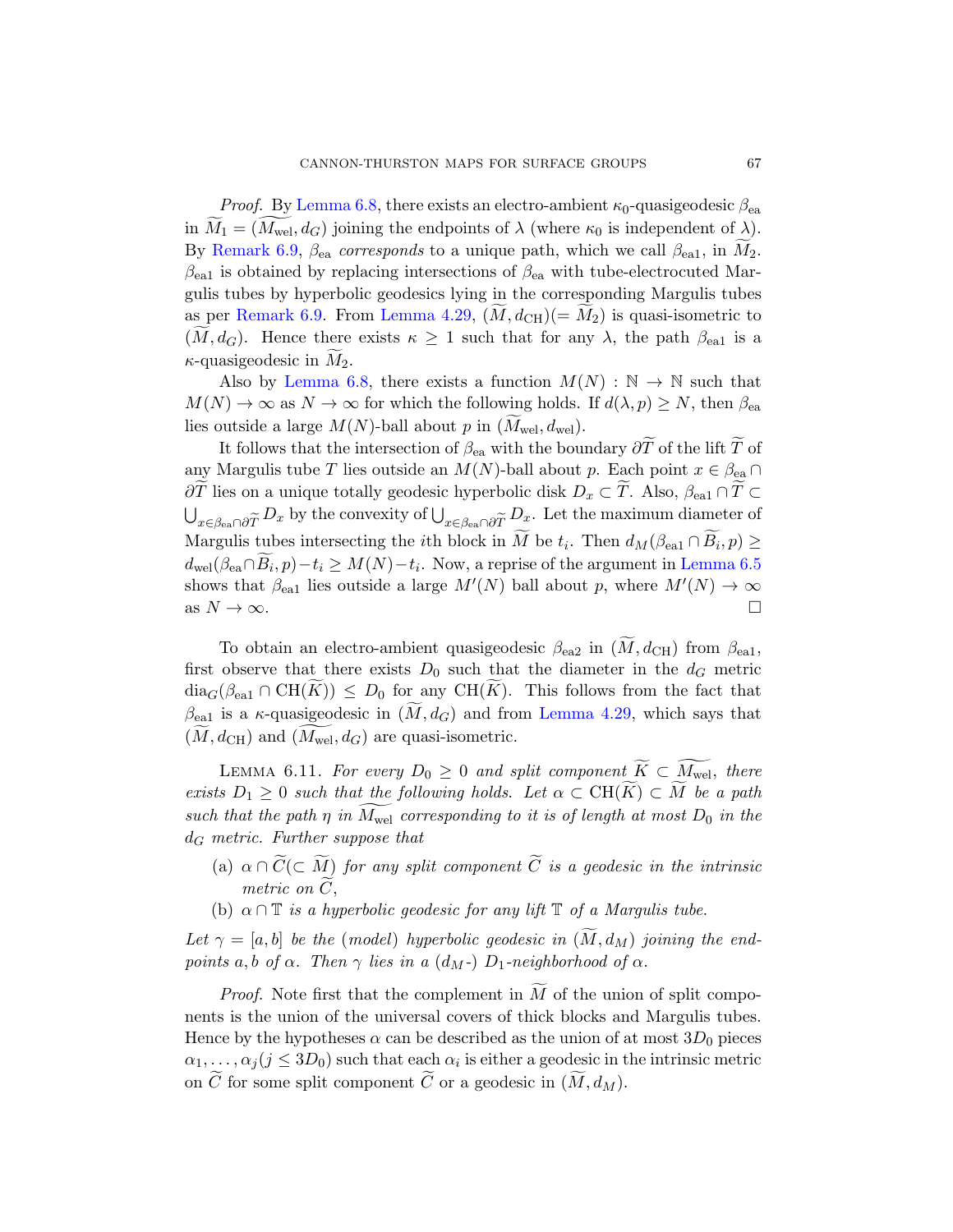*Proof.* By Lemma 6.8, there exists an electro-ambient  $\kappa_0$ -quasigeodesic  $\beta_{ea}$ in  $M_1 = (M_{\text{wel}}, d_G)$  joining the endpoints of  $\lambda$  (where  $\kappa_0$  is independent of  $\lambda$ ). [By](#page-64-0) Remark 6.9,  $\beta_{ea}$  corresponds to a unique path, which we call  $\beta_{ea1}$ , in  $\tilde{M}_2$ .  $\beta_{\rm ea1}$  is obtained by replacing intersections of  $\beta_{\rm ea}$  with tube-electrocuted Margulis tubes by hyperbolic geodesics lying in the corresponding Margulis tubes as per Remark 6.9. From Lemma 4.29,  $(M, d<sub>CH</sub>)(= M<sub>2</sub>)$  is quasi-isometric to  $(M, d_G)$ . Hence there exists  $\kappa \geq 1$  such that for any  $\lambda$ , the path  $\beta_{\text{e}al}$  is a  $\kappa$ -quasigeodesic in  $M_2$ .

Also by Lemma 6.8, there exists a function  $M(N): \mathbb{N} \to \mathbb{N}$  such that  $M(N) \to \infty$  as  $N \to \infty$  for which the following holds. If  $d(\lambda, p) \geq N$ , then  $\beta_{ea}$ lies outside a large  $M(N)$ -ball about p in  $(M_{\text{wel}}, d_{\text{wel}})$  $(M_{\text{wel}}, d_{\text{wel}})$  $(M_{\text{wel}}, d_{\text{wel}})$ .

It follows that the intersection of  $\beta_{ea}$  with the boundary  $\partial T$  of the lift T of any Margulis tube T lies outside an  $M(N)$ -ball about p. Each point  $x \in \beta_{ea} \cap$  $\partial T$  lies on a unique totally geodesic hyperbolic disk  $D_x \subset T$ . Also,  $\beta_{ea1} \cap T \subset T$  $\bigcup_{x \in \beta_{\text{ea}} \cap \partial \widetilde{T}} D_x$  by the convexity of  $\bigcup_{x \in \beta_{\text{ea}} \cap \partial \widetilde{T}} D_x$ . Let the maximum diameter of Margulis tubes intersecting the *i*th block in M be  $t_i$ . Then  $d_M(\beta_{\text{ea}1} \cap B_i, p) \ge$  $d_{\text{wel}}(\beta_{\text{ea}} \cap B_i, p) - t_i \ge M(N) - t_i$ . Now, a reprise of the argument in Lemma 6.5 shows that  $\beta_{\text{e}al}$  lies out[side a large](#page-49-0)  $M'(N)$  ball about p, where  $M'(N) \to \infty$ as  $N \to \infty$ .

<span id="page-66-0"></span>To obtain an electro-ambient quasigeodesic  $\beta_{ea2}$  in  $(\widetilde{M}, d_{\rm CH})$  from  $\beta_{ea1}$ , first observe that there exists  $D_0$  such that the diameter in the  $d_G$  metric  $diag(\beta_{\text{ea}1} \cap \text{CH}(K)) \leq D_0$  for any CH(K). This follows from the fact that  $\beta_{\rm ea1}$  is a *κ*-quasigeodesic in  $(M, d_G)$  and from Lemma 4.29, which says that  $(M, d_{\text{CH}})$  and  $(M_{\text{wel}}, d_G)$  are quasi-isometric.

LEMMA 6.11. For every  $D_0 \geq 0$  and split component  $\widetilde{K} \subset \widetilde{M_{\mathrm{wel}}}$ , there exists  $D_1 \geq 0$  such that the following holds. Let  $\alpha \subset \text{CH}(\widetilde{K}) \subset \widetilde{M}$  be a path such that the path  $\eta$  in  $M_{\text{wel}}$  corresponding to it is of length at most  $D_0$  in the  $d_G$  metric. Further suppose that

- (a)  $\alpha \cap C$ ( $\subset M$ ) for any split component C is a geodesic in the intrinsic metric on  $\widetilde{C}$ .
- (b)  $\alpha \cap \mathbb{T}$  is a hyperbolic geodesic for any lift  $\mathbb{T}$  of a Margulis tube.

Let  $\gamma = [a, b]$  be the (model) hyperbolic geodesic in  $(M, d_M)$  joining the endpoints a, b of  $\alpha$ . Then  $\gamma$  lies in a (d<sub>M</sub>-) D<sub>1</sub>-neighborhood of  $\alpha$ .

*Proof.* Note first that the complement in  $\widetilde{M}$  of the union of split components is the union of the universal covers of thick blocks and Margulis tubes. Hence by the hypotheses  $\alpha$  can be described as the union of at most  $3D_0$  pieces  $\alpha_1, \ldots, \alpha_j (j \leq 3D_0)$  such that each  $\alpha_i$  is either a geodesic in the intrinsic metric on  $\widetilde{C}$  for some split component  $\widetilde{C}$  or a geodesic in  $(\widetilde{M}, d_M)$ .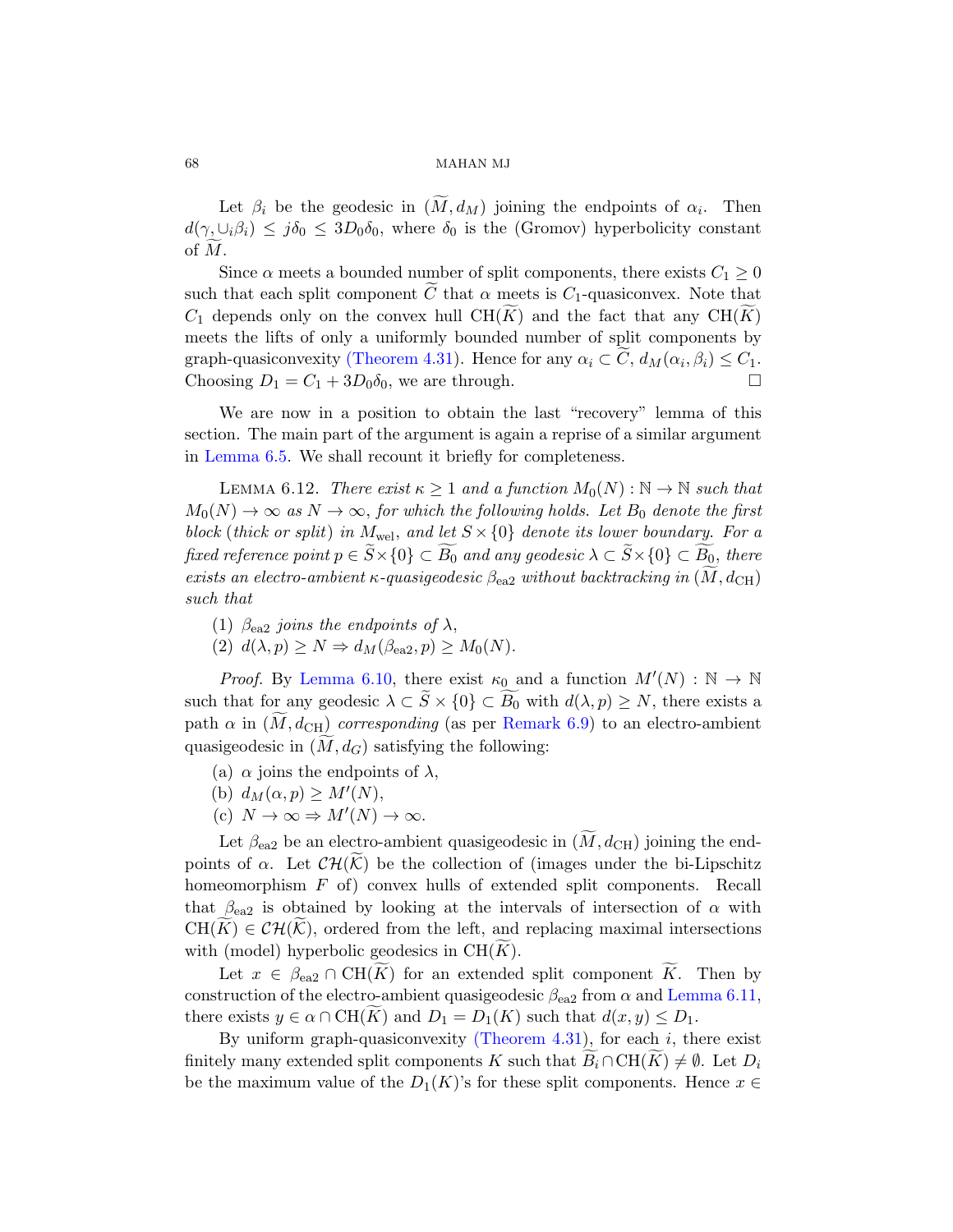Let  $\beta_i$  be the geodesic in  $(M, d_M)$  joining the endpoints of  $\alpha_i$ . Then  $d(\gamma, \cup_i \beta_i) \leq j\delta_0 \leq 3D_0\delta_0$ , where  $\delta_0$  is the (Gromov) hyperbolicity constant of  $M$ .

Since  $\alpha$  meets a bounded number of split components, there exists  $C_1 \geq 0$ such that each split component C that  $\alpha$  meets is C<sub>1</sub>-quasiconvex. Note that  $C_1$  depends only on the convex hull CH(K) and the fact that any CH(K) meets the lifts of only a uniformly bounded number of split components by graph-quasiconvexity (Theorem 4.31). Hence for any  $\alpha_i \subset C$ ,  $d_M(\alpha_i, \beta_i) \leq C_1$ . Choosing  $D_1 = C_1 + 3D_0\delta_0$ , we are through.

<span id="page-67-0"></span>We are now in a position to obtain the last "recovery" lemma of this section. The main part of the argument is again a reprise of a similar argument in Lemma 6.5. We shall recount it briefly for completeness.

LEMMA 6.12. There exist  $\kappa \geq 1$  and a function  $M_0(N): \mathbb{N} \to \mathbb{N}$  such that  $M_0(N) \to \infty$  as  $N \to \infty$ , for which the following holds. Let  $B_0$  denote the first block (thick or split) in  $M_{\text{wel}}$ , and let  $S \times \{0\}$  denote its lower boundary. For a [fixed r](#page-65-1)eference point  $p \in S \times \{0\} \subset B_0$  and any geodesic  $\lambda \subset S \times \{0\} \subset B_0$ , there exists an electro-ambient  $\kappa$ [-quasi](#page-65-2)geodesic  $\beta_{ea2}$  without backtracking in  $(\widetilde{M}, d_{\rm CH})$ such that

- (1)  $\beta_{\rm ea2}$  joins the endpoints of  $\lambda$ ,
- (2)  $d(\lambda, p) \geq N \Rightarrow d_M(\beta_{\text{ea2}}, p) \geq M_0(N)$ .

*Proof.* By Lemma 6.10, there exist  $\kappa_0$  and a function  $M'(N) : \mathbb{N} \to \mathbb{N}$ such that for any geodesic  $\lambda \subset S \times \{0\} \subset B_0$  with  $d(\lambda, p) \geq N$ , there exists a path  $\alpha$  in  $(M, d_{\text{CH}})$  corresponding (as per Remark 6.9) to an electro-ambient quasigeodesic in  $(M, d_G)$  satisfying the following:

- (a)  $\alpha$  joins the endpoints of  $\lambda$ ,
- (b)  $d_M(\alpha, p) \geq M'(N)$ ,
- (c)  $N \to \infty \Rightarrow M'(N) \to \infty$ .

Let  $\beta_{\rm ea2}$  be an electro-ambient quasigeodesic in  $(M, d_{\rm CH})$  joining the endpoints of  $\alpha$ . Let  $\mathcal{CH}(\tilde{\mathcal{K}})$  be the collectio[n of \(images](#page-66-0) under the bi-Lipschitz homeomorphism F of) convex hulls of extended split components. Recall that  $\beta_{ea2}$  is o[btained by look](#page-50-1)ing at the intervals of intersection of  $\alpha$  with  $CH(K) \in \mathcal{CH}(\mathcal{K})$ , ordered from the left, and replacing maximal intersections with (model) hyperbolic geodesics in  $CH(K)$ .

Let  $x \in \beta_{\text{ea}2} \cap \text{CH}(K)$  for an extended split component  $K$ . Then by construction of the electro-ambient quasigeodesic  $\beta_{\rm ea2}$  from  $\alpha$  and Lemma 6.11, there exists  $y \in \alpha \cap \text{CH}(K)$  and  $D_1 = D_1(K)$  such that  $d(x, y) \leq D_1$ .

By uniform graph-quasiconvexity (Theorem 4.31), for each  $i$ , there exist finitely many extended split components K such that  $\widetilde{B}_i \cap \text{CH}(\widetilde{K}) \neq \emptyset$ . Let  $D_i$ be the maximum value of the  $D_1(K)$ 's for these split components. Hence  $x \in$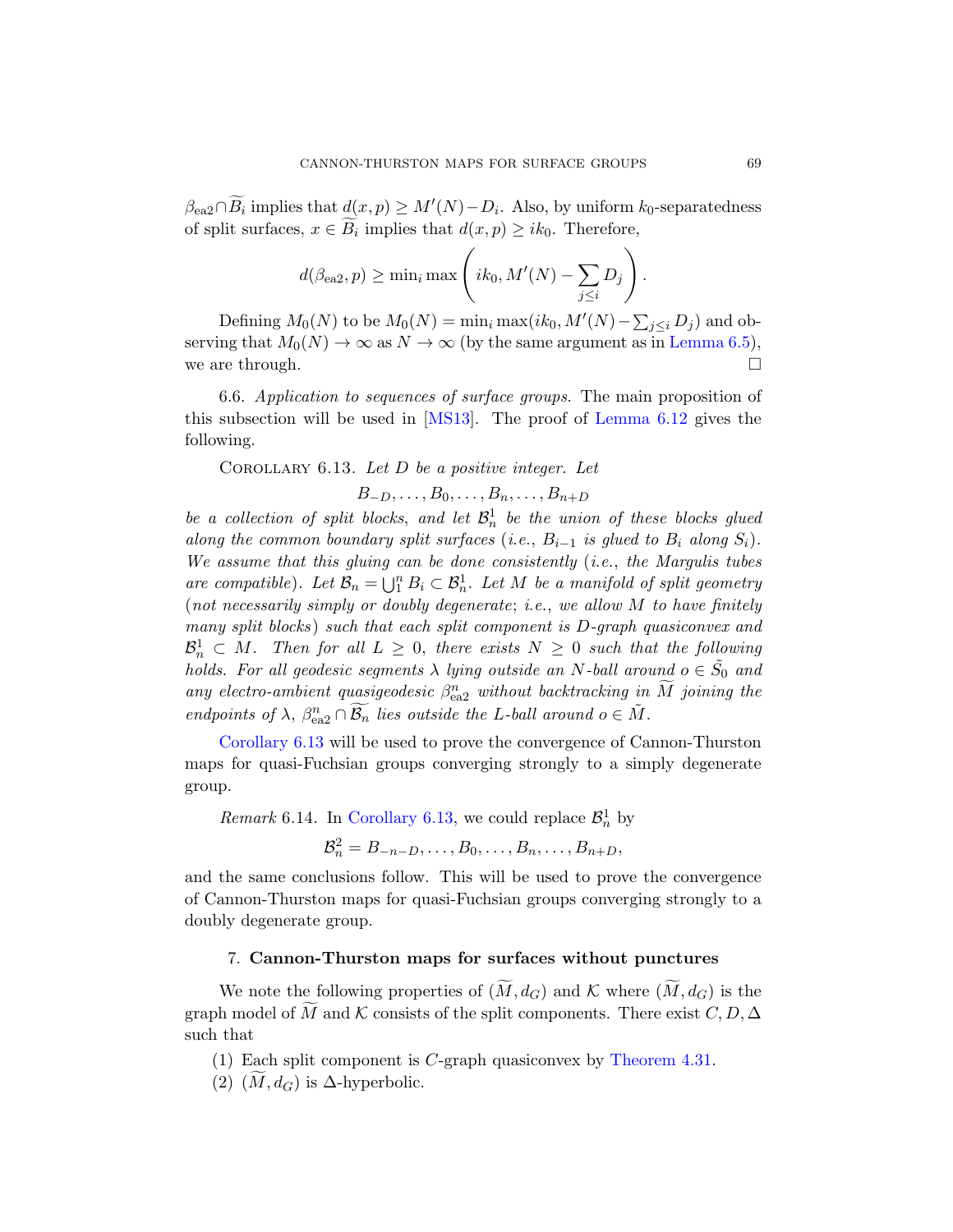$\beta_{\text{ea}2} \cap \widetilde{B_i}$  implies that  $\underline{d}(x, p) \geq M'(N) - D_i$ [. Also, by u](#page-61-0)niform  $k_0$ -separatedness of split surfaces,  $x \in B_i$  implies that  $d(x, p) \geq ik_0$ . Therefore,

$$
d(\beta_{\text{ea}2}, p) \ge \min_i \max \left(ik_0, M'(N) - \sum_{j \le i} D_j\right).
$$

<span id="page-68-1"></span>Defining  $M_0(N)$  to be  $M_0(N) = \min_i \max(ik_0, M'(N) - \sum_{j \leq i} D_j)$  and observing that  $M_0(N) \to \infty$  as  $N \to \infty$  (by the same argument as in Lemma 6.5), we are through.  $\square$ 

6.6. Application to sequences of surface groups. The main proposition of this subsection will be used in [MS13]. The proof of Lemma 6.12 gives the following.

COROLLARY 6.13. Let  $D$  be a positive integer. Let

$$
B_{-D},\ldots,B_0,\ldots,B_n,\ldots,B_{n+D}
$$

be a collection of split blocks, and let  $\mathcal{B}_n^1$  be the union of these blocks glued along the common boundary split surfaces (i.e.,  $B_{i-1}$  is glued to  $B_i$  along  $S_i$ ). We assume that this gluing can be done consistently (i.e., the Margulis tubes are compatible). Let  $\mathcal{B}_n = \bigcup_{i=1}^n B_i \subset \mathcal{B}_n^1$ . Let M be a manifold of split geometry (not necessarily simply or doubly degenerate; i.e., we allow  $M$  to have finitely many split blocks ) such that each split component is D-graph quasiconvex and  $\mathcal{B}_n^1 \subset M$ . Then for all  $L \geq 0$ , there exists  $N \geq 0$  such that the following holds. For all geodesic segments  $\lambda$  lying outside an N-ball around  $o \in \tilde{S}_0$  and [any electro-am](#page-68-1)bient quasigeodesic  $\beta_{\text{ea}2}^n$  without backtracking in  $\widetilde{M}$  joining the endpoints of  $\lambda$ ,  $\beta_{ea2}^n \cap \widetilde{\mathcal{B}_n}$  lies outside the L-ball around  $o \in \widetilde{M}$ .

Corollary 6.13 will be used to prove the convergence of Cannon-Thurston maps for quasi-Fuchsian groups converging strongly to a simply degenerate group.

Remark 6.14. In Corollary 6.13, we could replace  $\mathcal{B}_n^1$  by

$$
\mathcal{B}_n^2=B_{-n-D},\ldots,B_0,\ldots,B_n,\ldots,B_{n+D},
$$

<span id="page-68-0"></span>and the same conclusions follow. This will be used to prove the convergence of Cannon-Thurston maps for quasi-Fuchsian groups converging strongly to a doubly degenerate group.

# 7. Cannon-Thurston maps for surfaces without punctures

We note the following properties of  $(\widetilde{M}, d_G)$  and K where  $(\widetilde{M}, d_G)$  is the graph model of M and K consists of the split components. There exist  $C, D, \Delta$ such that

(1) Each split component is C-graph quasiconvex by Theorem 4.31.

(2)  $(M, d_G)$  is  $\Delta$ -hyperbolic.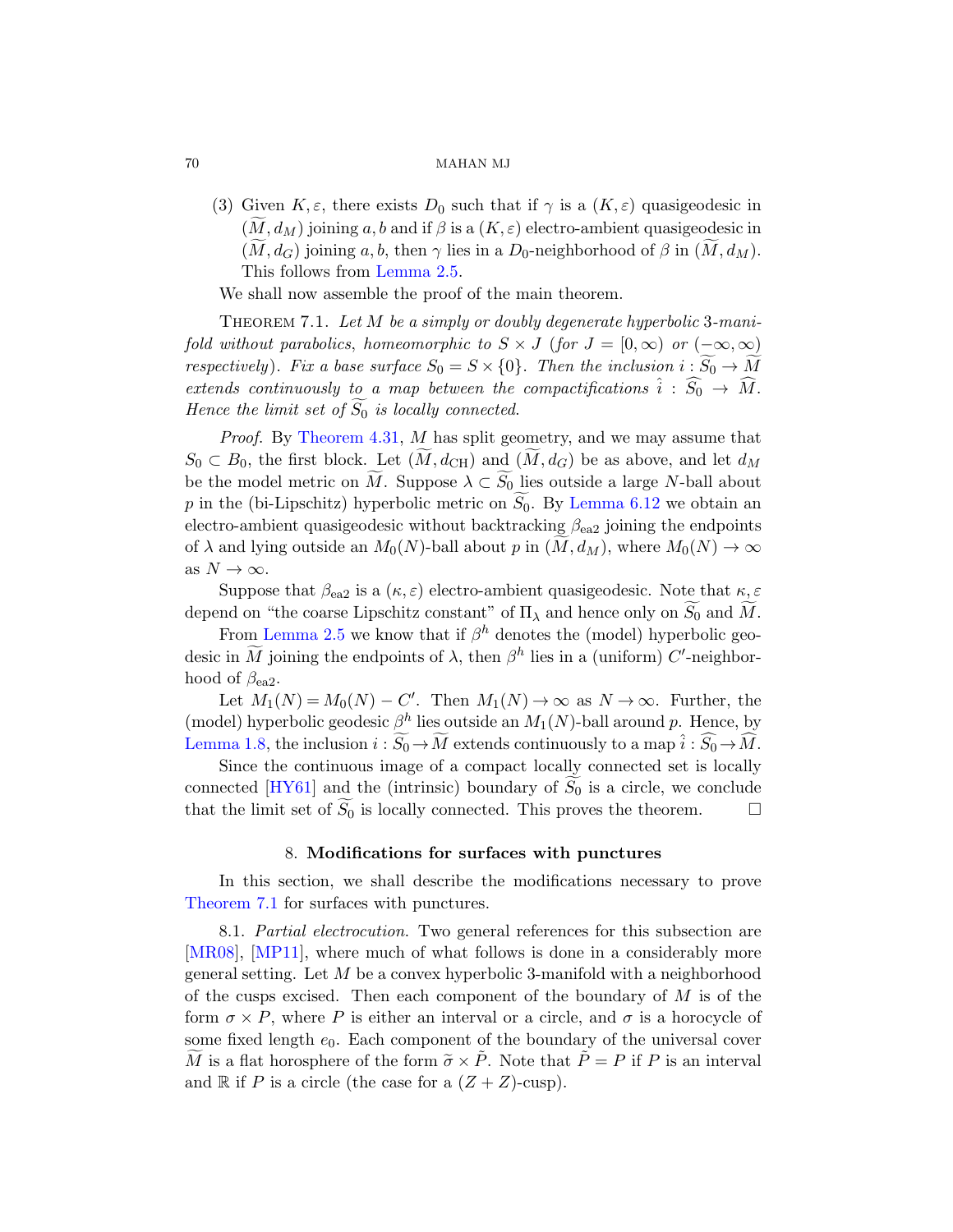(3) Given  $K, \varepsilon$ , there exists  $D_0$  such that if  $\gamma$  is a  $(K, \varepsilon)$  quasigeodesic in  $(M, d_M)$  joining a, b and if  $\beta$  is a  $(K, \varepsilon)$  electro-ambient quasigeodesic in  $(M, d_G)$  joining a, b, then  $\gamma$  lies in a D<sub>0</sub>-neighborhood of  $\beta$  in  $(M, d_M)$ . This follows from Lemma 2.5.

[W](#page-50-1)e shall now assemble the proof of the main theorem.

THEOREM 7.1. Let M be a simply or doubly degenerate hyperbolic 3-manifold without parabolics, homeomorphic to  $S \times J$  (for  $J = [0, \infty)$  or  $(-\infty, \infty)$ ) respectively). Fix a base sur[face](#page-67-0)  $S_0 = S \times \{0\}$ . Then the inclusion  $i : \widetilde{S_0} \to \widetilde{M}$ extends continuously to a map between the compactifications  $\hat{i}$  :  $\widehat{S}_0 \rightarrow \widehat{M}$ . Hence the limit set of  $\widetilde{S_0}$  is locally connected.

Proof. By Theorem 4.31, M has split geometry, and we may assume that  $S_0 \subset B_0$ , the first block. Let  $(M, d_{\text{CH}})$  and  $(M, d_G)$  be as above, and let  $d_M$ be the model metric on M. Suppose  $\lambda \subset S_0$  lies outside a large N-ball about  $p$  in the (bi-Lipschitz) hyperbolic metric on  $S_0$ . By Lemma 6.12 we obtain an electro-ambient quasigeodesic without backtracking  $\beta_{ea2}$  joining the endpoints of  $\lambda$  and lying outside an  $M_0(N)$ -ball about p in  $(M, d_M)$ , where  $M_0(N) \to \infty$ as  $N \to \infty$ .

Suppose that  $\beta_{ea2}$  is a  $(\kappa, \varepsilon)$  electro-ambient quasigeodesic. Note that  $\kappa, \varepsilon$ depend on "the coarse Lipschitz constant" of  $\Pi_{\lambda}$  and hence only on  $\widetilde{S_0}$  and  $\widetilde{M}$ .

From Lemma 2.5 we know that if  $\beta^h$  denotes the (model) hyperbolic geodesic in  $\widetilde{M}$  joining the endpoints of  $\lambda$ , then  $\beta^h$  lies in a (uniform) C'-neighborhood of  $\beta_{ea2}$ .

Let  $M_1(N) = M_0(N) - C'$ . Then  $M_1(N) \to \infty$  as  $N \to \infty$ . Further, the (model) hyperbolic geodesic  $\beta^h$  lies outside an  $M_1(N)$ -ball around p. Hence, by Lemma 1.8, the inclusion  $i : \widetilde{S_0} \to \widetilde{M}$  extends continuously to a map  $\hat{i} : \widehat{S_0} \to \widehat{M}$ .

Since the continuous image of a compact locally connected set is locally connected [HY61] and the (intrinsic) boundary of  $S_0$  is a circle, we conclude that the limit set of  $\widetilde{S_0}$  is locally connected. This proves the theorem. that the limit set of  $S_0$  is locally connected. This proves the theorem.

# 8. Modifications for surfaces with punctures

In this section, we shall describe the modifications necessary to prove Theorem 7.1 for surfaces with punctures.

8.1. Partial electrocution. Two general references for this subsection are [MR08], [MP11], where much of what follows is done in a considerably more general setting. Let M be a convex hyperbolic 3-manifold with a neighborhood of the cusps excised. Then each component of the boundary of  $M$  is of the form  $\sigma \times P$ , where P is either an interval or a circle, and  $\sigma$  is a horocycle of some fixed length  $e_0$ . Each component of the boundary of the universal cover  $\tilde{M}$  is a flat horosphere of the form  $\tilde{\sigma} \times \tilde{P}$ . Note that  $\tilde{P} = P$  if P is an interval and R if P is a circle (the case for a  $(Z + Z)$ -cusp).

<span id="page-69-0"></span>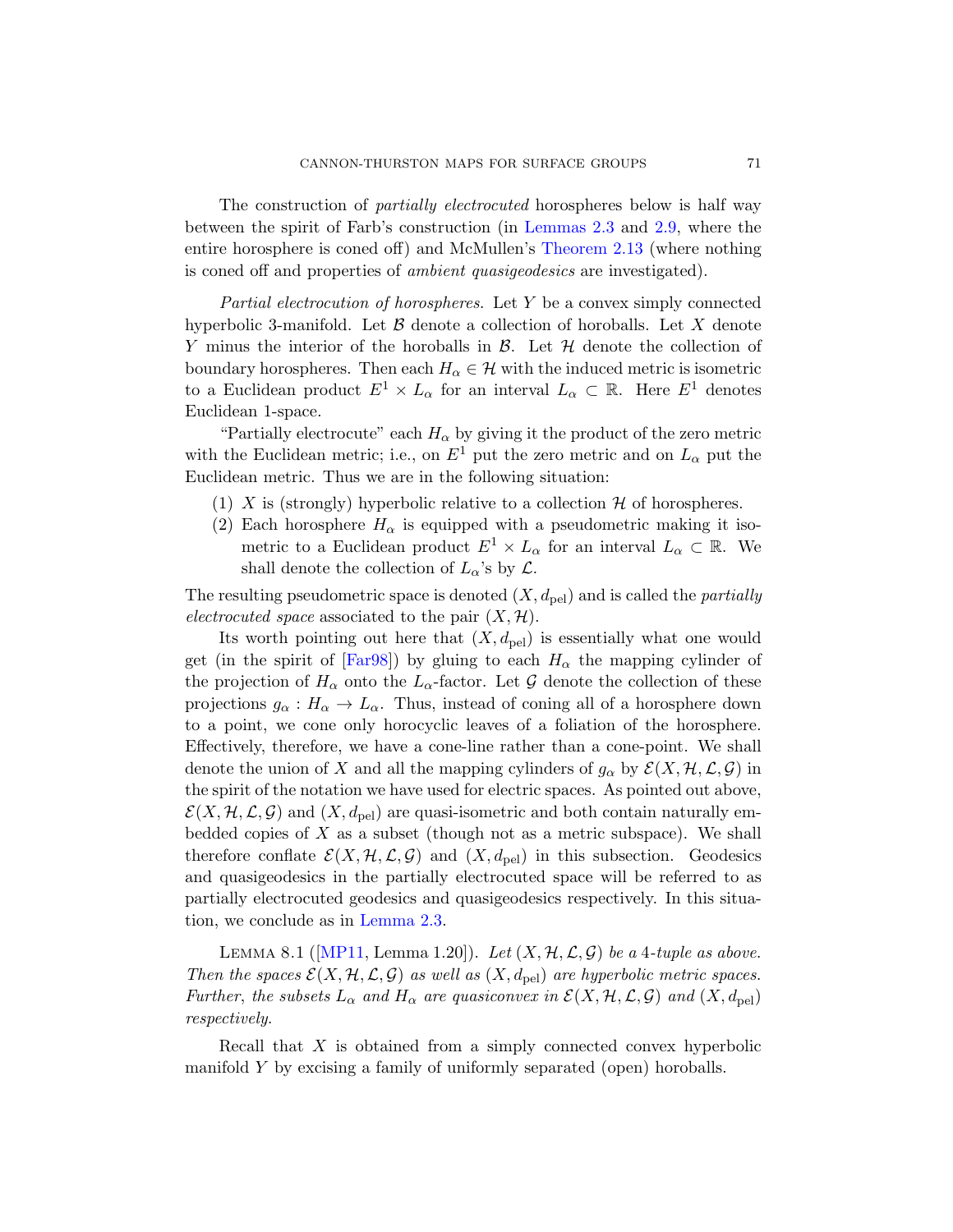The construction of *partially electrocuted* horospheres below is half way between the spirit of Farb's construction (in Lemmas 2.3 and 2.9, where the entire horosphere is coned off) and McMullen's Theorem 2.13 (where nothing is coned off and properties of ambient quasigeodesics are investigated).

Partial electrocution of horospheres. Let Y be a convex simply connected hyperbolic 3-manifold. Let  $\beta$  denote a collection of horoballs. Let X denote Y minus the interior of the horoballs in  $\mathcal{B}$ . Let  $\mathcal{H}$  denote the collection of boundary horospheres. Then each  $H_{\alpha} \in \mathcal{H}$  with the induced metric is isometric to a Euclidean product  $E^1 \times L_\alpha$  for an interval  $L_\alpha \subset \mathbb{R}$ . Here  $E^1$  denotes Euclidean 1-space.

"Partially electrocute" each  $H_{\alpha}$  by giving it the product of the zero metric with the Euclidean metric; i.e., on  $E^1$  put the zero metric and on  $L_{\alpha}$  put the Euclidean metric. Thus we are in the following situation:

- (1) X is (strongly) hyperbolic relative to a collection  $\mathcal H$  of horospheres.
- [\(2](#page-77-5)) Each horosphere  $H_{\alpha}$  is equipped with a pseudometric making it isometric to a Euclidean product  $E^1 \times L_\alpha$  for an interval  $L_\alpha \subset \mathbb{R}$ . We shall denote the collection of  $L_{\alpha}$ 's by  $\mathcal{L}$ .

The resulting pseudometric space is denoted  $(X, d_{\text{pel}})$  and is called the *partially* electrocuted space associated to the pair  $(X, \mathcal{H})$ .

Its worth pointing out here that  $(X, d_{\text{pel}})$  is essentially what one would get (in the spirit of [Far98]) by gluing to each  $H_{\alpha}$  the mapping cylinder of the projection of  $H_{\alpha}$  onto the  $L_{\alpha}$ -factor. Let G denote the collection of these projections  $g_{\alpha}: H_{\alpha} \to L_{\alpha}$ . Thus, instead of coning all of a horosphere down to a point, we cone only horocyclic leaves of a foliation of the horosphere. Effectively, therefore, we have a cone-line rather than a cone-point. We shall denote the union of X and all the mapping cylinders of  $g_{\alpha}$  by  $\mathcal{E}(X, \mathcal{H}, \mathcal{L}, \mathcal{G})$  in [the spirit of](#page-14-0) the notation we have used for electric spaces. As pointed out above,  $\mathcal{E}(X, \mathcal{H}, \mathcal{L}, \mathcal{G})$  $\mathcal{E}(X, \mathcal{H}, \mathcal{L}, \mathcal{G})$  $\mathcal{E}(X, \mathcal{H}, \mathcal{L}, \mathcal{G})$  and  $(X, d_{\text{pel}})$  are quasi-isometric and both contain naturally embedded copies of  $X$  as a subset (though not as a metric subspace). We shall therefore conflate  $\mathcal{E}(X, \mathcal{H}, \mathcal{L}, \mathcal{G})$  and  $(X, d_{\text{pel}})$  in this subsection. Geodesics and quasigeodesics in the partially electrocuted space will be referred to as partially electrocuted geodesics and quasigeodesics respectively. In this situation, we conclude as in Lemma 2.3.

<span id="page-70-0"></span>LEMMA 8.1 ([MP11, Lemma 1.20]). Let  $(X, \mathcal{H}, \mathcal{L}, \mathcal{G})$  be a 4-tuple as above. Then the spaces  $\mathcal{E}(X, \mathcal{H}, \mathcal{L}, \mathcal{G})$  as well as  $(X, d_{\text{pel}})$  are hyperbolic metric spaces. Further, the subsets  $L_{\alpha}$  and  $H_{\alpha}$  are quasiconvex in  $\mathcal{E}(X, \mathcal{H}, \mathcal{L}, \mathcal{G})$  and  $(X, d_{\text{pel}})$ respectively.

Recall that X is obtained from a simply connected convex hyperbolic manifold Y by excising a family of uniformly separated (open) horoballs.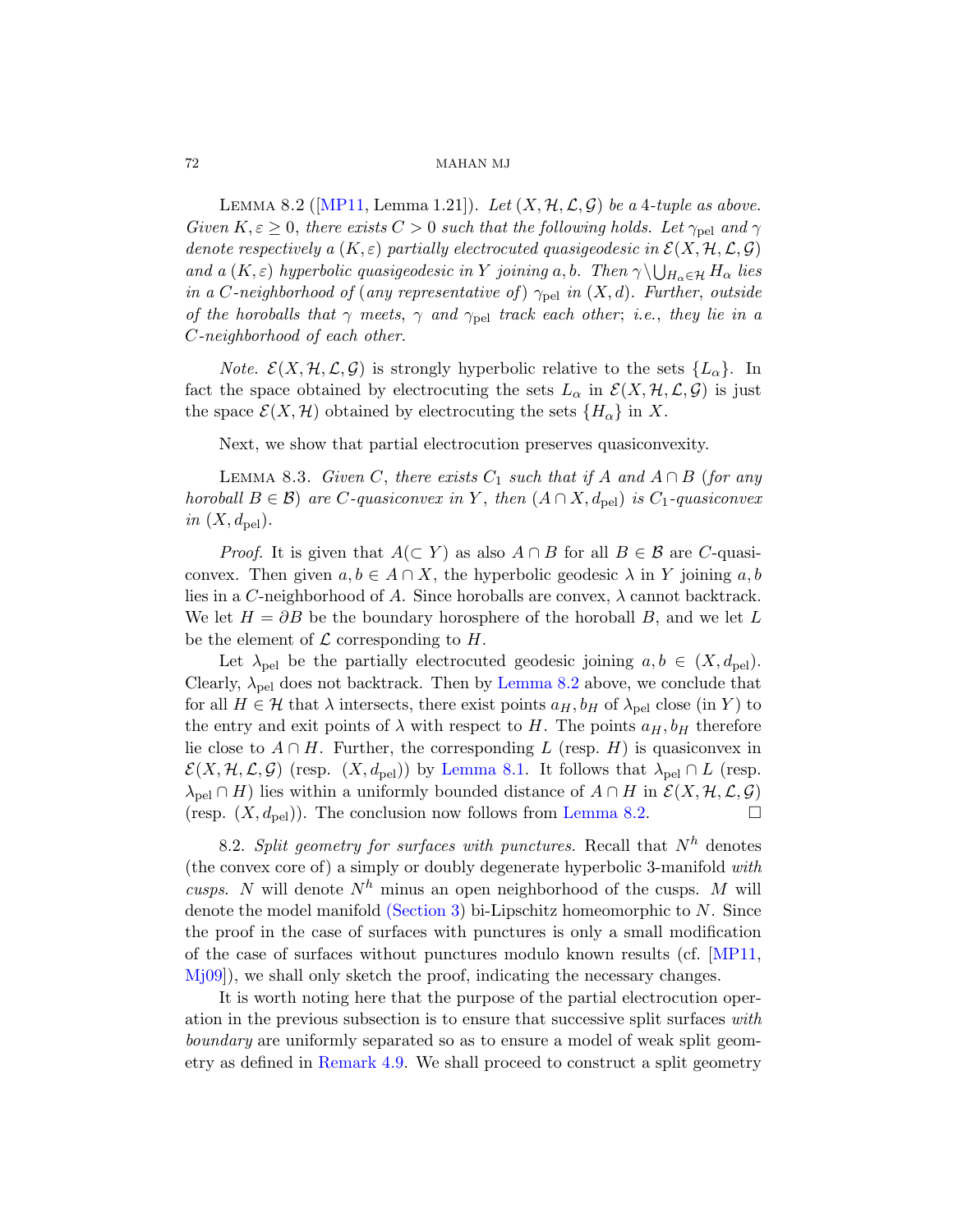LEMMA 8.2 ([MP11, Lemma 1.21]). Let  $(X, \mathcal{H}, \mathcal{L}, \mathcal{G})$  be a 4-tuple as above. Given  $K, \varepsilon \geq 0$ , there exists  $C > 0$  such that the following holds. Let  $\gamma_{\text{pel}}$  and  $\gamma$ denote respectively a  $(K, \varepsilon)$  partially electrocuted quasigeodesic in  $\mathcal{E}(X, \mathcal{H}, \mathcal{L}, \mathcal{G})$ and a  $(K, \varepsilon)$  hyperbolic quasigeodesic in Y joining a, b. Then  $\gamma \setminus \bigcup_{H_\alpha \in \mathcal{H}} H_\alpha$  lies in a C-neighborhood of (any representative of)  $\gamma_{\text{pel}}$  in  $(X, d)$ . Further, outside of the horoballs that  $\gamma$  meets,  $\gamma$  and  $\gamma_{\text{pel}}$  track each other; i.e., they lie in a C-neighborhood of each other.

*Note.*  $\mathcal{E}(X, \mathcal{H}, \mathcal{L}, \mathcal{G})$  is strongly hyperbolic relative to the sets  $\{L_{\alpha}\}\$ . In fact the space obtained by electrocuting the sets  $L_{\alpha}$  in  $\mathcal{E}(X, \mathcal{H}, \mathcal{L}, \mathcal{G})$  is just the space  $\mathcal{E}(X, \mathcal{H})$  obtained by electrocuting the sets  $\{H_{\alpha}\}\$ in X.

Next, we show that partial electrocution preserves quasiconvexity.

LEMMA 8.3. Given C, there exists  $C_1$  such that if A and  $A \cap B$  (for any horoball  $B \in \mathcal{B}$ ) are C-quasiconvex in Y, then  $(A \cap X, d_{\text{pel}})$  is  $C_1$ -quasiconvex in  $(X, d_{\text{pel}})$ .

*Proof.* It is gi[ven that](#page-71-0)  $A(\subset Y)$  as also  $A \cap B$  for all  $B \in \mathcal{B}$  are C-quasiconvex. Then given  $a, b \in A \cap X$ , the hyperbolic geodesic  $\lambda$  in Y joining  $a, b$ lies in a C-neighborhood of A. Since horoballs are convex,  $\lambda$  cannot backtrack. We let  $H = \partial B$  be the boundary horosphere of the horoball B, and we let L be the ele[ment of](#page-70-0)  $\mathcal L$  corresponding to  $H$ .

Let  $\lambda_{\text{pel}}$  be the partially electrocuted geodesic joining  $a, b \in (X, d_{\text{pel}})$ . Clearly,  $\lambda_{\text{pel}}$  does not backt[rack. Then b](#page-71-0)y Lemma 8.2 above, we conclude that for all  $H \in \mathcal{H}$  that  $\lambda$  intersects, there exist points  $a_H, b_H$  of  $\lambda_{\text{pel}}$  close (in Y) to the entry and exit points of  $\lambda$  with respect to H. The points  $a_H, b_H$  therefore lie close to  $A \cap H$ . Further, the corresponding L (resp. H) is quasiconvex in  $\mathcal{E}(X, \mathcal{H}, \mathcal{L}, \mathcal{G})$  $\mathcal{E}(X, \mathcal{H}, \mathcal{L}, \mathcal{G})$  $\mathcal{E}(X, \mathcal{H}, \mathcal{L}, \mathcal{G})$  (resp.  $(X, d_{\text{pel}})$ ) by Lemma 8.1. It follows that  $\lambda_{\text{pel}} \cap L$  (resp.  $\lambda_{\text{pel}} \cap H$ ) lies within a uniformly bounded distance of  $A \cap H$  in  $\mathcal{E}(X, \mathcal{H}, \mathcal{L}, \mathcal{G})$ (resp.  $(X, d_{\text{pel}})$ ). The conclusion now follows from [Lem](#page-79-2)ma 8.2.

8.2. Split geometry for surfaces with punctures. Recall that  $N^h$  denotes (the convex core of) a simply or doubly degenerate hyperbolic 3-manifold with cusps. N will denote  $N^h$  minus an open neighborhood of the cusps. M will denote the model manifold (Section 3) bi-Lipschitz homeomorphic to  $N$ . Since [the pro](#page-34-0)of in the case of surfaces with punctures is only a small modification of the case of surfaces without punctures modulo known results (cf. [MP11, Mj09]), we shall only sketch the proof, indicating the necessary changes.

It is worth noting here that the purpose of the partial electrocution operation in the previous subsection is to ensure that successive split surfaces with boundary are uniformly separated so as to ensure a model of weak split geometry as defined in Remark 4.9. We shall proceed to construct a split geometry

<span id="page-71-0"></span>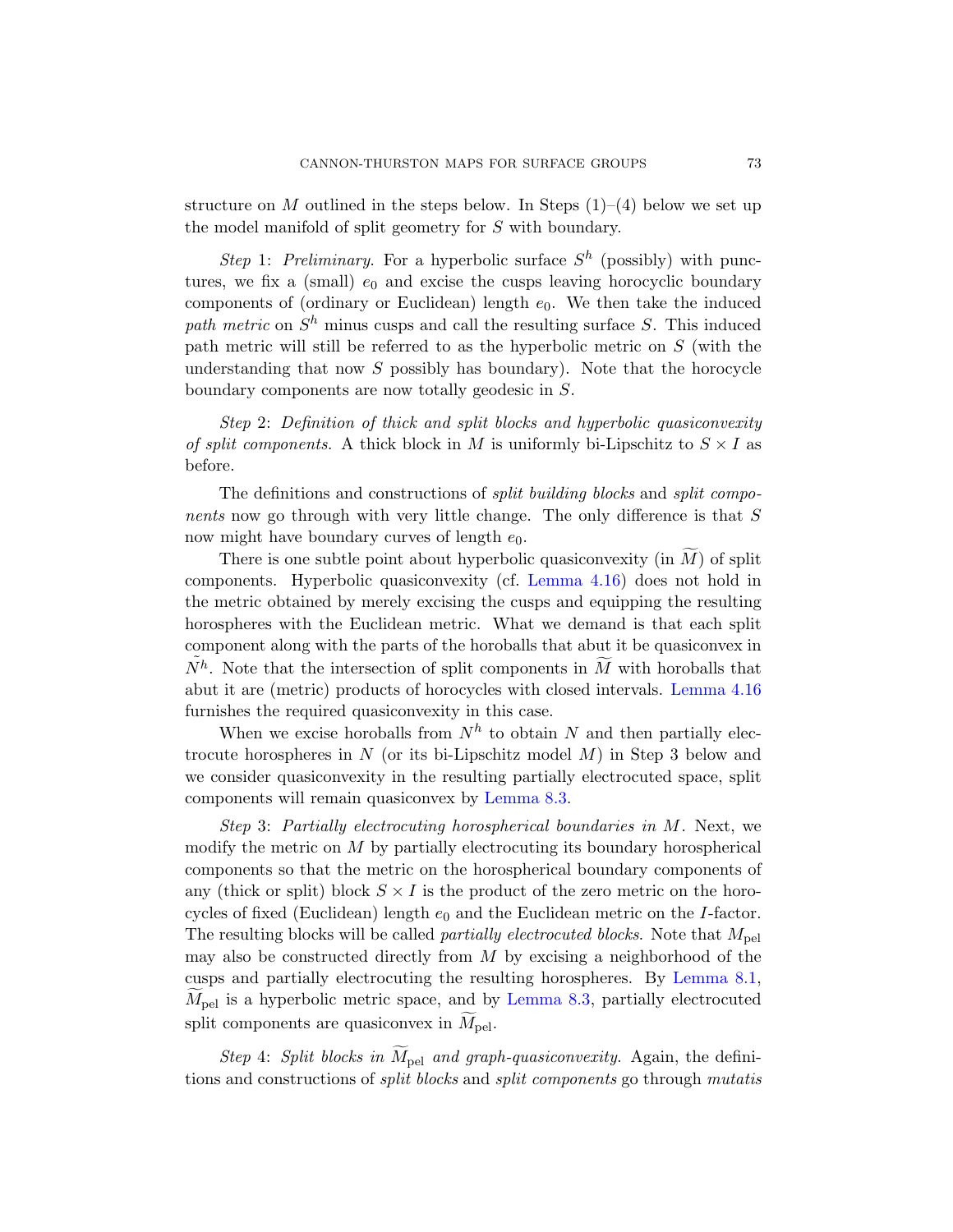structure on M outlined in the steps below. In Steps  $(1)$ – $(4)$  below we set up the model manifold of split geometry for S with boundary.

Step 1: Preliminary. For a hyperbolic surface  $S<sup>h</sup>$  (possibly) with punctures, we fix a (small)  $e_0$  and excise the cusps leaving horocyclic boundary components of (ordinary or Euclidean) length  $e_0$ . We then take the induced path metric on  $S<sup>h</sup>$  minus cusps and call the resulting surface S. This induced path metric will still be referred to as the hyperbolic metric on  $S$  (with the understanding that now  $S$  possibly has boundary). Note that the horocycle boundary components are now totally geodesic in S.

Step 2: Definition of thick and split blocks and hyperbolic quasiconvexity of split components. A [thick block i](#page-40-0)n M is uniformly bi-Lipschitz to  $S \times I$  as before.

The definitions and constructions of *split building blocks* and *split compo*nents now go through with very little change. The only difference is that S now might have boundary curves of length  $e_0$ .

There is one subtle point about hype[rbolic quasico](#page-40-0)nvexity (in  $M$ ) of split components. Hyperbolic quasiconvexity (cf. Lemma 4.16) does not hold in the metric obtained by merely excising the cusps and equipping the resulting horospheres with the Euclidean metric. What we demand is that each split component along with the parts of the horoballs that abut it be quasiconvex in  $N^h$ .Note that t[he intersecti](#page-71-0)on of split components in  $\widetilde{M}$  with horoballs that abut it are (metric) products of horocycles with closed intervals. Lemma 4.16 furnishes the required quasiconvexity in this case.

When we excise horoballs from  $N^h$  to obtain N and then partially electrocute horospheres in  $N$  (or its bi-Lipschitz model  $M$ ) in Step 3 below and we consider quasiconvexity in the resulting partially electrocuted space, split components will remain quasiconvex by Lemma 8.3.

Step 3: Partially electrocuting horospherical boundaries in M. Next, we modify the metric on  $M$  by partially elect[rocuting its](#page-70-0) boundary horospherical components so that [the metric o](#page-71-0)n the horospherical boundary components of any (thick or split) block  $S \times I$  is the product of the zero metric on the horocycles of fixed (Euclidean) length  $e_0$  and the Euclidean metric on the *I*-factor. The resulting blocks will be called *partially electrocuted blocks*. Note that  $M_{\text{pel}}$ may also be constructed directly from  $M$  by excising a neighborhood of the cusps and partially electrocuting the resulting horospheres. By Lemma 8.1,  $M_{\text{pel}}$  is a hyperbolic metric space, and by Lemma 8.3, partially electrocuted split components are quasiconvex in  $M_{\text{pel}}$ .

Step 4: Split blocks in  $\widetilde{M}_{pel}$  and graph-quasiconvexity. Again, the definitions and constructions of split blocks and split components go through mutatis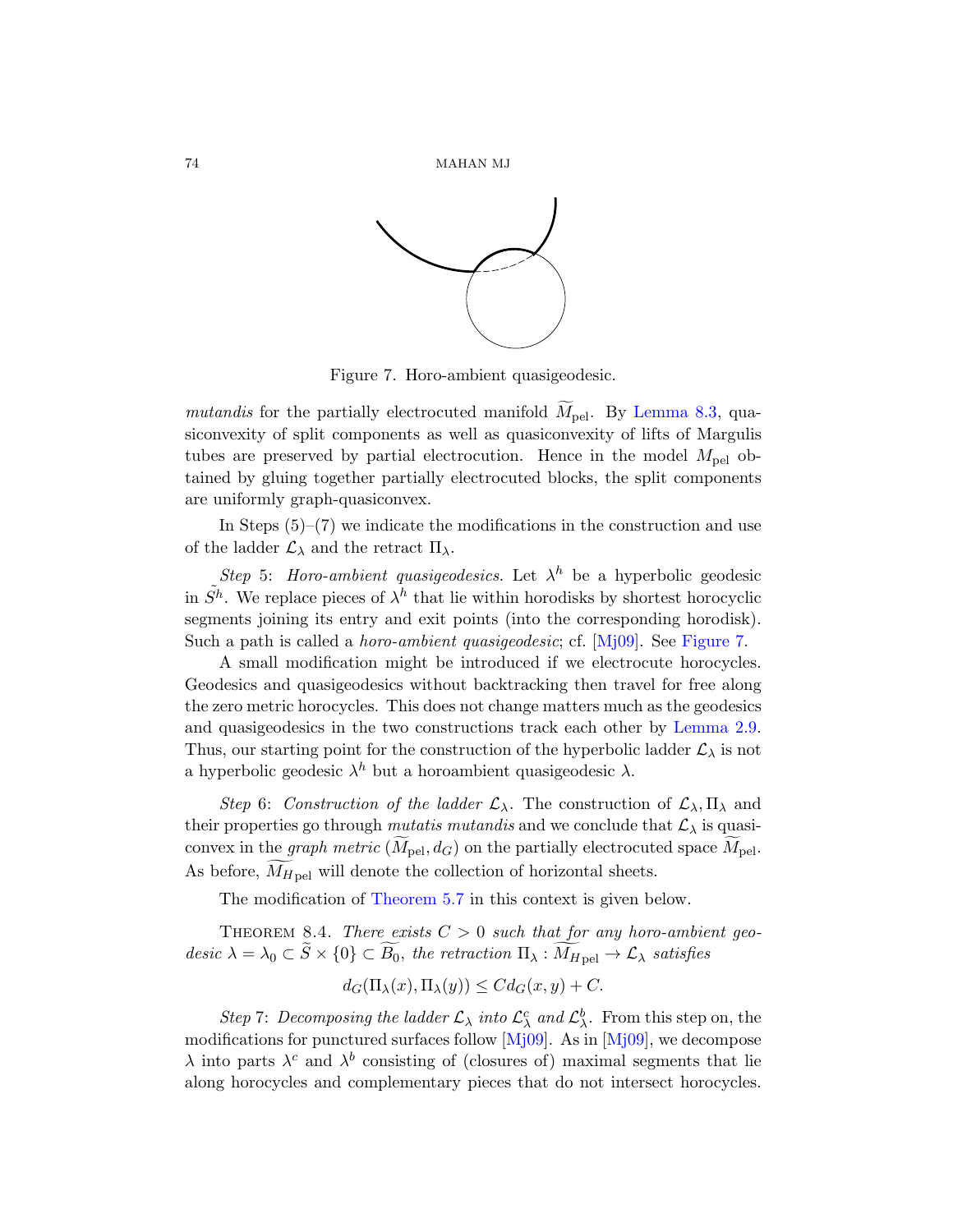

Figure 7. Horo-ambient quasigeodesic.

mutandis for the partially electrocuted manifold  $\tilde{M}_{\text{pel}}$ . By Lemma 8.3, quasiconvexity of split components as well as quasiconvexity of lifts of Margulis tubes are preserved by partial electrocution. Hence in the model  $M_{\text{pel}}$  obtained by gluing together partially electrocuted blocks, the split components are uniformly graph-quasiconve[x.](#page-79-0)

In Steps  $(5)-(7)$  we indicate the modifications in the construction and use of the ladder  $\mathcal{L}_{\lambda}$  and the retract  $\Pi_{\lambda}$ .

Step 5: Horo-ambient quasigeodesics. Let  $\lambda^h$  be a hyperbolic geodesic in  $\tilde{S}^h$ . We replace pieces of  $\lambda^h$  that lie wit[hin horodisk](#page-17-0)s by shortest horocyclic segments joining its entry and exit points (into the corresponding horodisk). Such a path is called a *horo-ambient quasigeodesic*; cf. [Mj09]. See Figure 7.

A small modification might be introduced if we electrocute horocycles. Geodesics and quasigeodesics without backtracking then travel for free along the zero metric horocycles. This does not change matters much as the geodesics and quasigeodesics in the two constructions track each other by Lemma 2.9. Thus, our starting point for the construction of the hyperbolic ladder  $\mathcal{L}_{\lambda}$  is not a [hyperbolic ge](#page-54-0)odesic  $\lambda^h$  but a horoambient quasigeodesic  $\lambda$ .

Step 6: Construction of the ladder  $\mathcal{L}_{\lambda}$ . The construction of  $\mathcal{L}_{\lambda}$ ,  $\Pi_{\lambda}$  and their properties go through *mutatis mutandis* and we conclude that  $\mathcal{L}_{\lambda}$  is quasiconvex in the graph metric  $(M_{\text{pel}}, d_G)$  on the partially electrocuted space  $M_{\text{pel}}$ . As before,  $M_{H\,\text{pel}}$  will denote the collection of horizontal sheets.

The modificati[on of](#page-79-0) Theore[m 5.7](#page-79-0) in this context is given below.

THEOREM 8.4. There exists  $C > 0$  such that for any horo-ambient geodesic  $\lambda = \lambda_0 \subset S \times \{0\} \subset B_0$ , the retraction  $\Pi_{\lambda}: M_{H_{\text{pel}}} \to \mathcal{L}_{\lambda}$  satisfies

$$
d_G(\Pi_{\lambda}(x), \Pi_{\lambda}(y)) \leq C d_G(x, y) + C.
$$

Step 7: Decomposing the ladder  $\mathcal{L}_{\lambda}$  into  $\mathcal{L}_{\lambda}^{c}$  and  $\mathcal{L}_{\lambda}^{b}$ . From this step on, the modifications for punctured surfaces follow [Mj09]. As in [Mj09], we decompose  $\lambda$  into parts  $\lambda^c$  and  $\lambda^b$  consisting of (closures of) maximal segments that lie along horocycles and complementary pieces that do not intersect horocycles.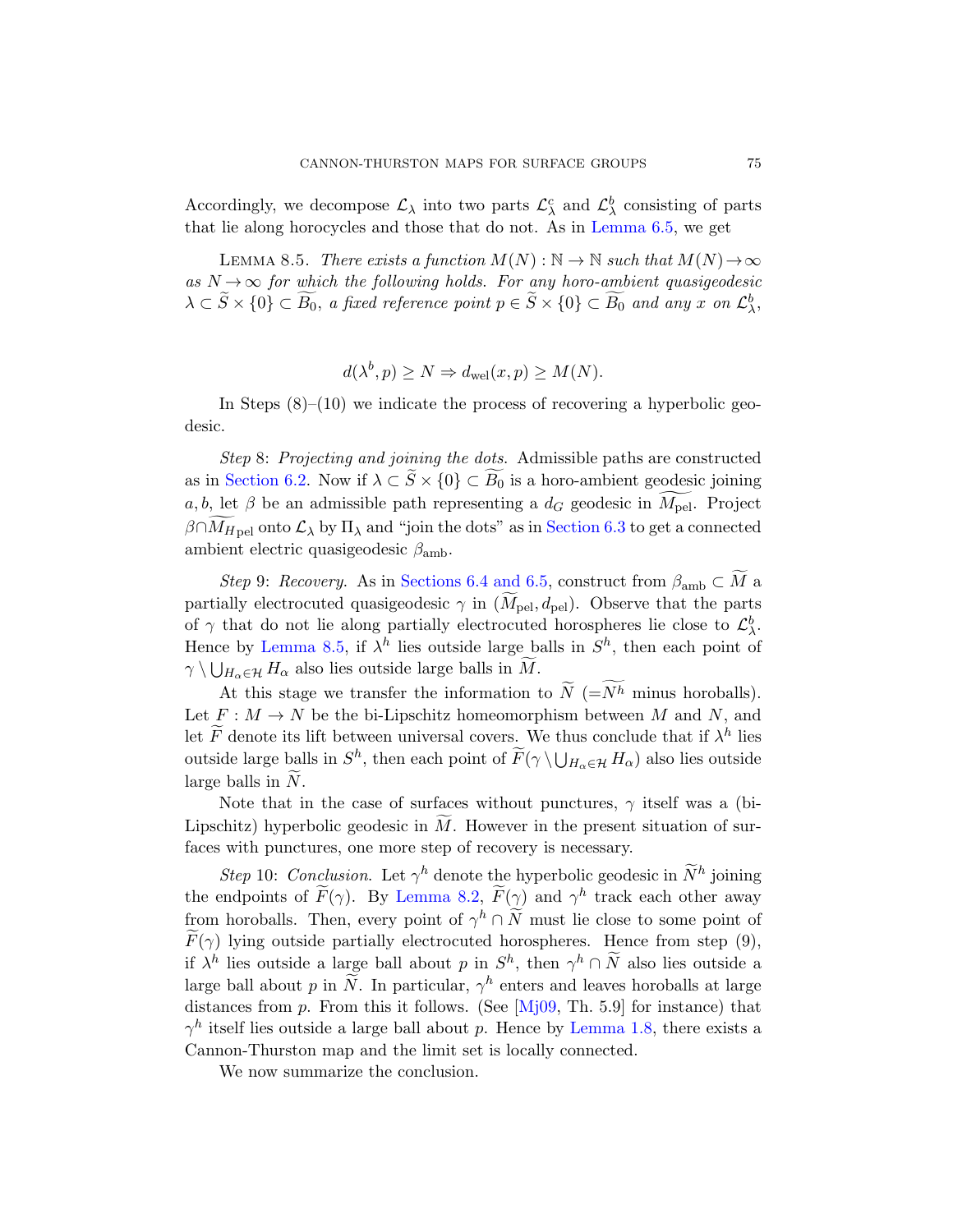Accordingly, we decompose  $\mathcal{L}_{\lambda}$  into two parts  $\mathcal{L}_{\lambda}^{c}$  and  $\mathcal{L}_{\lambda}^{b}$  consisting of parts that lie along horocycles and those that do not. As in Lemma 6.5, we get

LEMMA 8.5. There exists a function  $M(N): \mathbb{N} \to \mathbb{N}$  such that  $M(N) \to \infty$ as  $N \rightarrow \infty$  for which the following holds. For any horo-ambient quasigeodesic  $\lambda \subset \widetilde{S} \times \{0\} \subset \widetilde{B_0}$ , a fixed reference point  $p \in \widetilde{S} \times \{0\} \subset \widetilde{B_0}$  and any x on  $\mathcal{L}^b_{\lambda}$ ,

$$
d(\lambda^{b}, p) \ge N \Rightarrow d_{\text{wel}}(x, p) \ge M(N).
$$

In Steps  $(8)$ – $(10)$  we [indicate th](#page-62-0)e process of recovering a hyperbolic geodesic.

Step 8: [Projec](#page-64-0)[ting and](#page-65-0) joining the dots. Admissible paths are constructed as in Section 6.2. Now if  $\lambda \subset S \times \{0\} \subset B_0$  is a horo-ambient geodesic joining  $a, b$ , let  $\beta$  be an admissible path representing a  $d_G$  geodesic in  $M_{\text{pel}}$ . Project  $\beta \cap M_{H \text{pel}}$  onto  $\mathcal{L}_\lambda$  by  $\Pi_\lambda$  and "join the dots" as in Section 6.3 to get a connected ambient electric quasigeodesic  $\beta_{\rm amb}$ .

Step 9: Recovery. As in Sections 6.4 and 6.5, construct from  $\beta_{\rm amb} \subset \tilde{M}$  a partially electrocuted quasigeodesic  $\gamma$  in  $(\widetilde{M}_{pel}, d_{pel})$ . Observe that the parts of  $\gamma$  that do not lie along partially electrocuted horospheres lie close to  $\mathcal{L}^b_{\lambda}$ . Hence by Lemma 8.5, if  $\lambda^h$  lies outside large balls in  $S^h$ , then each point of  $\gamma \setminus \bigcup_{H_{\alpha} \in \mathcal{H}} H_{\alpha}$  also lies outside large balls in M.

At this stage we transfer the information to  $\tilde{N}$  (=Nh minus horoballs). Let  $F: M \to N$  be the bi-Lipschitz homeomorphism between M and N, and let  $\widetilde{F}$  denote its lift between universal covers. We thus conclude that if  $\lambda^h$  lies outsi[de large ball](#page-71-1)s in  $S^h$ , then each point of  $\widetilde{F}(\gamma \setminus \bigcup_{H_\alpha \in \mathcal{H}} H_\alpha)$  also lies outside large balls in  $N$ .

Note that in the case of surfaces without punctures,  $\gamma$  itself was a (bi-Lipschitz) hyperbolic geodesic in  $M$ . However in the present situation of surfaces with punctures, one more step of recovery is necessary.

Step 10: Conclus[ion](#page-79-0). Let  $\gamma^h$  denote the hyperbolic geodesic in  $\widetilde{N}^h$  joining the endpoints of  $\widetilde{F}(\gamma)$ . By [Lemma 8.2,](#page-12-0)  $\widetilde{F}(\gamma)$  and  $\gamma^h$  track each other away from horoballs. Then, every point of  $\gamma^h \cap \widetilde{N}$  must lie close to some point of  $F(\gamma)$  lying outside partially electrocuted horospheres. Hence from step (9), if  $\lambda^h$  lies outside a large ball about p in  $S^h$ , then  $\gamma^h \cap \widetilde{N}$  also lies outside a large ball about p in  $\widetilde{N}$ . In particular,  $\gamma^h$  enters and leaves horoballs at large distances from  $p$ . From this it follows. (See  $[Mj09, Th. 5.9]$  for instance) that  $\gamma^h$  itself lies outside a large ball about p. Hence by Lemma 1.8, there exists a Cannon-Thurston map and the limit set is locally connected.

We now summarize the conclusion.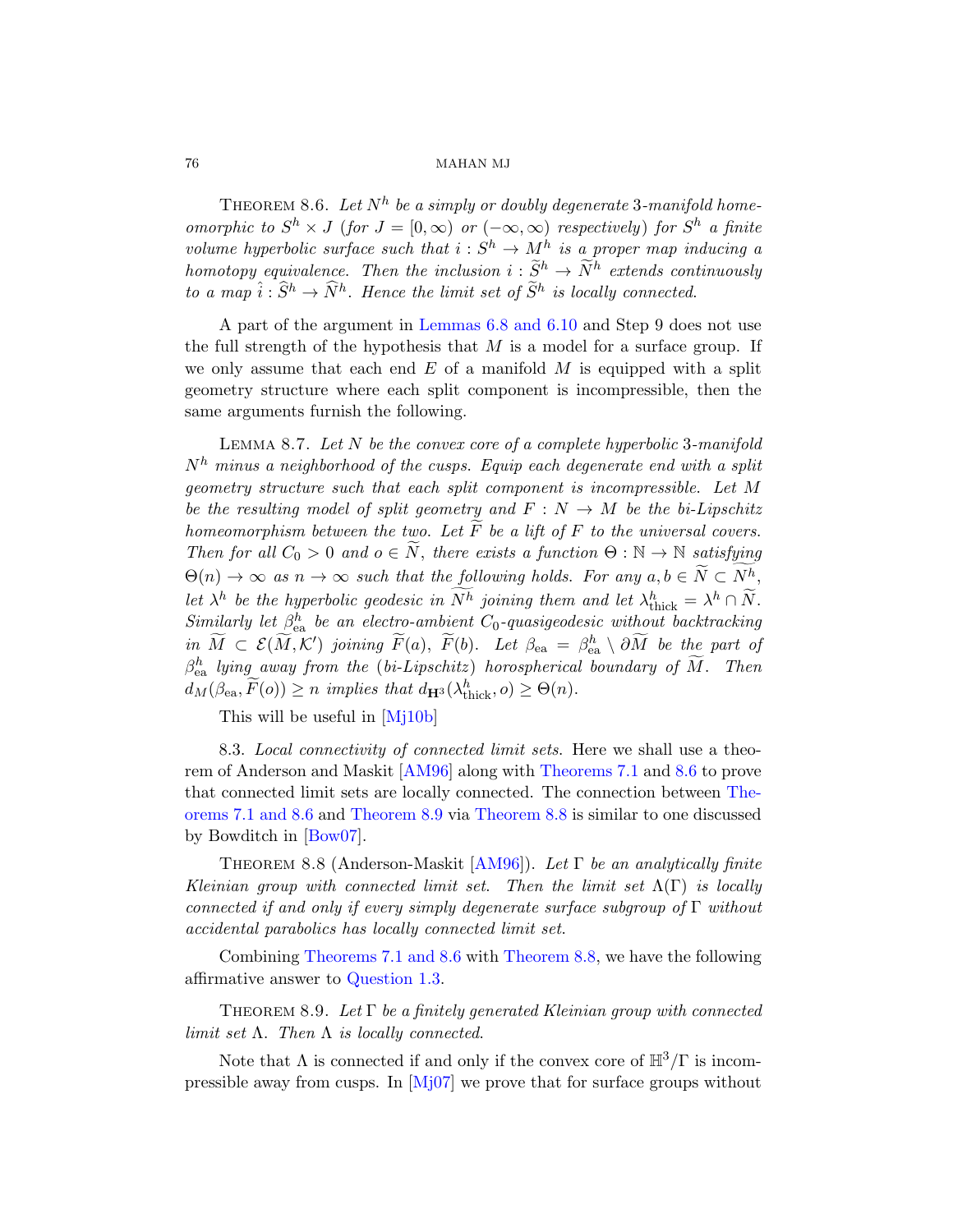## <span id="page-75-0"></span>76 MAHAN MJ

THEOREM 8.6. [Let](#page-65-1)  $N^h$  be a simply or doubly degenerate 3-manifold homeomorphic to  $S^h \times J$  (for  $J = [0, \infty)$  or  $(-\infty, \infty)$  respectively) for  $S^h$  a finite volume hyperbolic surface such that  $i: S^h \to M^h$  is a proper map inducing a homotopy equivalence. Then the inclusion  $i : \widetilde{S}^h \to \widetilde{N}^h$  extends continuously to a map  $\hat{i}: \hat{S}^h \to \hat{N}^h$ . Hence the limit set of  $\tilde{S}^h$  is locally connected.

A part of the argument in Lemmas 6.8 and 6.10 and Step 9 does not use the full strength of the hypothesis that  $M$  is a model for a surface group. If we only assume that each end  $E$  of a manifold  $M$  is equipped with a split geometry structure where each split component is incompressible, then the same arguments furnish the following.

LEMMA 8.7. Let  $N$  be the convex core of a complete hyperbolic 3-manifold  $N<sup>h</sup>$  minus a neighborhood of the cusps. Equip each degenerate end with a split geometry structure such that each split component is incompressible. Let M be the resulting model of split geometry and  $F : N \to M$  be the bi-Lipschitz homeomorphism between the two. Let F be a lift of F to the universal covers. Then for all  $C_0 > 0$  and  $o \in \widetilde{N}$ , there exists a function  $\Theta : \mathbb{N} \to \mathbb{N}$  satisfying  $\Theta(n) \to \infty$  as  $n \to \infty$  such that the following holds. For any  $a, b \in N \subset N^h$ , let  $\lambda^h$  be the hyperbolic geodesic in  $N^h$  joining them and let  $\lambda^h_{\text{thick}} = \lambda^h \cap \widetilde{N}$ . Similarly let  $\beta_{ea}^h$  be an [electro-ambient](#page-69-0)  $C_0$ -quasigeodesic without backtracking in  $\widetilde{M} \subset \mathcal{E}(\widetilde{M},\mathcal{K}')$  joining  $\widetilde{F}(a)$ ,  $\widetilde{F}(b)$ . [Let](#page-75-0)  $\beta_{ea} = \beta_{ea}^h \setminus \partial \widetilde{M}$  be the part of  $\beta_{\mathrm{ea}}^{h}$  [lying aw](#page-75-1)ay from the (bi-Lipschitz) horosphe[rical b](#page-69-0)oundary of  $\widetilde{M}$ . Then  $d_M(\beta_{ea}, \widetilde{F}(o)) \ge n$  $d_M(\beta_{ea}, \widetilde{F}(o)) \ge n$  [implies tha](#page-75-2)t  $d_{\mathbf{H}^3}(\lambda_{\text{thick}}^h, o) \ge \Theta(n)$ .

This will b[e usefu](#page-76-0)l in [Mj10b]

<span id="page-75-2"></span>8.3. Local connectivity of connected limit sets. Here we shall use a theorem of Anderson and Maskit [AM96] along with Theorems 7.1 and 8.6 to prove that connected limit sets are locally connected. The connection between The[orems 7](#page-69-0).1 [and 8](#page-75-0).6 and [Theorem 8](#page-75-2).9 via Theorem 8.8 is similar to one discussed [by Bowditch](#page-2-0) in [Bow07].

<span id="page-75-1"></span>THEOREM 8.8 (Anderson-Maskit [AM96]). Let  $\Gamma$  be an analytically finite Kleinian group with connected limit set. Then the limit set  $\Lambda(\Gamma)$  is locally connected if and only if every simply degenerate surface subgroup of  $\Gamma$  without accidental parabolics has locally connected limit set.

C[ombinin](#page-79-2)g Theorems 7.1 and 8.6 with Theorem 8.8, we have the following affirmative answer to Question 1.3.

THEOREM 8.9. Let  $\Gamma$  be a finitely generated Kleinian group with connected limit set  $\Lambda$ . Then  $\Lambda$  is locally connected.

Note that  $\Lambda$  is connected if and only if the convex core of  $\mathbb{H}^3/\Gamma$  is incompressible away from cusps. In  $[Mj07]$  we prove that for surface groups without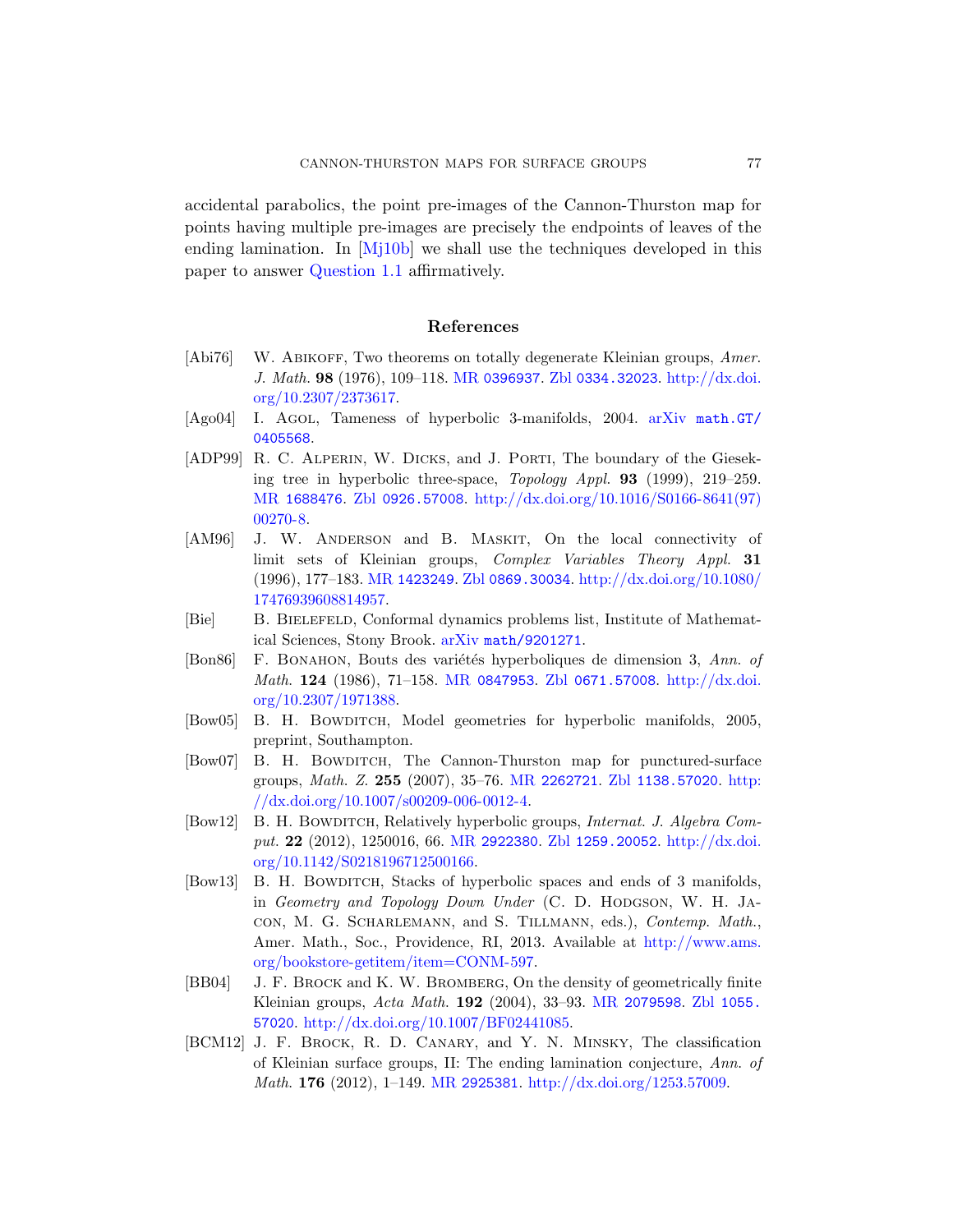accidental parabolics, the point pre-images of the Cannon-Thurston map for points having multiple pre-images are precisely the endpoints of leaves of the ending lamination. In  $[Mj10b]$  we shall [use the techni](http://dx.doi.org/10.2307/2373617)ques developed in this [paper](http://dx.doi.org/10.2307/2373617) to answer Question 1.1 affirmati[vely.](http://www.arxiv.org/abs/math.GT/0405568)

## References

- [\[Abi76\]](http://www.zentralblatt-math.org/zmath/en/search/?q=an:0926.57008) W. ABIKOFF[, Two theorems on totally degenerate](http://dx.doi.org/10.1016/S0166-8641(97)00270-8) Kleinian groups, Amer. J. Math. 98 (1976), 109–118. MR 0396937. Zbl 0334.32023. http://dx.doi. org/10.2307/2373617.
- <span id="page-76-0"></span>[Ago04] I. Agol, Tameness of hyperbolic 3-manifolds, 2004. arXiv math.GT/ [0405](http://www.ams.org/mathscinet-getitem?mr=1423249)568.
- [\[ADP](http://dx.doi.org/10.1080/17476939608814957)99] R. C. ALPERIN, W. DICKS, and J. PORTI, The boundary of the Gieseking tree in hyperbolic three-space, Topology Appl. 93 (1999), 219–259. MR [1688476](http://www.arxiv.org/abs/math/9201271). Zbl 0926.57008. http://dx.doi.org/10.1016/S0166-8641(97) 00270-8.
- [AM96] J. [W. Ander](http://www.ams.org/mathscinet-getitem?mr=0847953)son and [B. M](http://www.zentralblatt-math.org/zmath/en/search/?q=an:0671.57008)askit[, On th](http://dx.doi.org/10.2307/1971388)e local connectivity of limit sets of Kleinian groups, Complex Variables Theory Appl. 31 (1996), 177–183. MR 1423249. Zbl 0869.30034. http://dx.doi.org/10.1080/ 17476939608814957.
- <span id="page-76-1"></span>[Bie] B. Bielefeld, Conformal dynamics problems list, Institute of Mathematical Sciences[, Stony Brook](http://www.ams.org/mathscinet-getitem?mr=2262721). arXiv [math/920](http://www.zentralblatt-math.org/zmath/en/search/?q=an:1138.57020)[1271](http://dx.doi.org/10.1007/s00209-006-0012-4).
- [Bon86] F. BONAHON, Bouts des variétés hyperboliques de dimension 3, Ann. of Math. 124 (1986), 71–158. MR 0847953. Zbl 0671.57008. http://dx.doi. org[/10.2307/1971](http://www.ams.org/mathscinet-getitem?mr=2922380)388.
- [\[Bow05\]](http://dx.doi.org/10.1142/S0218196712500166) B. H. BOWDITCH[, Model geom](http://www.zentralblatt-math.org/zmath/en/search/?q=an:1259.20052)[etries for hype](http://dx.doi.org/10.1142/S0218196712500166)rbolic manifolds, 2005, preprint, Southampton.
- [Bow07] B. H. BOWDITCH, The Cannon-Thurston map for punctured-surface groups, Math. Z. 255 (2007), 35–76. MR 2262721. Zbl 1138.57020. http:  $//dx.doi.org/10.1007/s00209-006-0012-4.$  $//dx.doi.org/10.1007/s00209-006-0012-4.$
- [Bow12] B. H. BOWDITCH, Relatively hyperbolic groups, *Internat. J. Algebra Com*put. 22 (2012), 1250016, 66. MR 2922380. Zbl 1259.20052. http://dx.doi. org/10.1142/S021819671[2500166.](http://www.ams.org/mathscinet-getitem?mr=2079598)
- [Bow13] B. H. BOWDITCH, Stacks of hyperbo[lic spaces a](http://www.zentralblatt-math.org/zmath/en/search/?q=an:1055.57020)nd ends of 3 manifolds, in Geometry and Topology Down Under (C. D. HODGSON, W. H. JAcon, M. G. Scharlemann, and S. Tillmann, eds.), Contemp. Math., [Amer. Math.,](http://www.ams.org/mathscinet-getitem?mr=2925381) [Soc., Providence, RI, 2013. A](http://dx.doi.org/1253.57009)vailable at http://www.ams. org/bookstore-getitem/item=CONM-597.
- [BB04] J. F. Brock and K. W. Bromberg, On the density of geometrically finite Kleinian groups, Acta Math. 192 (2004), 33–93. MR 2079598. Zbl 1055. 57020. http://dx.doi.org/10.1007/BF02441085.
- [BCM12] J. F. Brock, R. D. Canary, and Y. N. Minsky, The classification of Kleinian surface groups, II: The ending lamination conjecture, Ann. of Math. 176 (2012), 1–149. MR 2925381. http://dx.doi.org/1253.57009.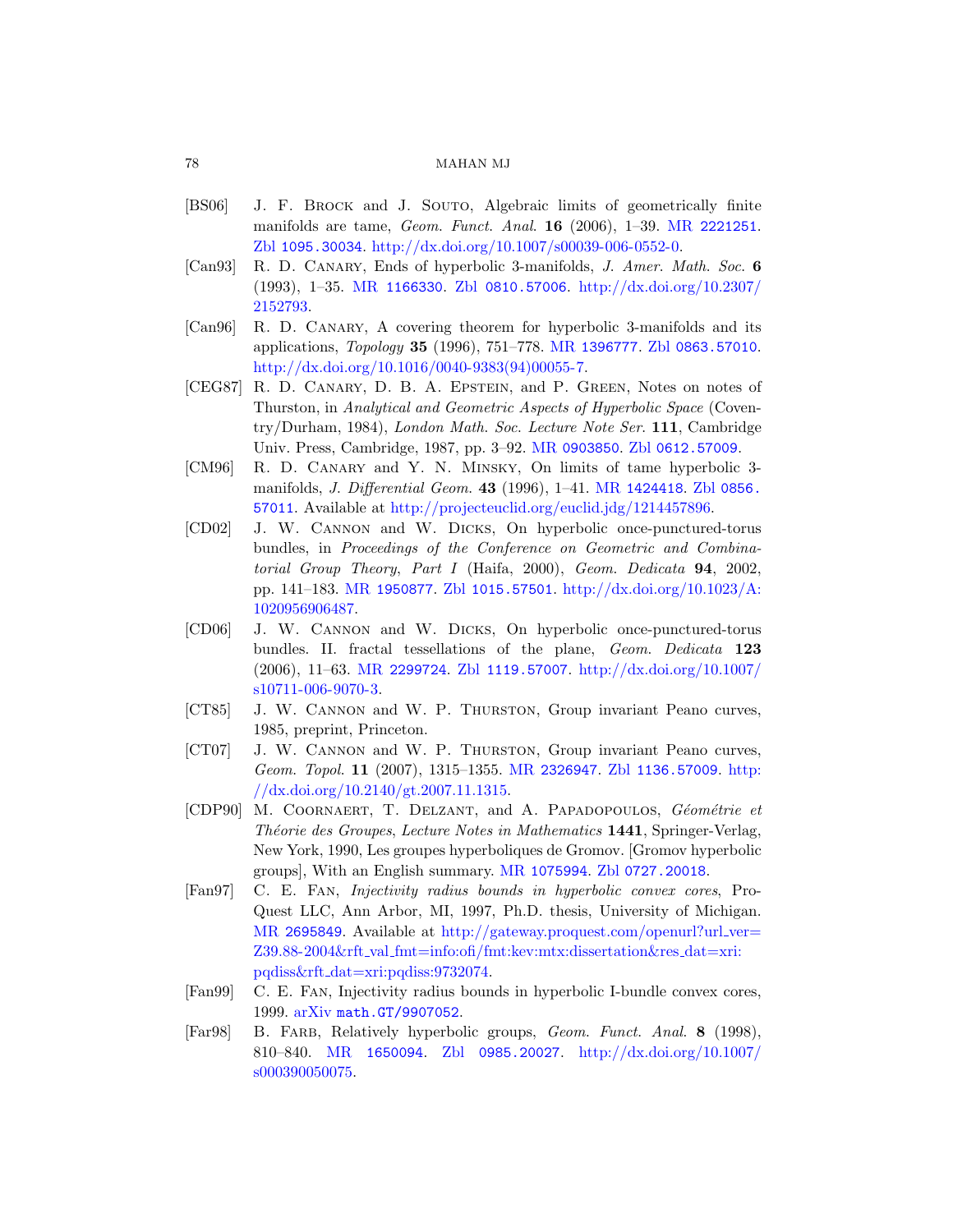## [78](http://www.ams.org/mathscinet-getitem?mr=1166330) [MAHAN MJ](http://dx.doi.org/10.2307/2152793)

- [BS06] J. F. BROCK and J. SOUTO, [Algebraic limit](http://www.zentralblatt-math.org/zmath/en/search/?q=an:0863.57010)s of geometrically finite [manifolds are tame,](http://dx.doi.org/10.1016/0040-9383(94)00055-7) Geom. Funct. Anal. 16 (2006), 1–39. MR 2221251. Zbl 1095.30034. http://dx.doi.org/10.1007/s00039-006-0552-0.
- [Can93] R. D. Canary, Ends of hyperbolic 3-manifolds, J. Amer. Math. Soc. 6 (1993), 1–35. MR 1166330. Zbl 0810.57006. http://dx.doi.org/10.2307/ 2152793.
- [Can96] R. D. Canary[, A covering](http://www.ams.org/mathscinet-getitem?mr=0903850) [theorem for hyp](http://www.zentralblatt-math.org/zmath/en/search/?q=an:0612.57009)erbolic 3-manifolds and its applications, Topology 35 [\(1996\), 751–](http://www.ams.org/mathscinet-getitem?mr=1424418)778. [MR](http://www.zentralblatt-math.org/zmath/en/search/?q=an:0856.57011) 1396777. Zbl 0863.57010. [http://dx.doi.org/10.1016/0040-9383\(94\)00](http://projecteuclid.org/euclid.jdg/1214457896)055-7.
- [CEG87] R. D. Canary, D. B. A. Epstein, and P. Green, Notes on notes of Thurston, in Analytical and Geometric Aspects of Hyperbolic Space (Coventry/Durham, 1984), London Math. Soc. Lecture Note Ser. 111, Cambridge U[niv. Press, Cambr](http://www.zentralblatt-math.org/zmath/en/search/?q=an:1015.57501)[idge, 1987, pp. 3–92.](http://dx.doi.org/10.1023/A:1020956906487) MR 0903850. Zbl 0612.57009.
- [\[CM96\]](http://www.ams.org/mathscinet-getitem?mr=1950877) R. D. Canary and Y. N. Minsky, On limits of tame hyperbolic 3 manifolds, *J. Differential Geom.* **43** (1996), 1–41. MR 1424418. Zbl 0856. 57011. Available at http://projecteuclid.org/euclid.jdg/1214457896.
- [\[CD02\]](http://www.ams.org/mathscinet-getitem?mr=2299724) J. [W. Cannon](http://www.zentralblatt-math.org/zmath/en/search/?q=an:1119.57007) and W. Dicks[, On hyperbo](http://dx.doi.org/10.1007/s10711-006-9070-3)lic once-punctured-torus bundles, in Proceedings of the Conference on Geometric and Combinatorial Group Theory, Part I (Haifa, 2000), Geom. Dedicata 94, 2002, pp. 141–183. MR 1950877. Zbl 1015.57501. http://dx.doi.org/10.1023/A: 1020956906487.
- [CD06] J. W. Cannon and W. Dicks[, On hy](http://www.zentralblatt-math.org/zmath/en/search/?q=an:1136.57009)[perbo](http://dx.doi.org/10.2140/gt.2007.11.1315)lic once-punctured-torus [bundles. II.](http://dx.doi.org/10.2140/gt.2007.11.1315) [fractal tess](http://www.ams.org/mathscinet-getitem?mr=2326947)ellations of the plane, Geom. Dedicata 123 (2006), 11–63. MR 2299724. Zbl 1119.57007. http://dx.doi.org/10.1007/ s10711-006-9070-3.
- [CT85] J. W. Cannon and W. P. Thurston, Group invariant Peano curves, 1985, prep[rint, Princeton](http://www.ams.org/mathscinet-getitem?mr=1075994).
- [CT07] J. W. Cannon and W[. P. Thurston](http://www.zentralblatt-math.org/zmath/en/search/?q=an:0727.20018), Group invariant Peano curves, Geom. Topol. 11 (2007), 1315–1355. MR 2326947. Zbl 1136.57009. http: //[dx.doi.org/10.2140/gt.2007.11.1315.](http://gateway.proquest.com/openurl?url_ver=Z39.88-2004&rft_val_fmt=info:ofi/fmt:kev:mtx:dissertation&res_dat=xri:pqdiss&rft_dat=xri:pqdiss:9732074)
- [CDP90] M. COORNAERT, T. DELZANT, and A. PAPADOPOULOS, Géométrie et Théorie des Groupes, Lecture Notes in Mathematics 1441, Springer-Verlag, New York, 1990, Les groupes hyperboliques de Gromov. [Gromov hyperbolic [group](http://www.arxiv.org/abs/math.GT/9907052)s], With an English summary. MR 1075994. Zbl 0727.20018.
- [Fan97] C. E. Fan, Injectivity radius bounds in hyperbolic convex cores, Pro-[Q](http://www.ams.org/mathscinet-getitem?mr=1650094)[uest LLC, Ann Ar](http://www.zentralblatt-math.org/zmath/en/search/?q=an:0985.20027)b[or, MI, 1997, Ph.D. thesis,](http://dx.doi.org/10.1007/s000390050075) University of Michigan. MR 2695849. Available at http://gateway.proquest.com/openurl?url\_ver= Z39.88-2004&rft val fmt=info:ofi/fmt:kev:mtx:dissertation&res dat=xri: pqdiss&rft dat=xri:pqdiss:9732074.
- [Fan99] C. E. Fan, Injectivity radius bounds in hyperbolic I-bundle convex cores, 1999. arXiv math.GT/9907052.
- [Far98] B. FARB, Relatively hyperbolic groups, Geom. Funct. Anal. 8 (1998), 810–840. MR 1650094. Zbl 0985.20027. http://dx.doi.org/10.1007/ s000390050075.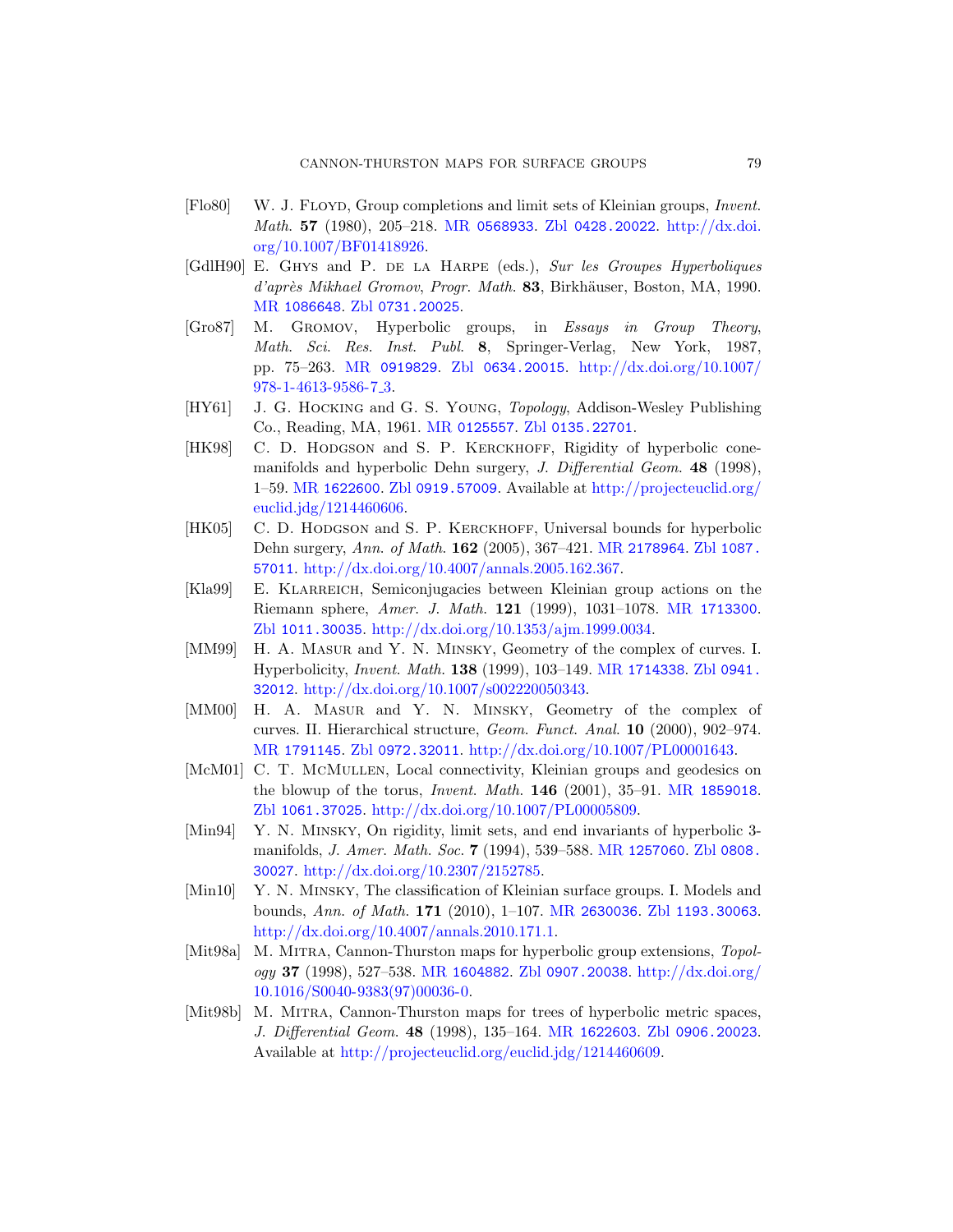- [Flo80] W. J. Floyd, Group completions and limit sets of Kleinian groups, Invent. [Ma](http://www.ams.org/mathscinet-getitem?mr=0919829)th. 57 [\(1980\), 205](http://www.zentralblatt-math.org/zmath/en/search/?q=an:0634.20015)–218. MR [0568933](http://dx.doi.org/10.1007/978-1-4613-9586-7_3). Zbl 0428.20022. http://dx.doi. org/10.1007/BF01418926.
- [\[GdlH](http://dx.doi.org/10.1007/978-1-4613-9586-7_3)90] E. GHYS and P. DE LA HARPE (eds.), Sur les Groupes Hyperboliques d'après Mikha[el Gromov](http://www.zentralblatt-math.org/zmath/en/search/?q=an:0135.22701), Progr. Math. 83, Birkhäuser, Boston, MA, 1990. MR 1086648. Zbl 0731.20025.
- [Gro87] M. Gromov, Hyperbolic groups, in Essays in Group Theory, [Math](http://www.zentralblatt-math.org/zmath/en/search/?q=an:0919.57009). Sci. Res. Inst. Publ. 8[, Springer-Ver](http://projecteuclid.org/euclid.jdg/1214460606)lag, New York, 1987, pp. 75–263. MR 0919829. Zbl 0634.20015. http://dx.doi.org/10.1007/ 978-1-4613-9586-7 3.
- [HY61] J. G. Hocking and G. [S. Young](http://www.ams.org/mathscinet-getitem?mr=2178964), T[opology](http://www.zentralblatt-math.org/zmath/en/search/?q=an:1087.57011), Addison-Wesley Publishing [Co., Reading, MA, 1961.](http://dx.doi.org/10.4007/annals.2005.162.367) MR 0125557. Zbl 0135.22701.
- [HK98] C. D. HODGSON and S. P. KERCKHOFF, Rigidity of hyperbolic conemanifolds and hyperbolic Dehn su[rgery,](http://www.ams.org/mathscinet-getitem?mr=1713300) J. Differential Geom. 48 (1998), 1–59. MR 1622600. Zbl [0919.5700](http://dx.doi.org/10.1353/ajm.1999.0034)9. Available at http://projecteuclid.org/ euclid.jdg/1214460606.
- [HK05] C. D. HODGSON and S. P. KERCKHOFF[, Univers](http://www.zentralblatt-math.org/zmath/en/search/?q=an:0941.32012)al bounds for hyperbolic [Dehn surgery,](http://dx.doi.org/10.1007/s002220050343) Ann. of Math. 162 (2005), 367–421. MR 2178964. Zbl 1087. 57011. http://dx.doi.org/10.4007/annals.2005.162.367.
- [Kla99] E. KLARREICH, Semiconjugacies between Kleinian group actions on the [Riem](http://www.zentralblatt-math.org/zmath/en/search/?q=an:0972.32011)[ann sphere,](http://dx.doi.org/10.1007/PL00001643) Amer. J. Math. 121 (1999), 1031–1078. MR 1713300. Zbl 1011.30035. http://dx.doi.org/10.1353/ajm.1999.0034.
- [MM99] H. A. MASUR and Y. N. MINSKY[, Geometry of](http://www.ams.org/mathscinet-getitem?mr=1859018) the complex of curves. I. [Hyperbolicity,](http://dx.doi.org/10.1007/PL00005809) Invent. Math. 138 (1999), 103–149. MR 1714338. Zbl 0941. 32012. http://dx.doi.org/10.1007/s002220050343.
- [MM00] H. A. Masur and [Y. N. Minsk](http://www.ams.org/mathscinet-getitem?mr=1257060)y[, Geome](http://www.zentralblatt-math.org/zmath/en/search/?q=an:0808.30027)try of the complex of [curves. II. Hierarc](http://dx.doi.org/10.2307/2152785)hical structure, Geom. Funct. Anal. 10 (2000), 902–974. MR 1791145. Zbl 0972.32011. http://dx.doi.org/10.1007/PL00001643.
- [McM01] C. T. McMuLLEN[, Local conn](http://www.ams.org/mathscinet-getitem?mr=2630036)[ectivity, Kleinian](http://www.zentralblatt-math.org/zmath/en/search/?q=an:1193.30063) groups and geodesics on [the blowup of the t](http://dx.doi.org/10.4007/annals.2010.171.1)orus, Invent. Math. 146 (2001), 35–91. MR 1859018. Zbl 1061.37025. http://dx.doi.org/10.1007/PL00005809.
- [Min94] [Y. N. Minsk](http://www.ams.org/mathscinet-getitem?mr=1604882)y[, On rigidity, li](http://www.zentralblatt-math.org/zmath/en/search/?q=an:0907.20038)[mit sets, and end in](http://dx.doi.org/10.1016/S0040-9383(97)00036-0)variants of hyperbolic 3 [manifo](http://dx.doi.org/10.1016/S0040-9383(97)00036-0)lds, J. Amer. Math. Soc. 7 (1994), 539–588. MR 1257060. Zbl 0808. 30027. http://dx.doi.org/10.2307/2152785.
- [Min10] Y. N. Minsky, [The classificatio](http://www.ams.org/mathscinet-getitem?mr=1622603)[n of Kleinian surf](http://www.zentralblatt-math.org/zmath/en/search/?q=an:0906.20023)ace groups. I. Models and bounds, Ann. of Math. 171 (2010), 1–107. MR 2630036. Zbl 1193.30063. [http://dx.doi.org/10.4007/annals.2](http://projecteuclid.org/euclid.jdg/1214460609)010.171.1.
- [Mit98a] M. Mitra, Cannon-Thurston maps for hyperbolic group extensions, Topology 37 (1998), 527–538. MR 1604882. Zbl 0907.20038. http://dx.doi.org/ 10.1016/S0040-9383(97)00036-0.
- [Mit98b] M. Mitra, Cannon-Thurston maps for trees of hyperbolic metric spaces, J. Differential Geom. 48 (1998), 135–164. MR 1622603. Zbl 0906.20023. Available at http://projecteuclid.org/euclid.jdg/1214460609.